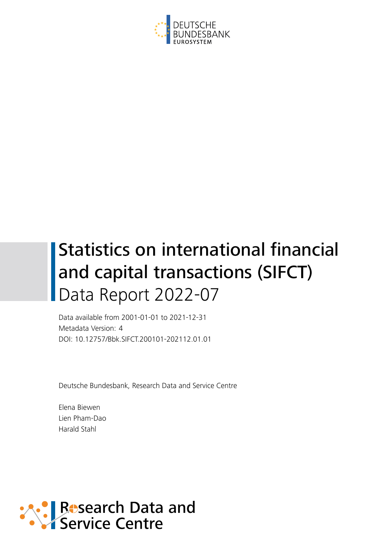

# Statistics on international financial and capital transactions (SIFCT) Data Report 2022-07

Data available from 2001-01-01 to 2021-12-31 Metadata Version: 4 DOI: 10.12757/Bbk.SIFCT.200101-202112.01.01

Deutsche Bundesbank, Research Data and Service Centre

Elena Biewen Lien Pham-Dao Harald Stahl

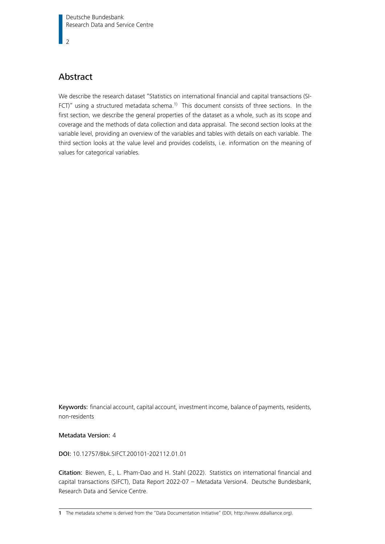$\overline{2}$ 

# Abstract

We describe the research dataset "Statistics on international financial and capital transactions (SI-FCT)" using a structured metadata schema.<sup>[1\)](#page-1-0)</sup> This document consists of three sections. In the first section, we describe the general properties of the dataset as a whole, such as its scope and coverage and the methods of data collection and data appraisal. The second section looks at the variable level, providing an overview of the variables and tables with details on each variable. The third section looks at the value level and provides codelists, i.e. information on the meaning of values for categorical variables.

Keywords: financial account, capital account, investment income, balance of payments, residents, non-residents

#### Metadata Version: 4

#### DOI: 10.12757/Bbk.SIFCT.200101-202112.01.01

Citation: Biewen, E., L. Pham-Dao and H. Stahl (2022). Statistics on international financial and capital transactions (SIFCT), Data Report 2022-07 – Metadata Version4. Deutsche Bundesbank, Research Data and Service Centre.

<span id="page-1-0"></span><sup>1</sup> The metadata scheme is derived from the "Data Documentation Initiative" (DDI, [http://www.ddialliance.org\)](http://www.ddialliance.org).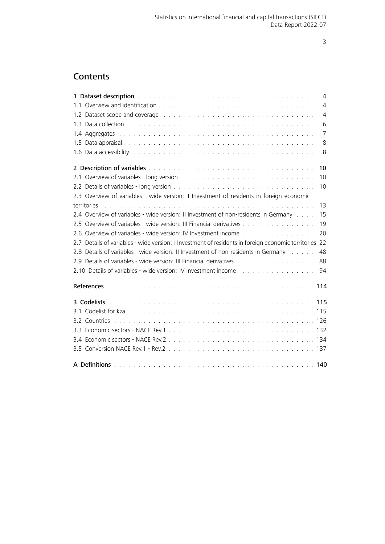# **Contents**

<span id="page-2-0"></span>

| 1 Dataset description with a subsequent service of the service of the service of the service of the service of<br>4                                                                                                                              |
|--------------------------------------------------------------------------------------------------------------------------------------------------------------------------------------------------------------------------------------------------|
| $\overline{4}$                                                                                                                                                                                                                                   |
| 1.2 Dataset scope and coverage enters and contract the contract of the contract of the contract of the contract of the contract of the contract of the contract of the contract of the contract of the contract of the contrac<br>$\overline{4}$ |
| 6                                                                                                                                                                                                                                                |
| $\overline{7}$                                                                                                                                                                                                                                   |
| 8                                                                                                                                                                                                                                                |
| 8                                                                                                                                                                                                                                                |
| 10                                                                                                                                                                                                                                               |
| 2.1 Overview of variables - long version with the content of the content of the content of the content of the content of the content of the content of the content of the content of the content of the content of the content<br>10             |
| 10                                                                                                                                                                                                                                               |
| 2.3 Overview of variables - wide version: I Investment of residents in foreign economic                                                                                                                                                          |
| 13<br>territories                                                                                                                                                                                                                                |
| 2.4 Overview of variables - wide version: II Investment of non-residents in Germany<br>15                                                                                                                                                        |
| 2.5 Overview of variables - wide version: III Financial derivatives<br>19                                                                                                                                                                        |
| 2.6 Overview of variables - wide version: IV Investment income<br>20                                                                                                                                                                             |
| 2.7 Details of variables - wide version: I Investment of residents in foreign economic territories 22                                                                                                                                            |
| 2.8 Details of variables - wide version: II Investment of non-residents in Germany<br>48                                                                                                                                                         |
| 2.9 Details of variables - wide version: III Financial derivatives<br>88                                                                                                                                                                         |
| 94                                                                                                                                                                                                                                               |
|                                                                                                                                                                                                                                                  |
|                                                                                                                                                                                                                                                  |
|                                                                                                                                                                                                                                                  |
|                                                                                                                                                                                                                                                  |
|                                                                                                                                                                                                                                                  |
|                                                                                                                                                                                                                                                  |
|                                                                                                                                                                                                                                                  |
|                                                                                                                                                                                                                                                  |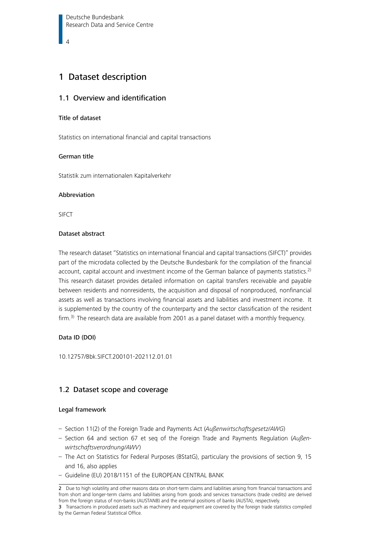# <span id="page-3-0"></span>1 Dataset description

#### 1.1 Overview and identification

#### Title of dataset

Statistics on international financial and capital transactions

#### German title

Statistik zum internationalen Kapitalverkehr

#### Abbreviation

SIFCT

#### Dataset abstract

The research dataset "Statistics on international financial and capital transactions (SIFCT)" provides part of the microdata collected by the Deutsche Bundesbank for the compilation of the financial account, capital account and investment income of the German balance of payments statistics.<sup>[2\)](#page-3-2)</sup> This research dataset provides detailed information on capital transfers receivable and payable between residents and nonresidents, the acquisition and disposal of nonproduced, nonfinancial assets as well as transactions involving financial assets and liabilities and investment income. It is supplemented by the country of the counterparty and the sector classification of the resident firm.<sup>[3\)](#page-3-3)</sup> The research data are available from 2001 as a panel dataset with a monthly frequency.

#### Data ID (DOI)

10.12757/Bbk.SIFCT.200101-202112.01.01

### <span id="page-3-1"></span>1.2 Dataset scope and coverage

#### Legal framework

- Section 11(2) of the Foreign Trade and Payments Act (Außenwirtschaftsgesetz/AWG)
- Section 64 and section 67 et seq of the Foreign Trade and Payments Regulation ( $Au\beta en$ wirtschaftsverordnung/AWV)
- The Act on Statistics for Federal Purposes (BStatG), particulary the provisions of section 9, 15 and 16, also applies
- Guideline (EU) 2018/1151 of the EUROPEAN CENTRAL BANK

<span id="page-3-2"></span><sup>2</sup> Due to high volatility and other reasons data on short-term claims and liabilities arising from financial transactions and from short and longer-term claims and liabilities arising from goods and services transactions (trade credits) are derived from the foreign status of non-banks (AUSTANB) and the external positions of banks (AUSTA), respectively.

<span id="page-3-3"></span><sup>3</sup> Transactions in produced assets such as machinery and equipment are covered by the foreign trade statistics compiled by the German Federal Statistical Office.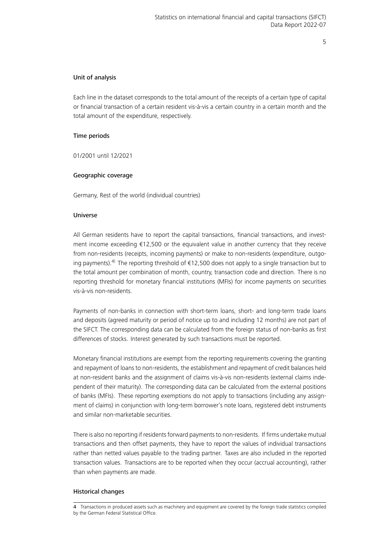### Unit of analysis

Each line in the dataset corresponds to the total amount of the receipts of a certain type of capital or financial transaction of a certain resident vis-à-vis a certain country in a certain month and the total amount of the expenditure, respectively.

#### Time periods

01/2001 until 12/2021

#### Geographic coverage

Germany, Rest of the world (individual countries)

#### Universe

All German residents have to report the capital transactions, financial transactions, and investment income exceeding €12,500 or the equivalent value in another currency that they receive from non-residents (receipts, incoming payments) or make to non-residents (expenditure, outgo-ing payments).<sup>[4\)](#page-4-0)</sup> The reporting threshold of  $\epsilon$ 12,500 does not apply to a single transaction but to the total amount per combination of month, country, transaction code and direction. There is no reporting threshold for monetary financial institutions (MFIs) for income payments on securities vis-à-vis non-residents.

Payments of non-banks in connection with short-term loans, short- and long-term trade loans and deposits (agreed maturity or period of notice up to and including 12 months) are not part of the SIFCT. The corresponding data can be calculated from the foreign status of non-banks as first differences of stocks. Interest generated by such transactions must be reported.

Monetary financial institutions are exempt from the reporting requirements covering the granting and repayment of loans to non-residents, the establishment and repayment of credit balances held at non-resident banks and the assignment of claims vis-à-vis non-residents (external claims independent of their maturity). The corresponding data can be calculated from the external positions of banks (MFIs). These reporting exemptions do not apply to transactions (including any assignment of claims) in conjunction with long-term borrower's note loans, registered debt instruments and similar non-marketable securities.

There is also no reporting if residents forward payments to non-residents. If firms undertake mutual transactions and then offset payments, they have to report the values of individual transactions rather than netted values payable to the trading partner. Taxes are also included in the reported transaction values. Transactions are to be reported when they occur (accrual accounting), rather than when payments are made.

#### Historical changes

<span id="page-4-0"></span><sup>4</sup> Transactions in produced assets such as machinery and equipment are covered by the foreign trade statistics compiled by the German Federal Statistical Office.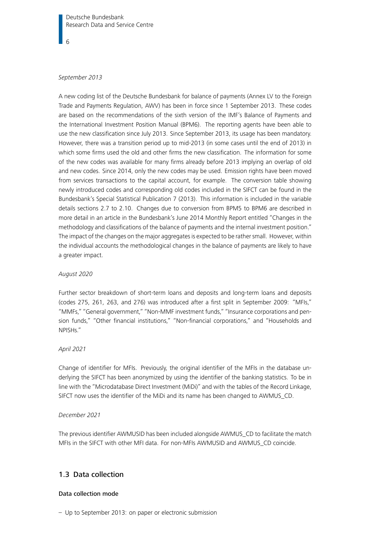#### September 2013

A new coding list of the Deutsche Bundesbank for balance of payments (Annex LV to the Foreign Trade and Payments Regulation, AWV) has been in force since 1 September 2013. These codes are based on the recommendations of the sixth version of the IMF's Balance of Payments and the International Investment Position Manual (BPM6). The reporting agents have been able to use the new classification since July 2013. Since September 2013, its usage has been mandatory. However, there was a transition period up to mid-2013 (in some cases until the end of 2013) in which some firms used the old and other firms the new classification. The information for some of the new codes was available for many firms already before 2013 implying an overlap of old and new codes. Since 2014, only the new codes may be used. Emission rights have been moved from services transactions to the capital account, for example. The conversion table showing newly introduced codes and corresponding old codes included in the SIFCT can be found in the Bundesbank's Special Statistical Publication 7 (2013). This information is included in the variable details sections 2.7 to 2.10. Changes due to conversion from BPM5 to BPM6 are described in more detail in an article in the Bundesbank's June 2014 Monthly Report entitled "Changes in the methodology and classifications of the balance of payments and the internal investment position." The impact of the changes on the major aggregates is expected to be rather small. However, within the individual accounts the methodological changes in the balance of payments are likely to have a greater impact.

#### August 2020

Further sector breakdown of short-term loans and deposits and long-term loans and deposits (codes 275, 261, 263, and 276) was introduced after a first split in September 2009: "MFIs," "MMFs," "General government," "Non-MMF investment funds," "Insurance corporations and pension funds," "Other financial institutions," "Non-financial corporations," and "Households and NPISHs."

#### April 2021

Change of identifier for MFIs. Previously, the original identifier of the MFIs in the database underlying the SIFCT has been anonymized by using the identifier of the banking statistics. To be in line with the "Microdatabase Direct Investment (MiDi)" and with the tables of the Record Linkage, SIFCT now uses the identifier of the MiDi and its name has been changed to AWMUS\_CD.

#### December 2021

The previous identifier AWMUSID has been included alongside AWMUS\_CD to facilitate the match MFIs in the SIFCT with other MFI data. For non-MFIs AWMUSID and AWMUS\_CD coincide.

#### <span id="page-5-0"></span>1.3 Data collection

#### Data collection mode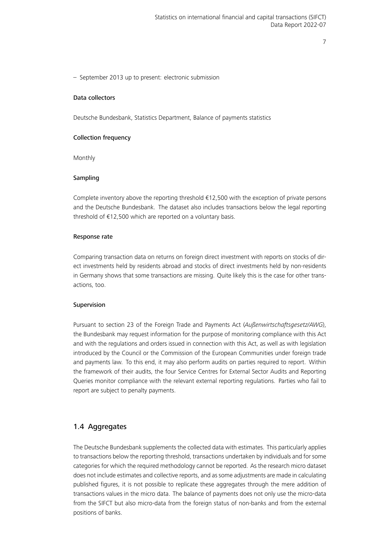– September 2013 up to present: electronic submission

#### Data collectors

Deutsche Bundesbank, Statistics Department, Balance of payments statistics

#### Collection frequency

Monthly

#### Sampling

Complete inventory above the reporting threshold €12,500 with the exception of private persons and the Deutsche Bundesbank. The dataset also includes transactions below the legal reporting threshold of €12,500 which are reported on a voluntary basis.

#### Response rate

Comparing transaction data on returns on foreign direct investment with reports on stocks of direct investments held by residents abroad and stocks of direct investments held by non-residents in Germany shows that some transactions are missing. Quite likely this is the case for other transactions, too.

### Supervision

Pursuant to section 23 of the Foreign Trade and Payments Act (Außenwirtschaftsgesetz/AWG), the Bundesbank may request information for the purpose of monitoring compliance with this Act and with the regulations and orders issued in connection with this Act, as well as with legislation introduced by the Council or the Commission of the European Communities under foreign trade and payments law. To this end, it may also perform audits on parties required to report. Within the framework of their audits, the four Service Centres for External Sector Audits and Reporting Queries monitor compliance with the relevant external reporting regulations. Parties who fail to report are subject to penalty payments.

## <span id="page-6-0"></span>1.4 Aggregates

The Deutsche Bundesbank supplements the collected data with estimates. This particularly applies to transactions below the reporting threshold, transactions undertaken by individuals and for some categories for which the required methodology cannot be reported. As the research micro dataset does not include estimates and collective reports, and as some adjustments are made in calculating published figures, it is not possible to replicate these aggregates through the mere addition of transactions values in the micro data. The balance of payments does not only use the micro-data from the SIFCT but also micro-data from the foreign status of non-banks and from the external positions of banks.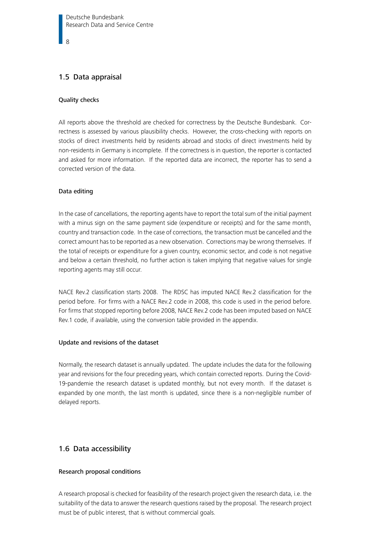### <span id="page-7-0"></span>1.5 Data appraisal

#### Quality checks

All reports above the threshold are checked for correctness by the Deutsche Bundesbank. Correctness is assessed by various plausibility checks. However, the cross-checking with reports on stocks of direct investments held by residents abroad and stocks of direct investments held by non-residents in Germany is incomplete. If the correctness is in question, the reporter is contacted and asked for more information. If the reported data are incorrect, the reporter has to send a corrected version of the data.

#### Data editing

In the case of cancellations, the reporting agents have to report the total sum of the initial payment with a minus sign on the same payment side (expenditure or receipts) and for the same month, country and transaction code. In the case of corrections, the transaction must be cancelled and the correct amount has to be reported as a new observation. Corrections may be wrong themselves. If the total of receipts or expenditure for a given country, economic sector, and code is not negative and below a certain threshold, no further action is taken implying that negative values for single reporting agents may still occur.

NACE Rev.2 classification starts 2008. The RDSC has imputed NACE Rev.2 classification for the period before. For firms with a NACE Rev.2 code in 2008, this code is used in the period before. For firms that stopped reporting before 2008, NACE Rev.2 code has been imputed based on NACE Rev.1 code, if available, using the conversion table provided in the appendix.

#### Update and revisions of the dataset

Normally, the research dataset is annually updated. The update includes the data for the following year and revisions for the four preceding years, which contain corrected reports. During the Covid-19-pandemie the research dataset is updated monthly, but not every month. If the dataset is expanded by one month, the last month is updated, since there is a non-negligible number of delayed reports.

### <span id="page-7-1"></span>1.6 Data accessibility

#### Research proposal conditions

A research proposal is checked for feasibility of the research project given the research data, i.e. the suitability of the data to answer the research questions raised by the proposal. The research project must be of public interest, that is without commercial goals.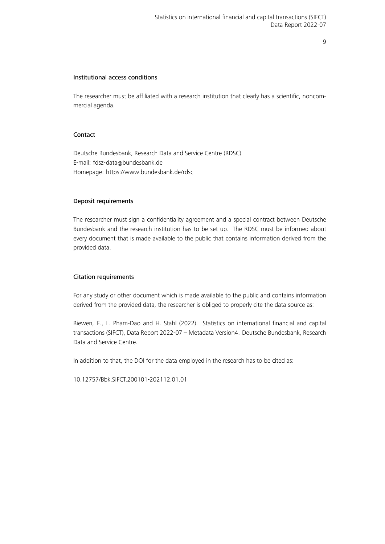#### Institutional access conditions

The researcher must be affiliated with a research institution that clearly has a scientific, noncommercial agenda.

#### Contact

Deutsche Bundesbank, Research Data and Service Centre (RDSC) E-mail: [fdsz-data@bundesbank.de](mailto:fdsz-data@bundesbank.de) Homepage:<https://www.bundesbank.de/rdsc>

#### Deposit requirements

The researcher must sign a confidentiality agreement and a special contract between Deutsche Bundesbank and the research institution has to be set up. The RDSC must be informed about every document that is made available to the public that contains information derived from the provided data.

#### Citation requirements

For any study or other document which is made available to the public and contains information derived from the provided data, the researcher is obliged to properly cite the data source as:

Biewen, E., L. Pham-Dao and H. Stahl (2022). Statistics on international financial and capital transactions (SIFCT), Data Report 2022-07 – Metadata Version4. Deutsche Bundesbank, Research Data and Service Centre.

In addition to that, the DOI for the data employed in the research has to be cited as:

<span id="page-8-0"></span>10.12757/Bbk.SIFCT.200101-202112.01.01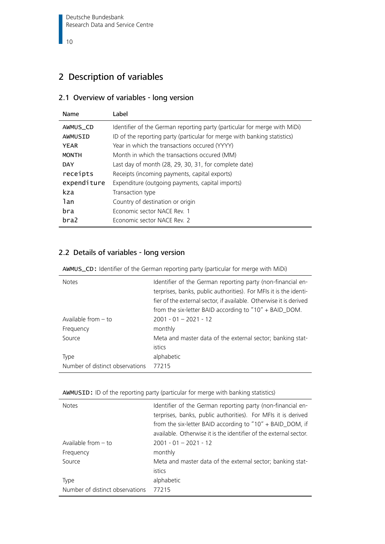# 2 Description of variables

# <span id="page-9-0"></span>2.1 Overview of variables - long version

| Name         | Label                                                                     |
|--------------|---------------------------------------------------------------------------|
| AWMUS CD     | Identifier of the German reporting party (particular for merge with MiDi) |
| AWMUSID      | ID of the reporting party (particular for merge with banking statistics)  |
| YEAR         | Year in which the transactions occured (YYYY)                             |
| <b>MONTH</b> | Month in which the transactions occured (MM)                              |
| <b>DAY</b>   | Last day of month (28, 29, 30, 31, for complete date)                     |
| receipts     | Receipts (incoming payments, capital exports)                             |
| expenditure  | Expenditure (outgoing payments, capital imports)                          |
| kza          | Transaction type                                                          |
| lan          | Country of destination or origin                                          |
| bra          | Economic sector NACE Rev. 1                                               |
| bra2         | Economic sector NACE Rev. 2                                               |

# <span id="page-9-1"></span>2.2 Details of variables - long version

<span id="page-9-2"></span>AWMUS\_CD: Identifier of the German reporting party (particular for merge with MiDi)

| <b>Notes</b>                    | Identifier of the German reporting party (non-financial en-<br>terprises, banks, public authorities). For MFIs it is the identi-<br>fier of the external sector, if available. Otherwise it is derived<br>from the six-letter BAID according to "10" + BAID_DOM. |
|---------------------------------|------------------------------------------------------------------------------------------------------------------------------------------------------------------------------------------------------------------------------------------------------------------|
| Available from $-$ to           | $2001 - 01 - 2021 - 12$                                                                                                                                                                                                                                          |
| Frequency                       | monthly                                                                                                                                                                                                                                                          |
| Source                          | Meta and master data of the external sector; banking stat-                                                                                                                                                                                                       |
|                                 | istics                                                                                                                                                                                                                                                           |
| <b>Type</b>                     | alphabetic                                                                                                                                                                                                                                                       |
| Number of distinct observations | 77215                                                                                                                                                                                                                                                            |

<span id="page-9-3"></span>

| AWMUSID: ID of the reporting party (particular for merge with banking statistics) |  |  |
|-----------------------------------------------------------------------------------|--|--|
|                                                                                   |  |  |

| <b>Notes</b>                    | Identifier of the German reporting party (non-financial en-<br>terprises, banks, public authorities). For MFIs it is derived<br>from the six-letter BAID according to $"10" + BAD\_DOM$ , if<br>available. Otherwise it is the identifier of the external sector. |
|---------------------------------|-------------------------------------------------------------------------------------------------------------------------------------------------------------------------------------------------------------------------------------------------------------------|
| Available from $-$ to           | $2001 - 01 - 2021 - 12$                                                                                                                                                                                                                                           |
| Frequency                       | monthly                                                                                                                                                                                                                                                           |
| Source                          | Meta and master data of the external sector; banking stat-                                                                                                                                                                                                        |
|                                 | <i>istics</i>                                                                                                                                                                                                                                                     |
| Type                            | alphabetic                                                                                                                                                                                                                                                        |
| Number of distinct observations | 77215                                                                                                                                                                                                                                                             |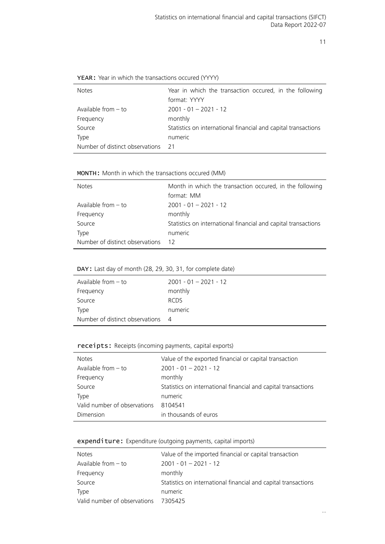| <b>Notes</b>                    | Year in which the transaction occured, in the following        |  |  |
|---------------------------------|----------------------------------------------------------------|--|--|
|                                 | format: YYYY                                                   |  |  |
| Available from $-$ to           | $2001 - 01 - 2021 - 12$                                        |  |  |
| Frequency                       | monthly                                                        |  |  |
| Source                          | Statistics on international financial and capital transactions |  |  |
| Type                            | numeric                                                        |  |  |
| Number of distinct observations | - 21                                                           |  |  |
|                                 |                                                                |  |  |

<span id="page-10-0"></span>YEAR: Year in which the transactions occured (YYYY)

#### <span id="page-10-1"></span>MONTH: Month in which the transactions occured (MM)

| <b>Notes</b>                    | Month in which the transaction occured, in the following<br>format: MM |
|---------------------------------|------------------------------------------------------------------------|
| Available from $-$ to           | $2001 - 01 - 2021 - 12$                                                |
| Frequency                       | monthly                                                                |
| Source                          | Statistics on international financial and capital transactions         |
| <b>Type</b>                     | numeric                                                                |
| Number of distinct observations | 12                                                                     |

#### <span id="page-10-2"></span>DAY: Last day of month (28, 29, 30, 31, for complete date)

| Available from $-$ to             | $2001 - 01 - 2021 - 12$ |
|-----------------------------------|-------------------------|
| Frequency                         | monthly                 |
| Source                            | <b>RCDS</b>             |
| Type                              | numeric                 |
| Number of distinct observations 4 |                         |

#### <span id="page-10-3"></span>receipts: Receipts (incoming payments, capital exports)

| <b>Notes</b>                 | Value of the exported financial or capital transaction         |
|------------------------------|----------------------------------------------------------------|
| Available from - to          | $2001 - 01 - 2021 - 12$                                        |
| Frequency                    | monthly                                                        |
| Source                       | Statistics on international financial and capital transactions |
| Type                         | numeric                                                        |
| Valid number of observations | 8104541                                                        |
| Dimension                    | in thousands of euros                                          |

#### <span id="page-10-4"></span>expenditure: Expenditure (outgoing payments, capital imports)

| <b>Notes</b>                 | Value of the imported financial or capital transaction         |
|------------------------------|----------------------------------------------------------------|
| Available from $-$ to        | $2001 - 01 - 2021 - 12$                                        |
| Frequency                    | monthly                                                        |
| Source                       | Statistics on international financial and capital transactions |
| Type                         | numeric                                                        |
| Valid number of observations | 7305425                                                        |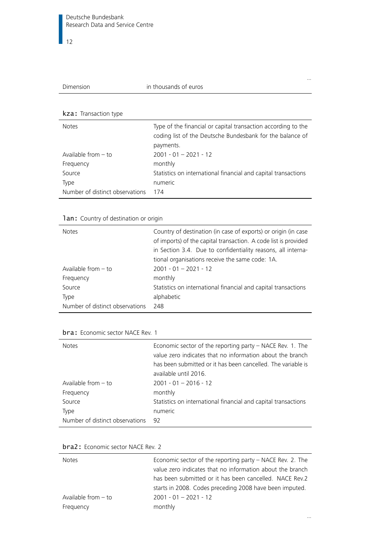| Dimension |  |
|-----------|--|
|           |  |
|           |  |

#### <span id="page-11-0"></span>kza: Transaction type

| <b>Notes</b>                    | Type of the financial or capital transaction according to the<br>coding list of the Deutsche Bundesbank for the balance of<br>payments. |
|---------------------------------|-----------------------------------------------------------------------------------------------------------------------------------------|
| Available from $-$ to           | $2001 - 01 - 2021 - 12$                                                                                                                 |
| Frequency                       | monthly                                                                                                                                 |
| Source                          | Statistics on international financial and capital transactions                                                                          |
| Type                            | numeric                                                                                                                                 |
| Number of distinct observations | 174                                                                                                                                     |

### <span id="page-11-1"></span>1an: Country of destination or origin

| <b>Notes</b>                    | Country of destination (in case of exports) or origin (in case<br>of imports) of the capital transaction. A code list is provided<br>in Section 3.4. Due to confidentiality reasons, all interna-<br>tional organisations receive the same code: 1A. |
|---------------------------------|------------------------------------------------------------------------------------------------------------------------------------------------------------------------------------------------------------------------------------------------------|
| Available from $-$ to           | $2001 - 01 - 2021 - 12$                                                                                                                                                                                                                              |
| Frequency                       | monthly                                                                                                                                                                                                                                              |
| Source                          | Statistics on international financial and capital transactions                                                                                                                                                                                       |
| <b>Type</b>                     | alphabetic                                                                                                                                                                                                                                           |
| Number of distinct observations | 248                                                                                                                                                                                                                                                  |

#### <span id="page-11-2"></span>bra: Economic sector NACE Rev. 1

| Economic sector of the reporting party $-$ NACE Rev. 1. The<br>value zero indicates that no information about the branch<br>has been submitted or it has been cancelled. The variable is<br>available until 2016. |
|-------------------------------------------------------------------------------------------------------------------------------------------------------------------------------------------------------------------|
| $2001 - 01 - 2016 - 12$                                                                                                                                                                                           |
| monthly                                                                                                                                                                                                           |
| Statistics on international financial and capital transactions                                                                                                                                                    |
| numeric                                                                                                                                                                                                           |
| 92                                                                                                                                                                                                                |
|                                                                                                                                                                                                                   |

<span id="page-11-3"></span>

| bra2: Economic sector NACE Rev. 2 |  |
|-----------------------------------|--|
|-----------------------------------|--|

| <b>Notes</b>          | Economic sector of the reporting party $-$ NACE Rev. 2. The<br>value zero indicates that no information about the branch<br>has been submitted or it has been cancelled. NACE Rev.2 |
|-----------------------|-------------------------------------------------------------------------------------------------------------------------------------------------------------------------------------|
| Available from $-$ to | starts in 2008. Codes preceding 2008 have been imputed.<br>$2001 - 01 - 2021 - 12$                                                                                                  |
| Frequency             | monthly                                                                                                                                                                             |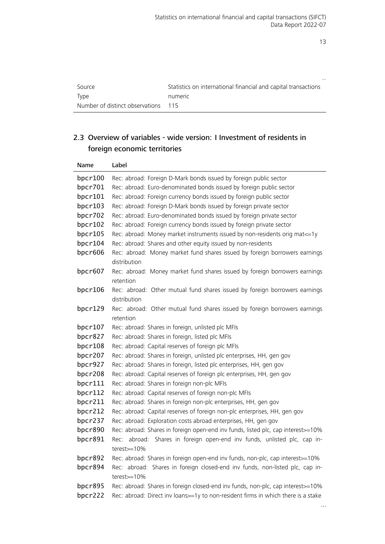|                                 | $\cdots$                                                       |
|---------------------------------|----------------------------------------------------------------|
| Source                          | Statistics on international financial and capital transactions |
| <b>Type</b>                     | numeric                                                        |
| Number of distinct observations | 115                                                            |

# <span id="page-12-0"></span>2.3 Overview of variables - wide version: I Investment of residents in foreign economic territories

| Name       | Label                                                                                                                                                                |
|------------|----------------------------------------------------------------------------------------------------------------------------------------------------------------------|
| bpcr100    | Rec: abroad: Foreign D-Mark bonds issued by foreign public sector                                                                                                    |
| bpcr701    | Rec: abroad: Euro-denominated bonds issued by foreign public sector                                                                                                  |
| bpcr101    | Rec: abroad: Foreign currency bonds issued by foreign public sector                                                                                                  |
| bpcr103    | Rec: abroad: Foreign D-Mark bonds issued by foreign private sector                                                                                                   |
| bpcr702    | Rec: abroad: Euro-denominated bonds issued by foreign private sector                                                                                                 |
| bpcr102    | Rec: abroad: Foreign currency bonds issued by foreign private sector                                                                                                 |
| bpcr105    | Rec: abroad: Money market instruments issued by non-residents orig mat <= 1y                                                                                         |
| bpcr104    | Rec: abroad: Shares and other equity issued by non-residents                                                                                                         |
| bpcr606    | Rec: abroad: Money market fund shares issued by foreign borrowers earnings<br>distribution                                                                           |
| bpcr607    | Rec: abroad: Money market fund shares issued by foreign borrowers earnings<br>retention                                                                              |
| bpc $r106$ | Rec: abroad: Other mutual fund shares issued by foreign borrowers earnings                                                                                           |
|            | distribution                                                                                                                                                         |
| bpcr129    | Rec: abroad: Other mutual fund shares issued by foreign borrowers earnings<br>retention                                                                              |
| bpc $r107$ | Rec: abroad: Shares in foreign, unlisted plc MFIs                                                                                                                    |
| bpcr827    | Rec: abroad: Shares in foreign, listed plc MFIs                                                                                                                      |
| bpcr108    | Rec: abroad: Capital reserves of foreign plc MFIs                                                                                                                    |
| bpcr207    | Rec: abroad: Shares in foreign, unlisted plc enterprises, HH, gen gov                                                                                                |
| bpcr927    | Rec: abroad: Shares in foreign, listed plc enterprises, HH, gen gov                                                                                                  |
| bpcr208    | Rec: abroad: Capital reserves of foreign plc enterprises, HH, gen gov                                                                                                |
| bpcr111    | Rec: abroad: Shares in foreign non-plc MFIs                                                                                                                          |
| bpcr112    | Rec: abroad: Capital reserves of foreign non-plc MFIs                                                                                                                |
| bpcr211    | Rec: abroad: Shares in foreign non-plc enterprises, HH, gen gov                                                                                                      |
| bpcr212    | Rec: abroad: Capital reserves of foreign non-plc enterprises, HH, gen gov                                                                                            |
| bpcr237    | Rec: abroad: Exploration costs abroad enterprises, HH, gen gov                                                                                                       |
| bpcr890    | Rec: abroad: Shares in foreign open-end inv funds, listed plc, cap interest>=10%                                                                                     |
| bpcr891    | Rec: abroad: Shares in foreign open-end inv funds, unlisted plc, cap in-                                                                                             |
|            | terest $>=10\%$                                                                                                                                                      |
| bpcr892    | Rec: abroad: Shares in foreign open-end inv funds, non-plc, cap interest>=10%                                                                                        |
| bpcr894    | Rec: abroad: Shares in foreign closed-end inv funds, non-listed plc, cap in-                                                                                         |
| bpcr895    | terest>=10%                                                                                                                                                          |
| bpcr222    | Rec: abroad: Shares in foreign closed-end inv funds, non-plc, cap interest>=10%<br>Rec: abroad: Direct inv loans>=1y to non-resident firms in which there is a stake |
|            |                                                                                                                                                                      |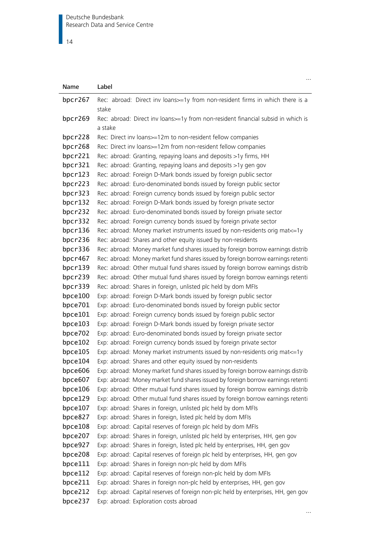| Name       | Label                                                                             |
|------------|-----------------------------------------------------------------------------------|
| bpcr267    | Rec: abroad: Direct inv loans>=1y from non-resident firms in which there is a     |
|            | stake                                                                             |
| bpcr269    | Rec: abroad: Direct inv loans>=1y from non-resident financial subsid in which is  |
|            | a stake                                                                           |
| bpcr228    | Rec: Direct inv loans>=12m to non-resident fellow companies                       |
| bpcr268    | Rec: Direct inv loans>=12m from non-resident fellow companies                     |
| bpcr221    | Rec: abroad: Granting, repaying loans and deposits >1y firms, HH                  |
| bpcr321    | Rec: abroad: Granting, repaying loans and deposits >1y gen gov                    |
| bpc $r123$ | Rec: abroad: Foreign D-Mark bonds issued by foreign public sector                 |
| bpcr223    | Rec: abroad: Euro-denominated bonds issued by foreign public sector               |
| bpcr323    | Rec: abroad: Foreign currency bonds issued by foreign public sector               |
| bpcr132    | Rec: abroad: Foreign D-Mark bonds issued by foreign private sector                |
| bpcr232    | Rec: abroad: Euro-denominated bonds issued by foreign private sector              |
| bpcr332    | Rec: abroad: Foreign currency bonds issued by foreign private sector              |
| bpcr136    | Rec: abroad: Money market instruments issued by non-residents orig mat <= 1y      |
| bpcr236    | Rec: abroad: Shares and other equity issued by non-residents                      |
| bpcr336    | Rec: abroad: Money market fund shares issued by foreign borrow earnings distrib   |
| bpcr467    | Rec: abroad: Money market fund shares issued by foreign borrow earnings retenti   |
| bpcr139    | Rec: abroad: Other mutual fund shares issued by foreign borrow earnings distrib   |
| bpcr239    | Rec: abroad: Other mutual fund shares issued by foreign borrow earnings retenti   |
| bpcr339    | Rec: abroad: Shares in foreign, unlisted plc held by dom MFIs                     |
| bpce100    | Exp: abroad: Foreign D-Mark bonds issued by foreign public sector                 |
| bpce701    | Exp: abroad: Euro-denominated bonds issued by foreign public sector               |
| bpce101    | Exp: abroad: Foreign currency bonds issued by foreign public sector               |
| bpce103    | Exp: abroad: Foreign D-Mark bonds issued by foreign private sector                |
| bpce702    | Exp: abroad: Euro-denominated bonds issued by foreign private sector              |
| bpce102    | Exp: abroad: Foreign currency bonds issued by foreign private sector              |
| bpce105    | Exp: abroad: Money market instruments issued by non-residents orig mat <= 1y      |
| bpce104    | Exp: abroad: Shares and other equity issued by non-residents                      |
| bpce606    | Exp: abroad: Money market fund shares issued by foreign borrow earnings distrib   |
| bpce607    | Exp: abroad: Money market fund shares issued by foreign borrow earnings retenti   |
| bpce106    | Exp: abroad: Other mutual fund shares issued by foreign borrow earnings distrib   |
| bpce129    | Exp: abroad: Other mutual fund shares issued by foreign borrow earnings retenti   |
| bpce107    | Exp: abroad: Shares in foreign, unlisted plc held by dom MFIs                     |
| bpce827    | Exp: abroad: Shares in foreign, listed plc held by dom MFIs                       |
| bpce108    | Exp: abroad: Capital reserves of foreign plc held by dom MFIs                     |
| bpce207    | Exp: abroad: Shares in foreign, unlisted plc held by enterprises, HH, gen gov     |
| bpce927    | Exp: abroad: Shares in foreign, listed plc held by enterprises, HH, gen gov       |
| bpce208    | Exp: abroad: Capital reserves of foreign plc held by enterprises, HH, gen gov     |
| bpce111    | Exp: abroad: Shares in foreign non-plc held by dom MFIs                           |
| bpce112    | Exp: abroad: Capital reserves of foreign non-plc held by dom MFIs                 |
| bpce211    | Exp: abroad: Shares in foreign non-plc held by enterprises, HH, gen gov           |
| bpce212    | Exp: abroad: Capital reserves of foreign non-plc held by enterprises, HH, gen gov |
| bpce237    | Exp: abroad: Exploration costs abroad                                             |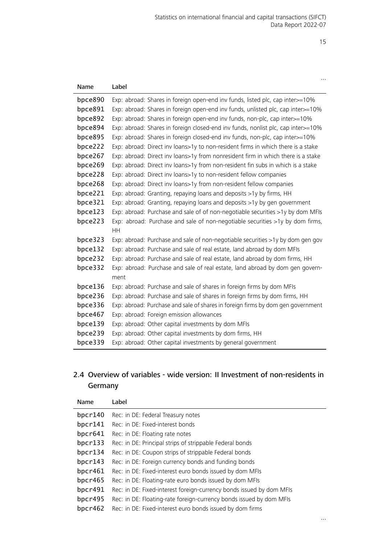| Name    | Label                                                                            |
|---------|----------------------------------------------------------------------------------|
| bpce890 | Exp: abroad: Shares in foreign open-end inv funds, listed plc, cap inter>=10%    |
| bpce891 | Exp: abroad: Shares in foreign open-end inv funds, unlisted plc, cap inter>=10%  |
| bpce892 | Exp: abroad: Shares in foreign open-end inv funds, non-plc, cap inter>=10%       |
| bpce894 | Exp: abroad: Shares in foreign closed-end inv funds, nonlist plc, cap inter>=10% |
| bpce895 | Exp: abroad: Shares in foreign closed-end inv funds, non-plc, cap inter>=10%     |
| bpce222 | Exp: abroad: Direct inv loans>1y to non-resident firms in which there is a stake |
| bpce267 | Exp: abroad: Direct inv loans>1y from nonresident firm in which there is a stake |
| bpce269 | Exp: abroad: Direct inv loans>1y from non-resident fin subs in which is a stake  |
| bpce228 | Exp: abroad: Direct inv loans>1y to non-resident fellow companies                |
| bpce268 | Exp: abroad: Direct inv loans>1y from non-resident fellow companies              |
| bpce221 | Exp: abroad: Granting, repaying loans and deposits >1y by firms, HH              |
| bpce321 | Exp: abroad: Granting, repaying loans and deposits >1y by gen government         |
| bpce123 | Exp: abroad: Purchase and sale of of non-negotiable securities >1y by dom MFIs   |
| bpce223 | Exp: abroad: Purchase and sale of non-negotiable securities >1y by dom firms,    |
|         | HH                                                                               |
| bpce323 | Exp: abroad: Purchase and sale of non-negotiable securities >1y by dom gen gov   |
| bpce132 | Exp: abroad: Purchase and sale of real estate, land abroad by dom MFIs           |
| bpce232 | Exp: abroad: Purchase and sale of real estate, land abroad by dom firms, HH      |
| bpce332 | Exp: abroad: Purchase and sale of real estate, land abroad by dom gen govern-    |
|         | ment                                                                             |
| bpce136 | Exp: abroad: Purchase and sale of shares in foreign firms by dom MFIs            |
| bpce236 | Exp: abroad: Purchase and sale of shares in foreign firms by dom firms, HH       |
| bpce336 | Exp: abroad: Purchase and sale of shares in foreign firms by dom gen government  |
| bpce467 | Exp: abroad: Foreign emission allowances                                         |
| bpce139 | Exp: abroad: Other capital investments by dom MFIs                               |
| bpce239 | Exp: abroad: Other capital investments by dom firms, HH                          |
| bpce339 | Exp: abroad: Other capital investments by general government                     |

# <span id="page-14-0"></span>2.4 Overview of variables - wide version: II Investment of non-residents in Germany

| Name       | Label                                                                |
|------------|----------------------------------------------------------------------|
| bpc $r140$ | Rec: in DE: Federal Treasury notes                                   |
| bpc $r141$ | Rec: in DE: Fixed-interest bonds                                     |
| bpc $r641$ | Rec: in DE: Floating rate notes                                      |
| bpc $r133$ | Rec: in DE: Principal strips of strippable Federal bonds             |
| bpc $r134$ | Rec: in DE: Coupon strips of strippable Federal bonds                |
| bpc $r143$ | Rec: in DE: Foreign currency bonds and funding bonds                 |
| bpc $r461$ | Rec: in DE: Fixed-interest euro bonds issued by dom MFIs             |
| bpc $r465$ | Rec: in DE: Floating-rate euro bonds issued by dom MFIs              |
| bpcr491    | Rec: in DE: Fixed-interest foreign-currency bonds issued by dom MFIs |
| bpcr495    | Rec: in DE: Floating-rate foreign-currency bonds issued by dom MFIs  |
| bpc $r462$ | Rec: in DE: Fixed-interest euro bonds issued by dom firms            |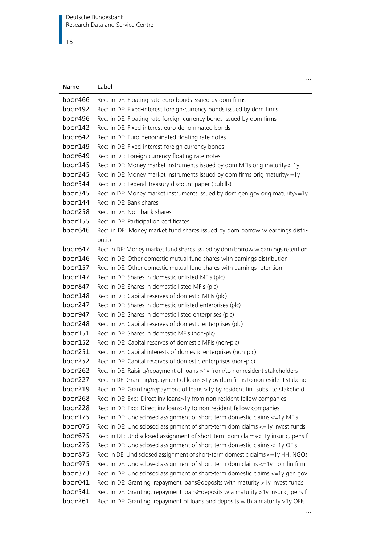$\vert$  16

| Name               | Label                                                                                                                                                           |
|--------------------|-----------------------------------------------------------------------------------------------------------------------------------------------------------------|
| bpcr466            | Rec: in DE: Floating-rate euro bonds issued by dom firms                                                                                                        |
| bpcr492            | Rec: in DE: Fixed-interest foreign-currency bonds issued by dom firms                                                                                           |
| bpcr496            | Rec: in DE: Floating-rate foreign-currency bonds issued by dom firms                                                                                            |
| bpcr142            | Rec: in DE: Fixed-interest euro-denominated bonds                                                                                                               |
| bpcr642            | Rec: in DE: Euro-denominated floating rate notes                                                                                                                |
| bpcr149            | Rec: in DE: Fixed-interest foreign currency bonds                                                                                                               |
| bpcr649            | Rec: in DE: Foreign currency floating rate notes                                                                                                                |
| bpc $r145$         | Rec: in DE: Money market instruments issued by dom MFIs orig maturity <= 1y                                                                                     |
| bpcr245            | Rec: in DE: Money market instruments issued by dom firms orig maturity <= 1y                                                                                    |
| bpcr344            | Rec: in DE: Federal Treasury discount paper (Bubills)                                                                                                           |
| bpcr345            | Rec: in DE: Money market instruments issued by dom gen gov orig maturity <= 1y                                                                                  |
| bpcr144            | Rec: in DE: Bank shares                                                                                                                                         |
| bpcr258            | Rec: in DE: Non-bank shares                                                                                                                                     |
| bpcr155            | Rec: in DE: Participation certificates                                                                                                                          |
| bpcr646            | Rec: in DE: Money market fund shares issued by dom borrow w earnings distri-                                                                                    |
|                    | butio                                                                                                                                                           |
| bpcr647            | Rec: in DE: Money market fund shares issued by dom borrow w earnings retention                                                                                  |
| bpc $r146$         | Rec: in DE: Other domestic mutual fund shares with earnings distribution                                                                                        |
| bpcr157            | Rec: in DE: Other domestic mutual fund shares with earnings retention                                                                                           |
| bpcr147            | Rec: in DE: Shares in domestic unlisted MFIs (plc)                                                                                                              |
| bpcr847            | Rec: in DE: Shares in domestic listed MFIs (plc)                                                                                                                |
| bpcr148            | Rec: in DE: Capital reserves of domestic MFIs (plc)                                                                                                             |
| bpcr247            | Rec: in DE: Shares in domestic unlisted enterprises (plc)                                                                                                       |
| bpcr947            | Rec: in DE: Shares in domestic listed enterprises (plc)                                                                                                         |
| bpcr248            | Rec: in DE: Capital reserves of domestic enterprises (plc)                                                                                                      |
| bpcr151            | Rec: in DE: Shares in domestic MFIs (non-plc)                                                                                                                   |
| bpcr152            | Rec: in DE: Capital reserves of domestic MFIs (non-plc)                                                                                                         |
| bpcr251            | Rec: in DE: Capital interests of domestic enterprises (non-plc)                                                                                                 |
| bpcr252<br>bpcr262 | Rec: in DE: Capital reserves of domestic enterprises (non-plc)                                                                                                  |
| bpcr227            | Rec: in DE: Raising/repayment of loans >1y from/to nonresident stakeholders<br>Rec: in DE: Granting/repayment of loans >1y by dom firms to nonresident stakehol |
| bpcr219            | Rec: in DE: Granting/repayment of loans >1y by resident fin. subs. to stakehold                                                                                 |
| bpcr268            | Rec: in DE: Exp: Direct inv loans>1y from non-resident fellow companies                                                                                         |
| bpcr228            | Rec: in DE: Exp: Direct inv loans>1y to non-resident fellow companies                                                                                           |
| bpcr175            | Rec: in DE: Undisclosed assignment of short-term domestic claims <= 1y MFIs                                                                                     |
| bpcr075            | Rec: in DE: Undisclosed assignment of short-term dom claims <= 1y invest funds                                                                                  |
| bpcr675            | Rec: in DE: Undisclosed assignment of short-term dom claims <= 1y insur c, pens f                                                                               |
| bpcr275            | Rec: in DE: Undisclosed assignment of short-term domestic claims <= 1y OFIs                                                                                     |
| bpcr875            | Rec: in DE: Undisclosed assignment of short-term domestic claims <= 1y HH, NGOs                                                                                 |
| bpcr975            | Rec: in DE: Undisclosed assignment of short-term dom claims <= 1y non-fin firm                                                                                  |
| bpcr373            | Rec: in DE: Undisclosed assignment of short-term domestic claims <= 1y gen gov                                                                                  |
| bpcr041            | Rec: in DE: Granting, repayment loans&deposits with maturity >1y invest funds                                                                                   |
| bpcr541            | Rec: in DE: Granting, repayment loans&deposits w a maturity >1y insur c, pens f                                                                                 |
| bpcr261            | Rec: in DE: Granting, repayment of loans and deposits with a maturity >1y OFIs                                                                                  |

…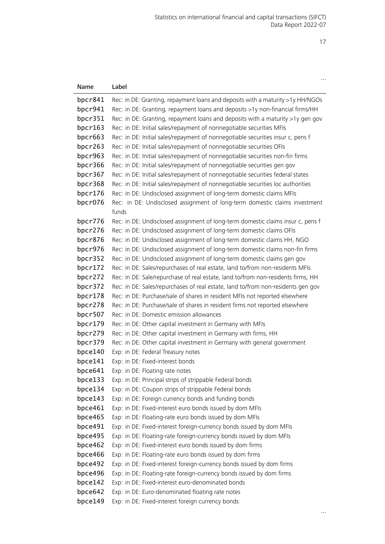| Name               | Label                                                                                                                            |
|--------------------|----------------------------------------------------------------------------------------------------------------------------------|
| bpcr841            | Rec: in DE: Granting, repayment loans and deposits with a maturity >1y HH/NGOs                                                   |
| bpcr941            | Rec: in DE: Granting, repayment loans and deposits >1y non-financial firms/HH                                                    |
| bpcr351            | Rec: in DE: Granting, repayment loans and deposits with a maturity >1y gen gov                                                   |
| bpcr163            | Rec: in DE: Initial sales/repayment of nonnegotiable securities MFIs                                                             |
| bpcr663            | Rec: in DE: Initial sales/repayment of nonnegotiable securities insur c, pens f                                                  |
| bpcr263            | Rec: in DE: Initial sales/repayment of nonnegotiable securities OFIs                                                             |
| bpcr963            | Rec: in DE: Initial sales/repayment of nonnegotiable securities non-fin firms                                                    |
| bpcr366            | Rec: in DE: Initial sales/repayment of nonnegotiable securities gen gov                                                          |
| bpcr367            | Rec: in DE: Initial sales/repayment of nonnegotiable securities federal states                                                   |
| bpcr368            | Rec: in DE: Initial sales/repayment of nonnegotiable securities loc authorities                                                  |
| bpcr176            | Rec: in DE: Undisclosed assignment of long-term domestic claims MFIs                                                             |
| bpcr076            | Rec: in DE: Undisclosed assignment of long-term domestic claims investment                                                       |
|                    | funds                                                                                                                            |
| bpcr776            | Rec: in DE: Undisclosed assignment of long-term domestic claims insur c, pens f                                                  |
| bpcr276            | Rec: in DE: Undisclosed assignment of long-term domestic claims OFIs                                                             |
| bpcr876            | Rec: in DE: Undisclosed assignment of long-term domestic claims HH, NGO                                                          |
| bpcr976            | Rec: in DE: Undisclosed assignment of long-term domestic claims non-fin firms                                                    |
| bpcr352            | Rec: in DE: Undisclosed assignment of long-term domestic claims gen gov                                                          |
| bpcr172            | Rec: in DE: Sales/repurchases of real estate, land to/from non-residents MFIs                                                    |
| bpcr272            | Rec: in DE: Sale/repurchase of real estate, land to/from non-residents firms, HH                                                 |
| bpcr372            | Rec: in DE: Sales/repurchases of real estate, land to/from non-residents gen gov                                                 |
| bpcr178            | Rec: in DE: Purchase/sale of shares in resident MFIs not reported elsewhere                                                      |
| bpcr278            | Rec: in DE: Purchase/sale of shares in resident firms not reported elsewhere                                                     |
| bpcr507            | Rec: in DE: Domestic emission allowances                                                                                         |
| bpcr179            | Rec: in DE: Other capital investment in Germany with MFIs                                                                        |
| bpcr279            | Rec: in DE: Other capital investment in Germany with firms, HH                                                                   |
| bpcr379            | Rec: in DE: Other capital investment in Germany with general government                                                          |
| bpce140            | Exp: in DE: Federal Treasury notes                                                                                               |
| bpce141            | Exp: in DE: Fixed-interest bonds                                                                                                 |
| bpce641            | Exp: in DE: Floating rate notes                                                                                                  |
| bpce133            | Exp: in DE: Principal strips of strippable Federal bonds                                                                         |
| bpce134            | Exp: in DE: Coupon strips of strippable Federal bonds                                                                            |
| bpce143            | Exp: in DE: Foreign currency bonds and funding bonds                                                                             |
| bpce461            | Exp: in DE: Fixed-interest euro bonds issued by dom MFIs                                                                         |
| bpce465<br>bpce491 | Exp: in DE: Floating-rate euro bonds issued by dom MFIs<br>Exp: in DE: Fixed-interest foreign-currency bonds issued by dom MFIs  |
| bpce495            |                                                                                                                                  |
| bpce462            | Exp: in DE: Floating-rate foreign-currency bonds issued by dom MFIs<br>Exp: in DE: Fixed-interest euro bonds issued by dom firms |
| bpce466            | Exp: in DE: Floating-rate euro bonds issued by dom firms                                                                         |
| bpce492            | Exp: in DE: Fixed-interest foreign-currency bonds issued by dom firms                                                            |
| bpce496            | Exp: in DE: Floating-rate foreign-currency bonds issued by dom firms                                                             |
| bpce142            | Exp: in DE: Fixed-interest euro-denominated bonds                                                                                |
| bpce642            | Exp: in DE: Euro-denominated floating rate notes                                                                                 |
| bpce149            | Exp: in DE: Fixed-interest foreign currency bonds                                                                                |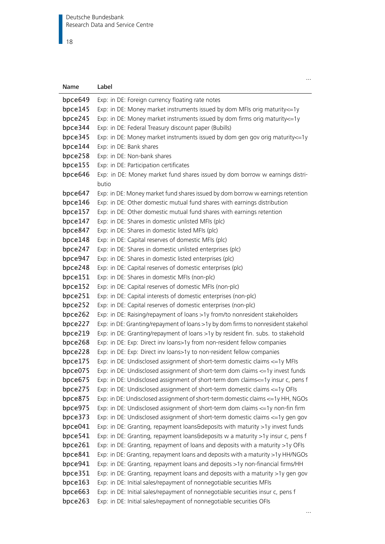### $\overline{\phantom{1}}$  18

| Name    | Label                                                                             |
|---------|-----------------------------------------------------------------------------------|
| bpce649 | Exp: in DE: Foreign currency floating rate notes                                  |
| bpce145 | Exp: in DE: Money market instruments issued by dom MFIs orig maturity <= 1y       |
| bpce245 | Exp: in DE: Money market instruments issued by dom firms orig maturity <= 1y      |
| bpce344 | Exp: in DE: Federal Treasury discount paper (Bubills)                             |
| bpce345 | Exp: in DE: Money market instruments issued by dom gen gov orig maturity <= 1y    |
| bpce144 | Exp: in DE: Bank shares                                                           |
| bpce258 | Exp: in DE: Non-bank shares                                                       |
| bpce155 | Exp: in DE: Participation certificates                                            |
| bpce646 | Exp: in DE: Money market fund shares issued by dom borrow w earnings distri-      |
|         | butio                                                                             |
| bpce647 | Exp: in DE: Money market fund shares issued by dom borrow w earnings retention    |
| bpce146 | Exp: in DE: Other domestic mutual fund shares with earnings distribution          |
| bpce157 | Exp: in DE: Other domestic mutual fund shares with earnings retention             |
| bpce147 | Exp: in DE: Shares in domestic unlisted MFIs (plc)                                |
| bpce847 | Exp: in DE: Shares in domestic listed MFIs (plc)                                  |
| bpce148 | Exp: in DE: Capital reserves of domestic MFIs (plc)                               |
| bpce247 | Exp: in DE: Shares in domestic unlisted enterprises (plc)                         |
| bpce947 | Exp: in DE: Shares in domestic listed enterprises (plc)                           |
| bpce248 | Exp: in DE: Capital reserves of domestic enterprises (plc)                        |
| bpce151 | Exp: in DE: Shares in domestic MFIs (non-plc)                                     |
| bpce152 | Exp: in DE: Capital reserves of domestic MFIs (non-plc)                           |
| bpce251 | Exp: in DE: Capital interests of domestic enterprises (non-plc)                   |
| bpce252 | Exp: in DE: Capital reserves of domestic enterprises (non-plc)                    |
| bpce262 | Exp: in DE: Raising/repayment of loans >1y from/to nonresident stakeholders       |
| bpce227 | Exp: in DE: Granting/repayment of loans >1y by dom firms to nonresident stakehol  |
| bpce219 | Exp: in DE: Granting/repayment of loans >1y by resident fin. subs. to stakehold   |
| bpce268 | Exp: in DE: Exp: Direct inv loans>1y from non-resident fellow companies           |
| bpce228 | Exp: in DE: Exp: Direct inv loans>1y to non-resident fellow companies             |
| bpce175 | Exp: in DE: Undisclosed assignment of short-term domestic claims <= 1y MFIs       |
| bpce075 | Exp: in DE: Undisclosed assignment of short-term dom claims <= 1y invest funds    |
| bpce675 | Exp: in DE: Undisclosed assignment of short-term dom claims <= 1y insur c, pens f |
| bpce275 | Exp: in DE: Undisclosed assignment of short-term domestic claims <= 1y OFIs       |
| bpce875 | Exp: in DE: Undisclosed assignment of short-term domestic claims <= 1y HH, NGOs   |
| bpce975 | Exp: in DE: Undisclosed assignment of short-term dom claims <= 1y non-fin firm    |
| bpce373 | Exp: in DE: Undisclosed assignment of short-term domestic claims <= 1y gen gov    |
| bpce041 | Exp: in DE: Granting, repayment loans&deposits with maturity >1y invest funds     |
| bpce541 | Exp: in DE: Granting, repayment loans&deposits w a maturity >1y insur c, pens f   |
| bpce261 | Exp: in DE: Granting, repayment of loans and deposits with a maturity >1y OFIs    |
| bpce841 | Exp: in DE: Granting, repayment loans and deposits with a maturity >1y HH/NGOs    |
| bpce941 | Exp: in DE: Granting, repayment loans and deposits >1y non-financial firms/HH     |
| bpce351 | Exp: in DE: Granting, repayment loans and deposits with a maturity >1y gen gov    |
| bpce163 | Exp: in DE: Initial sales/repayment of nonnegotiable securities MFIs              |
| bpce663 | Exp: in DE: Initial sales/repayment of nonnegotiable securities insur c, pens f   |
| bpce263 | Exp: in DE: Initial sales/repayment of nonnegotiable securities OFIs              |

…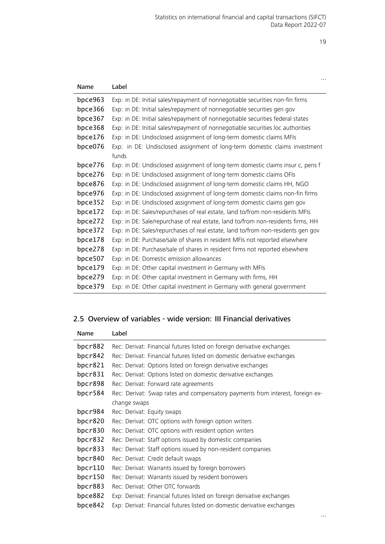| Name    | Label                                                                            |
|---------|----------------------------------------------------------------------------------|
| bpce963 | Exp: in DE: Initial sales/repayment of nonnegotiable securities non-fin firms    |
| bpce366 | Exp: in DE: Initial sales/repayment of nonnegotiable securities gen gov          |
| bpce367 | Exp: in DE: Initial sales/repayment of nonnegotiable securities federal states   |
| bpce368 | Exp: in DE: Initial sales/repayment of nonnegotiable securities loc authorities  |
| bpce176 | Exp: in DE: Undisclosed assignment of long-term domestic claims MFIs             |
| bpce076 | Exp: in DE: Undisclosed assignment of long-term domestic claims investment       |
|         | funds                                                                            |
| bpce776 | Exp: in DE: Undisclosed assignment of long-term domestic claims insur c, pens f  |
| bpce276 | Exp: in DE: Undisclosed assignment of long-term domestic claims OFIs             |
| bpce876 | Exp: in DE: Undisclosed assignment of long-term domestic claims HH, NGO          |
| bpce976 | Exp: in DE: Undisclosed assignment of long-term domestic claims non-fin firms    |
| bpce352 | Exp: in DE: Undisclosed assignment of long-term domestic claims gen gov          |
| bpce172 | Exp: in DE: Sales/repurchases of real estate, land to/from non-residents MFIs    |
| bpce272 | Exp: in DE: Sale/repurchase of real estate, land to/from non-residents firms, HH |
| bpce372 | Exp: in DE: Sales/repurchases of real estate, land to/from non-residents gen gov |
| bpce178 | Exp: in DE: Purchase/sale of shares in resident MFIs not reported elsewhere      |
| bpce278 | Exp: in DE: Purchase/sale of shares in resident firms not reported elsewhere     |
| bpce507 | Exp: in DE: Domestic emission allowances                                         |
| bpce179 | Exp: in DE: Other capital investment in Germany with MFIs                        |
| bpce279 | Exp: in DE: Other capital investment in Germany with firms, HH                   |
| bpce379 | Exp: in DE: Other capital investment in Germany with general government          |

# <span id="page-18-0"></span>2.5 Overview of variables - wide version: III Financial derivatives

| Name       | Label                                                                         |  |
|------------|-------------------------------------------------------------------------------|--|
| bpcr882    | Rec: Derivat: Financial futures listed on foreign derivative exchanges        |  |
| bpcr842    | Rec: Derivat: Financial futures listed on domestic derivative exchanges       |  |
| bpcr821    | Rec: Derivat: Options listed on foreign derivative exchanges                  |  |
| bpcr831    | Rec: Derivat: Options listed on domestic derivative exchanges                 |  |
| bpcr898    | Rec: Derivat: Forward rate agreements                                         |  |
| bpcr584    | Rec: Derivat: Swap rates and compensatory payments from interest, foreign ex- |  |
|            | change swaps                                                                  |  |
| bpcr984    | Rec: Derivat: Equity swaps                                                    |  |
| bpcr820    | Rec: Derivat: OTC options with foreign option writers                         |  |
| bpcr830    | Rec: Derivat: OTC options with resident option writers                        |  |
| bpcr832    | Rec: Derivat: Staff options issued by domestic companies                      |  |
| bpcr833    | Rec: Derivat: Staff options issued by non-resident companies                  |  |
| bpcr840    | Rec: Derivat: Credit default swaps                                            |  |
| bpc $r110$ | Rec: Derivat: Warrants issued by foreign borrowers                            |  |
| bpc $r150$ | Rec: Derivat: Warrants issued by resident borrowers                           |  |
| bpcr883    | Rec: Derivat: Other OTC forwards                                              |  |
| bpce882    | Exp: Derivat: Financial futures listed on foreign derivative exchanges        |  |
| bpce842    | Exp: Derivat: Financial futures listed on domestic derivative exchanges       |  |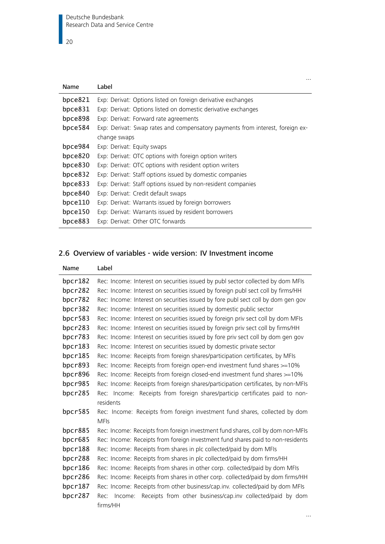|            | $\cdots$                                                                      |
|------------|-------------------------------------------------------------------------------|
| Name       | Label                                                                         |
| bpce821    | Exp: Derivat: Options listed on foreign derivative exchanges                  |
| bpce831    | Exp: Derivat: Options listed on domestic derivative exchanges                 |
| bpce898    | Exp: Derivat: Forward rate agreements                                         |
| bpce584    | Exp: Derivat: Swap rates and compensatory payments from interest, foreign ex- |
|            | change swaps                                                                  |
| bpce984    | Exp: Derivat: Equity swaps                                                    |
| bpce820    | Exp: Derivat: OTC options with foreign option writers                         |
| bpce830    | Exp: Derivat: OTC options with resident option writers                        |
| bpce832    | Exp: Derivat: Staff options issued by domestic companies                      |
| bpce833    | Exp: Derivat: Staff options issued by non-resident companies                  |
| bpce840    | Exp: Derivat: Credit default swaps                                            |
| bpce110    | Exp: Derivat: Warrants issued by foreign borrowers                            |
| bpce $150$ | Exp: Derivat: Warrants issued by resident borrowers                           |
| bpce883    | Exp: Derivat: Other OTC forwards                                              |

# <span id="page-19-0"></span>2.6 Overview of variables - wide version: IV Investment income

| Name       | Label                                                                             |
|------------|-----------------------------------------------------------------------------------|
| bpcr182    | Rec: Income: Interest on securities issued by publ sector collected by dom MFIs   |
| bpcr282    | Rec: Income: Interest on securities issued by foreign publ sect coll by firms/HH  |
| bpcr782    | Rec: Income: Interest on securities issued by fore publ sect coll by dom gen gov  |
| bpcr382    | Rec: Income: Interest on securities issued by domestic public sector              |
| bpcr583    | Rec: Income: Interest on securities issued by foreign priv sect coll by dom MFIs  |
| bpcr283    | Rec: Income: Interest on securities issued by foreign priv sect coll by firms/HH  |
| bpcr783    | Rec: Income: Interest on securities issued by fore priv sect coll by dom gen gov  |
| bpc $r183$ | Rec: Income: Interest on securities issued by domestic private sector             |
| bpcr185    | Rec: Income: Receipts from foreign shares/participation certificates, by MFIs     |
| bpcr893    | Rec: Income: Receipts from foreign open-end investment fund shares >=10%          |
| bpcr896    | Rec: Income: Receipts from foreign closed-end investment fund shares >=10%        |
| bpcr985    | Rec: Income: Receipts from foreign shares/participation certificates, by non-MFIs |
| bpcr285    | Rec: Income: Receipts from foreign shares/particip certificates paid to non-      |
|            | residents                                                                         |
| bpcr585    | Rec: Income: Receipts from foreign investment fund shares, collected by dom       |
|            | <b>MFIs</b>                                                                       |
| bpcr885    | Rec: Income: Receipts from foreign investment fund shares, coll by dom non-MFIs   |
| bpcr685    | Rec: Income: Receipts from foreign investment fund shares paid to non-residents   |
| bpcr188    | Rec: Income: Receipts from shares in plc collected/paid by dom MFIs               |
| bpcr288    | Rec: Income: Receipts from shares in plc collected/paid by dom firms/HH           |
| bpcr186    | Rec: Income: Receipts from shares in other corp. collected/paid by dom MFIs       |
| bpcr286    | Rec: Income: Receipts from shares in other corp. collected/paid by dom firms/HH   |
| bpcr187    | Rec: Income: Receipts from other business/cap.inv. collected/paid by dom MFIs     |
| bpcr287    | Receipts from other business/cap.inv collected/paid by dom<br>Rec: Income:        |
|            | firms/HH                                                                          |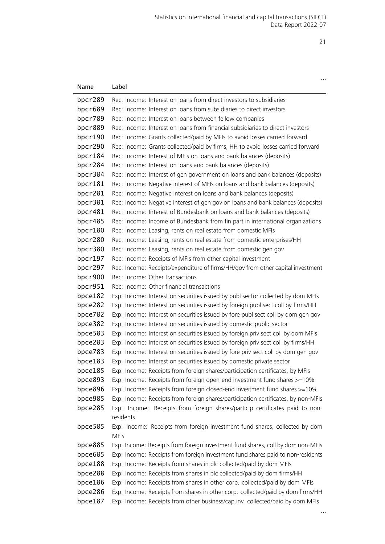| Name               | Label                                                                                                                                                  |
|--------------------|--------------------------------------------------------------------------------------------------------------------------------------------------------|
| bpcr289            | Rec: Income: Interest on loans from direct investors to subsidiaries                                                                                   |
| bpcr689            | Rec: Income: Interest on loans from subsidiaries to direct investors                                                                                   |
| bpcr789            | Rec: Income: Interest on loans between fellow companies                                                                                                |
| bpcr889            | Rec: Income: Interest on loans from financial subsidiaries to direct investors                                                                         |
| bpcr190            | Rec: Income: Grants collected/paid by MFIs to avoid losses carried forward                                                                             |
| bpcr290            | Rec: Income: Grants collected/paid by firms, HH to avoid losses carried forward                                                                        |
| bpcr184            | Rec: Income: Interest of MFIs on loans and bank balances (deposits)                                                                                    |
| bpcr284            | Rec: Income: Interest on loans and bank balances (deposits)                                                                                            |
| bpcr384            | Rec: Income: Interest of gen government on loans and bank balances (deposits)                                                                          |
| bpcr181            | Rec: Income: Negative interest of MFIs on loans and bank balances (deposits)                                                                           |
| bpcr281            | Rec: Income: Negative interest on loans and bank balances (deposits)                                                                                   |
| bpcr381            | Rec: Income: Negative interest of gen gov on loans and bank balances (deposits)                                                                        |
| bpcr481            | Rec: Income: Interest of Bundesbank on loans and bank balances (deposits)                                                                              |
| bpcr485            | Rec: Income: Income of Bundesbank from fin part in international organizations                                                                         |
| bpcr180            | Rec: Income: Leasing, rents on real estate from domestic MFIs                                                                                          |
| bpcr280            | Rec: Income: Leasing, rents on real estate from domestic enterprises/HH                                                                                |
| bpcr380            | Rec: Income: Leasing, rents on real estate from domestic gen gov                                                                                       |
| bpcr197            | Rec: Income: Receipts of MFIs from other capital investment                                                                                            |
| bpcr297            | Rec: Income: Receipts/expenditure of firms/HH/gov from other capital investment                                                                        |
| bpcr900            | Rec: Income: Other transactions                                                                                                                        |
| bpcr951            | Rec: Income: Other financial transactions                                                                                                              |
| bpce182            | Exp: Income: Interest on securities issued by publ sector collected by dom MFIs                                                                        |
| bpce282            | Exp: Income: Interest on securities issued by foreign publ sect coll by firms/HH                                                                       |
| bpce782            | Exp: Income: Interest on securities issued by fore publ sect coll by dom gen gov                                                                       |
| bpce382            | Exp: Income: Interest on securities issued by domestic public sector                                                                                   |
| bpce583            | Exp: Income: Interest on securities issued by foreign priv sect coll by dom MFIs                                                                       |
| bpce283            | Exp: Income: Interest on securities issued by foreign priv sect coll by firms/HH                                                                       |
| bpce783<br>bpce183 | Exp: Income: Interest on securities issued by fore priv sect coll by dom gen gov                                                                       |
| bpce185            | Exp: Income: Interest on securities issued by domestic private sector<br>Exp: Income: Receipts from foreign shares/participation certificates, by MFIs |
| bpce893            | Exp: Income: Receipts from foreign open-end investment fund shares >=10%                                                                               |
| bpce896            | Exp: Income: Receipts from foreign closed-end investment fund shares >=10%                                                                             |
| bpce985            | Exp: Income: Receipts from foreign shares/participation certificates, by non-MFIs                                                                      |
| bpce285            | Exp: Income: Receipts from foreign shares/particip certificates paid to non-                                                                           |
|                    | residents                                                                                                                                              |
| bpce585            | Exp: Income: Receipts from foreign investment fund shares, collected by dom                                                                            |
|                    | <b>MFIs</b>                                                                                                                                            |
| bpce885            | Exp: Income: Receipts from foreign investment fund shares, coll by dom non-MFIs                                                                        |
| bpce685            | Exp: Income: Receipts from foreign investment fund shares paid to non-residents                                                                        |
| bpce188            | Exp: Income: Receipts from shares in plc collected/paid by dom MFIs                                                                                    |
| bpce288            | Exp: Income: Receipts from shares in plc collected/paid by dom firms/HH                                                                                |
| bpce186            | Exp: Income: Receipts from shares in other corp. collected/paid by dom MFIs                                                                            |
| bpce286            | Exp: Income: Receipts from shares in other corp. collected/paid by dom firms/HH                                                                        |
| bpce187            | Exp: Income: Receipts from other business/cap.inv. collected/paid by dom MFIs                                                                          |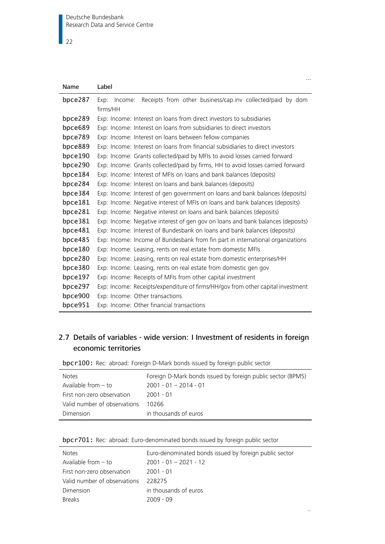| Name    | Label                                                                           |
|---------|---------------------------------------------------------------------------------|
| bpce287 | Receipts from other business/cap.inv collected/paid by dom<br>Exp:<br>Income:   |
|         | firms/HH                                                                        |
| bpce289 | Exp: Income: Interest on loans from direct investors to subsidiaries            |
| bpce689 | Exp: Income: Interest on loans from subsidiaries to direct investors            |
| bpce789 | Exp: Income: Interest on loans between fellow companies                         |
| bpce889 | Exp: Income: Interest on loans from financial subsidiaries to direct investors  |
| bpce190 | Exp: Income: Grants collected/paid by MFIs to avoid losses carried forward      |
| bpce290 | Exp: Income: Grants collected/paid by firms, HH to avoid losses carried forward |
| bpce184 | Exp: Income: Interest of MFIs on loans and bank balances (deposits)             |
| bpce284 | Exp: Income: Interest on loans and bank balances (deposits)                     |
| bpce384 | Exp: Income: Interest of gen government on loans and bank balances (deposits)   |
| bpce181 | Exp: Income: Negative interest of MFIs on loans and bank balances (deposits)    |
| bpce281 | Exp: Income: Negative interest on loans and bank balances (deposits)            |
| bpce381 | Exp: Income: Negative interest of gen gov on loans and bank balances (deposits) |
| bpce481 | Exp: Income: Interest of Bundesbank on loans and bank balances (deposits)       |
| bpce485 | Exp: Income: Income of Bundesbank from fin part in international organizations  |
| bpce180 | Exp: Income: Leasing, rents on real estate from domestic MFIs                   |
| bpce280 | Exp: Income: Leasing, rents on real estate from domestic enterprises/HH         |
| bpce380 | Exp: Income: Leasing, rents on real estate from domestic gen gov                |
| bpce197 | Exp: Income: Receipts of MFIs from other capital investment                     |
| bpce297 | Exp: Income: Receipts/expenditure of firms/HH/gov from other capital investment |
| bpce900 | Exp: Income: Other transactions                                                 |
| bpce951 | Exp: Income: Other financial transactions                                       |

…

…

# <span id="page-21-0"></span>2.7 Details of variables - wide version: I Investment of residents in foreign economic territories

<span id="page-21-1"></span>bpcr100: Rec: abroad: Foreign D-Mark bonds issued by foreign public sector

| <b>Notes</b>                 | Foreign D-Mark bonds issued by foreign public sector (BPM5) |
|------------------------------|-------------------------------------------------------------|
| Available from - to          | $2001 - 01 - 2014 - 01$                                     |
| First non-zero observation   | 2001 - 01                                                   |
| Valid number of observations | 10266                                                       |
| Dimension                    | in thousands of euros                                       |

<span id="page-21-2"></span>

| bpcr701: Rec: abroad: Euro-denominated bonds issued by foreign public sector |  |  |  |
|------------------------------------------------------------------------------|--|--|--|
|------------------------------------------------------------------------------|--|--|--|

| <b>Notes</b>                 | Euro-denominated bonds issued by foreign public sector |
|------------------------------|--------------------------------------------------------|
| Available from $-$ to        | $2001 - 01 - 2021 - 12$                                |
| First non-zero observation   | $2001 - 01$                                            |
| Valid number of observations | 228275                                                 |
| Dimension                    | in thousands of euros                                  |
| <b>Breaks</b>                | $2009 - 09$                                            |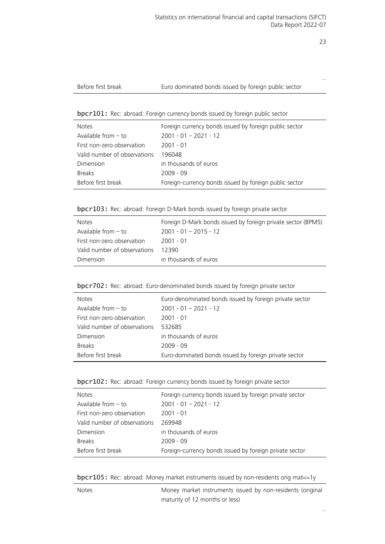…

#### Euro dominated bonds issued by foreign public sector

#### <span id="page-22-0"></span>bpcr101: Rec: abroad: Foreign currency bonds issued by foreign public sector

| <b>Notes</b>                 | Foreign currency bonds issued by foreign public sector |
|------------------------------|--------------------------------------------------------|
| Available from $-$ to        | $2001 - 01 - 2021 - 12$                                |
| First non-zero observation   | 2001 - 01                                              |
| Valid number of observations | 196048                                                 |
| Dimension                    | in thousands of euros                                  |
| <b>Breaks</b>                | 2009 - 09                                              |
| Before first break           | Foreign-currency bonds issued by foreign public sector |

<span id="page-22-1"></span>bpcr103: Rec: abroad: Foreign D-Mark bonds issued by foreign private sector

| <b>Notes</b>                 | Foreign D-Mark bonds issued by foreign private sector (BPM5) |
|------------------------------|--------------------------------------------------------------|
| Available from $-$ to        | $2001 - 01 - 2015 - 12$                                      |
| First non-zero observation   | 2001 - 01                                                    |
| Valid number of observations | 12390                                                        |
| Dimension                    | in thousands of euros                                        |

#### <span id="page-22-2"></span>bpcr702: Rec: abroad: Euro-denominated bonds issued by foreign private sector

| <b>Notes</b>                 | Euro-denominated bonds issued by foreign private sector |
|------------------------------|---------------------------------------------------------|
| Available from $-$ to        | $2001 - 01 - 2021 - 12$                                 |
| First non-zero observation   | $2001 - 01$                                             |
| Valid number of observations | 532685                                                  |
| Dimension                    | in thousands of euros                                   |
| <b>Breaks</b>                | $2009 - 09$                                             |
| Before first break           | Euro-dominated bonds issued by foreign private sector   |

<span id="page-22-3"></span>

| bpcr102: Rec: abroad: Foreign currency bonds issued by foreign private sector |  |  |  |
|-------------------------------------------------------------------------------|--|--|--|
|                                                                               |  |  |  |

| <b>Notes</b>                 | Foreign currency bonds issued by foreign private sector |
|------------------------------|---------------------------------------------------------|
| Available from $-$ to        | $2001 - 01 - 2021 - 12$                                 |
| First non-zero observation   | $2001 - 01$                                             |
| Valid number of observations | 269948                                                  |
| Dimension                    | in thousands of euros                                   |
| <b>Breaks</b>                | $2009 - 09$                                             |
| Before first break           | Foreign-currency bonds issued by foreign private sector |
|                              |                                                         |

<span id="page-22-4"></span>bpcr105: Rec: abroad: Money market instruments issued by non-residents orig mat<=1y

|  | × |
|--|---|
|--|---|

Money market instruments issued by non-residents (original maturity of 12 months or less)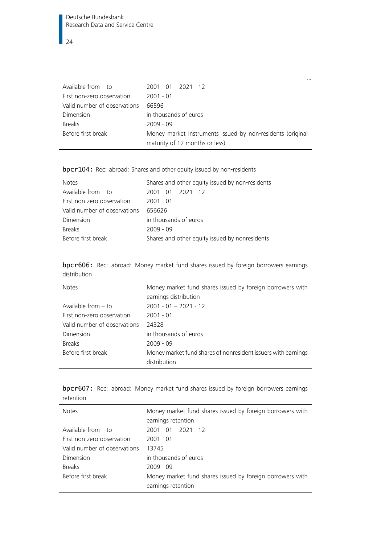| Available from $-$ to        | $2001 - 01 - 2021 - 12$                                                                      |
|------------------------------|----------------------------------------------------------------------------------------------|
| First non-zero observation   | $2001 - 01$                                                                                  |
| Valid number of observations | 66596                                                                                        |
| Dimension                    | in thousands of euros                                                                        |
| <b>Breaks</b>                | $2009 - 09$                                                                                  |
| Before first break           | Money market instruments issued by non-residents (original<br>maturity of 12 months or less) |

…

<span id="page-23-0"></span>bpcr104: Rec: abroad: Shares and other equity issued by non-residents

| <b>Notes</b>                 | Shares and other equity issued by non-residents |
|------------------------------|-------------------------------------------------|
| Available from $-$ to        | $2001 - 01 - 2021 - 12$                         |
| First non-zero observation   | $2001 - 01$                                     |
| Valid number of observations | 656626                                          |
| Dimension                    | in thousands of euros                           |
| <b>Breaks</b>                | $2009 - 09$                                     |
| Before first break           | Shares and other equity issued by nonresidents  |

<span id="page-23-1"></span>bpcr606: Rec: abroad: Money market fund shares issued by foreign borrowers earnings distribution

| <b>Notes</b>                 | Money market fund shares issued by foreign borrowers with<br>earnings distribution |
|------------------------------|------------------------------------------------------------------------------------|
| Available from $-$ to        | $2001 - 01 - 2021 - 12$                                                            |
| First non-zero observation   | $2001 - 01$                                                                        |
| Valid number of observations | 24328                                                                              |
| Dimension                    | in thousands of euros                                                              |
| <b>Breaks</b>                | $2009 - 09$                                                                        |
| Before first break           | Money market fund shares of nonresident issuers with earnings<br>distribution      |

<span id="page-23-2"></span>

| bpcr607: Rec: abroad: Money market fund shares issued by foreign borrowers earnings |  |  |  |  |  |  |
|-------------------------------------------------------------------------------------|--|--|--|--|--|--|
| retention                                                                           |  |  |  |  |  |  |

| <b>Notes</b>                 | Money market fund shares issued by foreign borrowers with |
|------------------------------|-----------------------------------------------------------|
|                              | earnings retention                                        |
| Available from $-$ to        | $2001 - 01 - 2021 - 12$                                   |
| First non-zero observation   | $2001 - 01$                                               |
| Valid number of observations | 13745                                                     |
| Dimension                    | in thousands of euros                                     |
| <b>Breaks</b>                | $2009 - 09$                                               |
| Before first break           | Money market fund shares issued by foreign borrowers with |
|                              | earnings retention                                        |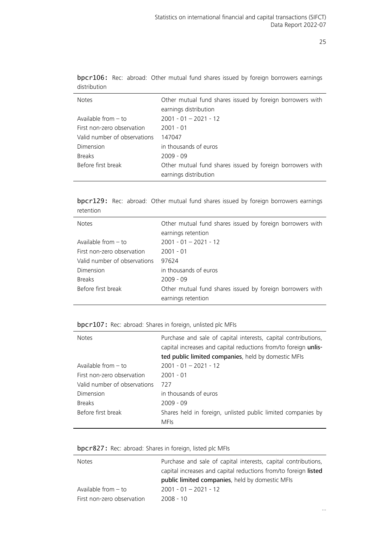…

| <b>Notes</b>                 | Other mutual fund shares issued by foreign borrowers with                          |
|------------------------------|------------------------------------------------------------------------------------|
|                              | earnings distribution                                                              |
| Available from $-$ to        | $2001 - 01 - 2021 - 12$                                                            |
| First non-zero observation   | $2001 - 01$                                                                        |
| Valid number of observations | 147047                                                                             |
| Dimension                    | in thousands of euros                                                              |
| <b>Breaks</b>                | $2009 - 09$                                                                        |
| Before first break           | Other mutual fund shares issued by foreign borrowers with<br>earnings distribution |

<span id="page-24-0"></span>bpcr106: Rec: abroad: Other mutual fund shares issued by foreign borrowers earnings distribution

<span id="page-24-1"></span>bpcr129: Rec: abroad: Other mutual fund shares issued by foreign borrowers earnings retention

| <b>Notes</b>                 | Other mutual fund shares issued by foreign borrowers with                       |
|------------------------------|---------------------------------------------------------------------------------|
|                              | earnings retention                                                              |
| Available from $-$ to        | $2001 - 01 - 2021 - 12$                                                         |
| First non-zero observation   | $2001 - 01$                                                                     |
| Valid number of observations | 97624                                                                           |
| Dimension                    | in thousands of euros                                                           |
| <b>Breaks</b>                | $2009 - 09$                                                                     |
| Before first break           | Other mutual fund shares issued by foreign borrowers with<br>earnings retention |

#### <span id="page-24-2"></span>bpcr107: Rec: abroad: Shares in foreign, unlisted plc MFIs

| <b>Notes</b>                 | Purchase and sale of capital interests, capital contributions,<br>capital increases and capital reductions from/to foreign unlis-<br>ted public limited companies, held by domestic MFIs |
|------------------------------|------------------------------------------------------------------------------------------------------------------------------------------------------------------------------------------|
| Available from $-$ to        | $2001 - 01 - 2021 - 12$                                                                                                                                                                  |
| First non-zero observation   | $2001 - 01$                                                                                                                                                                              |
| Valid number of observations | 727                                                                                                                                                                                      |
| Dimension                    | in thousands of euros                                                                                                                                                                    |
| <b>Breaks</b>                | $2009 - 09$                                                                                                                                                                              |
| Before first break           | Shares held in foreign, unlisted public limited companies by<br><b>MFIs</b>                                                                                                              |

<span id="page-24-3"></span>

| bpcr827: Rec: abroad: Shares in foreign, listed plc MFIs |  |  |  |  |  |  |  |  |
|----------------------------------------------------------|--|--|--|--|--|--|--|--|
|----------------------------------------------------------|--|--|--|--|--|--|--|--|

| <b>Notes</b>               | Purchase and sale of capital interests, capital contributions,  |  |  |  |
|----------------------------|-----------------------------------------------------------------|--|--|--|
|                            | capital increases and capital reductions from/to foreign listed |  |  |  |
|                            | public limited companies, held by domestic MFIs                 |  |  |  |
| Available from $-$ to      | $2001 - 01 - 2021 - 12$                                         |  |  |  |
| First non-zero observation | $2008 - 10$                                                     |  |  |  |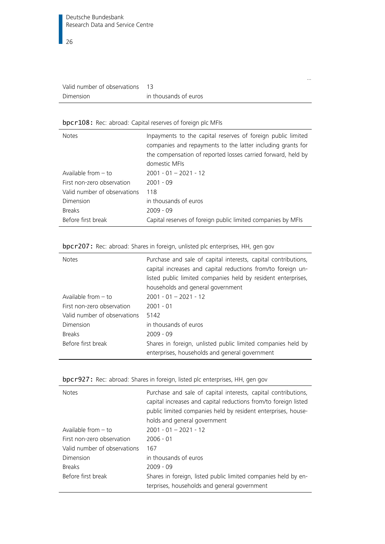| Valid number of observations |                       |
|------------------------------|-----------------------|
| Dimension                    | in thousands of euros |

### <span id="page-25-0"></span>bpcr108: Rec: abroad: Capital reserves of foreign plc MFIs

| <b>Notes</b>                 | Inpayments to the capital reserves of foreign public limited<br>companies and repayments to the latter including grants for<br>the compensation of reported losses carried forward, held by |
|------------------------------|---------------------------------------------------------------------------------------------------------------------------------------------------------------------------------------------|
|                              | domestic MFIs                                                                                                                                                                               |
| Available from $-$ to        | $2001 - 01 - 2021 - 12$                                                                                                                                                                     |
| First non-zero observation   | $2001 - 09$                                                                                                                                                                                 |
| Valid number of observations | 118                                                                                                                                                                                         |
| Dimension                    | in thousands of euros                                                                                                                                                                       |
| <b>Breaks</b>                | $2009 - 09$                                                                                                                                                                                 |
| Before first break           | Capital reserves of foreign public limited companies by MFIs                                                                                                                                |

…

| <b>Notes</b>                 | Purchase and sale of capital interests, capital contributions,<br>capital increases and capital reductions from/to foreign un- |  |  |  |
|------------------------------|--------------------------------------------------------------------------------------------------------------------------------|--|--|--|
|                              | listed public limited companies held by resident enterprises,                                                                  |  |  |  |
|                              | households and general government                                                                                              |  |  |  |
| Available from $-$ to        | $2001 - 01 - 2021 - 12$                                                                                                        |  |  |  |
| First non-zero observation   | $2001 - 01$                                                                                                                    |  |  |  |
| Valid number of observations | 5142                                                                                                                           |  |  |  |
| Dimension                    | in thousands of euros                                                                                                          |  |  |  |
| <b>Breaks</b>                | $2009 - 09$                                                                                                                    |  |  |  |
| Before first break           | Shares in foreign, unlisted public limited companies held by<br>enterprises, households and general government                 |  |  |  |

# <span id="page-25-1"></span>bpcr207: Rec: abroad: Shares in foreign, unlisted plc enterprises, HH, gen gov

| <b>Notes</b>                 | Purchase and sale of capital interests, capital contributions,<br>capital increases and capital reductions from/to foreign listed<br>public limited companies held by resident enterprises, house-<br>holds and general government |
|------------------------------|------------------------------------------------------------------------------------------------------------------------------------------------------------------------------------------------------------------------------------|
| Available from $-$ to        | $2001 - 01 - 2021 - 12$                                                                                                                                                                                                            |
| First non-zero observation   | $2006 - 01$                                                                                                                                                                                                                        |
| Valid number of observations | 167                                                                                                                                                                                                                                |
| Dimension                    | in thousands of euros                                                                                                                                                                                                              |
| <b>Breaks</b>                | $2009 - 09$                                                                                                                                                                                                                        |
| Before first break           | Shares in foreign, listed public limited companies held by en-<br>terprises, households and general government                                                                                                                     |

#### <span id="page-25-2"></span>bpcr927: Rec: abroad: Shares in foreign, listed plc enterprises, HH, gen gov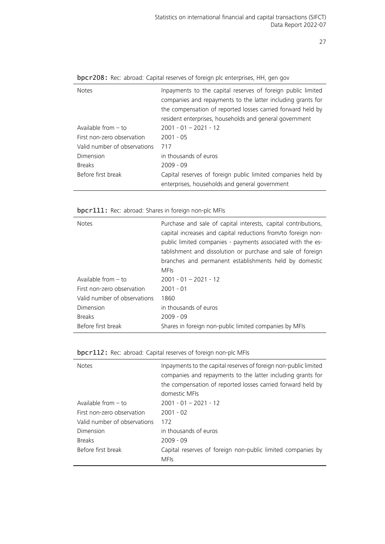| <b>Notes</b>                 | Inpayments to the capital reserves of foreign public limited<br>companies and repayments to the latter including grants for<br>the compensation of reported losses carried forward held by<br>resident enterprises, households and general government |
|------------------------------|-------------------------------------------------------------------------------------------------------------------------------------------------------------------------------------------------------------------------------------------------------|
| Available from $-$ to        | $2001 - 01 - 2021 - 12$                                                                                                                                                                                                                               |
|                              |                                                                                                                                                                                                                                                       |
| First non-zero observation   | $2001 - 05$                                                                                                                                                                                                                                           |
| Valid number of observations | 717                                                                                                                                                                                                                                                   |
| Dimension                    | in thousands of euros                                                                                                                                                                                                                                 |
| <b>Breaks</b>                | $2009 - 09$                                                                                                                                                                                                                                           |
| Before first break           | Capital reserves of foreign public limited companies held by                                                                                                                                                                                          |
|                              | enterprises, households and general government                                                                                                                                                                                                        |

<span id="page-26-0"></span>bpcr208: Rec: abroad: Capital reserves of foreign plc enterprises, HH, gen gov

### <span id="page-26-1"></span>bpcr111: Rec: abroad: Shares in foreign non-plc MFIs

| <b>Notes</b>                 | Purchase and sale of capital interests, capital contributions,<br>capital increases and capital reductions from/to foreign non-<br>public limited companies - payments associated with the es-<br>tablishment and dissolution or purchase and sale of foreign<br>branches and permanent establishments held by domestic<br><b>MFIs</b> |
|------------------------------|----------------------------------------------------------------------------------------------------------------------------------------------------------------------------------------------------------------------------------------------------------------------------------------------------------------------------------------|
| Available from $-$ to        | $2001 - 01 - 2021 - 12$                                                                                                                                                                                                                                                                                                                |
| First non-zero observation   | $2001 - 01$                                                                                                                                                                                                                                                                                                                            |
| Valid number of observations | 1860                                                                                                                                                                                                                                                                                                                                   |
| Dimension                    | in thousands of euros                                                                                                                                                                                                                                                                                                                  |
| <b>Breaks</b>                | $2009 - 09$                                                                                                                                                                                                                                                                                                                            |
| Before first break           | Shares in foreign non-public limited companies by MFIs                                                                                                                                                                                                                                                                                 |

<span id="page-26-2"></span>

| bpcr112: Rec: abroad: Capital reserves of foreign non-plc MFIs |  |  |  |  |  |  |
|----------------------------------------------------------------|--|--|--|--|--|--|
|----------------------------------------------------------------|--|--|--|--|--|--|

| <b>Notes</b>                 | Inpayments to the capital reserves of foreign non-public limited<br>companies and repayments to the latter including grants for<br>the compensation of reported losses carried forward held by<br>domestic MEIs |
|------------------------------|-----------------------------------------------------------------------------------------------------------------------------------------------------------------------------------------------------------------|
| Available from $-$ to        | $2001 - 01 - 2021 - 12$                                                                                                                                                                                         |
| First non-zero observation   | $2001 - 02$                                                                                                                                                                                                     |
| Valid number of observations | 172                                                                                                                                                                                                             |
| Dimension                    | in thousands of euros                                                                                                                                                                                           |
| <b>Breaks</b>                | $2009 - 09$                                                                                                                                                                                                     |
| Before first break           | Capital reserves of foreign non-public limited companies by<br><b>MFIs</b>                                                                                                                                      |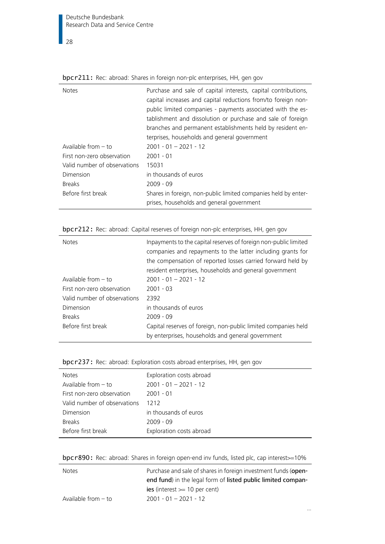Deutsche Bundesbank Research Data and Service Centre

 $\frac{1}{28}$ 

| <b>DPCI EXXI</b> TICC. abibad. Shares in forcign hon pic chiciphses, i.i., gen gov |                                                                                                                                                                                                                                                                                                                                                                             |  |  |  |
|------------------------------------------------------------------------------------|-----------------------------------------------------------------------------------------------------------------------------------------------------------------------------------------------------------------------------------------------------------------------------------------------------------------------------------------------------------------------------|--|--|--|
| <b>Notes</b>                                                                       | Purchase and sale of capital interests, capital contributions,<br>capital increases and capital reductions from/to foreign non-<br>public limited companies - payments associated with the es-<br>tablishment and dissolution or purchase and sale of foreign<br>branches and permanent establishments held by resident en-<br>terprises, households and general government |  |  |  |
| Available from $-$ to                                                              | $2001 - 01 - 2021 - 12$                                                                                                                                                                                                                                                                                                                                                     |  |  |  |
| First non-zero observation                                                         | $2001 - 01$                                                                                                                                                                                                                                                                                                                                                                 |  |  |  |
| Valid number of observations                                                       | 15031                                                                                                                                                                                                                                                                                                                                                                       |  |  |  |
| Dimension                                                                          | in thousands of euros                                                                                                                                                                                                                                                                                                                                                       |  |  |  |
| <b>Breaks</b>                                                                      | $2009 - 09$                                                                                                                                                                                                                                                                                                                                                                 |  |  |  |
| Before first break                                                                 | Shares in foreign, non-public limited companies held by enter-<br>prises, households and general government                                                                                                                                                                                                                                                                 |  |  |  |

### <span id="page-27-0"></span>bpcr211: Rec: abroad: Shares in foreign non-plc enterprises, HH, gen gov

<span id="page-27-1"></span>

| bpcr212: Rec: abroad: Capital reserves of foreign non-plc enterprises, HH, gen gov |  |  |
|------------------------------------------------------------------------------------|--|--|
|                                                                                    |  |  |

| <b>Notes</b>                 | Inpayments to the capital reserves of foreign non-public limited<br>companies and repayments to the latter including grants for<br>the compensation of reported losses carried forward held by<br>resident enterprises, households and general government |
|------------------------------|-----------------------------------------------------------------------------------------------------------------------------------------------------------------------------------------------------------------------------------------------------------|
| Available from $-$ to        | $2001 - 01 - 2021 - 12$                                                                                                                                                                                                                                   |
| First non-zero observation   | $2001 - 03$                                                                                                                                                                                                                                               |
| Valid number of observations | 2392                                                                                                                                                                                                                                                      |
| Dimension                    | in thousands of euros                                                                                                                                                                                                                                     |
| <b>Breaks</b>                | $2009 - 09$                                                                                                                                                                                                                                               |
| Before first break           | Capital reserves of foreign, non-public limited companies held<br>by enterprises, households and general government                                                                                                                                       |

<span id="page-27-2"></span>

| bpcr237: Rec: abroad: Exploration costs abroad enterprises, HH, gen gov |  |  |  |  |  |
|-------------------------------------------------------------------------|--|--|--|--|--|
|                                                                         |  |  |  |  |  |

| Exploration costs abroad |
|--------------------------|
| $2001 - 01 - 2021 - 12$  |
| $2001 - 01$              |
| 1212                     |
| in thousands of euros    |
| $2009 - 09$              |
| Exploration costs abroad |
|                          |

<span id="page-27-3"></span>

| bpcr890: Rec: abroad: Shares in foreign open-end inv funds, listed plc, cap interest >= 10% |  |  |  |  |  |
|---------------------------------------------------------------------------------------------|--|--|--|--|--|
|                                                                                             |  |  |  |  |  |

| <b>Notes</b>          | Purchase and sale of shares in foreign investment funds (open- |
|-----------------------|----------------------------------------------------------------|
|                       | end fund) in the legal form of listed public limited compan-   |
|                       | $ies$ (interest $>=$ 10 per cent)                              |
| Available from $-$ to | $2001 - 01 - 2021 - 12$                                        |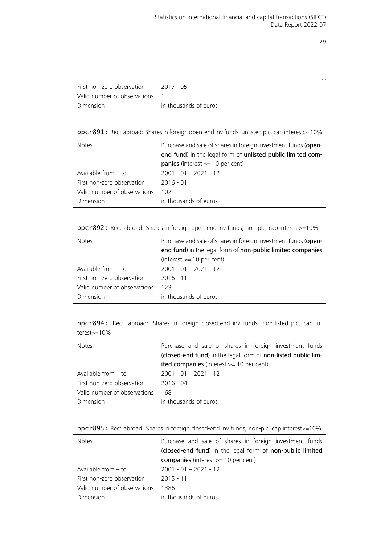…

| First non-zero observation   | 2017 - 05             |
|------------------------------|-----------------------|
| Valid number of observations |                       |
| Dimension                    | in thousands of euros |

<span id="page-28-0"></span>bpcr891: Rec: abroad: Shares in foreign open-end inv funds, unlisted plc, cap interest > = 10%

| <b>Notes</b>                 | Purchase and sale of shares in foreign investment funds (open-<br>end fund) in the legal form of unlisted public limited com- |
|------------------------------|-------------------------------------------------------------------------------------------------------------------------------|
|                              | <b>panies</b> (interest $>= 10$ per cent)                                                                                     |
| Available from $-$ to        | $2001 - 01 - 2021 - 12$                                                                                                       |
| First non-zero observation   | $2016 - 01$                                                                                                                   |
| Valid number of observations | 102                                                                                                                           |
| Dimension                    | in thousands of euros                                                                                                         |

<span id="page-28-1"></span>bpcr892: Rec: abroad: Shares in foreign open-end inv funds, non-plc, cap interest>=10%

| <b>Notes</b>                 | Purchase and sale of shares in foreign investment funds (open-<br>end fund) in the legal form of non-public limited companies<br>$(interest >= 10 per cent)$ |
|------------------------------|--------------------------------------------------------------------------------------------------------------------------------------------------------------|
| Available from - to          | $2001 - 01 - 2021 - 12$                                                                                                                                      |
| First non-zero observation   | $2016 - 11$                                                                                                                                                  |
| Valid number of observations | 123                                                                                                                                                          |
| Dimension                    | in thousands of euros                                                                                                                                        |

<span id="page-28-2"></span>bpcr894: Rec: abroad: Shares in foreign closed-end inv funds, non-listed plc, cap interest>=10%

| <b>Notes</b>                 | Purchase and sale of shares in foreign investment funds       |
|------------------------------|---------------------------------------------------------------|
|                              | (closed-end fund) in the legal form of non-listed public lim- |
|                              | ited companies (interest $>= 10$ per cent)                    |
| Available from $-$ to        | $2001 - 01 - 2021 - 12$                                       |
| First non-zero observation   | $2016 - 04$                                                   |
| Valid number of observations | 168                                                           |
| Dimension                    | in thousands of euros                                         |

<span id="page-28-3"></span>

| bpcr895: Rec: abroad: Shares in foreign closed-end inv funds, non-plc, cap interest>=10% |  |  |  |  |
|------------------------------------------------------------------------------------------|--|--|--|--|
|                                                                                          |  |  |  |  |

| <b>Notes</b>                 | Purchase and sale of shares in foreign investment funds   |
|------------------------------|-----------------------------------------------------------|
|                              | (closed-end fund) in the legal form of non-public limited |
|                              | companies (interest $>= 10$ per cent)                     |
| Available from $-$ to        | $2001 - 01 - 2021 - 12$                                   |
| First non-zero observation   | 2015 - 11                                                 |
| Valid number of observations | 1386                                                      |
| Dimension                    | in thousands of euros                                     |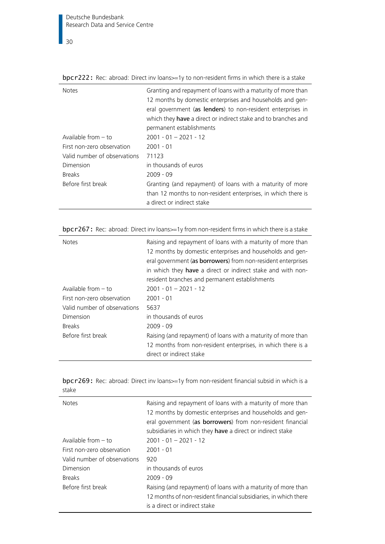<span id="page-29-0"></span>bpcr222: Rec: abroad: Direct inv loans>=1y to non-resident firms in which there is a stake

| <b>Notes</b>                 | Granting and repayment of loans with a maturity of more than<br>12 months by domestic enterprises and households and gen-<br>eral government (as lenders) to non-resident enterprises in<br>which they have a direct or indirect stake and to branches and<br>permanent establishments |
|------------------------------|----------------------------------------------------------------------------------------------------------------------------------------------------------------------------------------------------------------------------------------------------------------------------------------|
| Available from $-$ to        | $2001 - 01 - 2021 - 12$                                                                                                                                                                                                                                                                |
| First non-zero observation   | $2001 - 01$                                                                                                                                                                                                                                                                            |
| Valid number of observations | 71123                                                                                                                                                                                                                                                                                  |
| Dimension                    | in thousands of euros                                                                                                                                                                                                                                                                  |
| <b>Breaks</b>                | $2009 - 09$                                                                                                                                                                                                                                                                            |
| Before first break           | Granting (and repayment) of loans with a maturity of more<br>than 12 months to non-resident enterprises, in which there is<br>a direct or indirect stake                                                                                                                               |

<span id="page-29-1"></span>bpcr267: Rec: abroad: Direct inv loans >=1y from non-resident firms in which there is a stake

| <b>Notes</b>                 | Raising and repayment of loans with a maturity of more than<br>12 months by domestic enterprises and households and gen-<br>eral government (as borrowers) from non-resident enterprises<br>in which they have a direct or indirect stake and with non-<br>resident branches and permanent establishments |
|------------------------------|-----------------------------------------------------------------------------------------------------------------------------------------------------------------------------------------------------------------------------------------------------------------------------------------------------------|
| Available from $-$ to        | $2001 - 01 - 2021 - 12$                                                                                                                                                                                                                                                                                   |
| First non-zero observation   | $2001 - 01$                                                                                                                                                                                                                                                                                               |
| Valid number of observations | 5637                                                                                                                                                                                                                                                                                                      |
| Dimension                    | in thousands of euros                                                                                                                                                                                                                                                                                     |
| <b>Breaks</b>                | $2009 - 09$                                                                                                                                                                                                                                                                                               |
| Before first break           | Raising (and repayment) of loans with a maturity of more than<br>12 months from non-resident enterprises, in which there is a<br>direct or indirect stake                                                                                                                                                 |

<span id="page-29-2"></span>

|       |  |  | bpcr269: Rec: abroad: Direct inv loans>=1y from non-resident financial subsid in which is a |  |  |
|-------|--|--|---------------------------------------------------------------------------------------------|--|--|
| stake |  |  |                                                                                             |  |  |

| <b>Notes</b>                 | Raising and repayment of loans with a maturity of more than<br>12 months by domestic enterprises and households and gen-<br>eral government (as borrowers) from non-resident financial<br>subsidiaries in which they have a direct or indirect stake |
|------------------------------|------------------------------------------------------------------------------------------------------------------------------------------------------------------------------------------------------------------------------------------------------|
| Available from $-$ to        | $2001 - 01 - 2021 - 12$                                                                                                                                                                                                                              |
| First non-zero observation   | $2001 - 01$                                                                                                                                                                                                                                          |
| Valid number of observations | 920                                                                                                                                                                                                                                                  |
| Dimension                    | in thousands of euros                                                                                                                                                                                                                                |
| <b>Breaks</b>                | $2009 - 09$                                                                                                                                                                                                                                          |
| Before first break           | Raising (and repayment) of loans with a maturity of more than                                                                                                                                                                                        |
|                              | 12 months of non-resident financial subsidiaries, in which there                                                                                                                                                                                     |
|                              | is a direct or indirect stake                                                                                                                                                                                                                        |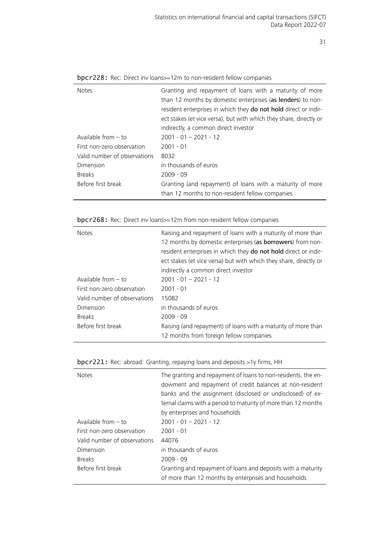| Granting and repayment of loans with a maturity of more<br><b>Notes</b>                                                            |  |
|------------------------------------------------------------------------------------------------------------------------------------|--|
| than 12 months by domestic enterprises (as lenders) to non-<br>resident enterprises in which they do not hold direct or indir-     |  |
| ect stakes (et vice versa), but with which they share, directly or                                                                 |  |
| indirectly, a common direct investor                                                                                               |  |
| Available from $-$ to<br>$2001 - 01 - 2021 - 12$                                                                                   |  |
| First non-zero observation<br>$2001 - 01$                                                                                          |  |
| Valid number of observations<br>8032                                                                                               |  |
| in thousands of euros<br>Dimension                                                                                                 |  |
| <b>Breaks</b><br>$2009 - 09$                                                                                                       |  |
| Before first break<br>Granting (and repayment) of loans with a maturity of more<br>than 12 months to non-resident fellow companies |  |

| <b>bpcr228:</b> Rec: Direct inv loans > = 12m to non-resident fellow companies |  |
|--------------------------------------------------------------------------------|--|
|--------------------------------------------------------------------------------|--|

### bpcr268: Rec: Direct inv loans>=12m from non-resident fellow companies

| <b>Notes</b>                 | Raising and repayment of loans with a maturity of more than<br>12 months by domestic enterprises (as borrowers) from non-<br>resident enterprises in which they do not hold direct or indir-<br>ect stakes (et vice versa) but with which they share, directly or<br>indirectly a common direct investor |
|------------------------------|----------------------------------------------------------------------------------------------------------------------------------------------------------------------------------------------------------------------------------------------------------------------------------------------------------|
| Available from $-$ to        | $2001 - 01 - 2021 - 12$                                                                                                                                                                                                                                                                                  |
| First non-zero observation   | $2001 - 01$                                                                                                                                                                                                                                                                                              |
| Valid number of observations | 15082                                                                                                                                                                                                                                                                                                    |
| Dimension                    | in thousands of euros                                                                                                                                                                                                                                                                                    |
| <b>Breaks</b>                | $2009 - 09$                                                                                                                                                                                                                                                                                              |
| Before first break           | Raising (and repayment) of loans with a maturity of more than<br>12 months from foreign fellow companies                                                                                                                                                                                                 |

<span id="page-30-0"></span>

| bpcr221: Rec: abroad: Granting, repaying loans and deposits >1y firms, HH |  |  |  |  |  |  |  |
|---------------------------------------------------------------------------|--|--|--|--|--|--|--|
|---------------------------------------------------------------------------|--|--|--|--|--|--|--|

| <b>Notes</b>                 | The granting and repayment of loans to non-residents, the en-<br>dowment and repayment of credit balances at non-resident<br>banks and the assignment (disclosed or undisclosed) of ex- |
|------------------------------|-----------------------------------------------------------------------------------------------------------------------------------------------------------------------------------------|
|                              | ternal claims with a period to maturity of more than 12 months                                                                                                                          |
|                              | by enterprises and households                                                                                                                                                           |
| Available from $-$ to        | $2001 - 01 - 2021 - 12$                                                                                                                                                                 |
| First non-zero observation   | $2001 - 01$                                                                                                                                                                             |
| Valid number of observations | 44076                                                                                                                                                                                   |
| Dimension                    | in thousands of euros                                                                                                                                                                   |
| <b>Breaks</b>                | $2009 - 09$                                                                                                                                                                             |
| Before first break           | Granting and repayment of loans and deposits with a maturity<br>of more than 12 months by enterprises and households                                                                    |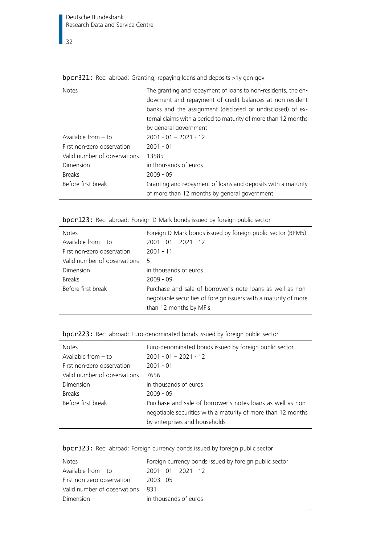$\frac{1}{32}$ 

| <b>Notes</b>                 | The granting and repayment of loans to non-residents, the en-<br>dowment and repayment of credit balances at non-resident |
|------------------------------|---------------------------------------------------------------------------------------------------------------------------|
|                              | banks and the assignment (disclosed or undisclosed) of ex-                                                                |
|                              | ternal claims with a period to maturity of more than 12 months                                                            |
|                              | by general government                                                                                                     |
| Available from $-$ to        | $2001 - 01 - 2021 - 12$                                                                                                   |
| First non-zero observation   | $2001 - 01$                                                                                                               |
| Valid number of observations | 13585                                                                                                                     |
| Dimension                    | in thousands of euros                                                                                                     |
| <b>Breaks</b>                | $2009 - 09$                                                                                                               |
| Before first break           | Granting and repayment of loans and deposits with a maturity<br>of more than 12 months by general government              |

<span id="page-31-0"></span>bpcr321: Rec: abroad: Granting, repaying loans and deposits >1y gen gov

<span id="page-31-1"></span>

| bpcr123: Rec: abroad: Foreign D-Mark bonds issued by foreign public sector |  |  |  |  |
|----------------------------------------------------------------------------|--|--|--|--|
|----------------------------------------------------------------------------|--|--|--|--|

| <b>Notes</b>                 | Foreign D-Mark bonds issued by foreign public sector (BPM5)                                                                                              |
|------------------------------|----------------------------------------------------------------------------------------------------------------------------------------------------------|
| Available from $-$ to        | $2001 - 01 - 2021 - 12$                                                                                                                                  |
| First non-zero observation   | $2001 - 11$                                                                                                                                              |
| Valid number of observations | 5                                                                                                                                                        |
| Dimension                    | in thousands of euros                                                                                                                                    |
| <b>Breaks</b>                | $2009 - 09$                                                                                                                                              |
| Before first break           | Purchase and sale of borrower's note loans as well as non-<br>negotiable securities of foreign issuers with a maturity of more<br>than 12 months by MFIs |

<span id="page-31-2"></span>

|  |  | bpcr223: Rec: abroad: Euro-denominated bonds issued by foreign public sector |  |  |  |  |
|--|--|------------------------------------------------------------------------------|--|--|--|--|
|--|--|------------------------------------------------------------------------------|--|--|--|--|

| <b>Notes</b>                 | Euro-denominated bonds issued by foreign public sector       |
|------------------------------|--------------------------------------------------------------|
| Available from $-$ to        | $2001 - 01 - 2021 - 12$                                      |
| First non-zero observation   | $2001 - 01$                                                  |
| Valid number of observations | 7656                                                         |
| Dimension                    | in thousands of euros                                        |
| <b>Breaks</b>                | $2009 - 09$                                                  |
| Before first break           | Purchase and sale of borrower's notes loans as well as non-  |
|                              | negotiable securities with a maturity of more than 12 months |
|                              | by enterprises and households                                |
|                              |                                                              |

<span id="page-31-3"></span>

| bpcr323: Rec: abroad: Foreign currency bonds issued by foreign public sector |  |  |  |  |  |
|------------------------------------------------------------------------------|--|--|--|--|--|
|                                                                              |  |  |  |  |  |

| <b>Notes</b>                 | Foreign currency bonds issued by foreign public sector |
|------------------------------|--------------------------------------------------------|
| Available from $-$ to        | $2001 - 01 - 2021 - 12$                                |
| First non-zero observation   | $2003 - 05$                                            |
| Valid number of observations | 831                                                    |
| Dimension                    | in thousands of euros                                  |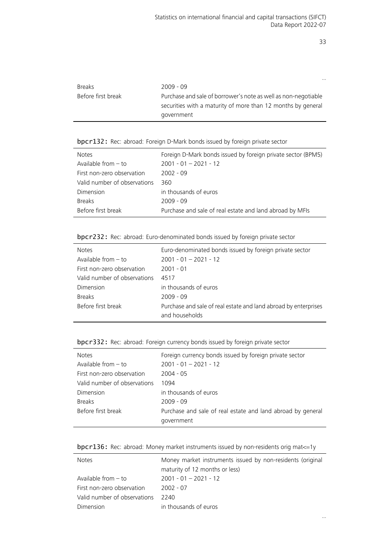|                    | $\cdots$                                                       |
|--------------------|----------------------------------------------------------------|
| <b>Breaks</b>      | $2009 - 09$                                                    |
| Before first break | Purchase and sale of borrower's note as well as non-negotiable |
|                    | securities with a maturity of more than 12 months by general   |
|                    | government                                                     |

<span id="page-32-0"></span>

| bpcr132: Rec: abroad: Foreign D-Mark bonds issued by foreign private sector |  |  |  |
|-----------------------------------------------------------------------------|--|--|--|
|-----------------------------------------------------------------------------|--|--|--|

| Foreign D-Mark bonds issued by foreign private sector (BPM5) |
|--------------------------------------------------------------|
|                                                              |
|                                                              |
|                                                              |
|                                                              |
|                                                              |
|                                                              |
|                                                              |

<span id="page-32-1"></span>

|  |  | bpcr232: Rec: abroad: Euro-denominated bonds issued by foreign private sector |  |  |  |  |  |  |
|--|--|-------------------------------------------------------------------------------|--|--|--|--|--|--|
|--|--|-------------------------------------------------------------------------------|--|--|--|--|--|--|

| <b>Notes</b>                 | Euro-denominated bonds issued by foreign private sector                           |
|------------------------------|-----------------------------------------------------------------------------------|
| Available from $-$ to        | $2001 - 01 - 2021 - 12$                                                           |
| First non-zero observation   | 2001 - 01                                                                         |
| Valid number of observations | 4517                                                                              |
| Dimension                    | in thousands of euros                                                             |
| <b>Breaks</b>                | $2009 - 09$                                                                       |
| Before first break           | Purchase and sale of real estate and land abroad by enterprises<br>and households |

<span id="page-32-2"></span>

| bpcr332: Rec: abroad: Foreign currency bonds issued by foreign private sector |
|-------------------------------------------------------------------------------|
|-------------------------------------------------------------------------------|

| <b>Notes</b>                 | Foreign currency bonds issued by foreign private sector     |
|------------------------------|-------------------------------------------------------------|
| Available from $-$ to        | $2001 - 01 - 2021 - 12$                                     |
| First non-zero observation   | $2004 - 05$                                                 |
| Valid number of observations | 1094                                                        |
| Dimension                    | in thousands of euros                                       |
| <b>Breaks</b>                | $2009 - 09$                                                 |
| Before first break           | Purchase and sale of real estate and land abroad by general |
|                              | government                                                  |
|                              |                                                             |

<span id="page-32-3"></span>

|  |  |  | bpcr136: Rec: abroad: Money market instruments issued by non-residents orig mat <= 1y |
|--|--|--|---------------------------------------------------------------------------------------|
|--|--|--|---------------------------------------------------------------------------------------|

| <b>Notes</b>                 | Money market instruments issued by non-residents (original |
|------------------------------|------------------------------------------------------------|
|                              | maturity of 12 months or less)                             |
| Available from $-$ to        | $2001 - 01 - 2021 - 12$                                    |
| First non-zero observation   | 2002 - 07                                                  |
| Valid number of observations | 2240                                                       |
| Dimension                    | in thousands of euros                                      |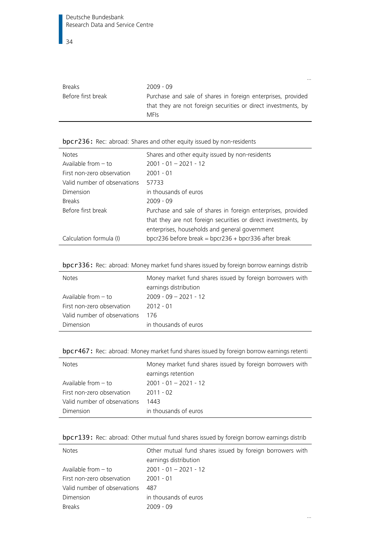|                    | $\cdots$                                                       |
|--------------------|----------------------------------------------------------------|
| <b>Breaks</b>      | $2009 - 09$                                                    |
| Before first break | Purchase and sale of shares in foreign enterprises, provided   |
|                    | that they are not foreign securities or direct investments, by |
|                    | <b>MFIs</b>                                                    |

# <span id="page-33-0"></span>bpcr236: Rec: abroad: Shares and other equity issued by non-residents

| <b>Notes</b>                 | Shares and other equity issued by non-residents                                                                                                                                  |
|------------------------------|----------------------------------------------------------------------------------------------------------------------------------------------------------------------------------|
| Available from $-$ to        | $2001 - 01 - 2021 - 12$                                                                                                                                                          |
| First non-zero observation   | $2001 - 01$                                                                                                                                                                      |
| Valid number of observations | 57733                                                                                                                                                                            |
| Dimension                    | in thousands of euros                                                                                                                                                            |
| <b>Breaks</b>                | $2009 - 09$                                                                                                                                                                      |
| Before first break           | Purchase and sale of shares in foreign enterprises, provided<br>that they are not foreign securities or direct investments, by<br>enterprises, households and general government |
| Calculation formula (I)      | bpcr236 before break = bpcr236 + bpcr336 after break                                                                                                                             |

<span id="page-33-1"></span>

|  |  |  |  |  |  | bpcr336: Rec: abroad: Money market fund shares issued by foreign borrow earnings distrib |
|--|--|--|--|--|--|------------------------------------------------------------------------------------------|
|--|--|--|--|--|--|------------------------------------------------------------------------------------------|

| <b>Notes</b>                 | Money market fund shares issued by foreign borrowers with<br>earnings distribution |
|------------------------------|------------------------------------------------------------------------------------|
| Available from $-$ to        | $2009 - 09 - 2021 - 12$                                                            |
| First non-zero observation   | $2012 - 01$                                                                        |
| Valid number of observations | 176                                                                                |
| Dimension                    | in thousands of euros                                                              |

<span id="page-33-2"></span>

| bpcr467: Rec: abroad: Money market fund shares issued by foreign borrow earnings retenti |  |  |  |  |
|------------------------------------------------------------------------------------------|--|--|--|--|
|                                                                                          |  |  |  |  |

| <b>Notes</b>                 | Money market fund shares issued by foreign borrowers with<br>earnings retention |
|------------------------------|---------------------------------------------------------------------------------|
| Available from - to          | $2001 - 01 - 2021 - 12$                                                         |
| First non-zero observation   | 2011 - 02                                                                       |
| Valid number of observations | 1443                                                                            |
| Dimension                    | in thousands of euros                                                           |

<span id="page-33-3"></span>

| bpcr139: Rec: abroad: Other mutual fund shares issued by foreign borrow earnings distrib |  |  |  |  |
|------------------------------------------------------------------------------------------|--|--|--|--|
|------------------------------------------------------------------------------------------|--|--|--|--|

| <b>Notes</b>                 | Other mutual fund shares issued by foreign borrowers with<br>earnings distribution |
|------------------------------|------------------------------------------------------------------------------------|
| Available from $-$ to        | $2001 - 01 - 2021 - 12$                                                            |
| First non-zero observation   | 2001 - 01                                                                          |
| Valid number of observations | 487                                                                                |
| Dimension                    | in thousands of euros                                                              |
| <b>Breaks</b>                | 2009 - 09                                                                          |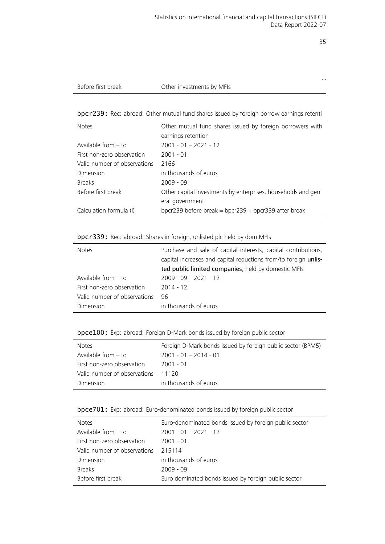…

| Before first break |
|--------------------|
|--------------------|

#### Other investments by MFIs

#### <span id="page-34-0"></span>bpcr239: Rec: abroad: Other mutual fund shares issued by foreign borrow earnings retenti

| <b>Notes</b>                 | Other mutual fund shares issued by foreign borrowers with     |
|------------------------------|---------------------------------------------------------------|
|                              | earnings retention                                            |
| Available from $-$ to        | $2001 - 01 - 2021 - 12$                                       |
| First non-zero observation   | $2001 - 01$                                                   |
| Valid number of observations | 2166                                                          |
| Dimension                    | in thousands of euros                                         |
| <b>Breaks</b>                | $2009 - 09$                                                   |
| Before first break           | Other capital investments by enterprises, households and gen- |
|                              | eral government                                               |
| Calculation formula (I)      | bpcr239 before break = bpcr239 + bpcr339 after break          |

#### <span id="page-34-1"></span>bpcr339: Rec: abroad: Shares in foreign, unlisted plc held by dom MFIs

| <b>Notes</b>                 | Purchase and sale of capital interests, capital contributions,<br>capital increases and capital reductions from/to foreign unlis-<br>ted public limited companies, held by domestic MFIs |
|------------------------------|------------------------------------------------------------------------------------------------------------------------------------------------------------------------------------------|
| Available from $-$ to        | $2009 - 09 - 2021 - 12$                                                                                                                                                                  |
| First non-zero observation   | $2014 - 12$                                                                                                                                                                              |
| Valid number of observations | 96                                                                                                                                                                                       |
| Dimension                    | in thousands of euros                                                                                                                                                                    |

#### <span id="page-34-2"></span>bpce100: Exp: abroad: Foreign D-Mark bonds issued by foreign public sector

| <b>Notes</b>                 | Foreign D-Mark bonds issued by foreign public sector (BPM5) |
|------------------------------|-------------------------------------------------------------|
| Available from $-$ to        | $2001 - 01 - 2014 - 01$                                     |
| First non-zero observation   | 2001 - 01                                                   |
| Valid number of observations | 11120                                                       |
| Dimension                    | in thousands of euros                                       |

#### <span id="page-34-3"></span>bpce701: Exp: abroad: Euro-denominated bonds issued by foreign public sector

| <b>Notes</b>                 | Euro-denominated bonds issued by foreign public sector |
|------------------------------|--------------------------------------------------------|
| Available from $-$ to        | $2001 - 01 - 2021 - 12$                                |
| First non-zero observation   | $2001 - 01$                                            |
| Valid number of observations | 215114                                                 |
| Dimension                    | in thousands of euros                                  |
| <b>Breaks</b>                | $2009 - 09$                                            |
| Before first break           | Euro dominated bonds issued by foreign public sector   |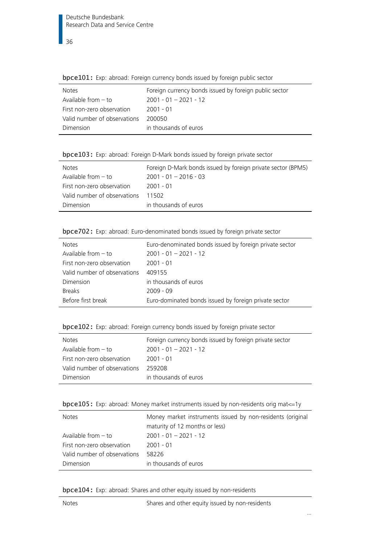| <b>SPECIFOL:</b> EXP. dorodd: Forcign carreity borras issaed by forcign pablic sector |  |  |  |
|---------------------------------------------------------------------------------------|--|--|--|
| Foreign currency bonds issued by foreign public sector                                |  |  |  |
| $2001 - 01 - 2021 - 12$                                                               |  |  |  |
| 2001 - 01                                                                             |  |  |  |
| 200050                                                                                |  |  |  |
| in thousands of euros                                                                 |  |  |  |
|                                                                                       |  |  |  |

<span id="page-35-0"></span>bpce101: Exp: abroad: Foreign currency bonds issued by foreign public sector

<span id="page-35-1"></span>

|  | bpce103: Exp: abroad: Foreign D-Mark bonds issued by foreign private sector |  |
|--|-----------------------------------------------------------------------------|--|
|  |                                                                             |  |

| <b>Notes</b>                 | Foreign D-Mark bonds issued by foreign private sector (BPM5) |
|------------------------------|--------------------------------------------------------------|
| Available from $-$ to        | $2001 - 01 - 2016 - 03$                                      |
| First non-zero observation   | -2001 - 01                                                   |
| Valid number of observations | 11502                                                        |
| Dimension                    | in thousands of euros                                        |

<span id="page-35-2"></span>bpce702: Exp: abroad: Euro-denominated bonds issued by foreign private sector

| <b>Notes</b>                 | Euro-denominated bonds issued by foreign private sector |
|------------------------------|---------------------------------------------------------|
| Available from $-$ to        | $2001 - 01 - 2021 - 12$                                 |
| First non-zero observation   | $2001 - 01$                                             |
| Valid number of observations | 409155                                                  |
| Dimension                    | in thousands of euros                                   |
| <b>Breaks</b>                | $2009 - 09$                                             |
| Before first break           | Euro-dominated bonds issued by foreign private sector   |

<span id="page-35-3"></span>bpce102: Exp: abroad: Foreign currency bonds issued by foreign private sector

| <b>Notes</b>                 | Foreign currency bonds issued by foreign private sector |
|------------------------------|---------------------------------------------------------|
| Available from - to          | $2001 - 01 - 2021 - 12$                                 |
| First non-zero observation   | 2001 - 01                                               |
| Valid number of observations | 259208                                                  |
| Dimension                    | in thousands of euros                                   |

<span id="page-35-4"></span>

| bpce105: Exp: abroad: Money market instruments issued by non-residents orig mat <= 1y |  |  |  |  |  |  |  |  |  |  |  |
|---------------------------------------------------------------------------------------|--|--|--|--|--|--|--|--|--|--|--|
|---------------------------------------------------------------------------------------|--|--|--|--|--|--|--|--|--|--|--|

| <b>Notes</b>                 | Money market instruments issued by non-residents (original<br>maturity of 12 months or less) |
|------------------------------|----------------------------------------------------------------------------------------------|
| Available from $-$ to        | $2001 - 01 - 2021 - 12$                                                                      |
| First non-zero observation   | $2001 - 01$                                                                                  |
| Valid number of observations | 58226                                                                                        |
| Dimension                    | in thousands of euros                                                                        |

<span id="page-35-5"></span>bpce104: Exp: abroad: Shares and other equity issued by non-residents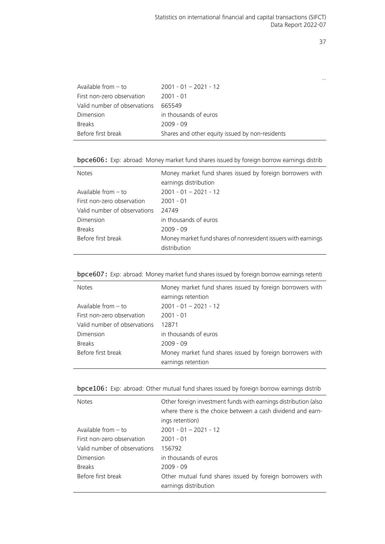…

| Before first break           | Shares and other equity issued by non-residents |
|------------------------------|-------------------------------------------------|
| <b>Breaks</b>                | 2009 - 09                                       |
| Dimension                    | in thousands of euros                           |
| Valid number of observations | 665549                                          |
| First non-zero observation   | $2001 - 01$                                     |
| Available from $-$ to        | $2001 - 01 - 2021 - 12$                         |

bpce606: Exp: abroad: Money market fund shares issued by foreign borrow earnings distrib

| <b>Notes</b>                 | Money market fund shares issued by foreign borrowers with<br>earnings distribution |
|------------------------------|------------------------------------------------------------------------------------|
| Available from $-$ to        | $2001 - 01 - 2021 - 12$                                                            |
| First non-zero observation   | $2001 - 01$                                                                        |
| Valid number of observations | 24749                                                                              |
| Dimension                    | in thousands of euros                                                              |
| <b>Breaks</b>                | $2009 - 09$                                                                        |
| Before first break           | Money market fund shares of nonresident issuers with earnings<br>distribution      |

bpce607: Exp: abroad: Money market fund shares issued by foreign borrow earnings retenti

| <b>Notes</b>                 | Money market fund shares issued by foreign borrowers with<br>earnings retention |
|------------------------------|---------------------------------------------------------------------------------|
| Available from $-$ to        | $2001 - 01 - 2021 - 12$                                                         |
| First non-zero observation   | $2001 - 01$                                                                     |
| Valid number of observations | 12871                                                                           |
| Dimension                    | in thousands of euros                                                           |
| <b>Breaks</b>                | $2009 - 09$                                                                     |
| Before first break           | Money market fund shares issued by foreign borrowers with<br>earnings retention |

| <b>bpce106:</b> Exp: abroad: Other mutual fund shares issued by foreign borrow earnings distrib |  |  |  |  |  |  |
|-------------------------------------------------------------------------------------------------|--|--|--|--|--|--|
|                                                                                                 |  |  |  |  |  |  |

| <b>Notes</b>                 | Other foreign investment funds with earnings distribution (also<br>where there is the choice between a cash dividend and earn-<br>ings retention) |
|------------------------------|---------------------------------------------------------------------------------------------------------------------------------------------------|
| Available from $-$ to        | $2001 - 01 - 2021 - 12$                                                                                                                           |
| First non-zero observation   | $2001 - 01$                                                                                                                                       |
| Valid number of observations | 156792                                                                                                                                            |
| Dimension                    | in thousands of euros                                                                                                                             |
| <b>Breaks</b>                | $2009 - 09$                                                                                                                                       |
| Before first break           | Other mutual fund shares issued by foreign borrowers with<br>earnings distribution                                                                |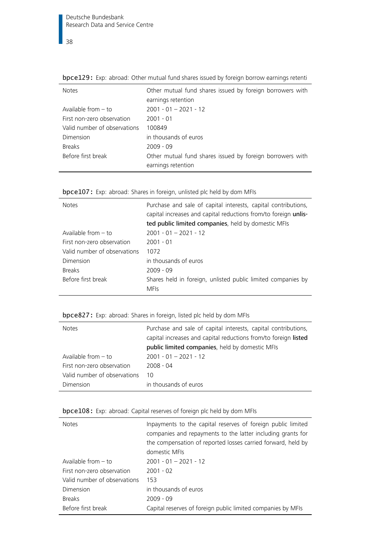| <b>Notes</b>                 | Other mutual fund shares issued by foreign borrowers with |
|------------------------------|-----------------------------------------------------------|
|                              | earnings retention                                        |
| Available from $-$ to        | $2001 - 01 - 2021 - 12$                                   |
| First non-zero observation   | $2001 - 01$                                               |
| Valid number of observations | 100849                                                    |
| Dimension                    | in thousands of euros                                     |
| <b>Breaks</b>                | $2009 - 09$                                               |
| Before first break           | Other mutual fund shares issued by foreign borrowers with |
|                              | earnings retention                                        |
|                              |                                                           |

bpce129: Exp: abroad: Other mutual fund shares issued by foreign borrow earnings retenti

| <b>Notes</b>                 | Purchase and sale of capital interests, capital contributions,<br>capital increases and capital reductions from/to foreign unlis-<br>ted public limited companies, held by domestic MFIs |
|------------------------------|------------------------------------------------------------------------------------------------------------------------------------------------------------------------------------------|
| Available from $-$ to        | $2001 - 01 - 2021 - 12$                                                                                                                                                                  |
| First non-zero observation   | $2001 - 01$                                                                                                                                                                              |
| Valid number of observations | 1072                                                                                                                                                                                     |
| Dimension                    | in thousands of euros                                                                                                                                                                    |
| <b>Breaks</b>                | $2009 - 09$                                                                                                                                                                              |
| Before first break           | Shares held in foreign, unlisted public limited companies by<br><b>MFIs</b>                                                                                                              |

| bpce107: Exp: abroad: Shares in foreign, unlisted plc held by dom MFIs |  |  |  |  |  |  |  |  |  |  |
|------------------------------------------------------------------------|--|--|--|--|--|--|--|--|--|--|
|------------------------------------------------------------------------|--|--|--|--|--|--|--|--|--|--|

bpce827: Exp: abroad: Shares in foreign, listed plc held by dom MFIs

| <b>Notes</b>                 | Purchase and sale of capital interests, capital contributions,  |
|------------------------------|-----------------------------------------------------------------|
|                              | capital increases and capital reductions from/to foreign listed |
|                              | public limited companies, held by domestic MFIs                 |
| Available from $-$ to        | $2001 - 01 - 2021 - 12$                                         |
| First non-zero observation   | $2008 - 04$                                                     |
| Valid number of observations | 10                                                              |
| Dimension                    | in thousands of euros                                           |

| bpce108: Exp: abroad: Capital reserves of foreign plc held by dom MFIs |  |  |  |  |  |  |  |  |  |  |
|------------------------------------------------------------------------|--|--|--|--|--|--|--|--|--|--|
|------------------------------------------------------------------------|--|--|--|--|--|--|--|--|--|--|

| <b>Notes</b>                 | Inpayments to the capital reserves of foreign public limited<br>companies and repayments to the latter including grants for<br>the compensation of reported losses carried forward, held by<br>domestic MFIs |
|------------------------------|--------------------------------------------------------------------------------------------------------------------------------------------------------------------------------------------------------------|
| Available from $-$ to        | $2001 - 01 - 2021 - 12$                                                                                                                                                                                      |
| First non-zero observation   | $2001 - 02$                                                                                                                                                                                                  |
| Valid number of observations | 153                                                                                                                                                                                                          |
| Dimension                    | in thousands of euros                                                                                                                                                                                        |
| <b>Breaks</b>                | $2009 - 09$                                                                                                                                                                                                  |
| Before first break           | Capital reserves of foreign public limited companies by MFIs                                                                                                                                                 |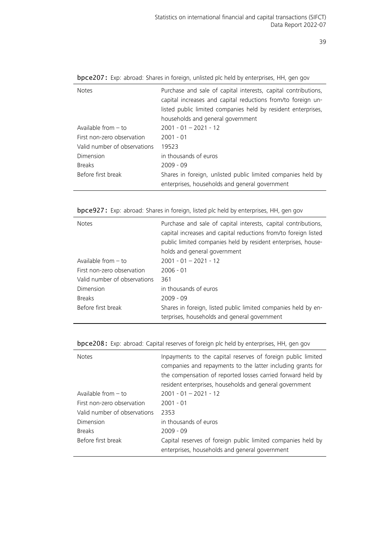| <b>Notes</b>                 | Purchase and sale of capital interests, capital contributions,<br>capital increases and capital reductions from/to foreign un-<br>listed public limited companies held by resident enterprises,<br>households and general government |
|------------------------------|--------------------------------------------------------------------------------------------------------------------------------------------------------------------------------------------------------------------------------------|
|                              |                                                                                                                                                                                                                                      |
| Available from $-$ to        | $2001 - 01 - 2021 - 12$                                                                                                                                                                                                              |
| First non-zero observation   | $2001 - 01$                                                                                                                                                                                                                          |
| Valid number of observations | 19523                                                                                                                                                                                                                                |
| Dimension                    | in thousands of euros                                                                                                                                                                                                                |
| <b>Breaks</b>                | $2009 - 09$                                                                                                                                                                                                                          |
| Before first break           | Shares in foreign, unlisted public limited companies held by<br>enterprises, households and general government                                                                                                                       |

bpce207: Exp: abroad: Shares in foreign, unlisted plc held by enterprises, HH, gen gov

bpce927: Exp: abroad: Shares in foreign, listed plc held by enterprises, HH, gen gov

| <b>Notes</b>                 | Purchase and sale of capital interests, capital contributions,<br>capital increases and capital reductions from/to foreign listed<br>public limited companies held by resident enterprises, house-<br>holds and general government |
|------------------------------|------------------------------------------------------------------------------------------------------------------------------------------------------------------------------------------------------------------------------------|
| Available from $-$ to        | $2001 - 01 - 2021 - 12$                                                                                                                                                                                                            |
| First non-zero observation   | $2006 - 01$                                                                                                                                                                                                                        |
| Valid number of observations | 361                                                                                                                                                                                                                                |
| Dimension                    | in thousands of euros                                                                                                                                                                                                              |
| <b>Breaks</b>                | $2009 - 09$                                                                                                                                                                                                                        |
| Before first break           | Shares in foreign, listed public limited companies held by en-<br>terprises, households and general government                                                                                                                     |

|  |  |  |  | bpce208: Exp: abroad: Capital reserves of foreign plc held by enterprises, HH, gen gov |  |
|--|--|--|--|----------------------------------------------------------------------------------------|--|
|  |  |  |  |                                                                                        |  |

| <b>Notes</b>                 | Inpayments to the capital reserves of foreign public limited<br>companies and repayments to the latter including grants for |
|------------------------------|-----------------------------------------------------------------------------------------------------------------------------|
|                              | the compensation of reported losses carried forward held by                                                                 |
|                              | resident enterprises, households and general government                                                                     |
| Available from $-$ to        | $2001 - 01 - 2021 - 12$                                                                                                     |
| First non-zero observation   | $2001 - 01$                                                                                                                 |
| Valid number of observations | 2353                                                                                                                        |
| Dimension                    | in thousands of euros                                                                                                       |
| <b>Breaks</b>                | $2009 - 09$                                                                                                                 |
| Before first break           | Capital reserves of foreign public limited companies held by<br>enterprises, households and general government              |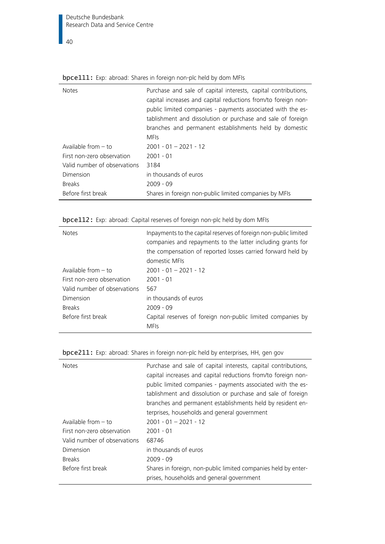| <b>Notes</b>                 | Purchase and sale of capital interests, capital contributions,<br>capital increases and capital reductions from/to foreign non-<br>public limited companies - payments associated with the es-<br>tablishment and dissolution or purchase and sale of foreign<br>branches and permanent establishments held by domestic<br><b>MFIs</b> |
|------------------------------|----------------------------------------------------------------------------------------------------------------------------------------------------------------------------------------------------------------------------------------------------------------------------------------------------------------------------------------|
| Available from $-$ to        | $2001 - 01 - 2021 - 12$                                                                                                                                                                                                                                                                                                                |
| First non-zero observation   | $2001 - 01$                                                                                                                                                                                                                                                                                                                            |
| Valid number of observations | 3184                                                                                                                                                                                                                                                                                                                                   |
| Dimension                    | in thousands of euros                                                                                                                                                                                                                                                                                                                  |
| <b>Breaks</b>                | $2009 - 09$                                                                                                                                                                                                                                                                                                                            |
| Before first break           | Shares in foreign non-public limited companies by MFIs                                                                                                                                                                                                                                                                                 |

# **bpce111:** Exp: abroad: Shares in foreign non-plc held by dom MFIs

| <b>Notes</b>                 | Inpayments to the capital reserves of foreign non-public limited<br>companies and repayments to the latter including grants for<br>the compensation of reported losses carried forward held by |
|------------------------------|------------------------------------------------------------------------------------------------------------------------------------------------------------------------------------------------|
|                              | domestic MFIs                                                                                                                                                                                  |
| Available from $-$ to        | $2001 - 01 - 2021 - 12$                                                                                                                                                                        |
| First non-zero observation   | $2001 - 01$                                                                                                                                                                                    |
| Valid number of observations | 567                                                                                                                                                                                            |
| Dimension                    | in thousands of euros                                                                                                                                                                          |
| <b>Breaks</b>                | $2009 - 09$                                                                                                                                                                                    |
| Before first break           | Capital reserves of foreign non-public limited companies by<br><b>MFIs</b>                                                                                                                     |

bpce112: Exp: abroad: Capital reserves of foreign non-plc held by dom MFIs

|--|

| <b>Notes</b>                 | Purchase and sale of capital interests, capital contributions,<br>capital increases and capital reductions from/to foreign non-<br>public limited companies - payments associated with the es-<br>tablishment and dissolution or purchase and sale of foreign<br>branches and permanent establishments held by resident en-<br>terprises, households and general government |
|------------------------------|-----------------------------------------------------------------------------------------------------------------------------------------------------------------------------------------------------------------------------------------------------------------------------------------------------------------------------------------------------------------------------|
| Available from $-$ to        | $2001 - 01 - 2021 - 12$                                                                                                                                                                                                                                                                                                                                                     |
| First non-zero observation   | $2001 - 01$                                                                                                                                                                                                                                                                                                                                                                 |
| Valid number of observations | 68746                                                                                                                                                                                                                                                                                                                                                                       |
| Dimension                    | in thousands of euros                                                                                                                                                                                                                                                                                                                                                       |
| <b>Breaks</b>                | $2009 - 09$                                                                                                                                                                                                                                                                                                                                                                 |
| Before first break           | Shares in foreign, non-public limited companies held by enter-<br>prises, households and general government                                                                                                                                                                                                                                                                 |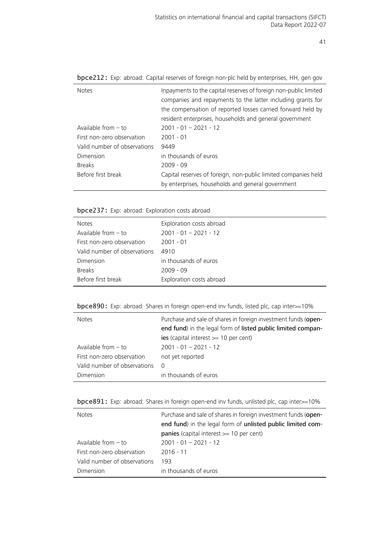| Inpayments to the capital reserves of foreign non-public limited<br>companies and repayments to the latter including grants for<br>the compensation of reported losses carried forward held by<br>resident enterprises, households and general government |
|-----------------------------------------------------------------------------------------------------------------------------------------------------------------------------------------------------------------------------------------------------------|
|                                                                                                                                                                                                                                                           |
| $2001 - 01 - 2021 - 12$                                                                                                                                                                                                                                   |
| $2001 - 01$                                                                                                                                                                                                                                               |
| 9449                                                                                                                                                                                                                                                      |
| in thousands of euros                                                                                                                                                                                                                                     |
| $2009 - 09$                                                                                                                                                                                                                                               |
| Capital reserves of foreign, non-public limited companies held<br>by enterprises, households and general government                                                                                                                                       |
|                                                                                                                                                                                                                                                           |

bpce212: Exp: abroad: Capital reserves of foreign non-plc held by enterprises, HH, gen gov

bpce237: Exp: abroad: Exploration costs abroad

| <b>Notes</b>                 | Exploration costs abroad |
|------------------------------|--------------------------|
| Available from $-$ to        | $2001 - 01 - 2021 - 12$  |
| First non-zero observation   | $2001 - 01$              |
| Valid number of observations | 4910                     |
| Dimension                    | in thousands of euros    |
| <b>Breaks</b>                | $2009 - 09$              |
| Before first break           | Exploration costs abroad |

bpce890: Exp: abroad: Shares in foreign open-end inv funds, listed plc, cap inter>=10%

| <b>Notes</b>                 | Purchase and sale of shares in foreign investment funds (open-<br>end fund) in the legal form of listed public limited compan-<br>ies (capital interest $>= 10$ per cent) |
|------------------------------|---------------------------------------------------------------------------------------------------------------------------------------------------------------------------|
| Available from $-$ to        | $2001 - 01 - 2021 - 12$                                                                                                                                                   |
| First non-zero observation   | not yet reported                                                                                                                                                          |
| Valid number of observations | $\Omega$                                                                                                                                                                  |
| Dimension                    | in thousands of euros                                                                                                                                                     |

bpce891: Exp: abroad: Shares in foreign open-end inv funds, unlisted plc, cap inter>=10%

| <b>Notes</b>                 | Purchase and sale of shares in foreign investment funds (open-<br>end fund) in the legal form of unlisted public limited com- |
|------------------------------|-------------------------------------------------------------------------------------------------------------------------------|
|                              | <b>panies</b> (capital interest $>= 10$ per cent)                                                                             |
| Available from $-$ to        | $2001 - 01 - 2021 - 12$                                                                                                       |
| First non-zero observation   | $2016 - 11$                                                                                                                   |
| Valid number of observations | 193                                                                                                                           |
| Dimension                    | in thousands of euros                                                                                                         |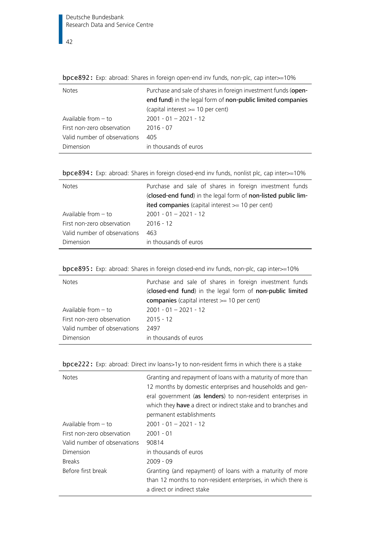| <b>Notes</b>                 | Purchase and sale of shares in foreign investment funds (open- |
|------------------------------|----------------------------------------------------------------|
|                              | end fund) in the legal form of non-public limited companies    |
|                              | (capital interest >= 10 per cent)                              |
| Available from $-$ to        | $2001 - 01 - 2021 - 12$                                        |
| First non-zero observation   | $2016 - 07$                                                    |
| Valid number of observations | 405                                                            |
| Dimension                    | in thousands of euros                                          |
|                              |                                                                |

bpce892: Exp: abroad: Shares in foreign open-end inv funds, non-plc, cap inter>=10%

|  |  |  |  | bpce894: Exp: abroad: Shares in foreign closed-end inv funds, nonlist plc, cap inter>=10% |
|--|--|--|--|-------------------------------------------------------------------------------------------|
|  |  |  |  |                                                                                           |

| <b>Notes</b>                 | Purchase and sale of shares in foreign investment funds       |
|------------------------------|---------------------------------------------------------------|
|                              | (closed-end fund) in the legal form of non-listed public lim- |
|                              | ited companies (capital interest $>= 10$ per cent)            |
| Available from $-$ to        | $2001 - 01 - 2021 - 12$                                       |
| First non-zero observation   | $2016 - 12$                                                   |
| Valid number of observations | 463                                                           |
| Dimension                    | in thousands of euros                                         |

|  |  |  |  | bpce895: Exp: abroad: Shares in foreign closed-end inv funds, non-plc, cap inter>=10% |
|--|--|--|--|---------------------------------------------------------------------------------------|
|  |  |  |  |                                                                                       |

| <b>Notes</b>                 | Purchase and sale of shares in foreign investment funds<br>(closed-end fund) in the legal form of non-public limited |  |  |  |  |
|------------------------------|----------------------------------------------------------------------------------------------------------------------|--|--|--|--|
|                              |                                                                                                                      |  |  |  |  |
|                              | companies (capital interest >= 10 per cent)                                                                          |  |  |  |  |
| Available from $-$ to        | $2001 - 01 - 2021 - 12$                                                                                              |  |  |  |  |
| First non-zero observation   | $2015 - 12$                                                                                                          |  |  |  |  |
| Valid number of observations | 2497                                                                                                                 |  |  |  |  |
| Dimension                    | in thousands of euros                                                                                                |  |  |  |  |

| <b>Notes</b>                                      | Granting and repayment of loans with a maturity of more than<br>12 months by domestic enterprises and households and gen-<br>eral government (as lenders) to non-resident enterprises in<br>which they have a direct or indirect stake and to branches and<br>permanent establishments |
|---------------------------------------------------|----------------------------------------------------------------------------------------------------------------------------------------------------------------------------------------------------------------------------------------------------------------------------------------|
| Available from – to<br>First non-zero observation | $2001 - 01 - 2021 - 12$<br>$2001 - 01$                                                                                                                                                                                                                                                 |
| Valid number of observations                      | 90814                                                                                                                                                                                                                                                                                  |
| Dimension                                         | in thousands of euros                                                                                                                                                                                                                                                                  |
| <b>Breaks</b>                                     | $2009 - 09$                                                                                                                                                                                                                                                                            |
| Before first break                                | Granting (and repayment) of loans with a maturity of more<br>than 12 months to non-resident enterprises, in which there is<br>a direct or indirect stake                                                                                                                               |

bpce222: Exp: abroad: Direct inv loans>1y to non-resident firms in which there is a stake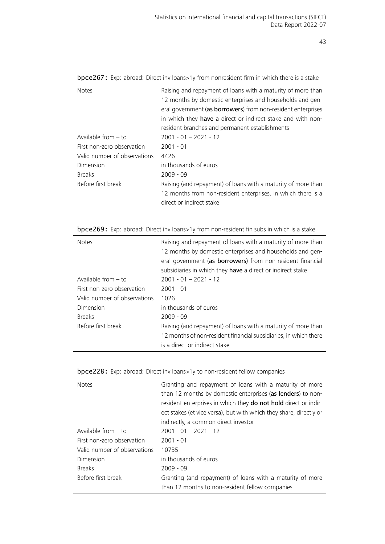| <b>Notes</b>                 | Raising and repayment of loans with a maturity of more than   |
|------------------------------|---------------------------------------------------------------|
|                              | 12 months by domestic enterprises and households and gen-     |
|                              |                                                               |
|                              | eral government (as borrowers) from non-resident enterprises  |
|                              | in which they have a direct or indirect stake and with non-   |
|                              | resident branches and permanent establishments                |
| Available from - to          | $2001 - 01 - 2021 - 12$                                       |
| First non-zero observation   | $2001 - 01$                                                   |
| Valid number of observations | 4426                                                          |
| Dimension                    | in thousands of euros                                         |
| <b>Breaks</b>                | $2009 - 09$                                                   |
| Before first break           | Raising (and repayment) of loans with a maturity of more than |
|                              | 12 months from non-resident enterprises, in which there is a  |
|                              | direct or indirect stake                                      |
|                              |                                                               |

bpce267: Exp: abroad: Direct inv loans>1y from nonresident firm in which there is a stake

bpce269: Exp: abroad: Direct inv loans>1y from non-resident fin subs in which is a stake

| <b>Notes</b>                 | Raising and repayment of loans with a maturity of more than<br>12 months by domestic enterprises and households and gen-<br>eral government (as borrowers) from non-resident financial<br>subsidiaries in which they have a direct or indirect stake |  |  |
|------------------------------|------------------------------------------------------------------------------------------------------------------------------------------------------------------------------------------------------------------------------------------------------|--|--|
| Available from – to          | $2001 - 01 - 2021 - 12$                                                                                                                                                                                                                              |  |  |
| First non-zero observation   | $2001 - 01$                                                                                                                                                                                                                                          |  |  |
| Valid number of observations | 1026                                                                                                                                                                                                                                                 |  |  |
| Dimension                    | in thousands of euros                                                                                                                                                                                                                                |  |  |
| <b>Breaks</b>                | $2009 - 09$                                                                                                                                                                                                                                          |  |  |
| Before first break           | Raising (and repayment) of loans with a maturity of more than                                                                                                                                                                                        |  |  |
|                              | 12 months of non-resident financial subsidiaries, in which there                                                                                                                                                                                     |  |  |
|                              | is a direct or indirect stake                                                                                                                                                                                                                        |  |  |

| <b>Notes</b>                 | Granting and repayment of loans with a maturity of more<br>than 12 months by domestic enterprises (as lenders) to non-<br>resident enterprises in which they do not hold direct or indir-<br>ect stakes (et vice versa), but with which they share, directly or<br>indirectly, a common direct investor |  |  |  |
|------------------------------|---------------------------------------------------------------------------------------------------------------------------------------------------------------------------------------------------------------------------------------------------------------------------------------------------------|--|--|--|
| Available from $-$ to        | $2001 - 01 - 2021 - 12$                                                                                                                                                                                                                                                                                 |  |  |  |
| First non-zero observation   | $2001 - 01$                                                                                                                                                                                                                                                                                             |  |  |  |
| Valid number of observations | 10735                                                                                                                                                                                                                                                                                                   |  |  |  |
| Dimension                    | in thousands of euros                                                                                                                                                                                                                                                                                   |  |  |  |
| <b>Breaks</b>                | $2009 - 09$                                                                                                                                                                                                                                                                                             |  |  |  |
| Before first break           | Granting (and repayment) of loans with a maturity of more<br>than 12 months to non-resident fellow companies                                                                                                                                                                                            |  |  |  |

| bpce228: Exp: abroad: Direct inv loans>1y to non-resident fellow companies |  |  |
|----------------------------------------------------------------------------|--|--|
|----------------------------------------------------------------------------|--|--|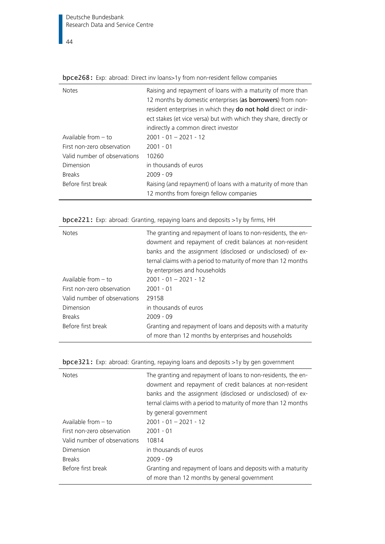| <b>Notes</b>                 | Raising and repayment of loans with a maturity of more than       |  |  |  |  |
|------------------------------|-------------------------------------------------------------------|--|--|--|--|
|                              | 12 months by domestic enterprises (as borrowers) from non-        |  |  |  |  |
|                              | resident enterprises in which they do not hold direct or indir-   |  |  |  |  |
|                              | ect stakes (et vice versa) but with which they share, directly or |  |  |  |  |
|                              | indirectly a common direct investor                               |  |  |  |  |
| Available from $-$ to        | $2001 - 01 - 2021 - 12$                                           |  |  |  |  |
| First non-zero observation   | $2001 - 01$                                                       |  |  |  |  |
| Valid number of observations | 10260                                                             |  |  |  |  |
| Dimension                    | in thousands of euros                                             |  |  |  |  |
| <b>Breaks</b>                | $2009 - 09$                                                       |  |  |  |  |
| Before first break           | Raising (and repayment) of loans with a maturity of more than     |  |  |  |  |
|                              | 12 months from foreign fellow companies                           |  |  |  |  |

bpce268: Exp: abroad: Direct inv loans>1y from non-resident fellow companies

| <b>Notes</b>                 | The granting and repayment of loans to non-residents, the en-<br>dowment and repayment of credit balances at non-resident<br>banks and the assignment (disclosed or undisclosed) of ex-<br>ternal claims with a period to maturity of more than 12 months |  |  |
|------------------------------|-----------------------------------------------------------------------------------------------------------------------------------------------------------------------------------------------------------------------------------------------------------|--|--|
|                              | by enterprises and households                                                                                                                                                                                                                             |  |  |
| Available from $-$ to        | $2001 - 01 - 2021 - 12$                                                                                                                                                                                                                                   |  |  |
| First non-zero observation   | $2001 - 01$                                                                                                                                                                                                                                               |  |  |
| Valid number of observations | 29158                                                                                                                                                                                                                                                     |  |  |
| Dimension                    | in thousands of euros                                                                                                                                                                                                                                     |  |  |
| <b>Breaks</b>                | $2009 - 09$                                                                                                                                                                                                                                               |  |  |
| Before first break           | Granting and repayment of loans and deposits with a maturity<br>of more than 12 months by enterprises and households                                                                                                                                      |  |  |

| <b>bpce221:</b> Exp: abroad: Granting, repaying loans and deposits >1y by firms, HH |  |  |  |  |
|-------------------------------------------------------------------------------------|--|--|--|--|
|                                                                                     |  |  |  |  |

| <b>Notes</b>                 | The granting and repayment of loans to non-residents, the en-<br>dowment and repayment of credit balances at non-resident<br>banks and the assignment (disclosed or undisclosed) of ex-<br>ternal claims with a period to maturity of more than 12 months<br>by general government |
|------------------------------|------------------------------------------------------------------------------------------------------------------------------------------------------------------------------------------------------------------------------------------------------------------------------------|
| Available from $-$ to        | $2001 - 01 - 2021 - 12$                                                                                                                                                                                                                                                            |
| First non-zero observation   | $2001 - 01$                                                                                                                                                                                                                                                                        |
| Valid number of observations | 10814                                                                                                                                                                                                                                                                              |
| Dimension                    | in thousands of euros                                                                                                                                                                                                                                                              |
| <b>Breaks</b>                | $2009 - 09$                                                                                                                                                                                                                                                                        |
| Before first break           | Granting and repayment of loans and deposits with a maturity                                                                                                                                                                                                                       |
|                              | of more than 12 months by general government                                                                                                                                                                                                                                       |
|                              |                                                                                                                                                                                                                                                                                    |

|  |  |  |  | bpce321: Exp: abroad: Granting, repaying loans and deposits >1y by gen government |  |
|--|--|--|--|-----------------------------------------------------------------------------------|--|
|  |  |  |  |                                                                                   |  |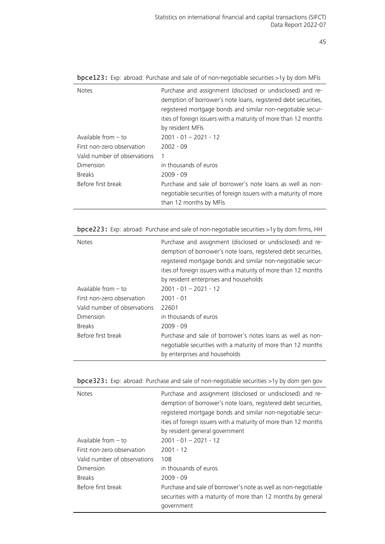| <b>Notes</b>                 | Purchase and assignment (disclosed or undisclosed) and re-<br>demption of borrower's note loans, registered debt securities,<br>registered mortgage bonds and similar non-negotiable secur-<br>ities of foreign issuers with a maturity of more than 12 months<br>by resident MFIs |
|------------------------------|------------------------------------------------------------------------------------------------------------------------------------------------------------------------------------------------------------------------------------------------------------------------------------|
|                              |                                                                                                                                                                                                                                                                                    |
| Available from $-$ to        | $2001 - 01 - 2021 - 12$                                                                                                                                                                                                                                                            |
| First non-zero observation   | $2002 - 09$                                                                                                                                                                                                                                                                        |
| Valid number of observations | 1                                                                                                                                                                                                                                                                                  |
| Dimension                    | in thousands of euros                                                                                                                                                                                                                                                              |
| <b>Breaks</b>                | $2009 - 09$                                                                                                                                                                                                                                                                        |
| Before first break           | Purchase and sale of borrower's note loans as well as non-<br>negotiable securities of foreign issuers with a maturity of more<br>than 12 months by MFIs                                                                                                                           |

bpce123: Exp: abroad: Purchase and sale of of non-negotiable securities >1y by dom MFIs

bpce223: Exp: abroad: Purchase and sale of non-negotiable securities >1y by dom firms, HH

| <b>Notes</b>                 | Purchase and assignment (disclosed or undisclosed) and re-<br>demption of borrower's note loans, registered debt securities,<br>registered mortgage bonds and similar non-negotiable secur-<br>ities of foreign issuers with a maturity of more than 12 months<br>by resident enterprises and households |
|------------------------------|----------------------------------------------------------------------------------------------------------------------------------------------------------------------------------------------------------------------------------------------------------------------------------------------------------|
| Available from – to          | $2001 - 01 - 2021 - 12$                                                                                                                                                                                                                                                                                  |
| First non-zero observation   | $2001 - 01$                                                                                                                                                                                                                                                                                              |
| Valid number of observations | 22601                                                                                                                                                                                                                                                                                                    |
| Dimension                    | in thousands of euros                                                                                                                                                                                                                                                                                    |
| <b>Breaks</b>                | $2009 - 09$                                                                                                                                                                                                                                                                                              |
| Before first break           | Purchase and sale of borrower's notes loans as well as non-<br>negotiable securities with a maturity of more than 12 months<br>by enterprises and households                                                                                                                                             |

| <b>Notes</b>                 | Purchase and assignment (disclosed or undisclosed) and re-<br>demption of borrower's note loans, registered debt securities,<br>registered mortgage bonds and similar non-negotiable secur-<br>ities of foreign issuers with a maturity of more than 12 months<br>by resident general government |
|------------------------------|--------------------------------------------------------------------------------------------------------------------------------------------------------------------------------------------------------------------------------------------------------------------------------------------------|
| Available from $-$ to        | $2001 - 01 - 2021 - 12$                                                                                                                                                                                                                                                                          |
|                              |                                                                                                                                                                                                                                                                                                  |
| First non-zero observation   | $2001 - 12$                                                                                                                                                                                                                                                                                      |
| Valid number of observations | 108                                                                                                                                                                                                                                                                                              |
| Dimension                    | in thousands of euros                                                                                                                                                                                                                                                                            |
| <b>Breaks</b>                | $2009 - 09$                                                                                                                                                                                                                                                                                      |
| Before first break           | Purchase and sale of borrower's note as well as non-negotiable                                                                                                                                                                                                                                   |
|                              | securities with a maturity of more than 12 months by general                                                                                                                                                                                                                                     |
|                              | government                                                                                                                                                                                                                                                                                       |
|                              |                                                                                                                                                                                                                                                                                                  |

|  |  | bpce323: Exp: abroad: Purchase and sale of non-negotiable securities >1y by dom gen gov |  |  |  |
|--|--|-----------------------------------------------------------------------------------------|--|--|--|
|  |  |                                                                                         |  |  |  |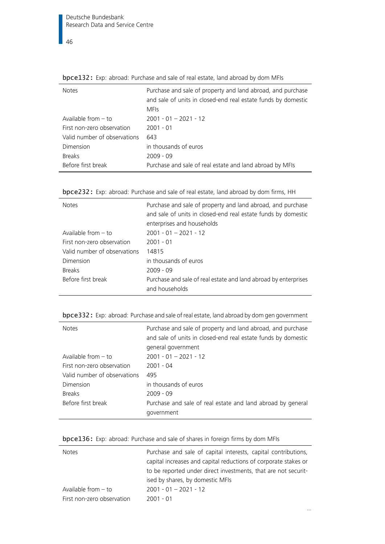| <b>Notes</b>                 | Purchase and sale of property and land abroad, and purchase<br>and sale of units in closed-end real estate funds by domestic<br><b>MFIs</b> |
|------------------------------|---------------------------------------------------------------------------------------------------------------------------------------------|
| Available from $-$ to        | $2001 - 01 - 2021 - 12$                                                                                                                     |
| First non-zero observation   | $2001 - 01$                                                                                                                                 |
| Valid number of observations | 643                                                                                                                                         |
| Dimension                    | in thousands of euros                                                                                                                       |
| <b>Breaks</b>                | $2009 - 09$                                                                                                                                 |
| Before first break           | Purchase and sale of real estate and land abroad by MFIs                                                                                    |

**bpce132:** Exp: abroad: Purchase and sale of real estate, land abroad by dom MFIs

| bpce232: Exp: abroad: Purchase and sale of real estate, land abroad by dom firms, HH |  |
|--------------------------------------------------------------------------------------|--|
|--------------------------------------------------------------------------------------|--|

| <b>Notes</b>                 | Purchase and sale of property and land abroad, and purchase     |
|------------------------------|-----------------------------------------------------------------|
|                              | and sale of units in closed-end real estate funds by domestic   |
|                              | enterprises and households                                      |
| Available from $-$ to        | $2001 - 01 - 2021 - 12$                                         |
| First non-zero observation   | $2001 - 01$                                                     |
| Valid number of observations | 14815                                                           |
| Dimension                    | in thousands of euros                                           |
| <b>Breaks</b>                | $2009 - 09$                                                     |
| Before first break           | Purchase and sale of real estate and land abroad by enterprises |
|                              | and households                                                  |
|                              |                                                                 |

|  |  |  |  | bpce 332: Exp: abroad: Purchase and sale of real estate, land abroad by dom gen government |
|--|--|--|--|--------------------------------------------------------------------------------------------|
|  |  |  |  |                                                                                            |

| $\sim$ proceeding the contract of the choice of the posterior control for the extra state of order the state state in the state of the contract of the contract of the contract of the contract of the contract of the contract |                                                               |  |  |  |  |
|---------------------------------------------------------------------------------------------------------------------------------------------------------------------------------------------------------------------------------|---------------------------------------------------------------|--|--|--|--|
| <b>Notes</b>                                                                                                                                                                                                                    | Purchase and sale of property and land abroad, and purchase   |  |  |  |  |
|                                                                                                                                                                                                                                 | and sale of units in closed-end real estate funds by domestic |  |  |  |  |
|                                                                                                                                                                                                                                 | general government                                            |  |  |  |  |
| Available from $-$ to                                                                                                                                                                                                           | $2001 - 01 - 2021 - 12$                                       |  |  |  |  |
| First non-zero observation                                                                                                                                                                                                      | $2001 - 04$                                                   |  |  |  |  |
| Valid number of observations                                                                                                                                                                                                    | 495                                                           |  |  |  |  |
| Dimension                                                                                                                                                                                                                       | in thousands of euros                                         |  |  |  |  |
| <b>Breaks</b>                                                                                                                                                                                                                   | $2009 - 09$                                                   |  |  |  |  |
| Before first break                                                                                                                                                                                                              | Purchase and sale of real estate and land abroad by general   |  |  |  |  |
|                                                                                                                                                                                                                                 | qovernment                                                    |  |  |  |  |

| <b>bpce136:</b> Exp: abroad: Purchase and sale of shares in foreign firms by dom MFIs |  |  |  |  |  |  |  |
|---------------------------------------------------------------------------------------|--|--|--|--|--|--|--|
|                                                                                       |  |  |  |  |  |  |  |

| <b>Notes</b>               | Purchase and sale of capital interests, capital contributions,<br>capital increases and capital reductions of corporate stakes or<br>to be reported under direct investments, that are not securit-<br>ised by shares, by domestic MFIs |
|----------------------------|-----------------------------------------------------------------------------------------------------------------------------------------------------------------------------------------------------------------------------------------|
| Available from $-$ to      | $2001 - 01 - 2021 - 12$                                                                                                                                                                                                                 |
| First non-zero observation | 2001 - 01                                                                                                                                                                                                                               |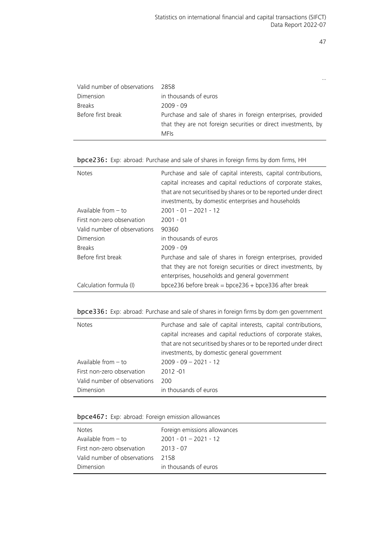…

| Valid number of observations | 2858                                                                                                                                          |
|------------------------------|-----------------------------------------------------------------------------------------------------------------------------------------------|
| Dimension                    | in thousands of euros                                                                                                                         |
| <b>Breaks</b>                | $2009 - 09$                                                                                                                                   |
| Before first break           | Purchase and sale of shares in foreign enterprises, provided<br>that they are not foreign securities or direct investments, by<br><b>MFIs</b> |

| <b>Notes</b>                 | Purchase and sale of capital interests, capital contributions,<br>capital increases and capital reductions of corporate stakes,<br>that are not securitised by shares or to be reported under direct<br>investments, by domestic enterprises and households |
|------------------------------|-------------------------------------------------------------------------------------------------------------------------------------------------------------------------------------------------------------------------------------------------------------|
| Available from $-$ to        | $2001 - 01 - 2021 - 12$                                                                                                                                                                                                                                     |
| First non-zero observation   | $2001 - 01$                                                                                                                                                                                                                                                 |
| Valid number of observations | 90360                                                                                                                                                                                                                                                       |
| Dimension                    | in thousands of euros                                                                                                                                                                                                                                       |
| <b>Breaks</b>                | $2009 - 09$                                                                                                                                                                                                                                                 |
| Before first break           | Purchase and sale of shares in foreign enterprises, provided                                                                                                                                                                                                |
|                              | that they are not foreign securities or direct investments, by                                                                                                                                                                                              |
|                              | enterprises, households and general government                                                                                                                                                                                                              |
| Calculation formula (I)      | bpce236 before break = bpce236 + bpce336 after break                                                                                                                                                                                                        |

bpce236: Exp: abroad: Purchase and sale of shares in foreign firms by dom firms, HH

# bpce336: Exp: abroad: Purchase and sale of shares in foreign firms by dom gen government

| <b>Notes</b>                 | Purchase and sale of capital interests, capital contributions,<br>capital increases and capital reductions of corporate stakes,<br>that are not securitised by shares or to be reported under direct<br>investments, by domestic general government |
|------------------------------|-----------------------------------------------------------------------------------------------------------------------------------------------------------------------------------------------------------------------------------------------------|
| Available from $-$ to        | $2009 - 09 - 2021 - 12$                                                                                                                                                                                                                             |
| First non-zero observation   | $2012 - 01$                                                                                                                                                                                                                                         |
| Valid number of observations | 200                                                                                                                                                                                                                                                 |
| Dimension                    | in thousands of euros                                                                                                                                                                                                                               |

# bpce467: Exp: abroad: Foreign emission allowances

| <b>Notes</b>                 | Foreign emissions allowances |
|------------------------------|------------------------------|
| Available from $-$ to        | $2001 - 01 - 2021 - 12$      |
| First non-zero observation   | $2013 - 07$                  |
| Valid number of observations | 2158                         |
| Dimension                    | in thousands of euros        |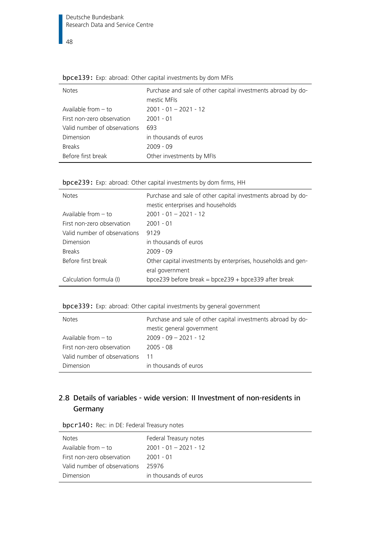| <b>Notes</b>                 | Purchase and sale of other capital investments abroad by do-<br>mestic MFIs |
|------------------------------|-----------------------------------------------------------------------------|
| Available from $-$ to        | $2001 - 01 - 2021 - 12$                                                     |
| First non-zero observation   | $2001 - 01$                                                                 |
| Valid number of observations | 693                                                                         |
| Dimension                    | in thousands of euros                                                       |
| <b>Breaks</b>                | $2009 - 09$                                                                 |
| Before first break           | Other investments by MFIs                                                   |

|  |  |  |  |  | bpce139: Exp: abroad: Other capital investments by dom MFIs |  |  |  |
|--|--|--|--|--|-------------------------------------------------------------|--|--|--|
|--|--|--|--|--|-------------------------------------------------------------|--|--|--|

| bpce239: Exp: abroad: Other capital investments by dom firms, HH |  |  |  |  |  |
|------------------------------------------------------------------|--|--|--|--|--|
|                                                                  |  |  |  |  |  |

| <b>Notes</b>                 | Purchase and sale of other capital investments abroad by do-<br>mestic enterprises and households |
|------------------------------|---------------------------------------------------------------------------------------------------|
| Available from $-$ to        | $2001 - 01 - 2021 - 12$                                                                           |
| First non-zero observation   | $2001 - 01$                                                                                       |
| Valid number of observations | 9129                                                                                              |
| Dimension                    | in thousands of euros                                                                             |
| <b>Breaks</b>                | $2009 - 09$                                                                                       |
| Before first break           | Other capital investments by enterprises, households and gen-                                     |
|                              | eral government                                                                                   |
| Calculation formula (I)      | bpce239 before break = bpce239 + bpce339 after break                                              |

bpce339: Exp: abroad: Other capital investments by general government

| <b>Notes</b>                 | Purchase and sale of other capital investments abroad by do-<br>mestic general government |
|------------------------------|-------------------------------------------------------------------------------------------|
| Available from $-$ to        | $2009 - 09 - 2021 - 12$                                                                   |
| First non-zero observation   | $2005 - 08$                                                                               |
| Valid number of observations | 11                                                                                        |
| Dimension                    | in thousands of euros                                                                     |

# 2.8 Details of variables - wide version: II Investment of non-residents in Germany

| bpcr140: Rec: in DE: Federal Treasury notes |  |  |  |  |  |
|---------------------------------------------|--|--|--|--|--|
|---------------------------------------------|--|--|--|--|--|

| <b>Notes</b>                 | Federal Treasury notes  |
|------------------------------|-------------------------|
| Available from $-$ to        | $2001 - 01 - 2021 - 12$ |
| First non-zero observation   | 2001 - 01               |
| Valid number of observations | 25976                   |
| Dimension                    | in thousands of euros   |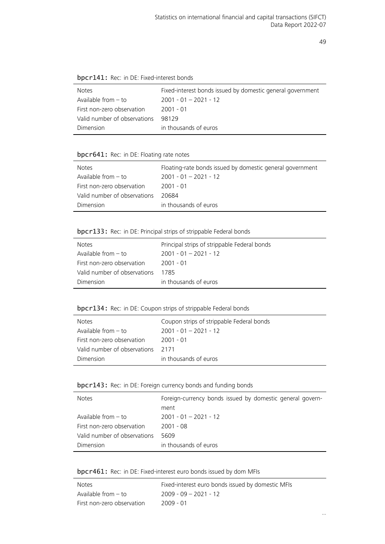| <b>Notes</b>                 | Fixed-interest bonds issued by domestic general government |
|------------------------------|------------------------------------------------------------|
| Available from - to          | $2001 - 01 - 2021 - 12$                                    |
| First non-zero observation   | 2001 - 01                                                  |
| Valid number of observations | 98129                                                      |
| Dimension                    | in thousands of euros                                      |

# bpcr641: Rec: in DE: Floating rate notes

| <b>Notes</b>                 | Floating-rate bonds issued by domestic general government |
|------------------------------|-----------------------------------------------------------|
| Available from - to          | $2001 - 01 - 2021 - 12$                                   |
| First non-zero observation   | 2001 - 01                                                 |
| Valid number of observations | 20684                                                     |
| Dimension                    | in thousands of euros                                     |

# bpcr133: Rec: in DE: Principal strips of strippable Federal bonds

| <b>Notes</b>                 | Principal strips of strippable Federal bonds |
|------------------------------|----------------------------------------------|
| Available from $-$ to        | $2001 - 01 - 2021 - 12$                      |
| First non-zero observation   | 2001 - 01                                    |
| Valid number of observations | 1785                                         |
| Dimension                    | in thousands of euros                        |

# bpcr134: Rec: in DE: Coupon strips of strippable Federal bonds

| <b>Notes</b>                 | Coupon strips of strippable Federal bonds |
|------------------------------|-------------------------------------------|
| Available from - to          | $2001 - 01 - 2021 - 12$                   |
| First non-zero observation   | 2001 - 01                                 |
| Valid number of observations | 2171                                      |
| Dimension                    | in thousands of euros                     |

bpcr143: Rec: in DE: Foreign currency bonds and funding bonds

| <b>Notes</b>                 | Foreign-currency bonds issued by domestic general govern-<br>ment |
|------------------------------|-------------------------------------------------------------------|
| Available from $-$ to        | $2001 - 01 - 2021 - 12$                                           |
| First non-zero observation   | $2001 - 08$                                                       |
| Valid number of observations | 5609                                                              |
| Dimension                    | in thousands of euros                                             |

bpcr461: Rec: in DE: Fixed-interest euro bonds issued by dom MFIs

| Notes                      | Fixed-interest euro bonds issued by domestic MFIs |
|----------------------------|---------------------------------------------------|
| Available from – to        | $2009 - 09 - 2021 - 12$                           |
| First non-zero observation | 2009 - 01                                         |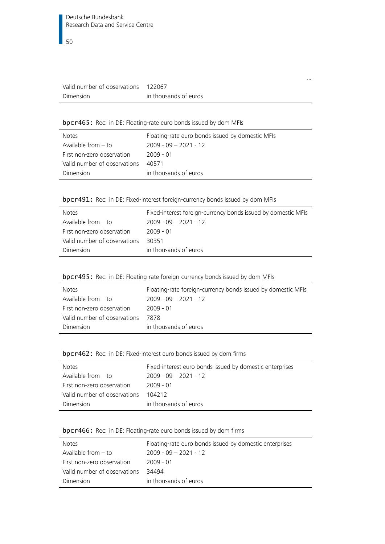| Valid number of observations | 122067                |
|------------------------------|-----------------------|
| Dimension                    | in thousands of euros |

# bpcr465: Rec: in DE: Floating-rate euro bonds issued by dom MFIs

| <b>Notes</b>                 | Floating-rate euro bonds issued by domestic MFIs |
|------------------------------|--------------------------------------------------|
| Available from $-$ to        | $2009 - 09 - 2021 - 12$                          |
| First non-zero observation   | 2009 - 01                                        |
| Valid number of observations | 40571                                            |
| Dimension                    | in thousands of euros                            |

…

# bpcr491: Rec: in DE: Fixed-interest foreign-currency bonds issued by dom MFIs

| <b>Notes</b>                 | Fixed-interest foreign-currency bonds issued by domestic MFIs |
|------------------------------|---------------------------------------------------------------|
| Available from $-$ to        | $2009 - 09 - 2021 - 12$                                       |
| First non-zero observation   | 2009 - 01                                                     |
| Valid number of observations | 30351                                                         |
| Dimension                    | in thousands of euros                                         |

# bpcr495: Rec: in DE: Floating-rate foreign-currency bonds issued by dom MFIs

| <b>Notes</b>                 | Floating-rate foreign-currency bonds issued by domestic MFIs |
|------------------------------|--------------------------------------------------------------|
| Available from - to          | $2009 - 09 - 2021 - 12$                                      |
| First non-zero observation   | $2009 - 01$                                                  |
| Valid number of observations | 7878                                                         |
| Dimension                    | in thousands of euros                                        |

# bpcr462: Rec: in DE: Fixed-interest euro bonds issued by dom firms

| <b>Notes</b>                 | Fixed-interest euro bonds issued by domestic enterprises |
|------------------------------|----------------------------------------------------------|
| Available from $-$ to        | $2009 - 09 - 2021 - 12$                                  |
| First non-zero observation   | 2009 - 01                                                |
| Valid number of observations | 104212                                                   |
| Dimension                    | in thousands of euros                                    |

# bpcr466: Rec: in DE: Floating-rate euro bonds issued by dom firms

| <b>Notes</b>                 | Floating-rate euro bonds issued by domestic enterprises |
|------------------------------|---------------------------------------------------------|
| Available from $-$ to        | $2009 - 09 - 2021 - 12$                                 |
| First non-zero observation   | $2009 - 01$                                             |
| Valid number of observations | 34494                                                   |
| Dimension                    | in thousands of euros                                   |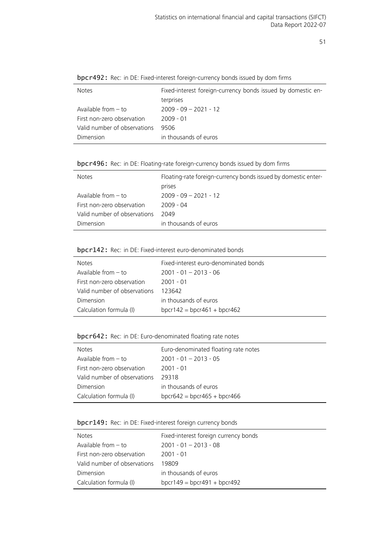| <b>Notes</b>                 | Fixed-interest foreign-currency bonds issued by domestic en- |
|------------------------------|--------------------------------------------------------------|
|                              | terprises                                                    |
| Available from $-$ to        | $2009 - 09 - 2021 - 12$                                      |
| First non-zero observation   | $2009 - 01$                                                  |
| Valid number of observations | 9506                                                         |
| Dimension                    | in thousands of euros                                        |
|                              |                                                              |

bpcr492: Rec: in DE: Fixed-interest foreign-currency bonds issued by dom firms

bpcr496: Rec: in DE: Floating-rate foreign-currency bonds issued by dom firms

| <b>Notes</b>                 | Floating-rate foreign-currency bonds issued by domestic enter- |
|------------------------------|----------------------------------------------------------------|
|                              | prises                                                         |
| Available from $-$ to        | $2009 - 09 - 2021 - 12$                                        |
| First non-zero observation   | 2009 - 04                                                      |
| Valid number of observations | 2049                                                           |
| Dimension                    | in thousands of euros                                          |

#### bpcr142: Rec: in DE: Fixed-interest euro-denominated bonds

| <b>Notes</b>                 | Fixed-interest euro-denominated bonds |
|------------------------------|---------------------------------------|
| Available from $-$ to        | $2001 - 01 - 2013 - 06$               |
| First non-zero observation   | 2001 - 01                             |
| Valid number of observations | 123642                                |
| Dimension                    | in thousands of euros                 |
| Calculation formula (I)      | bpcr142 = bpcr461 + bpcr462           |

# bpcr642: Rec: in DE: Euro-denominated floating rate notes

| <b>Notes</b>                 | Euro-denominated floating rate notes |
|------------------------------|--------------------------------------|
| Available from $-$ to        | $2001 - 01 - 2013 - 05$              |
| First non-zero observation   | 2001 - 01                            |
| Valid number of observations | 29318                                |
| Dimension                    | in thousands of euros                |
| Calculation formula (I)      | $bpcr642 = bpcr465 + bpcr466$        |

# bpcr149: Rec: in DE: Fixed-interest foreign currency bonds

| <b>Notes</b>                 | Fixed-interest foreign currency bonds |
|------------------------------|---------------------------------------|
| Available from $-$ to        | $2001 - 01 - 2013 - 08$               |
| First non-zero observation   | $2001 - 01$                           |
| Valid number of observations | 19809                                 |
| Dimension                    | in thousands of euros                 |
| Calculation formula (I)      | $bpcr149 = bpcr491 + bpcr492$         |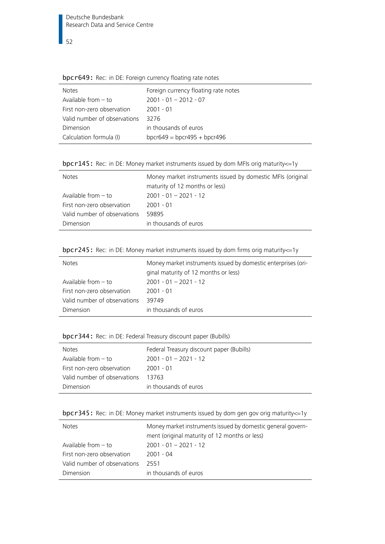# bpcr649: Rec: in DE: Foreign currency floating rate notes

| <b>Notes</b>                 | Foreign currency floating rate notes |
|------------------------------|--------------------------------------|
| Available from $-$ to        | $2001 - 01 - 2012 - 07$              |
| First non-zero observation   | $2001 - 01$                          |
| Valid number of observations | 3276                                 |
| Dimension                    | in thousands of euros                |
| Calculation formula (I)      | bpcr649 = bpcr495 + bpcr496          |

bpcr145: Rec: in DE: Money market instruments issued by dom MFIs orig maturity<=1y

| <b>Notes</b>                 | Money market instruments issued by domestic MFIs (original<br>maturity of 12 months or less) |
|------------------------------|----------------------------------------------------------------------------------------------|
| Available from $-$ to        | $2001 - 01 - 2021 - 12$                                                                      |
| First non-zero observation   | 2001 - 01                                                                                    |
| Valid number of observations | 59895                                                                                        |
| Dimension                    | in thousands of euros                                                                        |

bpcr245: Rec: in DE: Money market instruments issued by dom firms orig maturity<=1y

| <b>Notes</b>                 | Money market instruments issued by domestic enterprises (ori-<br>ginal maturity of 12 months or less) |
|------------------------------|-------------------------------------------------------------------------------------------------------|
| Available from $-$ to        | $2001 - 01 - 2021 - 12$                                                                               |
| First non-zero observation   | $2001 - 01$                                                                                           |
| Valid number of observations | 39749                                                                                                 |
| Dimension                    | in thousands of euros                                                                                 |

bpcr344: Rec: in DE: Federal Treasury discount paper (Bubills)

| <b>Notes</b>                 | Federal Treasury discount paper (Bubills) |
|------------------------------|-------------------------------------------|
| Available from $-$ to        | $2001 - 01 - 2021 - 12$                   |
| First non-zero observation   | 2001 - 01                                 |
| Valid number of observations | 13763                                     |
| Dimension                    | in thousands of euros                     |

|  |  | bpcr345: Rec: in DE: Money market instruments issued by dom gen gov orig maturity <= 1y |  |
|--|--|-----------------------------------------------------------------------------------------|--|
|--|--|-----------------------------------------------------------------------------------------|--|

| <b>Notes</b>                 | Money market instruments issued by domestic general govern- |
|------------------------------|-------------------------------------------------------------|
|                              | ment (original maturity of 12 months or less)               |
| Available from $-$ to        | $2001 - 01 - 2021 - 12$                                     |
| First non-zero observation   | $2001 - 04$                                                 |
| Valid number of observations | 2551                                                        |
| Dimension                    | in thousands of euros                                       |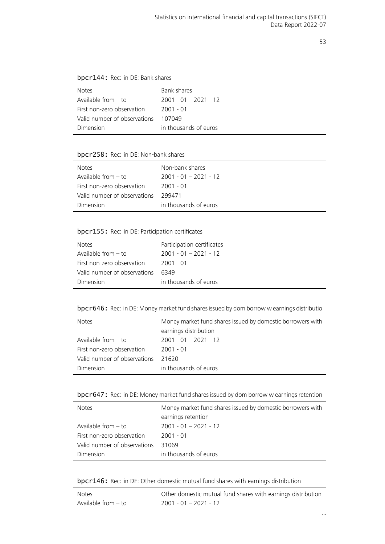# bpcr144: Rec: in DE: Bank shares

| <b>Notes</b>                 | Bank shares             |
|------------------------------|-------------------------|
| Available from - to          | $2001 - 01 - 2021 - 12$ |
| First non-zero observation   | $2001 - 01$             |
| Valid number of observations | 107049                  |
| Dimension                    | in thousands of euros   |

# bpcr258: Rec: in DE: Non-bank shares

| <b>Notes</b>                 | Non-bank shares         |
|------------------------------|-------------------------|
| Available from $-$ to        | $2001 - 01 - 2021 - 12$ |
| First non-zero observation   | -2001 - 01              |
| Valid number of observations | 299471                  |
| Dimension                    | in thousands of euros   |
|                              |                         |

# bpcr155: Rec: in DE: Participation certificates

| <b>Notes</b>                 | Participation certificates |
|------------------------------|----------------------------|
| Available from - to          | $2001 - 01 - 2021 - 12$    |
| First non-zero observation   | -2001 - 01                 |
| Valid number of observations | 6349                       |
| Dimension                    | in thousands of euros      |

# bpcr646: Rec: in DE: Money market fund shares issued by dom borrow w earnings distributio

| <b>Notes</b>                 | Money market fund shares issued by domestic borrowers with<br>earnings distribution |
|------------------------------|-------------------------------------------------------------------------------------|
| Available from $-$ to        | $2001 - 01 - 2021 - 12$                                                             |
| First non-zero observation   | $2001 - 01$                                                                         |
| Valid number of observations | 21620                                                                               |
| Dimension                    | in thousands of euros                                                               |

bpcr647: Rec: in DE: Money market fund shares issued by dom borrow w earnings retention

| <b>Notes</b>                 | Money market fund shares issued by domestic borrowers with |
|------------------------------|------------------------------------------------------------|
|                              | earnings retention                                         |
| Available from $-$ to        | $2001 - 01 - 2021 - 12$                                    |
| First non-zero observation   | $2001 - 01$                                                |
| Valid number of observations | 31069                                                      |
| Dimension                    | in thousands of euros                                      |

bpcr146: Rec: in DE: Other domestic mutual fund shares with earnings distribution

| <b>Notes</b>        | Other domestic mutual fund shares with earnings distribution |
|---------------------|--------------------------------------------------------------|
| Available from – to | $2001 - 01 - 2021 - 12$                                      |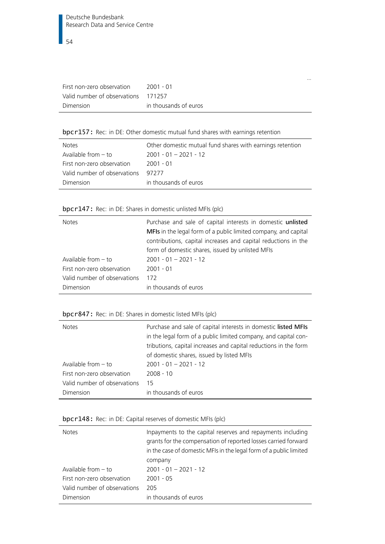| First non-zero observation          | 2001 - 01             |
|-------------------------------------|-----------------------|
| Valid number of observations 171257 |                       |
| Dimension                           | in thousands of euros |

# bpcr157: Rec: in DE: Other domestic mutual fund shares with earnings retention

| <b>Notes</b>                 | Other domestic mutual fund shares with earnings retention |
|------------------------------|-----------------------------------------------------------|
| Available from $-$ to        | $2001 - 01 - 2021 - 12$                                   |
| First non-zero observation   | 2001 - 01                                                 |
| Valid number of observations | 97277                                                     |
| Dimension                    | in thousands of euros                                     |

…

# bpcr147: Rec: in DE: Shares in domestic unlisted MFIs (plc)

| <b>Notes</b>                 | Purchase and sale of capital interests in domestic unlisted<br>MFIs in the legal form of a public limited company, and capital<br>contributions, capital increases and capital reductions in the<br>form of domestic shares, issued by unlisted MFIs |
|------------------------------|------------------------------------------------------------------------------------------------------------------------------------------------------------------------------------------------------------------------------------------------------|
| Available from $-$ to        | $2001 - 01 - 2021 - 12$                                                                                                                                                                                                                              |
| First non-zero observation   | $2001 - 01$                                                                                                                                                                                                                                          |
| Valid number of observations | 172                                                                                                                                                                                                                                                  |
| Dimension                    | in thousands of euros                                                                                                                                                                                                                                |

# bpcr847: Rec: in DE: Shares in domestic listed MFIs (plc)

| <b>Notes</b>                 | Purchase and sale of capital interests in domestic listed MFIs   |
|------------------------------|------------------------------------------------------------------|
|                              | in the legal form of a public limited company, and capital con-  |
|                              | tributions, capital increases and capital reductions in the form |
|                              | of domestic shares, issued by listed MFIs                        |
| Available from $-$ to        | $2001 - 01 - 2021 - 12$                                          |
| First non-zero observation   | $2008 - 10$                                                      |
| Valid number of observations | 15                                                               |
| Dimension                    | in thousands of euros                                            |

# bpcr148: Rec: in DE: Capital reserves of domestic MFIs (plc)

| <b>Notes</b>                 | Inpayments to the capital reserves and repayments including<br>grants for the compensation of reported losses carried forward<br>in the case of domestic MFIs in the legal form of a public limited<br>company |
|------------------------------|----------------------------------------------------------------------------------------------------------------------------------------------------------------------------------------------------------------|
| Available from $-$ to        | $2001 - 01 - 2021 - 12$                                                                                                                                                                                        |
| First non-zero observation   | $2001 - 05$                                                                                                                                                                                                    |
| Valid number of observations | 205                                                                                                                                                                                                            |
| Dimension                    | in thousands of euros                                                                                                                                                                                          |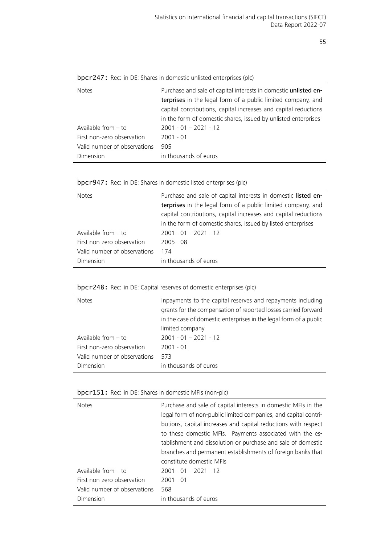| <b>Notes</b>                 | Purchase and sale of capital interests in domestic unlisted en- |
|------------------------------|-----------------------------------------------------------------|
|                              | terprises in the legal form of a public limited company, and    |
|                              | capital contributions, capital increases and capital reductions |
|                              | in the form of domestic shares, issued by unlisted enterprises  |
| Available from $-$ to        | $2001 - 01 - 2021 - 12$                                         |
| First non-zero observation   | $2001 - 01$                                                     |
| Valid number of observations | 905                                                             |
| Dimension                    | in thousands of euros                                           |

| bpcr247: Rec: in DE: Shares in domestic unlisted enterprises (plc) |  |  |  |  |  |  |  |  |
|--------------------------------------------------------------------|--|--|--|--|--|--|--|--|
|--------------------------------------------------------------------|--|--|--|--|--|--|--|--|

bpcr947: Rec: in DE: Shares in domestic listed enterprises (plc)

| <b>Notes</b>                 | Purchase and sale of capital interests in domestic listed en-<br>terprises in the legal form of a public limited company, and<br>capital contributions, capital increases and capital reductions<br>in the form of domestic shares, issued by listed enterprises |  |  |
|------------------------------|------------------------------------------------------------------------------------------------------------------------------------------------------------------------------------------------------------------------------------------------------------------|--|--|
| Available from $-$ to        | $2001 - 01 - 2021 - 12$                                                                                                                                                                                                                                          |  |  |
| First non-zero observation   | $2005 - 08$                                                                                                                                                                                                                                                      |  |  |
| Valid number of observations | 174                                                                                                                                                                                                                                                              |  |  |
| Dimension                    | in thousands of euros                                                                                                                                                                                                                                            |  |  |

# bpcr248: Rec: in DE: Capital reserves of domestic enterprises (plc)

| <b>Notes</b>                 | Inpayments to the capital reserves and repayments including<br>grants for the compensation of reported losses carried forward<br>in the case of domestic enterprises in the legal form of a public<br>limited company |
|------------------------------|-----------------------------------------------------------------------------------------------------------------------------------------------------------------------------------------------------------------------|
| Available from $-$ to        | $2001 - 01 - 2021 - 12$                                                                                                                                                                                               |
| First non-zero observation   | $2001 - 01$                                                                                                                                                                                                           |
| Valid number of observations | 573                                                                                                                                                                                                                   |
| Dimension                    | in thousands of euros                                                                                                                                                                                                 |

# bpcr151: Rec: in DE: Shares in domestic MFIs (non-plc)

| <b>Notes</b>                 | Purchase and sale of capital interests in domestic MFIs in the<br>legal form of non-public limited companies, and capital contri-<br>butions, capital increases and capital reductions with respect<br>to these domestic MFIs. Payments associated with the es-<br>tablishment and dissolution or purchase and sale of domestic<br>branches and permanent establishments of foreign banks that<br>constitute domestic MFIs |
|------------------------------|----------------------------------------------------------------------------------------------------------------------------------------------------------------------------------------------------------------------------------------------------------------------------------------------------------------------------------------------------------------------------------------------------------------------------|
| Available from $-$ to        | $2001 - 01 - 2021 - 12$                                                                                                                                                                                                                                                                                                                                                                                                    |
| First non-zero observation   | $2001 - 01$                                                                                                                                                                                                                                                                                                                                                                                                                |
| Valid number of observations | 568                                                                                                                                                                                                                                                                                                                                                                                                                        |
| Dimension                    | in thousands of euros                                                                                                                                                                                                                                                                                                                                                                                                      |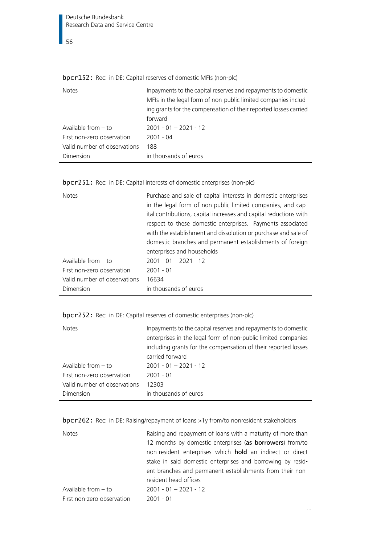| <b>OPCI 1941</b> RCC. III DE. Capital ICSCRES OF GOTHESTIC IVILIS (HOT PIC)                                                                                                                                    |  |  |
|----------------------------------------------------------------------------------------------------------------------------------------------------------------------------------------------------------------|--|--|
| Inpayments to the capital reserves and repayments to domestic<br>MFIs in the legal form of non-public limited companies includ-<br>ing grants for the compensation of their reported losses carried<br>forward |  |  |
| $2001 - 01 - 2021 - 12$<br>$2001 - 04$<br>188<br>in thousands of euros                                                                                                                                         |  |  |
|                                                                                                                                                                                                                |  |  |

|  | bpcr152: Rec: in DE: Capital reserves of domestic MFIs (non-plc) |  |  |  |
|--|------------------------------------------------------------------|--|--|--|
|--|------------------------------------------------------------------|--|--|--|

| bpcr251: Rec: in DE: Capital interests of domestic enterprises (non-plc) |  |  |  |  |
|--------------------------------------------------------------------------|--|--|--|--|
|                                                                          |  |  |  |  |

| <b>Notes</b>                 | Purchase and sale of capital interests in domestic enterprises<br>in the legal form of non-public limited companies, and cap-<br>ital contributions, capital increases and capital reductions with<br>respect to these domestic enterprises. Payments associated<br>with the establishment and dissolution or purchase and sale of<br>domestic branches and permanent establishments of foreign |
|------------------------------|-------------------------------------------------------------------------------------------------------------------------------------------------------------------------------------------------------------------------------------------------------------------------------------------------------------------------------------------------------------------------------------------------|
|                              | enterprises and households                                                                                                                                                                                                                                                                                                                                                                      |
| Available from $-$ to        | $2001 - 01 - 2021 - 12$                                                                                                                                                                                                                                                                                                                                                                         |
| First non-zero observation   | $2001 - 01$                                                                                                                                                                                                                                                                                                                                                                                     |
| Valid number of observations | 16634                                                                                                                                                                                                                                                                                                                                                                                           |
| Dimension                    | in thousands of euros                                                                                                                                                                                                                                                                                                                                                                           |

|  |  | bpcr252: Rec: in DE: Capital reserves of domestic enterprises (non-plc) |  |  |
|--|--|-------------------------------------------------------------------------|--|--|
|--|--|-------------------------------------------------------------------------|--|--|

| <b>Notes</b>                 | Inpayments to the capital reserves and repayments to domestic<br>enterprises in the legal form of non-public limited companies<br>including grants for the compensation of their reported losses<br>carried forward |
|------------------------------|---------------------------------------------------------------------------------------------------------------------------------------------------------------------------------------------------------------------|
| Available from $-$ to        | $2001 - 01 - 2021 - 12$                                                                                                                                                                                             |
| First non-zero observation   | $2001 - 01$                                                                                                                                                                                                         |
| Valid number of observations | 12303                                                                                                                                                                                                               |
| Dimension                    | in thousands of euros                                                                                                                                                                                               |

|  | bpcr262: Rec: in DE: Raising/repayment of loans >1y from/to nonresident stakeholders |  |  |
|--|--------------------------------------------------------------------------------------|--|--|
|--|--------------------------------------------------------------------------------------|--|--|

| <b>Notes</b>               | Raising and repayment of loans with a maturity of more than |
|----------------------------|-------------------------------------------------------------|
|                            | 12 months by domestic enterprises (as borrowers) from/to    |
|                            | non-resident enterprises which hold an indirect or direct   |
|                            | stake in said domestic enterprises and borrowing by resid-  |
|                            | ent branches and permanent establishments from their non-   |
|                            | resident head offices                                       |
| Available from $-$ to      | $2001 - 01 - 2021 - 12$                                     |
| First non-zero observation | $2001 - 01$                                                 |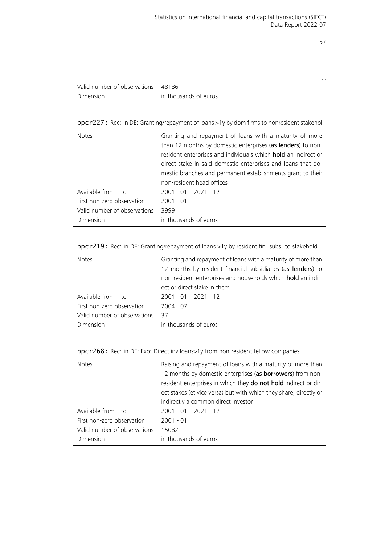…

| Valid number of observations 48186 |                       |
|------------------------------------|-----------------------|
| Dimension                          | in thousands of euros |

bpcr227: Rec: in DE: Granting/repayment of loans >1y by dom firms to nonresident stakehol

| <b>Notes</b>                 | Granting and repayment of loans with a maturity of more        |
|------------------------------|----------------------------------------------------------------|
|                              | than 12 months by domestic enterprises (as lenders) to non-    |
|                              | resident enterprises and individuals which hold an indirect or |
|                              | direct stake in said domestic enterprises and loans that do-   |
|                              | mestic branches and permanent establishments grant to their    |
|                              | non-resident head offices                                      |
| Available from $-$ to        | $2001 - 01 - 2021 - 12$                                        |
| First non-zero observation   | $2001 - 01$                                                    |
| Valid number of observations | 3999                                                           |
| Dimension                    | in thousands of euros                                          |

| bpcr219: Rec: in DE: Granting/repayment of loans >1y by resident fin. subs. to stakehold |  |  |  |  |  |  |  |  |  |  |  |  |  |  |
|------------------------------------------------------------------------------------------|--|--|--|--|--|--|--|--|--|--|--|--|--|--|
|------------------------------------------------------------------------------------------|--|--|--|--|--|--|--|--|--|--|--|--|--|--|

| <b>Notes</b>                 | Granting and repayment of loans with a maturity of more than<br>12 months by resident financial subsidiaries (as lenders) to<br>non-resident enterprises and households which hold an indir-<br>ect or direct stake in them |
|------------------------------|-----------------------------------------------------------------------------------------------------------------------------------------------------------------------------------------------------------------------------|
| Available from $-$ to        | $2001 - 01 - 2021 - 12$                                                                                                                                                                                                     |
| First non-zero observation   | $2004 - 07$                                                                                                                                                                                                                 |
| Valid number of observations | -37                                                                                                                                                                                                                         |
| Dimension                    | in thousands of euros                                                                                                                                                                                                       |

bpcr268: Rec: in DE: Exp: Direct inv loans>1y from non-resident fellow companies

| <b>Notes</b>                 | Raising and repayment of loans with a maturity of more than       |
|------------------------------|-------------------------------------------------------------------|
|                              | 12 months by domestic enterprises (as borrowers) from non-        |
|                              | resident enterprises in which they do not hold indirect or dir-   |
|                              | ect stakes (et vice versa) but with which they share, directly or |
|                              | indirectly a common direct investor                               |
| Available from $-$ to        | $2001 - 01 - 2021 - 12$                                           |
| First non-zero observation   | $2001 - 01$                                                       |
| Valid number of observations | 15082                                                             |
| Dimension                    | in thousands of euros                                             |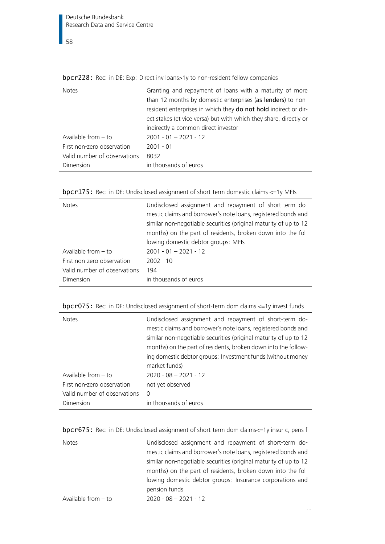$\overline{\phantom{1}}$  58

| <b>Notes</b>                 | Granting and repayment of loans with a maturity of more           |
|------------------------------|-------------------------------------------------------------------|
|                              | than 12 months by domestic enterprises (as lenders) to non-       |
|                              | resident enterprises in which they do not hold indirect or dir-   |
|                              | ect stakes (et vice versa) but with which they share, directly or |
|                              | indirectly a common direct investor                               |
| Available from $-$ to        | $2001 - 01 - 2021 - 12$                                           |
| First non-zero observation   | $2001 - 01$                                                       |
| Valid number of observations | 8032                                                              |
| Dimension                    | in thousands of euros                                             |
|                              |                                                                   |

bpcr228: Rec: in DE: Exp: Direct inv loans>1y to non-resident fellow companies

|  | <b>bpcr175:</b> Rec: in DE: Undisclosed assignment of short-term domestic claims $\leq$ =1y MFIs |  |
|--|--------------------------------------------------------------------------------------------------|--|
|  |                                                                                                  |  |

| <b>Notes</b>                 | Undisclosed assignment and repayment of short-term do-           |
|------------------------------|------------------------------------------------------------------|
|                              | mestic claims and borrower's note loans, registered bonds and    |
|                              | similar non-negotiable securities (original maturity of up to 12 |
|                              | months) on the part of residents, broken down into the fol-      |
|                              | lowing domestic debtor groups: MFIs                              |
| Available from $-$ to        | $2001 - 01 - 2021 - 12$                                          |
| First non-zero observation   | $2002 - 10$                                                      |
| Valid number of observations | 194                                                              |
| Dimension                    | in thousands of euros                                            |
|                              |                                                                  |

|  | bpcr075: Rec: in DE: Undisclosed assignment of short-term dom claims <= 1y invest funds |  |
|--|-----------------------------------------------------------------------------------------|--|
|  |                                                                                         |  |

| <b>Notes</b>                 | Undisclosed assignment and repayment of short-term do-<br>mestic claims and borrower's note loans, registered bonds and<br>similar non-negotiable securities (original maturity of up to 12<br>months) on the part of residents, broken down into the follow-<br>ing domestic debtor groups: Investment funds (without money<br>market funds) |
|------------------------------|-----------------------------------------------------------------------------------------------------------------------------------------------------------------------------------------------------------------------------------------------------------------------------------------------------------------------------------------------|
| Available from $-$ to        | $2020 - 08 - 2021 - 12$                                                                                                                                                                                                                                                                                                                       |
| First non-zero observation   | not yet observed                                                                                                                                                                                                                                                                                                                              |
| Valid number of observations | $\Omega$                                                                                                                                                                                                                                                                                                                                      |
| Dimension                    | in thousands of euros                                                                                                                                                                                                                                                                                                                         |

| bpcr675: Rec: in DE: Undisclosed assignment of short-term dom claims <= 1y insur c, pens f |  |
|--------------------------------------------------------------------------------------------|--|
|--------------------------------------------------------------------------------------------|--|

| <b>Notes</b>          | Undisclosed assignment and repayment of short-term do-           |
|-----------------------|------------------------------------------------------------------|
|                       | mestic claims and borrower's note loans, registered bonds and    |
|                       | similar non-negotiable securities (original maturity of up to 12 |
|                       | months) on the part of residents, broken down into the fol-      |
|                       | lowing domestic debtor groups: Insurance corporations and        |
|                       | pension funds                                                    |
| Available from $-$ to | $2020 - 08 - 2021 - 12$                                          |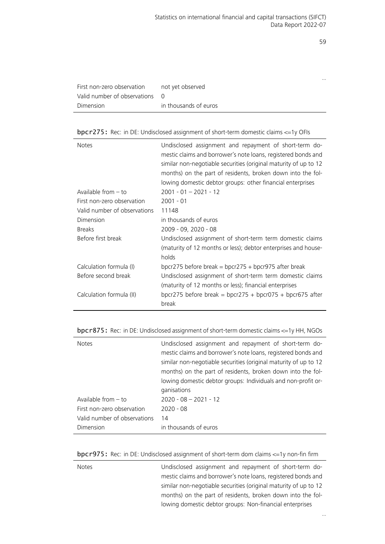|                              |                       | $\cdots$ |
|------------------------------|-----------------------|----------|
| First non-zero observation   | not yet observed      |          |
| Valid number of observations | - 0                   |          |
| Dimension                    | in thousands of euros |          |
|                              |                       |          |

bpcr275: Rec: in DE: Undisclosed assignment of short-term domestic claims <=1y OFIs

| <b>Notes</b>                 | Undisclosed assignment and repayment of short-term do-<br>mestic claims and borrower's note loans, registered bonds and<br>similar non-negotiable securities (original maturity of up to 12<br>months) on the part of residents, broken down into the fol-<br>lowing domestic debtor groups: other financial enterprises |
|------------------------------|--------------------------------------------------------------------------------------------------------------------------------------------------------------------------------------------------------------------------------------------------------------------------------------------------------------------------|
| Available from $-$ to        | $2001 - 01 - 2021 - 12$                                                                                                                                                                                                                                                                                                  |
| First non-zero observation   | $2001 - 01$                                                                                                                                                                                                                                                                                                              |
| Valid number of observations | 11148                                                                                                                                                                                                                                                                                                                    |
| Dimension                    | in thousands of euros                                                                                                                                                                                                                                                                                                    |
| <b>Breaks</b>                | 2009 - 09, 2020 - 08                                                                                                                                                                                                                                                                                                     |
| Before first break           | Undisclosed assignment of short-term term domestic claims<br>(maturity of 12 months or less); debtor enterprises and house-<br>holds                                                                                                                                                                                     |
| Calculation formula (I)      | bpcr275 before break = bpcr275 + bpcr975 after break                                                                                                                                                                                                                                                                     |
| Before second break          | Undisclosed assignment of short-term term domestic claims<br>(maturity of 12 months or less); financial enterprises                                                                                                                                                                                                      |
| Calculation formula (II)     | bpcr275 before break = bpcr275 + bpcr075 + bpcr675 after<br>break                                                                                                                                                                                                                                                        |

bpcr875: Rec: in DE: Undisclosed assignment of short-term domestic claims <=1y HH, NGOs

| <b>Notes</b>                 | Undisclosed assignment and repayment of short-term do-<br>mestic claims and borrower's note loans, registered bonds and<br>similar non-negotiable securities (original maturity of up to 12<br>months) on the part of residents, broken down into the fol-<br>lowing domestic debtor groups: Individuals and non-profit or-<br>ganisations |
|------------------------------|--------------------------------------------------------------------------------------------------------------------------------------------------------------------------------------------------------------------------------------------------------------------------------------------------------------------------------------------|
| Available from $-$ to        | $2020 - 08 - 2021 - 12$                                                                                                                                                                                                                                                                                                                    |
| First non-zero observation   | $2020 - 08$                                                                                                                                                                                                                                                                                                                                |
| Valid number of observations | 14                                                                                                                                                                                                                                                                                                                                         |
| Dimension                    | in thousands of euros                                                                                                                                                                                                                                                                                                                      |

bpcr975: Rec: in DE: Undisclosed assignment of short-term dom claims <=1y non-fin firm

| <b>Notes</b> | Undisclosed assignment and repayment of short-term do-           |
|--------------|------------------------------------------------------------------|
|              | mestic claims and borrower's note loans, registered bonds and    |
|              | similar non-negotiable securities (original maturity of up to 12 |
|              | months) on the part of residents, broken down into the fol-      |
|              | lowing domestic debtor groups: Non-financial enterprises         |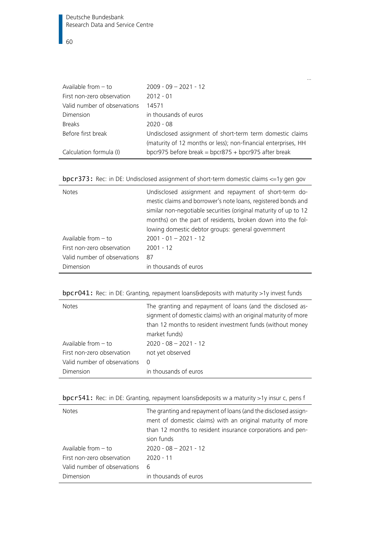| Available from $-$ to        | $2009 - 09 - 2021 - 12$                                        |
|------------------------------|----------------------------------------------------------------|
| First non-zero observation   | $2012 - 01$                                                    |
| Valid number of observations | 14571                                                          |
| Dimension                    | in thousands of euros                                          |
| <b>Breaks</b>                | $2020 - 08$                                                    |
| Before first break           | Undisclosed assignment of short-term term domestic claims      |
|                              | (maturity of 12 months or less); non-financial enterprises, HH |
| Calculation formula (I)      | bpcr975 before break = bpcr875 + bpcr975 after break           |

bpcr373: Rec: in DE: Undisclosed assignment of short-term domestic claims <=1y gen gov

| <b>Notes</b>                 | Undisclosed assignment and repayment of short-term do-<br>mestic claims and borrower's note loans, registered bonds and<br>similar non-negotiable securities (original maturity of up to 12<br>months) on the part of residents, broken down into the fol-<br>lowing domestic debtor groups: general government |
|------------------------------|-----------------------------------------------------------------------------------------------------------------------------------------------------------------------------------------------------------------------------------------------------------------------------------------------------------------|
| Available from $-$ to        | $2001 - 01 - 2021 - 12$                                                                                                                                                                                                                                                                                         |
| First non-zero observation   | $2001 - 12$                                                                                                                                                                                                                                                                                                     |
| Valid number of observations | 87                                                                                                                                                                                                                                                                                                              |
| Dimension                    | in thousands of euros                                                                                                                                                                                                                                                                                           |

|--|

| <b>Notes</b>                 | The granting and repayment of loans (and the disclosed as-<br>signment of domestic claims) with an original maturity of more<br>than 12 months to resident investment funds (without money<br>market funds) |
|------------------------------|-------------------------------------------------------------------------------------------------------------------------------------------------------------------------------------------------------------|
| Available from $-$ to        | $2020 - 08 - 2021 - 12$                                                                                                                                                                                     |
| First non-zero observation   | not yet observed                                                                                                                                                                                            |
| Valid number of observations | $\Omega$                                                                                                                                                                                                    |
| Dimension                    | in thousands of euros                                                                                                                                                                                       |

|  | bpcr541: Rec: in DE: Granting, repayment loans&deposits w a maturity >1y insur c, pens f |  |
|--|------------------------------------------------------------------------------------------|--|
|  |                                                                                          |  |

| <b>Notes</b>                 | The granting and repayment of loans (and the disclosed assign-<br>ment of domestic claims) with an original maturity of more<br>than 12 months to resident insurance corporations and pen-<br>sion funds |
|------------------------------|----------------------------------------------------------------------------------------------------------------------------------------------------------------------------------------------------------|
| Available from $-$ to        | $2020 - 08 - 2021 - 12$                                                                                                                                                                                  |
| First non-zero observation   | $2020 - 11$                                                                                                                                                                                              |
| Valid number of observations | 6                                                                                                                                                                                                        |
| Dimension                    | in thousands of euros                                                                                                                                                                                    |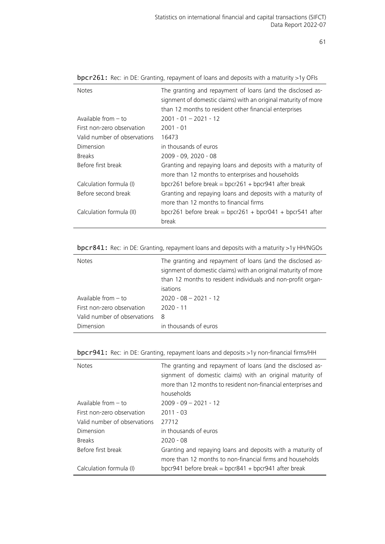| <b>Notes</b>                 | The granting and repayment of loans (and the disclosed as-<br>signment of domestic claims) with an original maturity of more<br>than 12 months to resident other financial enterprises |
|------------------------------|----------------------------------------------------------------------------------------------------------------------------------------------------------------------------------------|
| Available from $-$ to        | $2001 - 01 - 2021 - 12$                                                                                                                                                                |
| First non-zero observation   | $2001 - 01$                                                                                                                                                                            |
| Valid number of observations | 16473                                                                                                                                                                                  |
| Dimension                    | in thousands of euros                                                                                                                                                                  |
| <b>Breaks</b>                | 2009 - 09, 2020 - 08                                                                                                                                                                   |
| Before first break           | Granting and repaying loans and deposits with a maturity of<br>more than 12 months to enterprises and households                                                                       |
| Calculation formula (I)      | bpcr261 before break = bpcr261 + bpcr941 after break                                                                                                                                   |
| Before second break          | Granting and repaying loans and deposits with a maturity of                                                                                                                            |
|                              | more than 12 months to financial firms                                                                                                                                                 |
| Calculation formula (II)     | bpcr261 before break = bpcr261 + bpcr041 + bpcr541 after                                                                                                                               |
|                              | break                                                                                                                                                                                  |

bpcr261: Rec: in DE: Granting, repayment of loans and deposits with a maturity >1y OFIs

bpcr841: Rec: in DE: Granting, repayment loans and deposits with a maturity >1y HH/NGOs

| <b>Notes</b>                 | The granting and repayment of loans (and the disclosed as-<br>signment of domestic claims) with an original maturity of more |
|------------------------------|------------------------------------------------------------------------------------------------------------------------------|
|                              | than 12 months to resident individuals and non-profit organ-                                                                 |
|                              | isations                                                                                                                     |
| Available from $-$ to        | $2020 - 08 - 2021 - 12$                                                                                                      |
| First non-zero observation   | $2020 - 11$                                                                                                                  |
| Valid number of observations | - 8                                                                                                                          |
| Dimension                    | in thousands of euros                                                                                                        |

bpcr941: Rec: in DE: Granting, repayment loans and deposits >1y non-financial firms/HH

| <b>Notes</b>                 | The granting and repayment of loans (and the disclosed as-<br>signment of domestic claims) with an original maturity of<br>more than 12 months to resident non-financial enterprises and<br>households |
|------------------------------|--------------------------------------------------------------------------------------------------------------------------------------------------------------------------------------------------------|
| Available from $-$ to        | $2009 - 09 - 2021 - 12$                                                                                                                                                                                |
| First non-zero observation   | $2011 - 03$                                                                                                                                                                                            |
| Valid number of observations | 27712                                                                                                                                                                                                  |
| Dimension                    | in thousands of euros                                                                                                                                                                                  |
| <b>Breaks</b>                | $2020 - 08$                                                                                                                                                                                            |
| Before first break           | Granting and repaying loans and deposits with a maturity of                                                                                                                                            |
|                              | more than 12 months to non-financial firms and households                                                                                                                                              |
| Calculation formula (I)      | bpcr941 before break = bpcr841 + bpcr941 after break                                                                                                                                                   |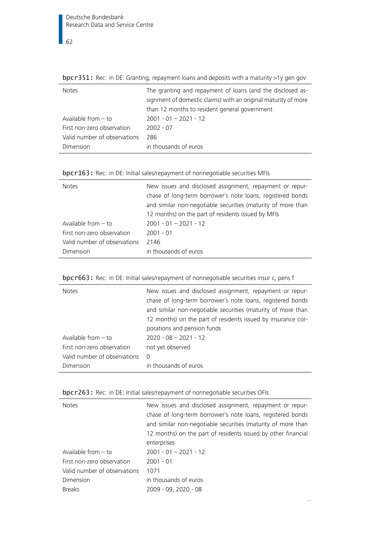Notes The granting and repayment of loans (and the disclosed assignment of domestic claims) with an original maturity of more than 12 months to resident general government Available from – to 2001 - 01 – 2021 - 12 First non-zero observation 2002 - 07 Valid number of observations 286 Dimension in thousands of euros

| bpc $r351$ : Rec: in DE: Granting, repayment loans and deposits with a maturity >1y gen gov |  |  |  |
|---------------------------------------------------------------------------------------------|--|--|--|
|---------------------------------------------------------------------------------------------|--|--|--|

|  |  |  |  |  |  | bpcr163: Rec: in DE: Initial sales/repayment of nonnegotiable securities MFIs |  |  |
|--|--|--|--|--|--|-------------------------------------------------------------------------------|--|--|
|--|--|--|--|--|--|-------------------------------------------------------------------------------|--|--|

| <b>Notes</b>                 | New issues and disclosed assignment, repayment or repur-     |
|------------------------------|--------------------------------------------------------------|
|                              | chase of long-term borrower's note loans, registered bonds   |
|                              | and similar non-negotiable securities (maturity of more than |
|                              | 12 months) on the part of residents issued by MFIs           |
| Available from $-$ to        | $2001 - 01 - 2021 - 12$                                      |
| First non-zero observation   | $2001 - 01$                                                  |
| Valid number of observations | 2146                                                         |
| Dimension                    | in thousands of euros                                        |

|  |  | bpcr663: Rec: in DE: Initial sales/repayment of nonnegotiable securities insur c, pens f |
|--|--|------------------------------------------------------------------------------------------|
|  |  |                                                                                          |

| <b>Notes</b>                 | New issues and disclosed assignment, repayment or repur-<br>chase of long-term borrower's note loans, registered bonds<br>and similar non-negotiable securities (maturity of more than<br>12 months) on the part of residents issued by insurance cor-<br>porations and pension funds |
|------------------------------|---------------------------------------------------------------------------------------------------------------------------------------------------------------------------------------------------------------------------------------------------------------------------------------|
| Available from $-$ to        | $2020 - 08 - 2021 - 12$                                                                                                                                                                                                                                                               |
| First non-zero observation   | not yet observed                                                                                                                                                                                                                                                                      |
| Valid number of observations | - 0                                                                                                                                                                                                                                                                                   |
| Dimension                    | in thousands of euros                                                                                                                                                                                                                                                                 |

|  |  | bpcr263: Rec: in DE: Initial sales/repayment of nonnegotiable securities OFIs |  |
|--|--|-------------------------------------------------------------------------------|--|
|  |  |                                                                               |  |

| <b>Notes</b>                 | New issues and disclosed assignment, repayment or repur-<br>chase of long-term borrower's note loans, registered bonds<br>and similar non-negotiable securities (maturity of more than<br>12 months) on the part of residents issued by other financial<br>enterprises |
|------------------------------|------------------------------------------------------------------------------------------------------------------------------------------------------------------------------------------------------------------------------------------------------------------------|
| Available from $-$ to        | $2001 - 01 - 2021 - 12$                                                                                                                                                                                                                                                |
| First non-zero observation   | $2001 - 01$                                                                                                                                                                                                                                                            |
| Valid number of observations | 1071                                                                                                                                                                                                                                                                   |
| Dimension                    | in thousands of euros                                                                                                                                                                                                                                                  |
| <b>Breaks</b>                | 2009 - 09, 2020 - 08                                                                                                                                                                                                                                                   |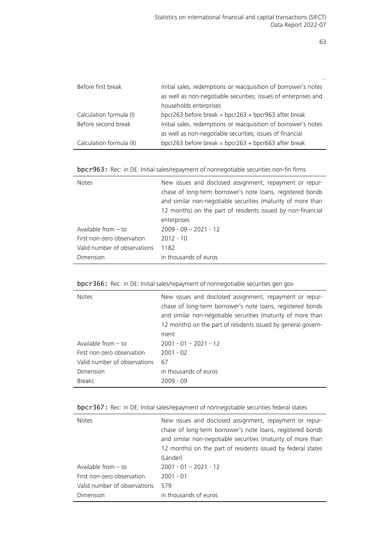| Before first break       | Initial sales, redemptions or reacquisition of borrower's notes |
|--------------------------|-----------------------------------------------------------------|
|                          | as well as non-negotiable securities; issues of enterprises and |
|                          | households enterprises                                          |
| Calculation formula (I)  | bpcr263 before break = bpcr263 + bpcr963 after break            |
| Before second break      | Initial sales, redemptions or reacquisition of borrower's notes |
|                          | as well as non-negotiable securities; issues of financial       |
| Calculation formula (II) | bpcr263 before break = bpcr263 + bpcr663 after break            |

|  |  |  |  | bpcr963: Rec: in DE: Initial sales/repayment of nonnegotiable securities non-fin firms |  |  |  |
|--|--|--|--|----------------------------------------------------------------------------------------|--|--|--|
|--|--|--|--|----------------------------------------------------------------------------------------|--|--|--|

| <b>Notes</b>                                               | New issues and disclosed assignment, repayment or repur-<br>chase of long-term borrower's note loans, registered bonds<br>and similar non-negotiable securities (maturity of more than<br>12 months) on the part of residents issued by non-financial<br>enterprises |
|------------------------------------------------------------|----------------------------------------------------------------------------------------------------------------------------------------------------------------------------------------------------------------------------------------------------------------------|
| Available from $-$ to                                      | $2009 - 09 - 2021 - 12$                                                                                                                                                                                                                                              |
| First non-zero observation<br>Valid number of observations | $2012 - 10$<br>1182                                                                                                                                                                                                                                                  |
| Dimension                                                  | in thousands of euros                                                                                                                                                                                                                                                |

| <b>Notes</b>                 | New issues and disclosed assignment, repayment or repur-<br>chase of long-term borrower's note loans, registered bonds<br>and similar non-negotiable securities (maturity of more than<br>12 months) on the part of residents issued by general govern-<br>ment |
|------------------------------|-----------------------------------------------------------------------------------------------------------------------------------------------------------------------------------------------------------------------------------------------------------------|
| Available from $-$ to        | $2001 - 01 - 2021 - 12$                                                                                                                                                                                                                                         |
| First non-zero observation   | $2001 - 02$                                                                                                                                                                                                                                                     |
| Valid number of observations | 67                                                                                                                                                                                                                                                              |
| Dimension                    | in thousands of euros                                                                                                                                                                                                                                           |
| <b>Breaks</b>                | $2009 - 09$                                                                                                                                                                                                                                                     |

|  |  | bpcr367: Rec: in DE: Initial sales/repayment of nonnegotiable securities federal states |  |  |  |
|--|--|-----------------------------------------------------------------------------------------|--|--|--|
|  |  |                                                                                         |  |  |  |

| <b>Notes</b>                 | New issues and disclosed assignment, repayment or repur-<br>chase of long-term borrower's note loans, registered bonds<br>and similar non-negotiable securities (maturity of more than<br>12 months) on the part of residents issued by federal states<br>(Länder) |
|------------------------------|--------------------------------------------------------------------------------------------------------------------------------------------------------------------------------------------------------------------------------------------------------------------|
| Available from $-$ to        | $2001 - 01 - 2021 - 12$                                                                                                                                                                                                                                            |
| First non-zero observation   | $2001 - 01$                                                                                                                                                                                                                                                        |
| Valid number of observations | 579                                                                                                                                                                                                                                                                |
| Dimension                    | in thousands of euros                                                                                                                                                                                                                                              |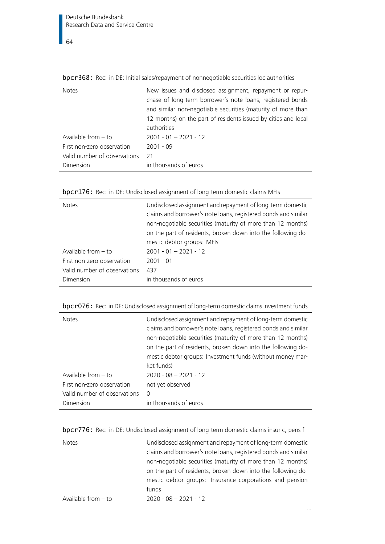| <b>Notes</b>                 | New issues and disclosed assignment, repayment or repur-       |
|------------------------------|----------------------------------------------------------------|
|                              | chase of long-term borrower's note loans, registered bonds     |
|                              | and similar non-negotiable securities (maturity of more than   |
|                              | 12 months) on the part of residents issued by cities and local |
|                              | authorities                                                    |
| Available from $-$ to        | $2001 - 01 - 2021 - 12$                                        |
| First non-zero observation   | $2001 - 09$                                                    |
| Valid number of observations | 21                                                             |
| Dimension                    | in thousands of euros                                          |

bpcr368: Rec: in DE: Initial sales/repayment of nonnegotiable securities loc authorities

| bpcr176: Rec: in DE: Undisclosed assignment of long-term domestic claims MFIs |  |  |
|-------------------------------------------------------------------------------|--|--|
|                                                                               |  |  |

| <b>Notes</b>                 | Undisclosed assignment and repayment of long-term domestic<br>claims and borrower's note loans, registered bonds and similar<br>non-negotiable securities (maturity of more than 12 months)<br>on the part of residents, broken down into the following do-<br>mestic debtor groups: MFIs |
|------------------------------|-------------------------------------------------------------------------------------------------------------------------------------------------------------------------------------------------------------------------------------------------------------------------------------------|
| Available from $-$ to        | $2001 - 01 - 2021 - 12$                                                                                                                                                                                                                                                                   |
| First non-zero observation   | $2001 - 01$                                                                                                                                                                                                                                                                               |
| Valid number of observations | 437                                                                                                                                                                                                                                                                                       |
| Dimension                    | in thousands of euros                                                                                                                                                                                                                                                                     |

bpcr076: Rec: in DE: Undisclosed assignment of long-term domestic claims investment funds

| <b>Notes</b>                 | Undisclosed assignment and repayment of long-term domestic<br>claims and borrower's note loans, registered bonds and similar<br>non-negotiable securities (maturity of more than 12 months)<br>on the part of residents, broken down into the following do-<br>mestic debtor groups: Investment funds (without money mar-<br>ket funds) |
|------------------------------|-----------------------------------------------------------------------------------------------------------------------------------------------------------------------------------------------------------------------------------------------------------------------------------------------------------------------------------------|
| Available from $-$ to        | $2020 - 08 - 2021 - 12$                                                                                                                                                                                                                                                                                                                 |
| First non-zero observation   | not yet observed                                                                                                                                                                                                                                                                                                                        |
| Valid number of observations | $\Omega$                                                                                                                                                                                                                                                                                                                                |
| Dimension                    | in thousands of euros                                                                                                                                                                                                                                                                                                                   |

|  | bpcr776: Rec: in DE: Undisclosed assignment of long-term domestic claims insur c, pens f |  |  |
|--|------------------------------------------------------------------------------------------|--|--|
|  |                                                                                          |  |  |

| <b>Notes</b>          | Undisclosed assignment and repayment of long-term domestic     |
|-----------------------|----------------------------------------------------------------|
|                       | claims and borrower's note loans, registered bonds and similar |
|                       | non-negotiable securities (maturity of more than 12 months)    |
|                       | on the part of residents, broken down into the following do-   |
|                       | mestic debtor groups: Insurance corporations and pension       |
|                       | funds                                                          |
| Available from $-$ to | $2020 - 08 - 2021 - 12$                                        |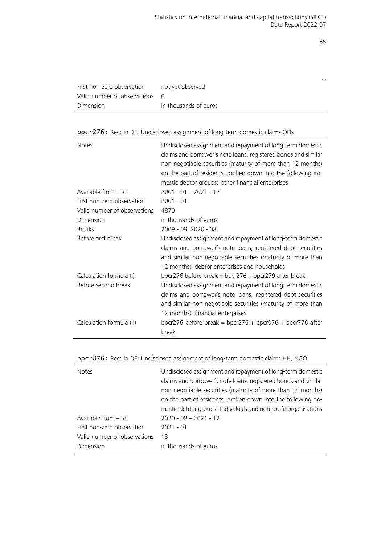…

|                                | not vet observed      |
|--------------------------------|-----------------------|
| Valid number of observations 0 |                       |
| Dimension                      | in thousands of euros |

# bpcr276: Rec: in DE: Undisclosed assignment of long-term domestic claims OFIs

| <b>Notes</b><br>Available from - to<br>First non-zero observation | Undisclosed assignment and repayment of long-term domestic<br>claims and borrower's note loans, registered bonds and similar<br>non-negotiable securities (maturity of more than 12 months)<br>on the part of residents, broken down into the following do-<br>mestic debtor groups: other financial enterprises<br>$2001 - 01 - 2021 - 12$<br>$2001 - 01$ |
|-------------------------------------------------------------------|------------------------------------------------------------------------------------------------------------------------------------------------------------------------------------------------------------------------------------------------------------------------------------------------------------------------------------------------------------|
| Valid number of observations                                      | 4870                                                                                                                                                                                                                                                                                                                                                       |
| Dimension                                                         | in thousands of euros                                                                                                                                                                                                                                                                                                                                      |
| <b>Breaks</b>                                                     | 2009 - 09, 2020 - 08                                                                                                                                                                                                                                                                                                                                       |
| Before first break                                                | Undisclosed assignment and repayment of long-term domestic<br>claims and borrower's note loans, registered debt securities<br>and similar non-negotiable securities (maturity of more than<br>12 months); debtor enterprises and households                                                                                                                |
| Calculation formula (I)                                           | bpcr276 before break = bpcr276 + bpcr279 after break                                                                                                                                                                                                                                                                                                       |
| Before second break                                               | Undisclosed assignment and repayment of long-term domestic<br>claims and borrower's note loans, registered debt securities<br>and similar non-negotiable securities (maturity of more than<br>12 months); financial enterprises                                                                                                                            |
| Calculation formula (II)                                          | bpcr276 before break = bpcr276 + bpcr076 + bpcr776 after<br>break                                                                                                                                                                                                                                                                                          |

# bpcr876: Rec: in DE: Undisclosed assignment of long-term domestic claims HH, NGO

 $\overline{a}$ 

| <b>Notes</b>                 | Undisclosed assignment and repayment of long-term domestic     |
|------------------------------|----------------------------------------------------------------|
|                              | claims and borrower's note loans, registered bonds and similar |
|                              | non-negotiable securities (maturity of more than 12 months)    |
|                              | on the part of residents, broken down into the following do-   |
|                              | mestic debtor groups: Individuals and non-profit organisations |
| Available from $-$ to        | $2020 - 08 - 2021 - 12$                                        |
| First non-zero observation   | $2021 - 01$                                                    |
| Valid number of observations | 13                                                             |
| Dimension                    | in thousands of euros                                          |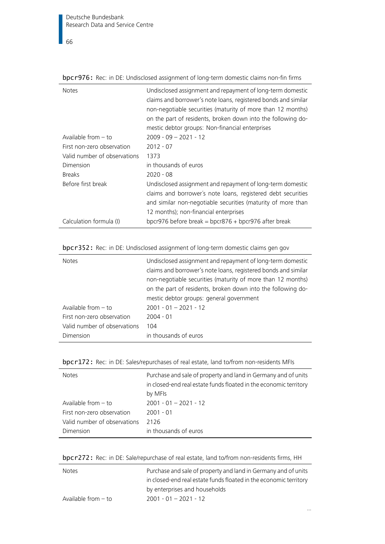$\overline{\phantom{0}}$  66

| <b>Notes</b>                 | Undisclosed assignment and repayment of long-term domestic<br>claims and borrower's note loans, registered bonds and similar<br>non-negotiable securities (maturity of more than 12 months)<br>on the part of residents, broken down into the following do-<br>mestic debtor groups: Non-financial enterprises |
|------------------------------|----------------------------------------------------------------------------------------------------------------------------------------------------------------------------------------------------------------------------------------------------------------------------------------------------------------|
| Available from $-$ to        | $2009 - 09 - 2021 - 12$                                                                                                                                                                                                                                                                                        |
| First non-zero observation   | $2012 - 07$                                                                                                                                                                                                                                                                                                    |
| Valid number of observations | 1373                                                                                                                                                                                                                                                                                                           |
| Dimension                    | in thousands of euros                                                                                                                                                                                                                                                                                          |
| <b>Breaks</b>                | $2020 - 08$                                                                                                                                                                                                                                                                                                    |
| Before first break           | Undisclosed assignment and repayment of long-term domestic<br>claims and borrower's note loans, registered debt securities<br>and similar non-negotiable securities (maturity of more than<br>12 months); non-financial enterprises                                                                            |
| Calculation formula (I)      | bpcr976 before break = bpcr876 + bpcr976 after break                                                                                                                                                                                                                                                           |

bpcr976: Rec: in DE: Undisclosed assignment of long-term domestic claims non-fin firms

bpcr352: Rec: in DE: Undisclosed assignment of long-term domestic claims gen gov

| <b>Notes</b>                 | Undisclosed assignment and repayment of long-term domestic<br>claims and borrower's note loans, registered bonds and similar<br>non-negotiable securities (maturity of more than 12 months)<br>on the part of residents, broken down into the following do-<br>mestic debtor groups: general government |
|------------------------------|---------------------------------------------------------------------------------------------------------------------------------------------------------------------------------------------------------------------------------------------------------------------------------------------------------|
| Available from $-$ to        | $2001 - 01 - 2021 - 12$                                                                                                                                                                                                                                                                                 |
| First non-zero observation   | $2004 - 01$                                                                                                                                                                                                                                                                                             |
| Valid number of observations | 104                                                                                                                                                                                                                                                                                                     |
| Dimension                    | in thousands of euros                                                                                                                                                                                                                                                                                   |

| <b>Notes</b>                 | Purchase and sale of property and land in Germany and of units<br>in closed-end real estate funds floated in the economic territory<br>by MFIs |
|------------------------------|------------------------------------------------------------------------------------------------------------------------------------------------|
| Available from $-$ to        | $2001 - 01 - 2021 - 12$                                                                                                                        |
| First non-zero observation   | $2001 - 01$                                                                                                                                    |
| Valid number of observations | 2126                                                                                                                                           |
| Dimension                    | in thousands of euros                                                                                                                          |

| bpcr272: Rec: in DE: Sale/repurchase of real estate, land to/from non-residents firms, HH |  |  |  |  |  |  |
|-------------------------------------------------------------------------------------------|--|--|--|--|--|--|
|-------------------------------------------------------------------------------------------|--|--|--|--|--|--|

| <b>Notes</b>          | Purchase and sale of property and land in Germany and of units    |
|-----------------------|-------------------------------------------------------------------|
|                       | in closed-end real estate funds floated in the economic territory |
|                       | by enterprises and households                                     |
| Available from $-$ to | $2001 - 01 - 2021 - 12$                                           |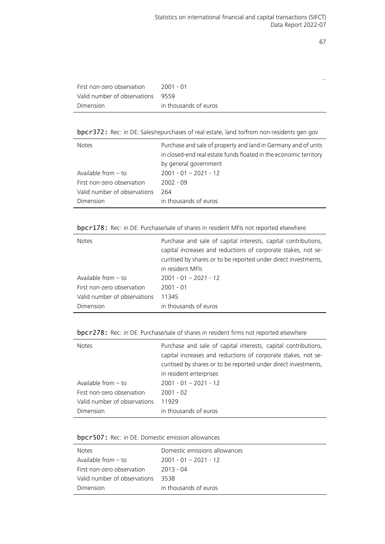…

| First non-zero observation        | 2001 - 01             |
|-----------------------------------|-----------------------|
| Valid number of observations 9559 |                       |
| Dimension                         | in thousands of euros |

bpcr372: Rec: in DE: Sales/repurchases of real estate, land to/from non-residents gen gov

| Purchase and sale of property and land in Germany and of units<br>in closed-end real estate funds floated in the economic territory<br>by general government |
|--------------------------------------------------------------------------------------------------------------------------------------------------------------|
| $2001 - 01 - 2021 - 12$                                                                                                                                      |
| $2002 - 09$                                                                                                                                                  |
| 264                                                                                                                                                          |
| in thousands of euros                                                                                                                                        |
|                                                                                                                                                              |

# bpcr178: Rec: in DE: Purchase/sale of shares in resident MFIs not reported elsewhere

| <b>Notes</b>                 | Purchase and sale of capital interests, capital contributions,<br>capital increases and reductions of corporate stakes, not se-<br>curitised by shares or to be reported under direct investments,<br>in resident MFIs |
|------------------------------|------------------------------------------------------------------------------------------------------------------------------------------------------------------------------------------------------------------------|
| Available from $-$ to        | $2001 - 01 - 2021 - 12$                                                                                                                                                                                                |
| First non-zero observation   | $2001 - 01$                                                                                                                                                                                                            |
| Valid number of observations | 11345                                                                                                                                                                                                                  |
| Dimension                    | in thousands of euros                                                                                                                                                                                                  |

bpcr278: Rec: in DE: Purchase/sale of shares in resident firms not reported elsewhere

| <b>Notes</b>                 | Purchase and sale of capital interests, capital contributions,<br>capital increases and reductions of corporate stakes, not se-<br>curitised by shares or to be reported under direct investments,<br>in resident enterprises |
|------------------------------|-------------------------------------------------------------------------------------------------------------------------------------------------------------------------------------------------------------------------------|
| Available from $-$ to        | $2001 - 01 - 2021 - 12$                                                                                                                                                                                                       |
| First non-zero observation   | $2001 - 02$                                                                                                                                                                                                                   |
| Valid number of observations | 11929                                                                                                                                                                                                                         |
| Dimension                    | in thousands of euros                                                                                                                                                                                                         |

| bpcr507: Rec: in DE: Domestic emission allowances |  |  |  |  |  |
|---------------------------------------------------|--|--|--|--|--|
|---------------------------------------------------|--|--|--|--|--|

| <b>Notes</b>                 | Domestic emissions allowances |
|------------------------------|-------------------------------|
| Available from $-$ to        | $2001 - 01 - 2021 - 12$       |
| First non-zero observation   | 2013 - 04                     |
| Valid number of observations | 3538                          |
| Dimension                    | in thousands of euros         |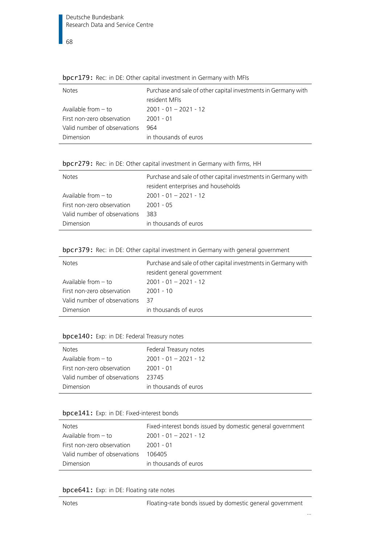| $\frac{1}{2}$ $\frac{1}{2}$ $\frac{1}{2}$ $\frac{1}{2}$ $\frac{1}{2}$ $\frac{1}{2}$ $\frac{1}{2}$ $\frac{1}{2}$ $\frac{1}{2}$ $\frac{1}{2}$ $\frac{1}{2}$ $\frac{1}{2}$ $\frac{1}{2}$ $\frac{1}{2}$ $\frac{1}{2}$ $\frac{1}{2}$ $\frac{1}{2}$ $\frac{1}{2}$ $\frac{1}{2}$ $\frac{1}{2}$ $\frac{1}{2}$ $\frac{1}{2}$ |
|---------------------------------------------------------------------------------------------------------------------------------------------------------------------------------------------------------------------------------------------------------------------------------------------------------------------|
| Purchase and sale of other capital investments in Germany with                                                                                                                                                                                                                                                      |
| resident MFIs                                                                                                                                                                                                                                                                                                       |
| $2001 - 01 - 2021 - 12$                                                                                                                                                                                                                                                                                             |
| $2001 - 01$                                                                                                                                                                                                                                                                                                         |
| 964                                                                                                                                                                                                                                                                                                                 |
| in thousands of euros                                                                                                                                                                                                                                                                                               |
|                                                                                                                                                                                                                                                                                                                     |

bpcr179: Rec: in DE: Other capital investment in Germany with MFIs

|  |  |  |  | bpcr279: Rec: in DE: Other capital investment in Germany with firms, HH |  |  |  |
|--|--|--|--|-------------------------------------------------------------------------|--|--|--|
|--|--|--|--|-------------------------------------------------------------------------|--|--|--|

| <b>Notes</b>                 | Purchase and sale of other capital investments in Germany with |
|------------------------------|----------------------------------------------------------------|
|                              | resident enterprises and households                            |
| Available from $-$ to        | $2001 - 01 - 2021 - 12$                                        |
| First non-zero observation   | $2001 - 05$                                                    |
| Valid number of observations | 383.                                                           |
| <b>Dimension</b>             | in thousands of euros                                          |

| bpcr379: Rec: in DE: Other capital investment in Germany with general government |  |  |  |
|----------------------------------------------------------------------------------|--|--|--|
|----------------------------------------------------------------------------------|--|--|--|

| <b>Notes</b>                 | Purchase and sale of other capital investments in Germany with<br>resident general government |
|------------------------------|-----------------------------------------------------------------------------------------------|
| Available from $-$ to        | $2001 - 01 - 2021 - 12$                                                                       |
| First non-zero observation   | $2001 - 10$                                                                                   |
| Valid number of observations | 37                                                                                            |
| Dimension                    | in thousands of euros                                                                         |

# bpce140: Exp: in DE: Federal Treasury notes

| <b>Notes</b>                 | Federal Treasury notes  |
|------------------------------|-------------------------|
| Available from $-$ to        | $2001 - 01 - 2021 - 12$ |
| First non-zero observation   | 2001 - 01               |
| Valid number of observations | - 23745                 |
| Dimension                    | in thousands of euros   |

# bpce141: Exp: in DE: Fixed-interest bonds

| <b>Notes</b>                 | Fixed-interest bonds issued by domestic general government |
|------------------------------|------------------------------------------------------------|
| Available from $-$ to        | $2001 - 01 - 2021 - 12$                                    |
| First non-zero observation   | 2001 - 01                                                  |
| Valid number of observations | 106405                                                     |
| Dimension                    | in thousands of euros                                      |

# bpce641: Exp: in DE: Floating rate notes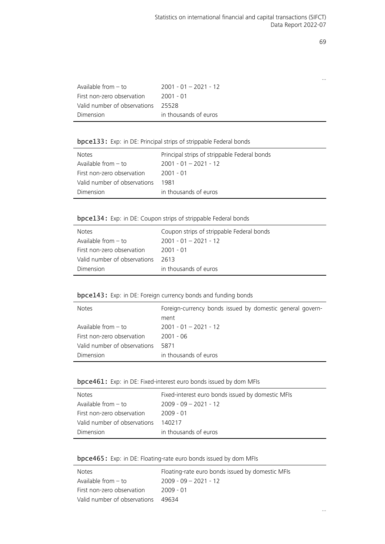…

| Available from $-$ to        | $2001 - 01 - 2021 - 12$ |
|------------------------------|-------------------------|
| First non-zero observation   | 2001 - 01               |
| Valid number of observations | - 25528                 |
| Dimension                    | in thousands of euros   |

# bpce133: Exp: in DE: Principal strips of strippable Federal bonds

| <b>Notes</b>                 | Principal strips of strippable Federal bonds |
|------------------------------|----------------------------------------------|
| Available from – to          | $2001 - 01 - 2021 - 12$                      |
| First non-zero observation   | 2001 - 01                                    |
| Valid number of observations | 1981                                         |
| Dimension                    | in thousands of euros                        |

# bpce134: Exp: in DE: Coupon strips of strippable Federal bonds

| <b>Notes</b>                 | Coupon strips of strippable Federal bonds |
|------------------------------|-------------------------------------------|
| Available from $-$ to        | $2001 - 01 - 2021 - 12$                   |
| First non-zero observation   | 2001 - 01                                 |
| Valid number of observations | 2613                                      |
| Dimension                    | in thousands of euros                     |
|                              |                                           |

# bpce143: Exp: in DE: Foreign currency bonds and funding bonds

| <b>Notes</b>                 | Foreign-currency bonds issued by domestic general govern-<br>ment |
|------------------------------|-------------------------------------------------------------------|
| Available from $-$ to        | $2001 - 01 - 2021 - 12$                                           |
| First non-zero observation   | $2001 - 06$                                                       |
| Valid number of observations | 5871                                                              |
| Dimension                    | in thousands of euros                                             |

# bpce461: Exp: in DE: Fixed-interest euro bonds issued by dom MFIs

| <b>Notes</b>                 | Fixed-interest euro bonds issued by domestic MFIs |
|------------------------------|---------------------------------------------------|
| Available from $-$ to        | $2009 - 09 - 2021 - 12$                           |
| First non-zero observation   | $2009 - 01$                                       |
| Valid number of observations | 140217                                            |
| Dimension                    | in thousands of euros                             |

# bpce465: Exp: in DE: Floating-rate euro bonds issued by dom MFIs

| <b>Notes</b>                 | Floating-rate euro bonds issued by domestic MFIs |
|------------------------------|--------------------------------------------------|
| Available from $-$ to        | $2009 - 09 - 2021 - 12$                          |
| First non-zero observation   | 2009 - 01                                        |
| Valid number of observations | 49634                                            |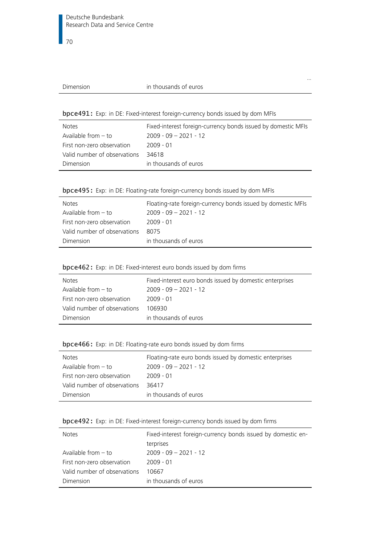#### Dimension in thousands of euros

…

bpce491: Exp: in DE: Fixed-interest foreign-currency bonds issued by dom MFIs

| <b>Notes</b>                 | Fixed-interest foreign-currency bonds issued by domestic MFIs |
|------------------------------|---------------------------------------------------------------|
| Available from $-$ to        | $2009 - 09 - 2021 - 12$                                       |
| First non-zero observation   | $2009 - 01$                                                   |
| Valid number of observations | 34618                                                         |
| Dimension                    | in thousands of euros                                         |

|  | bpce495: Exp: in DE: Floating-rate foreign-currency bonds issued by dom MFIs |  |  |  |
|--|------------------------------------------------------------------------------|--|--|--|
|  |                                                                              |  |  |  |

| <b>Notes</b>                 | Floating-rate foreign-currency bonds issued by domestic MFIs |
|------------------------------|--------------------------------------------------------------|
| Available from $-$ to        | $2009 - 09 - 2021 - 12$                                      |
| First non-zero observation   | 2009 - 01                                                    |
| Valid number of observations | 8075                                                         |
| Dimension                    | in thousands of euros                                        |

# bpce462: Exp: in DE: Fixed-interest euro bonds issued by dom firms

| <b>Notes</b>                 | Fixed-interest euro bonds issued by domestic enterprises |
|------------------------------|----------------------------------------------------------|
| Available from $-$ to        | $2009 - 09 - 2021 - 12$                                  |
| First non-zero observation   | 2009 - 01                                                |
| Valid number of observations | 106930                                                   |
| Dimension                    | in thousands of euros                                    |

# bpce466: Exp: in DE: Floating-rate euro bonds issued by dom firms

| <b>Notes</b>                 | Floating-rate euro bonds issued by domestic enterprises |
|------------------------------|---------------------------------------------------------|
| Available from $-$ to        | $2009 - 09 - 2021 - 12$                                 |
| First non-zero observation   | 2009 - 01                                               |
| Valid number of observations | 36417                                                   |
| Dimension                    | in thousands of euros                                   |

# bpce492: Exp: in DE: Fixed-interest foreign-currency bonds issued by dom firms

| <b>Notes</b>                 | Fixed-interest foreign-currency bonds issued by domestic en- |
|------------------------------|--------------------------------------------------------------|
|                              | terprises                                                    |
| Available from $-$ to        | $2009 - 09 - 2021 - 12$                                      |
| First non-zero observation   | $2009 - 01$                                                  |
| Valid number of observations | 10667                                                        |
| Dimension                    | in thousands of euros                                        |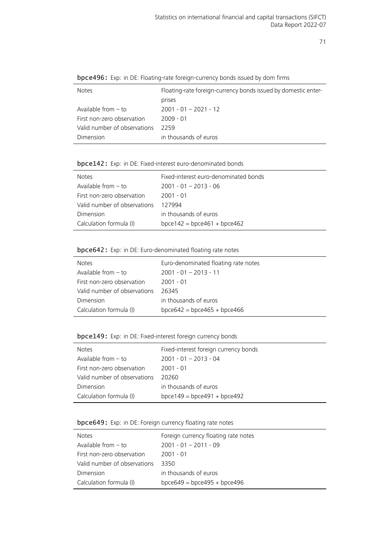| <b>Notes</b>                 | Floating-rate foreign-currency bonds issued by domestic enter- |
|------------------------------|----------------------------------------------------------------|
|                              | prises                                                         |
| Available from $-$ to        | $2001 - 01 - 2021 - 12$                                        |
| First non-zero observation   | $2009 - 01$                                                    |
| Valid number of observations | 2259                                                           |
| Dimension                    | in thousands of euros                                          |
|                              |                                                                |

bpce496: Exp: in DE: Floating-rate foreign-currency bonds issued by dom firms

#### bpce142: Exp: in DE: Fixed-interest euro-denominated bonds

| <b>Notes</b>                 | Fixed-interest euro-denominated bonds |
|------------------------------|---------------------------------------|
| Available from $-$ to        | $2001 - 01 - 2013 - 06$               |
| First non-zero observation   | 2001 - 01                             |
| Valid number of observations | 127994                                |
| Dimension                    | in thousands of euros                 |
| Calculation formula (I)      | $bpce142 = bpce461 + bpce462$         |

# bpce642: Exp: in DE: Euro-denominated floating rate notes

| <b>Notes</b>                 | Euro-denominated floating rate notes |
|------------------------------|--------------------------------------|
| Available from $-$ to        | $2001 - 01 - 2013 - 11$              |
| First non-zero observation   | 2001 - 01                            |
| Valid number of observations | 26345                                |
| Dimension                    | in thousands of euros                |
| Calculation formula (I)      | $bpce642 = bpce465 + bpce466$        |

# bpce149: Exp: in DE: Fixed-interest foreign currency bonds

| <b>Notes</b>                 | Fixed-interest foreign currency bonds |
|------------------------------|---------------------------------------|
| Available from $-$ to        | $2001 - 01 - 2013 - 04$               |
| First non-zero observation   | $2001 - 01$                           |
| Valid number of observations | 20260                                 |
| Dimension                    | in thousands of euros                 |
| Calculation formula (I)      | $bpce149 = bpce491 + bpce492$         |

# bpce649: Exp: in DE: Foreign currency floating rate notes

| <b>Notes</b>                 | Foreign currency floating rate notes |
|------------------------------|--------------------------------------|
| Available from $-$ to        | $2001 - 01 - 2011 - 09$              |
| First non-zero observation   | 2001 - 01                            |
| Valid number of observations | 3350                                 |
| Dimension                    | in thousands of euros                |
| Calculation formula (I)      | $bpce649 = bpce495 + bpce496$        |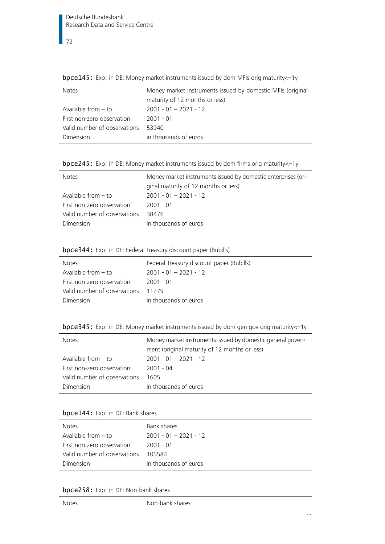Notes Money market instruments issued by domestic MFIs (original maturity of 12 months or less) Available from – to 2001 - 01 – 2021 - 12 First non-zero observation 2001 - 01 Valid number of observations 53940 Dimension in thousands of euros

bpce145: Exp: in DE: Money market instruments issued by dom MFIs orig maturity<=1y

bpce245: Exp: in DE: Money market instruments issued by dom firms orig maturity<=1y

| <b>Notes</b>                 | Money market instruments issued by domestic enterprises (ori-<br>ginal maturity of 12 months or less) |
|------------------------------|-------------------------------------------------------------------------------------------------------|
| Available from $-$ to        | $2001 - 01 - 2021 - 12$                                                                               |
| First non-zero observation   | $2001 - 01$                                                                                           |
| Valid number of observations | 38476                                                                                                 |
| Dimension                    | in thousands of euros                                                                                 |

# bpce344: Exp: in DE: Federal Treasury discount paper (Bubills)

| <b>Notes</b>                 | Federal Treasury discount paper (Bubills) |
|------------------------------|-------------------------------------------|
| Available from $-$ to        | $2001 - 01 - 2021 - 12$                   |
| First non-zero observation   | 2001 - 01                                 |
| Valid number of observations | 11279                                     |
| Dimension                    | in thousands of euros                     |

bpce345: Exp: in DE: Money market instruments issued by dom gen gov orig maturity<=1y

| <b>Notes</b>                 | Money market instruments issued by domestic general govern-<br>ment (original maturity of 12 months or less) |
|------------------------------|--------------------------------------------------------------------------------------------------------------|
| Available from $-$ to        | $2001 - 01 - 2021 - 12$                                                                                      |
| First non-zero observation   | 2001 - 04                                                                                                    |
| Valid number of observations | 1605                                                                                                         |
| Dimension                    | in thousands of euros                                                                                        |

#### bpce144: Exp: in DE: Bank shares

| <b>Notes</b>                 | Bank shares             |
|------------------------------|-------------------------|
| Available from $-$ to        | $2001 - 01 - 2021 - 12$ |
| First non-zero observation   | 2001 - 01               |
| Valid number of observations | 105584                  |
| Dimension                    | in thousands of euros   |

bpce258: Exp: in DE: Non-bank shares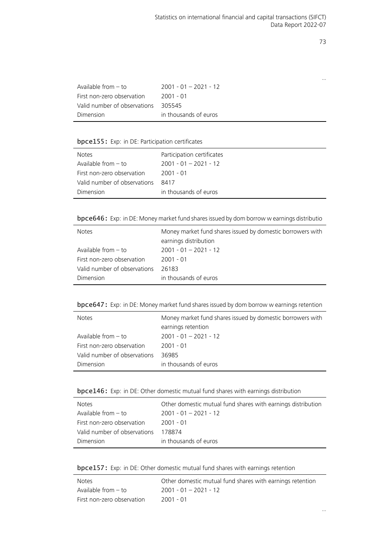…

| Available from $-$ to        | $2001 - 01 - 2021 - 12$ |
|------------------------------|-------------------------|
| First non-zero observation   | 2001 - 01               |
| Valid number of observations | 305545                  |
| Dimension                    | in thousands of euros   |

## bpce155: Exp: in DE: Participation certificates

| <b>Notes</b>                 | Participation certificates |
|------------------------------|----------------------------|
| Available from $-$ to        | $2001 - 01 - 2021 - 12$    |
| First non-zero observation   | 2001 - 01                  |
| Valid number of observations | 8417                       |
| Dimension                    | in thousands of euros      |

bpce646: Exp: in DE: Money market fund shares issued by dom borrow w earnings distributio

| <b>Notes</b>                 | Money market fund shares issued by domestic borrowers with |
|------------------------------|------------------------------------------------------------|
|                              | earnings distribution                                      |
| Available from $-$ to        | $2001 - 01 - 2021 - 12$                                    |
| First non-zero observation   | $2001 - 01$                                                |
| Valid number of observations | 26183                                                      |
| Dimension                    | in thousands of euros                                      |

bpce647: Exp: in DE: Money market fund shares issued by dom borrow w earnings retention

| <b>Notes</b>                 | Money market fund shares issued by domestic borrowers with<br>earnings retention |
|------------------------------|----------------------------------------------------------------------------------|
| Available from $-$ to        | $2001 - 01 - 2021 - 12$                                                          |
| First non-zero observation   | $2001 - 01$                                                                      |
| Valid number of observations | 36985                                                                            |
| Dimension                    | in thousands of euros                                                            |

bpce146: Exp: in DE: Other domestic mutual fund shares with earnings distribution

| <b>Notes</b>                 | Other domestic mutual fund shares with earnings distribution |
|------------------------------|--------------------------------------------------------------|
| Available from $-$ to        | $2001 - 01 - 2021 - 12$                                      |
| First non-zero observation   | 2001 - 01                                                    |
| Valid number of observations | 178874                                                       |
| Dimension                    | in thousands of euros                                        |

| bpce157: Exp: in DE: Other domestic mutual fund shares with earnings retention |  |  |  |  |  |
|--------------------------------------------------------------------------------|--|--|--|--|--|
|                                                                                |  |  |  |  |  |

| Notes                      | Other domestic mutual fund shares with earnings retention |
|----------------------------|-----------------------------------------------------------|
| Available from $-$ to      | $2001 - 01 - 2021 - 12$                                   |
| First non-zero observation | 2001 - 01                                                 |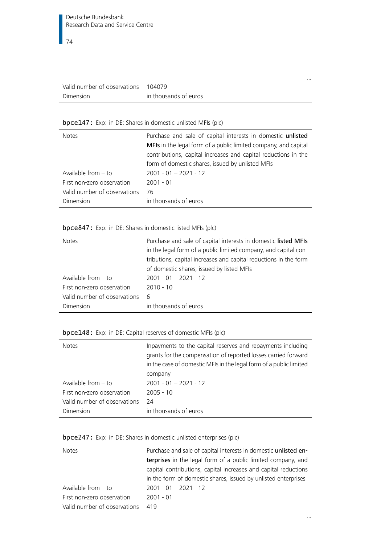| Valid number of observations 104079 |                       |
|-------------------------------------|-----------------------|
| Dimension                           | in thousands of euros |

## bpce147: Exp: in DE: Shares in domestic unlisted MFIs (plc)

| <b>Notes</b>                 | Purchase and sale of capital interests in domestic unlisted<br>MFIs in the legal form of a public limited company, and capital<br>contributions, capital increases and capital reductions in the<br>form of domestic shares, issued by unlisted MFIs |
|------------------------------|------------------------------------------------------------------------------------------------------------------------------------------------------------------------------------------------------------------------------------------------------|
| Available from $-$ to        | $2001 - 01 - 2021 - 12$                                                                                                                                                                                                                              |
| First non-zero observation   | $2001 - 01$                                                                                                                                                                                                                                          |
| Valid number of observations | 76                                                                                                                                                                                                                                                   |
| Dimension                    | in thousands of euros                                                                                                                                                                                                                                |

…

…

## bpce847: Exp: in DE: Shares in domestic listed MFIs (plc)

| <b>Notes</b>                 | Purchase and sale of capital interests in domestic listed MFIs<br>in the legal form of a public limited company, and capital con-<br>tributions, capital increases and capital reductions in the form<br>of domestic shares, issued by listed MFIs |
|------------------------------|----------------------------------------------------------------------------------------------------------------------------------------------------------------------------------------------------------------------------------------------------|
| Available from $-$ to        | $2001 - 01 - 2021 - 12$                                                                                                                                                                                                                            |
| First non-zero observation   | $2010 - 10$                                                                                                                                                                                                                                        |
| Valid number of observations | -6                                                                                                                                                                                                                                                 |
| Dimension                    | in thousands of euros                                                                                                                                                                                                                              |

## bpce148: Exp: in DE: Capital reserves of domestic MFIs (plc)

| <b>Notes</b>                 | Inpayments to the capital reserves and repayments including<br>grants for the compensation of reported losses carried forward<br>in the case of domestic MFIs in the legal form of a public limited<br>company |
|------------------------------|----------------------------------------------------------------------------------------------------------------------------------------------------------------------------------------------------------------|
| Available from $-$ to        | $2001 - 01 - 2021 - 12$                                                                                                                                                                                        |
| First non-zero observation   | $2005 - 10$                                                                                                                                                                                                    |
| Valid number of observations | -24                                                                                                                                                                                                            |
| Dimension                    | in thousands of euros                                                                                                                                                                                          |
|                              |                                                                                                                                                                                                                |

## bpce247: Exp: in DE: Shares in domestic unlisted enterprises (plc)

| <b>Notes</b>                 | Purchase and sale of capital interests in domestic unlisted en- |
|------------------------------|-----------------------------------------------------------------|
|                              | terprises in the legal form of a public limited company, and    |
|                              | capital contributions, capital increases and capital reductions |
|                              | in the form of domestic shares, issued by unlisted enterprises  |
| Available from $-$ to        | $2001 - 01 - 2021 - 12$                                         |
| First non-zero observation   | $2001 - 01$                                                     |
| Valid number of observations | 419                                                             |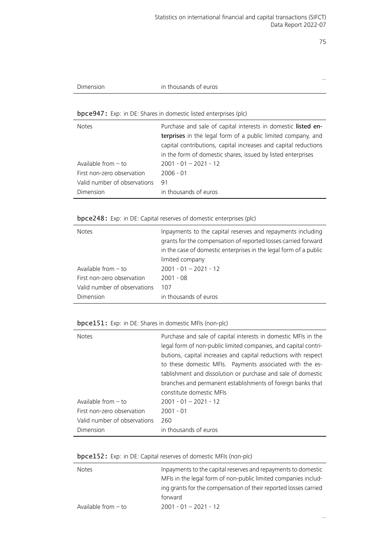…

| Dimension | in thousands of euros |  |
|-----------|-----------------------|--|
|-----------|-----------------------|--|

## bpce947: Exp: in DE: Shares in domestic listed enterprises (plc)

| <b>Notes</b>                 | Purchase and sale of capital interests in domestic listed en-<br>terprises in the legal form of a public limited company, and<br>capital contributions, capital increases and capital reductions<br>in the form of domestic shares, issued by listed enterprises |
|------------------------------|------------------------------------------------------------------------------------------------------------------------------------------------------------------------------------------------------------------------------------------------------------------|
| Available from $-$ to        | $2001 - 01 - 2021 - 12$                                                                                                                                                                                                                                          |
| First non-zero observation   | $2006 - 01$                                                                                                                                                                                                                                                      |
| Valid number of observations | 91                                                                                                                                                                                                                                                               |
| Dimension                    | in thousands of euros                                                                                                                                                                                                                                            |

## bpce248: Exp: in DE: Capital reserves of domestic enterprises (plc)

| <b>Notes</b>                 | Inpayments to the capital reserves and repayments including<br>grants for the compensation of reported losses carried forward<br>in the case of domestic enterprises in the legal form of a public<br>limited company |
|------------------------------|-----------------------------------------------------------------------------------------------------------------------------------------------------------------------------------------------------------------------|
| Available from $-$ to        | $2001 - 01 - 2021 - 12$                                                                                                                                                                                               |
| First non-zero observation   | $2001 - 08$                                                                                                                                                                                                           |
| Valid number of observations | 107                                                                                                                                                                                                                   |
| Dimension                    | in thousands of euros                                                                                                                                                                                                 |

## bpce151: Exp: in DE: Shares in domestic MFIs (non-plc)

| <b>Notes</b>                 | Purchase and sale of capital interests in domestic MFIs in the<br>legal form of non-public limited companies, and capital contri-<br>butions, capital increases and capital reductions with respect<br>to these domestic MFIs. Payments associated with the es-<br>tablishment and dissolution or purchase and sale of domestic<br>branches and permanent establishments of foreign banks that<br>constitute domestic MFIs |
|------------------------------|----------------------------------------------------------------------------------------------------------------------------------------------------------------------------------------------------------------------------------------------------------------------------------------------------------------------------------------------------------------------------------------------------------------------------|
| Available from $-$ to        | $2001 - 01 - 2021 - 12$                                                                                                                                                                                                                                                                                                                                                                                                    |
| First non-zero observation   | $2001 - 01$                                                                                                                                                                                                                                                                                                                                                                                                                |
| Valid number of observations | 260                                                                                                                                                                                                                                                                                                                                                                                                                        |
| Dimension                    | in thousands of euros                                                                                                                                                                                                                                                                                                                                                                                                      |

## bpce152: Exp: in DE: Capital reserves of domestic MFIs (non-plc)

| <b>Notes</b>          | Inpayments to the capital reserves and repayments to domestic    |
|-----------------------|------------------------------------------------------------------|
|                       | MFIs in the legal form of non-public limited companies includ-   |
|                       | ing grants for the compensation of their reported losses carried |
|                       | forward                                                          |
| Available from $-$ to | $2001 - 01 - 2021 - 12$                                          |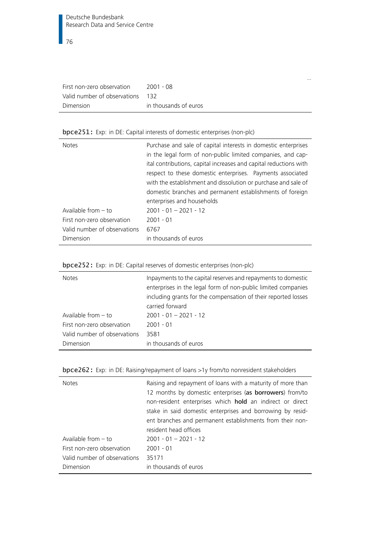|                                  |                       | $\cdots$ |
|----------------------------------|-----------------------|----------|
| First non-zero observation       | 2001 - 08             |          |
| Valid number of observations 132 |                       |          |
| Dimension                        | in thousands of euros |          |

# bpce251: Exp: in DE: Capital interests of domestic enterprises (non-plc)

| <b>Notes</b>                 | Purchase and sale of capital interests in domestic enterprises<br>in the legal form of non-public limited companies, and cap-<br>ital contributions, capital increases and capital reductions with<br>respect to these domestic enterprises. Payments associated |
|------------------------------|------------------------------------------------------------------------------------------------------------------------------------------------------------------------------------------------------------------------------------------------------------------|
|                              | with the establishment and dissolution or purchase and sale of<br>domestic branches and permanent establishments of foreign<br>enterprises and households                                                                                                        |
| Available from $-$ to        | $2001 - 01 - 2021 - 12$                                                                                                                                                                                                                                          |
| First non-zero observation   | $2001 - 01$                                                                                                                                                                                                                                                      |
| Valid number of observations | 6767                                                                                                                                                                                                                                                             |
| Dimension                    | in thousands of euros                                                                                                                                                                                                                                            |

|  |  | bpce252: Exp: in DE: Capital reserves of domestic enterprises (non-plc) |  |  |
|--|--|-------------------------------------------------------------------------|--|--|
|--|--|-------------------------------------------------------------------------|--|--|

| <b>Notes</b>                 | Inpayments to the capital reserves and repayments to domestic<br>enterprises in the legal form of non-public limited companies<br>including grants for the compensation of their reported losses<br>carried forward |
|------------------------------|---------------------------------------------------------------------------------------------------------------------------------------------------------------------------------------------------------------------|
| Available from $-$ to        | $2001 - 01 - 2021 - 12$                                                                                                                                                                                             |
| First non-zero observation   | $2001 - 01$                                                                                                                                                                                                         |
| Valid number of observations | 3581                                                                                                                                                                                                                |
| Dimension                    | in thousands of euros                                                                                                                                                                                               |

| <b>Notes</b>                 | Raising and repayment of loans with a maturity of more than<br>12 months by domestic enterprises (as borrowers) from/to<br>non-resident enterprises which hold an indirect or direct<br>stake in said domestic enterprises and borrowing by resid-<br>ent branches and permanent establishments from their non- |
|------------------------------|-----------------------------------------------------------------------------------------------------------------------------------------------------------------------------------------------------------------------------------------------------------------------------------------------------------------|
| Available from $-$ to        | resident head offices<br>$2001 - 01 - 2021 - 12$                                                                                                                                                                                                                                                                |
|                              |                                                                                                                                                                                                                                                                                                                 |
| First non-zero observation   | $2001 - 01$                                                                                                                                                                                                                                                                                                     |
| Valid number of observations | 35171                                                                                                                                                                                                                                                                                                           |
| Dimension                    | in thousands of euros                                                                                                                                                                                                                                                                                           |

| bpce262: Exp: in DE: Raising/repayment of loans >1y from/to nonresident stakeholders |  |  |  |  |  |
|--------------------------------------------------------------------------------------|--|--|--|--|--|
|                                                                                      |  |  |  |  |  |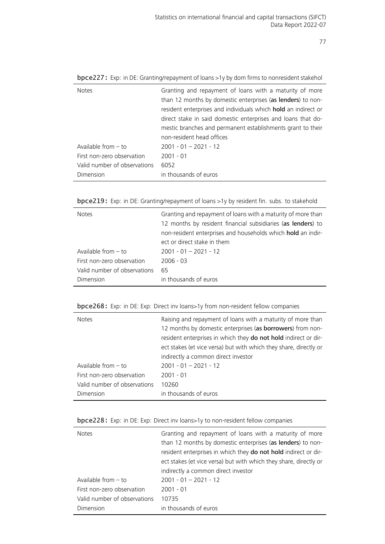| <b>Notes</b>                 | Granting and repayment of loans with a maturity of more<br>than 12 months by domestic enterprises (as lenders) to non-<br>resident enterprises and individuals which hold an indirect or<br>direct stake in said domestic enterprises and loans that do-<br>mestic branches and permanent establishments grant to their |
|------------------------------|-------------------------------------------------------------------------------------------------------------------------------------------------------------------------------------------------------------------------------------------------------------------------------------------------------------------------|
|                              | non-resident head offices                                                                                                                                                                                                                                                                                               |
| Available from $-$ to        | $2001 - 01 - 2021 - 12$                                                                                                                                                                                                                                                                                                 |
| First non-zero observation   | $2001 - 01$                                                                                                                                                                                                                                                                                                             |
| Valid number of observations | 6052                                                                                                                                                                                                                                                                                                                    |
| Dimension                    | in thousands of euros                                                                                                                                                                                                                                                                                                   |

bpce227: Exp: in DE: Granting/repayment of loans >1y by dom firms to nonresident stakehol

bpce219: Exp: in DE: Granting/repayment of loans >1y by resident fin. subs. to stakehold

| <b>Notes</b>                 | Granting and repayment of loans with a maturity of more than<br>12 months by resident financial subsidiaries (as lenders) to<br>non-resident enterprises and households which hold an indir-<br>ect or direct stake in them |
|------------------------------|-----------------------------------------------------------------------------------------------------------------------------------------------------------------------------------------------------------------------------|
| Available from $-$ to        | $2001 - 01 - 2021 - 12$                                                                                                                                                                                                     |
| First non-zero observation   | $2006 - 03$                                                                                                                                                                                                                 |
| Valid number of observations | 65                                                                                                                                                                                                                          |
| Dimension                    | in thousands of euros                                                                                                                                                                                                       |

|  |  |  | bpce268: Exp: in DE: Exp: Direct inv loans>1y from non-resident fellow companies |  |
|--|--|--|----------------------------------------------------------------------------------|--|
|--|--|--|----------------------------------------------------------------------------------|--|

| <b>Notes</b>                 | Raising and repayment of loans with a maturity of more than<br>12 months by domestic enterprises (as borrowers) from non-<br>resident enterprises in which they do not hold indirect or dir-<br>ect stakes (et vice versa) but with which they share, directly or<br>indirectly a common direct investor |
|------------------------------|----------------------------------------------------------------------------------------------------------------------------------------------------------------------------------------------------------------------------------------------------------------------------------------------------------|
| Available from $-$ to        | $2001 - 01 - 2021 - 12$                                                                                                                                                                                                                                                                                  |
| First non-zero observation   | $2001 - 01$                                                                                                                                                                                                                                                                                              |
| Valid number of observations | 10260                                                                                                                                                                                                                                                                                                    |
| Dimension                    | in thousands of euros                                                                                                                                                                                                                                                                                    |

bpce228: Exp: in DE: Exp: Direct inv loans>1y to non-resident fellow companies

| <b>Notes</b>                 | Granting and repayment of loans with a maturity of more           |
|------------------------------|-------------------------------------------------------------------|
|                              | than 12 months by domestic enterprises (as lenders) to non-       |
|                              | resident enterprises in which they do not hold indirect or dir-   |
|                              | ect stakes (et vice versa) but with which they share, directly or |
|                              | indirectly a common direct investor                               |
| Available from $-$ to        | $2001 - 01 - 2021 - 12$                                           |
| First non-zero observation   | $2001 - 01$                                                       |
| Valid number of observations | 10735                                                             |
| Dimension                    | in thousands of euros                                             |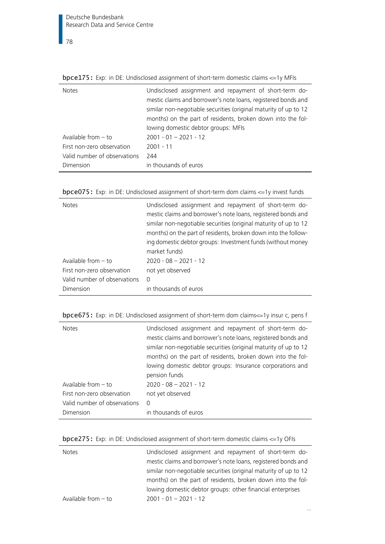bpce175: Exp: in DE: Undisclosed assignment of short-term domestic claims <=1y MFIs

| <b>Notes</b>                 | Undisclosed assignment and repayment of short-term do-<br>mestic claims and borrower's note loans, registered bonds and<br>similar non-negotiable securities (original maturity of up to 12<br>months) on the part of residents, broken down into the fol-<br>lowing domestic debtor groups: MFIs |
|------------------------------|---------------------------------------------------------------------------------------------------------------------------------------------------------------------------------------------------------------------------------------------------------------------------------------------------|
| Available from $-$ to        | $2001 - 01 - 2021 - 12$                                                                                                                                                                                                                                                                           |
| First non-zero observation   | $2001 - 11$                                                                                                                                                                                                                                                                                       |
| Valid number of observations | 244                                                                                                                                                                                                                                                                                               |
| Dimension                    | in thousands of euros                                                                                                                                                                                                                                                                             |

bpce075: Exp: in DE: Undisclosed assignment of short-term dom claims <=1y invest funds

| <b>Notes</b><br>Available from $-$ to<br>First non-zero observation<br>Valid number of observations | Undisclosed assignment and repayment of short-term do-<br>mestic claims and borrower's note loans, registered bonds and<br>similar non-negotiable securities (original maturity of up to 12<br>months) on the part of residents, broken down into the follow-<br>ing domestic debtor groups: Investment funds (without money<br>market funds)<br>$2020 - 08 - 2021 - 12$<br>not yet observed |
|-----------------------------------------------------------------------------------------------------|----------------------------------------------------------------------------------------------------------------------------------------------------------------------------------------------------------------------------------------------------------------------------------------------------------------------------------------------------------------------------------------------|
| Dimension                                                                                           | 0<br>in thousands of euros                                                                                                                                                                                                                                                                                                                                                                   |

bpce675: Exp: in DE: Undisclosed assignment of short-term dom claims<=1y insur c, pens f

| <b>Notes</b><br>Available from $-$ to<br>First non-zero observation<br>Valid number of observations | Undisclosed assignment and repayment of short-term do-<br>mestic claims and borrower's note loans, registered bonds and<br>similar non-negotiable securities (original maturity of up to 12<br>months) on the part of residents, broken down into the fol-<br>lowing domestic debtor groups: Insurance corporations and<br>pension funds<br>$2020 - 08 - 2021 - 12$<br>not yet observed<br>0 |
|-----------------------------------------------------------------------------------------------------|----------------------------------------------------------------------------------------------------------------------------------------------------------------------------------------------------------------------------------------------------------------------------------------------------------------------------------------------------------------------------------------------|
| Dimension                                                                                           | in thousands of euros                                                                                                                                                                                                                                                                                                                                                                        |

|  | <b>bpce275:</b> Exp: in DE: Undisclosed assignment of short-term domestic claims $\leq$ =1y OFIs |  |
|--|--------------------------------------------------------------------------------------------------|--|
|--|--------------------------------------------------------------------------------------------------|--|

| <b>Notes</b>          | Undisclosed assignment and repayment of short-term do-           |
|-----------------------|------------------------------------------------------------------|
|                       | mestic claims and borrower's note loans, registered bonds and    |
|                       | similar non-negotiable securities (original maturity of up to 12 |
|                       | months) on the part of residents, broken down into the fol-      |
|                       | lowing domestic debtor groups: other financial enterprises       |
| Available from $-$ to | $2001 - 01 - 2021 - 12$                                          |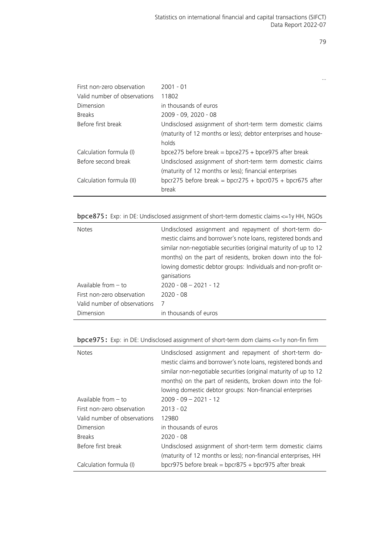| First non-zero observation   | $2001 - 01$                                                    |
|------------------------------|----------------------------------------------------------------|
| Valid number of observations | 11802                                                          |
| Dimension                    | in thousands of euros                                          |
| <b>Breaks</b>                | 2009 - 09, 2020 - 08                                           |
| Before first break           | Undisclosed assignment of short-term term domestic claims      |
|                              | (maturity of 12 months or less); debtor enterprises and house- |
|                              | holds                                                          |
| Calculation formula (I)      | bpce275 before break = bpce275 + bpce975 after break           |
| Before second break          | Undisclosed assignment of short-term term domestic claims      |
|                              | (maturity of 12 months or less); financial enterprises         |
| Calculation formula (II)     | bpcr275 before break = bpcr275 + bpcr075 + bpcr675 after       |
|                              | break                                                          |
|                              |                                                                |

| <b>bpce875:</b> Exp: in DE: Undisclosed assignment of short-term domestic claims $\leq$ =1y HH, NGOs |  |  |  |  |
|------------------------------------------------------------------------------------------------------|--|--|--|--|
|                                                                                                      |  |  |  |  |

| <b>Notes</b>                 | Undisclosed assignment and repayment of short-term do-<br>mestic claims and borrower's note loans, registered bonds and<br>similar non-negotiable securities (original maturity of up to 12<br>months) on the part of residents, broken down into the fol-<br>lowing domestic debtor groups: Individuals and non-profit or- |
|------------------------------|-----------------------------------------------------------------------------------------------------------------------------------------------------------------------------------------------------------------------------------------------------------------------------------------------------------------------------|
|                              | ganisations                                                                                                                                                                                                                                                                                                                 |
| Available from $-$ to        | $2020 - 08 - 2021 - 12$                                                                                                                                                                                                                                                                                                     |
| First non-zero observation   | $2020 - 08$                                                                                                                                                                                                                                                                                                                 |
| Valid number of observations | -7                                                                                                                                                                                                                                                                                                                          |
| Dimension                    | in thousands of euros                                                                                                                                                                                                                                                                                                       |
|                              |                                                                                                                                                                                                                                                                                                                             |

|  |  |  | <b>bpce975:</b> Exp: in DE: Undisclosed assignment of short-term dom claims $\leq$ =1y non-fin firm |  |  |  |
|--|--|--|-----------------------------------------------------------------------------------------------------|--|--|--|
|  |  |  |                                                                                                     |  |  |  |

| <b>Notes</b>                 | Undisclosed assignment and repayment of short-term do-<br>mestic claims and borrower's note loans, registered bonds and<br>similar non-negotiable securities (original maturity of up to 12<br>months) on the part of residents, broken down into the fol-<br>lowing domestic debtor groups: Non-financial enterprises |
|------------------------------|------------------------------------------------------------------------------------------------------------------------------------------------------------------------------------------------------------------------------------------------------------------------------------------------------------------------|
| Available from - to          | $2009 - 09 - 2021 - 12$                                                                                                                                                                                                                                                                                                |
| First non-zero observation   | $2013 - 02$                                                                                                                                                                                                                                                                                                            |
| Valid number of observations | 12980                                                                                                                                                                                                                                                                                                                  |
| Dimension                    | in thousands of euros                                                                                                                                                                                                                                                                                                  |
| <b>Breaks</b>                | $2020 - 08$                                                                                                                                                                                                                                                                                                            |
| Before first break           | Undisclosed assignment of short-term term domestic claims<br>(maturity of 12 months or less); non-financial enterprises, HH                                                                                                                                                                                            |
| Calculation formula (I)      | bpcr975 before break = bpcr875 + bpcr975 after break                                                                                                                                                                                                                                                                   |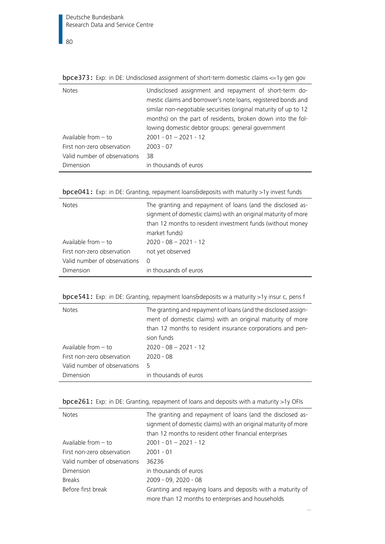bpce373: Exp: in DE: Undisclosed assignment of short-term domestic claims <=1y gen gov

| <b>Notes</b>                 | Undisclosed assignment and repayment of short-term do-<br>mestic claims and borrower's note loans, registered bonds and<br>similar non-negotiable securities (original maturity of up to 12<br>months) on the part of residents, broken down into the fol-<br>lowing domestic debtor groups: general government |
|------------------------------|-----------------------------------------------------------------------------------------------------------------------------------------------------------------------------------------------------------------------------------------------------------------------------------------------------------------|
| Available from $-$ to        | $2001 - 01 - 2021 - 12$                                                                                                                                                                                                                                                                                         |
| First non-zero observation   | $2003 - 07$                                                                                                                                                                                                                                                                                                     |
| Valid number of observations | 38                                                                                                                                                                                                                                                                                                              |
| Dimension                    | in thousands of euros                                                                                                                                                                                                                                                                                           |

| bpce041: Exp: in DE: Granting, repayment loans&deposits with maturity >1y invest funds |  |  |
|----------------------------------------------------------------------------------------|--|--|
|----------------------------------------------------------------------------------------|--|--|

| <b>Notes</b>                 | The granting and repayment of loans (and the disclosed as-<br>signment of domestic claims) with an original maturity of more<br>than 12 months to resident investment funds (without money<br>market funds) |
|------------------------------|-------------------------------------------------------------------------------------------------------------------------------------------------------------------------------------------------------------|
| Available from $-$ to        | $2020 - 08 - 2021 - 12$                                                                                                                                                                                     |
| First non-zero observation   | not yet observed                                                                                                                                                                                            |
| Valid number of observations | 0                                                                                                                                                                                                           |
| Dimension                    | in thousands of euros                                                                                                                                                                                       |

bpce541: Exp: in DE: Granting, repayment loans&deposits w a maturity >1y insur c, pens f

| <b>Notes</b>                 | The granting and repayment of loans (and the disclosed assign-<br>ment of domestic claims) with an original maturity of more<br>than 12 months to resident insurance corporations and pen-<br>sion funds |
|------------------------------|----------------------------------------------------------------------------------------------------------------------------------------------------------------------------------------------------------|
| Available from $-$ to        | $2020 - 08 - 2021 - 12$                                                                                                                                                                                  |
| First non-zero observation   | $2020 - 08$                                                                                                                                                                                              |
| Valid number of observations | 5                                                                                                                                                                                                        |
| Dimension                    | in thousands of euros                                                                                                                                                                                    |

| <b>Notes</b>                 | The granting and repayment of loans (and the disclosed as-<br>signment of domestic claims) with an original maturity of more<br>than 12 months to resident other financial enterprises |
|------------------------------|----------------------------------------------------------------------------------------------------------------------------------------------------------------------------------------|
| Available from $-$ to        | $2001 - 01 - 2021 - 12$                                                                                                                                                                |
| First non-zero observation   | $2001 - 01$                                                                                                                                                                            |
| Valid number of observations | 36236                                                                                                                                                                                  |
| Dimension                    | in thousands of euros                                                                                                                                                                  |
| <b>Breaks</b>                | 2009 - 09, 2020 - 08                                                                                                                                                                   |
| Before first break           | Granting and repaying loans and deposits with a maturity of<br>more than 12 months to enterprises and households                                                                       |

…

bpce261: Exp: in DE: Granting, repayment of loans and deposits with a maturity >1y OFIs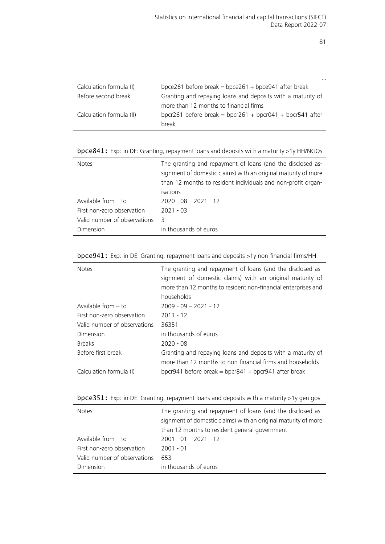|                          | $\cdots$                                                          |
|--------------------------|-------------------------------------------------------------------|
| Calculation formula (I)  | bpce261 before break = bpce261 + bpce941 after break              |
| Before second break      | Granting and repaying loans and deposits with a maturity of       |
|                          | more than 12 months to financial firms                            |
| Calculation formula (II) | bpcr261 before break = bpcr261 + bpcr041 + bpcr541 after<br>break |
|                          |                                                                   |

|  |  |  |  | bpce841: Exp: in DE: Granting, repayment loans and deposits with a maturity >1y HH/NGOs |
|--|--|--|--|-----------------------------------------------------------------------------------------|
|--|--|--|--|-----------------------------------------------------------------------------------------|

| <b>Notes</b>                 | The granting and repayment of loans (and the disclosed as-<br>signment of domestic claims) with an original maturity of more<br>than 12 months to resident individuals and non-profit organ-<br>isations |
|------------------------------|----------------------------------------------------------------------------------------------------------------------------------------------------------------------------------------------------------|
| Available from $-$ to        | $2020 - 08 - 2021 - 12$                                                                                                                                                                                  |
| First non-zero observation   | $2021 - 03$                                                                                                                                                                                              |
| Valid number of observations | 3                                                                                                                                                                                                        |
| Dimension                    | in thousands of euros                                                                                                                                                                                    |

|  |  |  |  |  | bpce941: Exp: in DE: Granting, repayment loans and deposits >1y non-financial firms/HH |
|--|--|--|--|--|----------------------------------------------------------------------------------------|
|--|--|--|--|--|----------------------------------------------------------------------------------------|

 $\overline{a}$ 

| <b>Notes</b>                 | The granting and repayment of loans (and the disclosed as-<br>signment of domestic claims) with an original maturity of<br>more than 12 months to resident non-financial enterprises and<br>households |
|------------------------------|--------------------------------------------------------------------------------------------------------------------------------------------------------------------------------------------------------|
| Available from $-$ to        | $2009 - 09 - 2021 - 12$                                                                                                                                                                                |
| First non-zero observation   | $2011 - 12$                                                                                                                                                                                            |
| Valid number of observations | 36351                                                                                                                                                                                                  |
| Dimension                    | in thousands of euros                                                                                                                                                                                  |
| <b>Breaks</b>                | $2020 - 08$                                                                                                                                                                                            |
| Before first break           | Granting and repaying loans and deposits with a maturity of<br>more than 12 months to non-financial firms and households                                                                               |
| Calculation formula (I)      | bpcr941 before break = bpcr841 + bpcr941 after break                                                                                                                                                   |

|  | bpce351: Exp: in DE: Granting, repayment loans and deposits with a maturity >1y gen gov |  |
|--|-----------------------------------------------------------------------------------------|--|
|  |                                                                                         |  |

| <b>Notes</b>                 | The granting and repayment of loans (and the disclosed as-<br>signment of domestic claims) with an original maturity of more<br>than 12 months to resident general government |
|------------------------------|-------------------------------------------------------------------------------------------------------------------------------------------------------------------------------|
| Available from $-$ to        | $2001 - 01 - 2021 - 12$                                                                                                                                                       |
| First non-zero observation   | $2001 - 01$                                                                                                                                                                   |
| Valid number of observations | 653                                                                                                                                                                           |
| Dimension                    | in thousands of euros                                                                                                                                                         |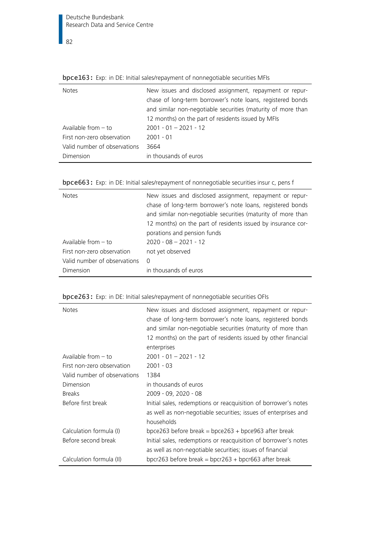$\frac{1}{82}$ 

| <b>Notes</b>                 | New issues and disclosed assignment, repayment or repur-<br>chase of long-term borrower's note loans, registered bonds<br>and similar non-negotiable securities (maturity of more than |
|------------------------------|----------------------------------------------------------------------------------------------------------------------------------------------------------------------------------------|
|                              | 12 months) on the part of residents issued by MFIs                                                                                                                                     |
| Available from $-$ to        | $2001 - 01 - 2021 - 12$                                                                                                                                                                |
| First non-zero observation   | $2001 - 01$                                                                                                                                                                            |
| Valid number of observations | 3664                                                                                                                                                                                   |
| Dimension                    | in thousands of euros                                                                                                                                                                  |

|  |  |  | bpce163: Exp: in DE: Initial sales/repayment of nonnegotiable securities MFIs |  |  |
|--|--|--|-------------------------------------------------------------------------------|--|--|
|--|--|--|-------------------------------------------------------------------------------|--|--|

| <b>Notes</b>                 | New issues and disclosed assignment, repayment or repur-<br>chase of long-term borrower's note loans, registered bonds<br>and similar non-negotiable securities (maturity of more than<br>12 months) on the part of residents issued by insurance cor- |
|------------------------------|--------------------------------------------------------------------------------------------------------------------------------------------------------------------------------------------------------------------------------------------------------|
|                              | porations and pension funds                                                                                                                                                                                                                            |
| Available from $-$ to        | $2020 - 08 - 2021 - 12$                                                                                                                                                                                                                                |
| First non-zero observation   | not yet observed                                                                                                                                                                                                                                       |
| Valid number of observations | - 0                                                                                                                                                                                                                                                    |
| Dimension                    | in thousands of euros                                                                                                                                                                                                                                  |

| bpce663: Exp: in DE: Initial sales/repayment of nonnegotiable securities insur c, pens f |  |  |  |  |  |  |  |  |  |  |  |  |  |  |
|------------------------------------------------------------------------------------------|--|--|--|--|--|--|--|--|--|--|--|--|--|--|
|------------------------------------------------------------------------------------------|--|--|--|--|--|--|--|--|--|--|--|--|--|--|

| <b>Notes</b>                 | New issues and disclosed assignment, repayment or repur-<br>chase of long-term borrower's note loans, registered bonds<br>and similar non-negotiable securities (maturity of more than<br>12 months) on the part of residents issued by other financial<br>enterprises |
|------------------------------|------------------------------------------------------------------------------------------------------------------------------------------------------------------------------------------------------------------------------------------------------------------------|
| Available from $-$ to        | $2001 - 01 - 2021 - 12$                                                                                                                                                                                                                                                |
| First non-zero observation   | $2001 - 03$                                                                                                                                                                                                                                                            |
| Valid number of observations | 1384                                                                                                                                                                                                                                                                   |
| Dimension                    | in thousands of euros                                                                                                                                                                                                                                                  |
| <b>Breaks</b>                | 2009 - 09, 2020 - 08                                                                                                                                                                                                                                                   |
| Before first break           | Initial sales, redemptions or reacquisition of borrower's notes<br>as well as non-negotiable securities; issues of enterprises and<br>households                                                                                                                       |
| Calculation formula (I)      | bpce263 before break = bpce263 + bpce963 after break                                                                                                                                                                                                                   |
| Before second break          | Initial sales, redemptions or reacquisition of borrower's notes<br>as well as non-negotiable securities; issues of financial                                                                                                                                           |
| Calculation formula (II)     | bpcr263 before break = bpcr263 + bpcr663 after break                                                                                                                                                                                                                   |

# bpce263: Exp: in DE: Initial sales/repayment of nonnegotiable securities OFIs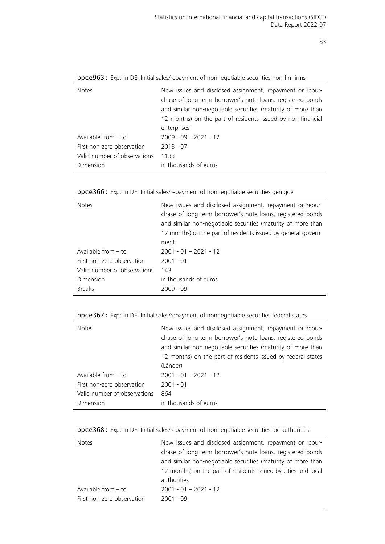…

| <b>Notes</b>                 | New issues and disclosed assignment, repayment or repur-     |
|------------------------------|--------------------------------------------------------------|
|                              | chase of long-term borrower's note loans, registered bonds   |
|                              | and similar non-negotiable securities (maturity of more than |
|                              | 12 months) on the part of residents issued by non-financial  |
|                              | enterprises                                                  |
| Available from $-$ to        | $2009 - 09 - 2021 - 12$                                      |
| First non-zero observation   | $2013 - 07$                                                  |
| Valid number of observations | 1133                                                         |
| Dimension                    | in thousands of euros                                        |
|                              |                                                              |

bpce963: Exp: in DE: Initial sales/repayment of nonnegotiable securities non-fin firms

|  |  | bpce366: Exp: in DE: Initial sales/repayment of nonnegotiable securities gen gov |  |  |
|--|--|----------------------------------------------------------------------------------|--|--|
|  |  |                                                                                  |  |  |

| <b>Notes</b>                 | New issues and disclosed assignment, repayment or repur-<br>chase of long-term borrower's note loans, registered bonds<br>and similar non-negotiable securities (maturity of more than<br>12 months) on the part of residents issued by general govern-<br>ment |
|------------------------------|-----------------------------------------------------------------------------------------------------------------------------------------------------------------------------------------------------------------------------------------------------------------|
| Available from $-$ to        | $2001 - 01 - 2021 - 12$                                                                                                                                                                                                                                         |
| First non-zero observation   | $2001 - 01$                                                                                                                                                                                                                                                     |
| Valid number of observations | 143                                                                                                                                                                                                                                                             |
| Dimension                    | in thousands of euros                                                                                                                                                                                                                                           |
| <b>Breaks</b>                | $2009 - 09$                                                                                                                                                                                                                                                     |

|  |  | bpce367: Exp: in DE: Initial sales/repayment of nonnegotiable securities federal states |
|--|--|-----------------------------------------------------------------------------------------|
|  |  |                                                                                         |

| <b>Notes</b>                 | New issues and disclosed assignment, repayment or repur-<br>chase of long-term borrower's note loans, registered bonds<br>and similar non-negotiable securities (maturity of more than<br>12 months) on the part of residents issued by federal states<br>(Länder) |
|------------------------------|--------------------------------------------------------------------------------------------------------------------------------------------------------------------------------------------------------------------------------------------------------------------|
| Available from $-$ to        | $2001 - 01 - 2021 - 12$                                                                                                                                                                                                                                            |
| First non-zero observation   | $2001 - 01$                                                                                                                                                                                                                                                        |
| Valid number of observations | 864                                                                                                                                                                                                                                                                |
| Dimension                    | in thousands of euros                                                                                                                                                                                                                                              |

|  |  | bpce368: Exp: in DE: Initial sales/repayment of nonnegotiable securities loc authorities |  |  |
|--|--|------------------------------------------------------------------------------------------|--|--|
|  |  |                                                                                          |  |  |

| <b>Notes</b>               | New issues and disclosed assignment, repayment or repur-       |
|----------------------------|----------------------------------------------------------------|
|                            | chase of long-term borrower's note loans, registered bonds     |
|                            | and similar non-negotiable securities (maturity of more than   |
|                            | 12 months) on the part of residents issued by cities and local |
|                            | authorities                                                    |
| Available from $-$ to      | $2001 - 01 - 2021 - 12$                                        |
| First non-zero observation | $2001 - 09$                                                    |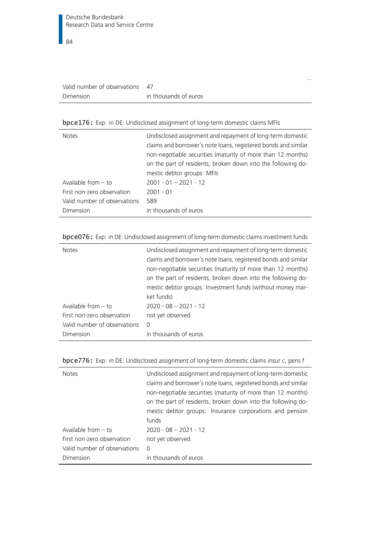| Valid number of observations |                       |
|------------------------------|-----------------------|
| Dimension                    | in thousands of euros |

## bpce176: Exp: in DE: Undisclosed assignment of long-term domestic claims MFIs

| <b>Notes</b>                 | Undisclosed assignment and repayment of long-term domestic<br>claims and borrower's note loans, registered bonds and similar<br>non-negotiable securities (maturity of more than 12 months)<br>on the part of residents, broken down into the following do-<br>mestic debtor groups: MFIs |
|------------------------------|-------------------------------------------------------------------------------------------------------------------------------------------------------------------------------------------------------------------------------------------------------------------------------------------|
| Available from $-$ to        | $2001 - 01 - 2021 - 12$                                                                                                                                                                                                                                                                   |
| First non-zero observation   | $2001 - 01$                                                                                                                                                                                                                                                                               |
| Valid number of observations | 589                                                                                                                                                                                                                                                                                       |
| Dimension                    | in thousands of euros                                                                                                                                                                                                                                                                     |

…

## bpce076: Exp: in DE: Undisclosed assignment of long-term domestic claims investment funds

| <b>Notes</b>                 | Undisclosed assignment and repayment of long-term domestic<br>claims and borrower's note loans, registered bonds and similar<br>non-negotiable securities (maturity of more than 12 months)<br>on the part of residents, broken down into the following do-<br>mestic debtor groups: Investment funds (without money mar-<br>ket funds) |
|------------------------------|-----------------------------------------------------------------------------------------------------------------------------------------------------------------------------------------------------------------------------------------------------------------------------------------------------------------------------------------|
| Available from $-$ to        | $2020 - 08 - 2021 - 12$                                                                                                                                                                                                                                                                                                                 |
| First non-zero observation   | not yet observed                                                                                                                                                                                                                                                                                                                        |
| Valid number of observations | $\Omega$                                                                                                                                                                                                                                                                                                                                |
| Dimension                    | in thousands of euros                                                                                                                                                                                                                                                                                                                   |

|  |  |  |  |  | bpce776: Exp: in DE: Undisclosed assignment of long-term domestic claims insur c, pens f |  |
|--|--|--|--|--|------------------------------------------------------------------------------------------|--|
|--|--|--|--|--|------------------------------------------------------------------------------------------|--|

| <b>Notes</b>                 | Undisclosed assignment and repayment of long-term domestic<br>claims and borrower's note loans, registered bonds and similar<br>non-negotiable securities (maturity of more than 12 months)<br>on the part of residents, broken down into the following do-<br>mestic debtor groups: Insurance corporations and pension<br>funds |
|------------------------------|----------------------------------------------------------------------------------------------------------------------------------------------------------------------------------------------------------------------------------------------------------------------------------------------------------------------------------|
|                              |                                                                                                                                                                                                                                                                                                                                  |
| Available from $-$ to        | $2020 - 08 - 2021 - 12$                                                                                                                                                                                                                                                                                                          |
| First non-zero observation   | not yet observed                                                                                                                                                                                                                                                                                                                 |
| Valid number of observations | 0                                                                                                                                                                                                                                                                                                                                |
| Dimension                    | in thousands of euros                                                                                                                                                                                                                                                                                                            |
|                              |                                                                                                                                                                                                                                                                                                                                  |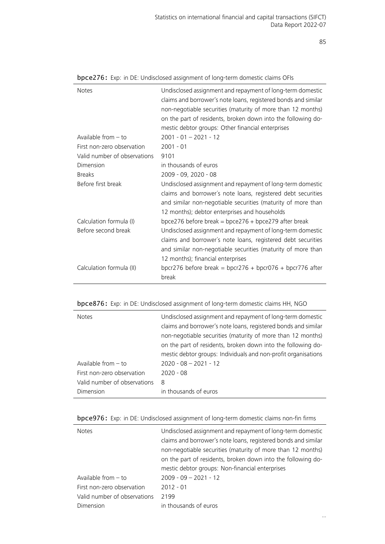| <b>Notes</b>                 | Undisclosed assignment and repayment of long-term domestic<br>claims and borrower's note loans, registered bonds and similar<br>non-negotiable securities (maturity of more than 12 months)<br>on the part of residents, broken down into the following do-<br>mestic debtor groups: Other financial enterprises |
|------------------------------|------------------------------------------------------------------------------------------------------------------------------------------------------------------------------------------------------------------------------------------------------------------------------------------------------------------|
| Available from $-$ to        | $2001 - 01 - 2021 - 12$                                                                                                                                                                                                                                                                                          |
| First non-zero observation   | $2001 - 01$                                                                                                                                                                                                                                                                                                      |
| Valid number of observations | 9101                                                                                                                                                                                                                                                                                                             |
| Dimension                    | in thousands of euros                                                                                                                                                                                                                                                                                            |
| <b>Breaks</b>                | 2009 - 09, 2020 - 08                                                                                                                                                                                                                                                                                             |
| Before first break           | Undisclosed assignment and repayment of long-term domestic<br>claims and borrower's note loans, registered debt securities<br>and similar non-negotiable securities (maturity of more than<br>12 months); debtor enterprises and households                                                                      |
| Calculation formula (I)      | bpce276 before break = bpce276 + bpce279 after break                                                                                                                                                                                                                                                             |
| Before second break          | Undisclosed assignment and repayment of long-term domestic<br>claims and borrower's note loans, registered debt securities<br>and similar non-negotiable securities (maturity of more than<br>12 months); financial enterprises                                                                                  |
| Calculation formula (II)     | bpcr276 before break = bpcr276 + bpcr076 + bpcr776 after<br>break                                                                                                                                                                                                                                                |

|  | bpce276: Exp: in DE: Undisclosed assignment of long-term domestic claims OFIs |  |  |
|--|-------------------------------------------------------------------------------|--|--|
|  |                                                                               |  |  |

| <b>bpce876:</b> Exp: in DE: Undisclosed assignment of long-term domestic claims HH, NGO |  |  |  |  |  |
|-----------------------------------------------------------------------------------------|--|--|--|--|--|
|                                                                                         |  |  |  |  |  |

| <b>Notes</b>                 | Undisclosed assignment and repayment of long-term domestic     |
|------------------------------|----------------------------------------------------------------|
|                              | claims and borrower's note loans, registered bonds and similar |
|                              | non-negotiable securities (maturity of more than 12 months)    |
|                              | on the part of residents, broken down into the following do-   |
|                              | mestic debtor groups: Individuals and non-profit organisations |
| Available from $-$ to        | $2020 - 08 - 2021 - 12$                                        |
| First non-zero observation   | $2020 - 08$                                                    |
| Valid number of observations | 8                                                              |
| Dimension                    | in thousands of euros                                          |
|                              |                                                                |

|  |  |  | <b>bpce976:</b> Exp: in DE: Undisclosed assignment of long-term domestic claims non-fin firms |
|--|--|--|-----------------------------------------------------------------------------------------------|
|  |  |  |                                                                                               |

| <b>Notes</b>                 | Undisclosed assignment and repayment of long-term domestic<br>claims and borrower's note loans, registered bonds and similar<br>non-negotiable securities (maturity of more than 12 months) |
|------------------------------|---------------------------------------------------------------------------------------------------------------------------------------------------------------------------------------------|
|                              | on the part of residents, broken down into the following do-                                                                                                                                |
|                              | mestic debtor groups: Non-financial enterprises                                                                                                                                             |
| Available from $-$ to        | $2009 - 09 - 2021 - 12$                                                                                                                                                                     |
| First non-zero observation   | $2012 - 01$                                                                                                                                                                                 |
| Valid number of observations | 2199                                                                                                                                                                                        |
| Dimension                    | in thousands of euros                                                                                                                                                                       |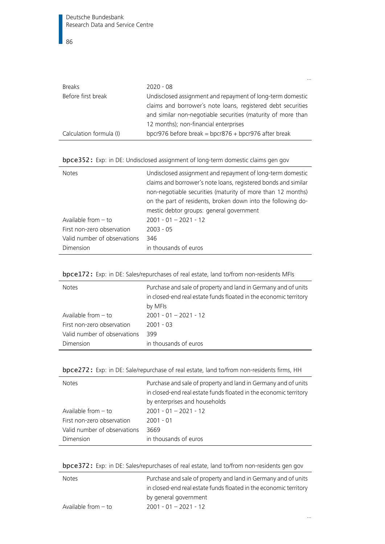|                         | $\cdots$                                                     |
|-------------------------|--------------------------------------------------------------|
| <b>Breaks</b>           | $2020 - 08$                                                  |
| Before first break      | Undisclosed assignment and repayment of long-term domestic   |
|                         | claims and borrower's note loans, registered debt securities |
|                         | and similar non-negotiable securities (maturity of more than |
|                         | 12 months); non-financial enterprises                        |
| Calculation formula (I) | bpcr976 before break = bpcr876 + bpcr976 after break         |

|  | bpce352: Exp: in DE: Undisclosed assignment of long-term domestic claims gen gov |
|--|----------------------------------------------------------------------------------|
|  |                                                                                  |

| <b>Notes</b>                 | Undisclosed assignment and repayment of long-term domestic<br>claims and borrower's note loans, registered bonds and similar<br>non-negotiable securities (maturity of more than 12 months)<br>on the part of residents, broken down into the following do-<br>mestic debtor groups: general government |
|------------------------------|---------------------------------------------------------------------------------------------------------------------------------------------------------------------------------------------------------------------------------------------------------------------------------------------------------|
| Available from $-$ to        | $2001 - 01 - 2021 - 12$                                                                                                                                                                                                                                                                                 |
| First non-zero observation   | $2003 - 05$                                                                                                                                                                                                                                                                                             |
| Valid number of observations | 346                                                                                                                                                                                                                                                                                                     |
| Dimension                    | in thousands of euros                                                                                                                                                                                                                                                                                   |

|  |  | bpce172: Exp: in DE: Sales/repurchases of real estate, land to/from non-residents MFIs |  |
|--|--|----------------------------------------------------------------------------------------|--|
|--|--|----------------------------------------------------------------------------------------|--|

| <b>Notes</b>                 | Purchase and sale of property and land in Germany and of units<br>in closed-end real estate funds floated in the economic territory<br>by MFIs |
|------------------------------|------------------------------------------------------------------------------------------------------------------------------------------------|
| Available from $-$ to        | $2001 - 01 - 2021 - 12$                                                                                                                        |
| First non-zero observation   | $2001 - 03$                                                                                                                                    |
| Valid number of observations | 399                                                                                                                                            |
| Dimension                    | in thousands of euros                                                                                                                          |

| <b>Notes</b>                 | Purchase and sale of property and land in Germany and of units<br>in closed-end real estate funds floated in the economic territory |
|------------------------------|-------------------------------------------------------------------------------------------------------------------------------------|
|                              | by enterprises and households                                                                                                       |
| Available from $-$ to        | $2001 - 01 - 2021 - 12$                                                                                                             |
| First non-zero observation   | $2001 - 01$                                                                                                                         |
| Valid number of observations | 3669                                                                                                                                |
| Dimension                    | in thousands of euros                                                                                                               |

|  |  |  |  |  | bpce272: Exp: in DE: Sale/repurchase of real estate, land to/from non-residents firms, HH |
|--|--|--|--|--|-------------------------------------------------------------------------------------------|
|--|--|--|--|--|-------------------------------------------------------------------------------------------|

| bpce372: Exp: in DE: Sales/repurchases of real estate, land to/from non-residents gen gov |  |  |  |  |  |  |  |
|-------------------------------------------------------------------------------------------|--|--|--|--|--|--|--|
|-------------------------------------------------------------------------------------------|--|--|--|--|--|--|--|

| <b>Notes</b>          | Purchase and sale of property and land in Germany and of units    |
|-----------------------|-------------------------------------------------------------------|
|                       | in closed-end real estate funds floated in the economic territory |
|                       | by general government                                             |
| Available from $-$ to | $2001 - 01 - 2021 - 12$                                           |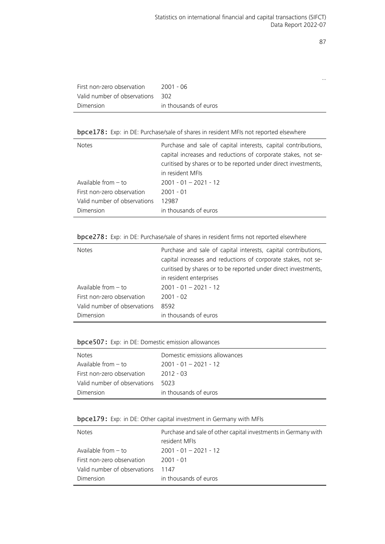…

| First non-zero observation       | 2001 - 06             |
|----------------------------------|-----------------------|
| Valid number of observations 302 |                       |
| Dimension                        | in thousands of euros |

## bpce178: Exp: in DE: Purchase/sale of shares in resident MFIs not reported elsewhere

| <b>Notes</b>                 | Purchase and sale of capital interests, capital contributions,<br>capital increases and reductions of corporate stakes, not se-<br>curitised by shares or to be reported under direct investments,<br>in resident MFIs |
|------------------------------|------------------------------------------------------------------------------------------------------------------------------------------------------------------------------------------------------------------------|
| Available from $-$ to        | $2001 - 01 - 2021 - 12$                                                                                                                                                                                                |
| First non-zero observation   | $2001 - 01$                                                                                                                                                                                                            |
| Valid number of observations | 12987                                                                                                                                                                                                                  |
| Dimension                    | in thousands of euros                                                                                                                                                                                                  |

## bpce278: Exp: in DE: Purchase/sale of shares in resident firms not reported elsewhere

| <b>Notes</b>                 | Purchase and sale of capital interests, capital contributions,<br>capital increases and reductions of corporate stakes, not se-<br>curitised by shares or to be reported under direct investments,<br>in resident enterprises |
|------------------------------|-------------------------------------------------------------------------------------------------------------------------------------------------------------------------------------------------------------------------------|
| Available from $-$ to        | $2001 - 01 - 2021 - 12$                                                                                                                                                                                                       |
| First non-zero observation   | $2001 - 02$                                                                                                                                                                                                                   |
| Valid number of observations | 8592                                                                                                                                                                                                                          |
| Dimension                    | in thousands of euros                                                                                                                                                                                                         |

#### bpce507: Exp: in DE: Domestic emission allowances

| <b>Notes</b>                 | Domestic emissions allowances |
|------------------------------|-------------------------------|
| Available from $-$ to        | $2001 - 01 - 2021 - 12$       |
| First non-zero observation   | $2012 - 03$                   |
| Valid number of observations | 5023                          |
| Dimension                    | in thousands of euros         |

#### bpce179: Exp: in DE: Other capital investment in Germany with MFIs

| <b>Notes</b>                 | Purchase and sale of other capital investments in Germany with<br>resident MFIs |
|------------------------------|---------------------------------------------------------------------------------|
| Available from $-$ to        | $2001 - 01 - 2021 - 12$                                                         |
| First non-zero observation   | 2001 - 01                                                                       |
| Valid number of observations | 1147                                                                            |
| Dimension                    | in thousands of euros                                                           |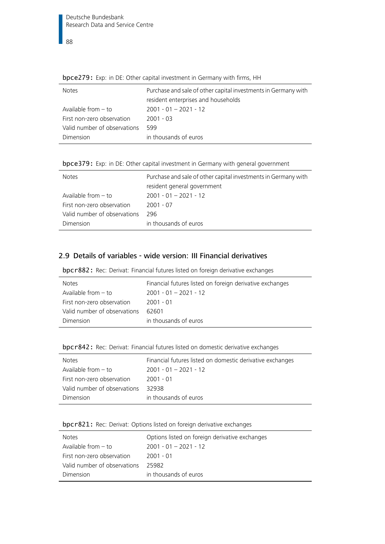$\overline{\phantom{1}}$ 88

| <b>Notes</b>                 | Purchase and sale of other capital investments in Germany with |
|------------------------------|----------------------------------------------------------------|
|                              | resident enterprises and households                            |
| Available from $-$ to        | $2001 - 01 - 2021 - 12$                                        |
| First non-zero observation   | $2001 - 03$                                                    |
| Valid number of observations | 599                                                            |
| Dimension                    | in thousands of euros                                          |
|                              |                                                                |

**bpce279:** Exp: in DE: Other capital investment in Germany with firms, HH

|  |  |  | bpce379: Exp: in DE: Other capital investment in Germany with general government |  |  |  |
|--|--|--|----------------------------------------------------------------------------------|--|--|--|
|  |  |  |                                                                                  |  |  |  |

| <b>Notes</b>                 | Purchase and sale of other capital investments in Germany with |
|------------------------------|----------------------------------------------------------------|
|                              | resident general government                                    |
| Available from $-$ to        | $2001 - 01 - 2021 - 12$                                        |
| First non-zero observation   | $2001 - 07$                                                    |
| Valid number of observations | 296                                                            |
| Dimension                    | in thousands of euros                                          |

## 2.9 Details of variables - wide version: III Financial derivatives

| bpcr882: Rec: Derivat: Financial futures listed on foreign derivative exchanges |  |  |  |  |  |
|---------------------------------------------------------------------------------|--|--|--|--|--|
|                                                                                 |  |  |  |  |  |

| <b>Notes</b>                 | Financial futures listed on foreign derivative exchanges |
|------------------------------|----------------------------------------------------------|
| Available from $-$ to        | $2001 - 01 - 2021 - 12$                                  |
| First non-zero observation   | 2001 - 01                                                |
| Valid number of observations | 62601                                                    |
| Dimension                    | in thousands of euros                                    |

| bpcr842: Rec: Derivat: Financial futures listed on domestic derivative exchanges |  |  |  |  |  |  |  |  |  |
|----------------------------------------------------------------------------------|--|--|--|--|--|--|--|--|--|
|----------------------------------------------------------------------------------|--|--|--|--|--|--|--|--|--|

| <b>Notes</b>                 | Financial futures listed on domestic derivative exchanges |
|------------------------------|-----------------------------------------------------------|
| Available from $-$ to        | $2001 - 01 - 2021 - 12$                                   |
| First non-zero observation   | $2001 - 01$                                               |
| Valid number of observations | 32938                                                     |
| Dimension                    | in thousands of euros                                     |

|  | bpcr821: Rec: Derivat: Options listed on foreign derivative exchanges |  |
|--|-----------------------------------------------------------------------|--|
|--|-----------------------------------------------------------------------|--|

| <b>Notes</b>                 | Options listed on foreign derivative exchanges |
|------------------------------|------------------------------------------------|
| Available from - to          | $2001 - 01 - 2021 - 12$                        |
| First non-zero observation   | 2001 - 01                                      |
| Valid number of observations | 25982                                          |
| Dimension                    | in thousands of euros                          |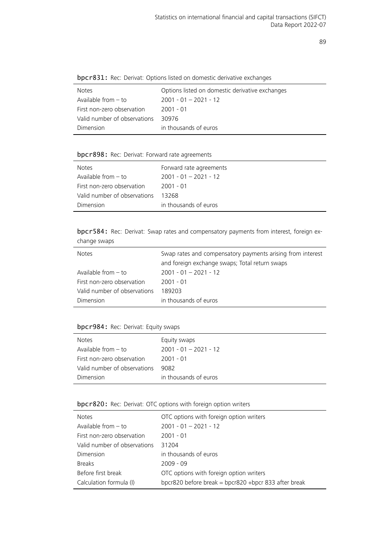| <b>SPCT 0011</b> Theo. Definate Options isted on domicstic dematric exchanges |                                                 |  |
|-------------------------------------------------------------------------------|-------------------------------------------------|--|
| <b>Notes</b>                                                                  | Options listed on domestic derivative exchanges |  |
| Available from $-$ to                                                         | $2001 - 01 - 2021 - 12$                         |  |
| First non-zero observation                                                    | $2001 - 01$                                     |  |
| Valid number of observations                                                  | 30976                                           |  |
| Dimension                                                                     | in thousands of euros                           |  |
|                                                                               |                                                 |  |

bpcr831: Rec: Derivat: Options listed on domestic derivative exchanges

## bpcr898: Rec: Derivat: Forward rate agreements

| <b>Notes</b>                 | Forward rate agreements |
|------------------------------|-------------------------|
| Available from $-$ to        | $2001 - 01 - 2021 - 12$ |
| First non-zero observation   | -2001 - 01              |
| Valid number of observations | 13268                   |
| Dimension                    | in thousands of euros   |

bpcr584: Rec: Derivat: Swap rates and compensatory payments from interest, foreign exchange swaps

| <b>Notes</b>                 | Swap rates and compensatory payments arising from interest<br>and foreign exchange swaps; Total return swaps |
|------------------------------|--------------------------------------------------------------------------------------------------------------|
| Available from – to          | $2001 - 01 - 2021 - 12$                                                                                      |
| First non-zero observation   | 2001 - 01                                                                                                    |
| Valid number of observations | 189203                                                                                                       |
| Dimension                    | in thousands of euros                                                                                        |

#### bpcr984: Rec: Derivat: Equity swaps

| <b>Notes</b>                 | Equity swaps            |
|------------------------------|-------------------------|
| Available from $-$ to        | $2001 - 01 - 2021 - 12$ |
| First non-zero observation   | $2001 - 01$             |
| Valid number of observations | 9082                    |
| Dimension                    | in thousands of euros   |

bpcr820: Rec: Derivat: OTC options with foreign option writers

| <b>Notes</b>                 | OTC options with foreign option writers              |
|------------------------------|------------------------------------------------------|
| Available from $-$ to        | $2001 - 01 - 2021 - 12$                              |
| First non-zero observation   | $2001 - 01$                                          |
| Valid number of observations | 31204                                                |
| Dimension                    | in thousands of euros                                |
| <b>Breaks</b>                | $2009 - 09$                                          |
| Before first break           | OTC options with foreign option writers              |
| Calculation formula (I)      | bpcr820 before break = bpcr820 +bpcr 833 after break |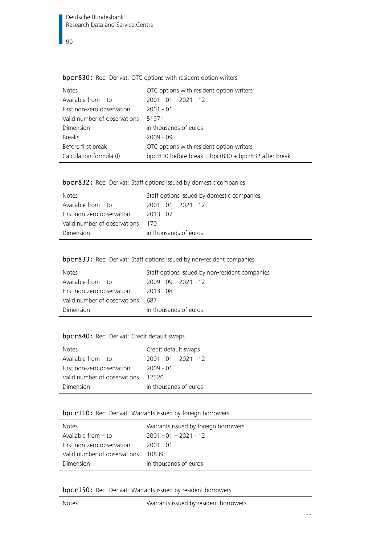| wper oper neer pentati ore options with resident option winters |                                                      |  |
|-----------------------------------------------------------------|------------------------------------------------------|--|
| <b>Notes</b>                                                    | OTC options with resident option writers             |  |
| Available from $-$ to                                           | $2001 - 01 - 2021 - 12$                              |  |
| First non-zero observation                                      | $2001 - 01$                                          |  |
| Valid number of observations                                    | 51971                                                |  |
| Dimension                                                       | in thousands of euros                                |  |
| <b>Breaks</b>                                                   | $2009 - 09$                                          |  |
| Before first break                                              | OTC options with resident option writers             |  |
| Calculation formula (I)                                         | bpcr830 before break = bpcr830 + bpcr832 after break |  |

bpcr830: Rec: Derivat: OTC options with resident option writers

| bpcr832: Rec: Derivat: Staff options issued by domestic companies |  |  |  |  |  |
|-------------------------------------------------------------------|--|--|--|--|--|
|-------------------------------------------------------------------|--|--|--|--|--|

| <b>Notes</b>                 | Staff options issued by domestic companies |
|------------------------------|--------------------------------------------|
| Available from $-$ to        | $2001 - 01 - 2021 - 12$                    |
| First non-zero observation   | 2013 - 07                                  |
| Valid number of observations | 170                                        |
| Dimension                    | in thousands of euros                      |

|  |  | bpcr833: Rec: Derivat: Staff options issued by non-resident companies |  |
|--|--|-----------------------------------------------------------------------|--|
|--|--|-----------------------------------------------------------------------|--|

| <b>Notes</b>                 | Staff options issued by non-resident companies |
|------------------------------|------------------------------------------------|
| Available from $-$ to        | $2009 - 09 - 2021 - 12$                        |
| First non-zero observation   | $2013 - 08$                                    |
| Valid number of observations | 687                                            |
| Dimension                    | in thousands of euros                          |

## bpcr840: Rec: Derivat: Credit default swaps

| <b>Notes</b>                 | Credit default swaps    |
|------------------------------|-------------------------|
| Available from $-$ to        | $2001 - 01 - 2021 - 12$ |
| First non-zero observation   | $2009 - 01$             |
| Valid number of observations | 12520                   |
| Dimension                    | in thousands of euros   |

## bpcr110: Rec: Derivat: Warrants issued by foreign borrowers

| <b>Notes</b>                 | Warrants issued by foreign borrowers |
|------------------------------|--------------------------------------|
| Available from $-$ to        | $2001 - 01 - 2021 - 12$              |
| First non-zero observation   | -2001 - 01                           |
| Valid number of observations | 10839                                |
| Dimension                    | in thousands of euros                |

bpcr150: Rec: Derivat: Warrants issued by resident borrowers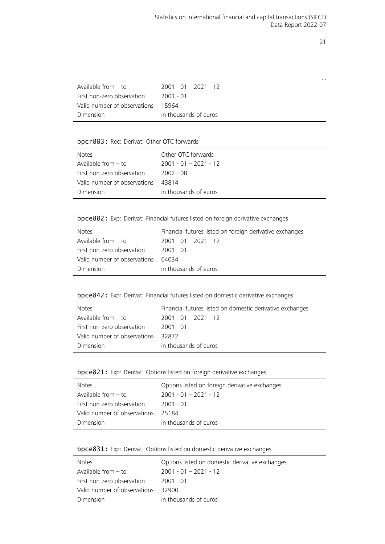…

| Available from $-$ to        | $2001 - 01 - 2021 - 12$ |
|------------------------------|-------------------------|
| First non-zero observation   | 2001 - 01               |
| Valid number of observations | 15964                   |
| Dimension                    | in thousands of euros   |

## bpcr883: Rec: Derivat: Other OTC forwards

| <b>Notes</b>                 | Other OTC forwards      |
|------------------------------|-------------------------|
| Available from $-$ to        | $2001 - 01 - 2021 - 12$ |
| First non-zero observation   | 2002 - 08               |
| Valid number of observations | 43814                   |
| Dimension                    | in thousands of euros   |

bpce882: Exp: Derivat: Financial futures listed on foreign derivative exchanges

| <b>Notes</b>                 | Financial futures listed on foreign derivative exchanges |
|------------------------------|----------------------------------------------------------|
| Available from $-$ to        | $2001 - 01 - 2021 - 12$                                  |
| First non-zero observation   | 2001 - 01                                                |
| Valid number of observations | 64034                                                    |
| Dimension                    | in thousands of euros                                    |

bpce842: Exp: Derivat: Financial futures listed on domestic derivative exchanges

| <b>Notes</b>                 | Financial futures listed on domestic derivative exchanges |
|------------------------------|-----------------------------------------------------------|
| Available from $-$ to        | $2001 - 01 - 2021 - 12$                                   |
| First non-zero observation   | -2001 - 01                                                |
| Valid number of observations | 32872                                                     |
| Dimension                    | in thousands of euros                                     |

|  |  |  |  | bpce821: Exp: Derivat: Options listed on foreign derivative exchanges |
|--|--|--|--|-----------------------------------------------------------------------|
|--|--|--|--|-----------------------------------------------------------------------|

l,

| <b>Notes</b>                 | Options listed on foreign derivative exchanges |
|------------------------------|------------------------------------------------|
| Available from - to          | $2001 - 01 - 2021 - 12$                        |
| First non-zero observation   | 2001 - 01                                      |
| Valid number of observations | 25184                                          |
| Dimension                    | in thousands of euros                          |

| bpce831: Exp: Derivat: Options listed on domestic derivative exchanges |  |
|------------------------------------------------------------------------|--|
|------------------------------------------------------------------------|--|

| <b>Notes</b>                 | Options listed on domestic derivative exchanges |
|------------------------------|-------------------------------------------------|
| Available from $-$ to        | $2001 - 01 - 2021 - 12$                         |
| First non-zero observation   | $2001 - 01$                                     |
| Valid number of observations | 32900.                                          |
| Dimension                    | in thousands of euros                           |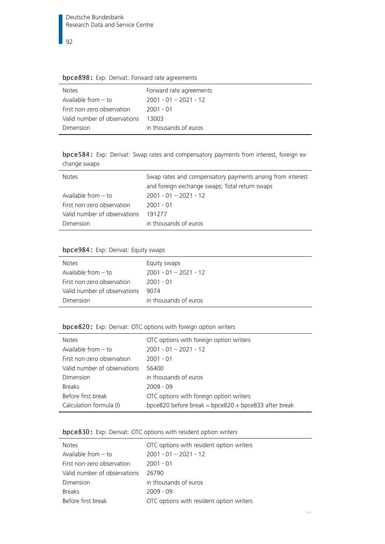| <b>SPECOSO:</b> EXP. DETIVAL: FORVATA TALE agreements |  |
|-------------------------------------------------------|--|
| Forward rate agreements                               |  |
| $2001 - 01 - 2021 - 12$                               |  |
| 2001 - 01                                             |  |
| 13003                                                 |  |
| in thousands of euros                                 |  |
|                                                       |  |

bpce898: Exp: Derivat: Forward rate agreements

bpce584: Exp: Derivat: Swap rates and compensatory payments from interest, foreign exchange swaps

| <b>Notes</b>                 | Swap rates and compensatory payments arising from interest<br>and foreign exchange swaps; Total return swaps |
|------------------------------|--------------------------------------------------------------------------------------------------------------|
| Available from $-$ to        | $2001 - 01 - 2021 - 12$                                                                                      |
| First non-zero observation   | $2001 - 01$                                                                                                  |
| Valid number of observations | 191277                                                                                                       |
| Dimension                    | in thousands of euros                                                                                        |

## bpce984: Exp: Derivat: Equity swaps

| <b>Notes</b>                 | Equity swaps            |
|------------------------------|-------------------------|
| Available from $-$ to        | $2001 - 01 - 2021 - 12$ |
| First non-zero observation   | 2001 - 01               |
| Valid number of observations | 9074                    |
| Dimension                    | in thousands of euros   |
|                              |                         |

## bpce820: Exp: Derivat: OTC options with foreign option writers

| <b>Notes</b>                 | OTC options with foreign option writers              |
|------------------------------|------------------------------------------------------|
| Available from $-$ to        | $2001 - 01 - 2021 - 12$                              |
| First non-zero observation   | $2001 - 01$                                          |
| Valid number of observations | 56400                                                |
| Dimension                    | in thousands of euros                                |
| <b>Breaks</b>                | $2009 - 09$                                          |
| Before first break           | OTC options with foreign option writers              |
| Calculation formula (I)      | bpce820 before break = bpce820 + bpce833 after break |

## bpce830: Exp: Derivat: OTC options with resident option writers

| <b>Notes</b>                 | OTC options with resident option writers |
|------------------------------|------------------------------------------|
| Available from $-$ to        | $2001 - 01 - 2021 - 12$                  |
| First non-zero observation   | $2001 - 01$                              |
| Valid number of observations | 26790                                    |
| Dimension                    | in thousands of euros                    |
| <b>Breaks</b>                | $2009 - 09$                              |
| Before first break           | OTC options with resident option writers |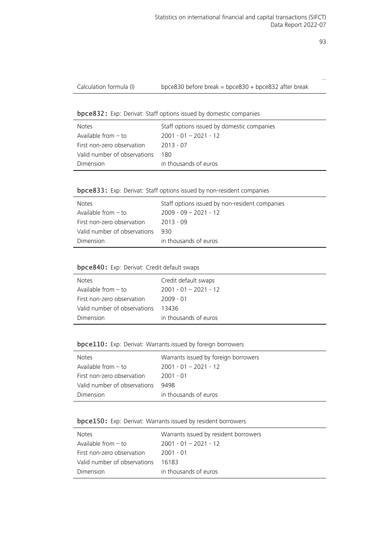…

bpce832: Exp: Derivat: Staff options issued by domestic companies

| <b>Notes</b>                 | Staff options issued by domestic companies |
|------------------------------|--------------------------------------------|
| Available from - to          | $2001 - 01 - 2021 - 12$                    |
| First non-zero observation   | $2013 - 07$                                |
| Valid number of observations | 180.                                       |
| Dimension                    | in thousands of euros                      |

|  |  |  |  |  |  |  | bpce833: Exp: Derivat: Staff options issued by non-resident companies |  |
|--|--|--|--|--|--|--|-----------------------------------------------------------------------|--|
|--|--|--|--|--|--|--|-----------------------------------------------------------------------|--|

| <b>Notes</b>                 | Staff options issued by non-resident companies |
|------------------------------|------------------------------------------------|
| Available from $-$ to        | $2009 - 09 - 2021 - 12$                        |
| First non-zero observation   | 2013 - 09                                      |
| Valid number of observations | 930.                                           |
| Dimension                    | in thousands of euros                          |

## bpce840: Exp: Derivat: Credit default swaps

| <b>Notes</b>                 | Credit default swaps    |
|------------------------------|-------------------------|
| Available from $-$ to        | $2001 - 01 - 2021 - 12$ |
| First non-zero observation   | 2009 - 01               |
| Valid number of observations | 13436                   |
| Dimension                    | in thousands of euros   |

## bpce110: Exp: Derivat: Warrants issued by foreign borrowers

| <b>Notes</b>                 | Warrants issued by foreign borrowers |
|------------------------------|--------------------------------------|
| Available from $-$ to        | $2001 - 01 - 2021 - 12$              |
| First non-zero observation   | $2001 - 01$                          |
| Valid number of observations | 9498                                 |
| Dimension                    | in thousands of euros                |

## bpce150: Exp: Derivat: Warrants issued by resident borrowers

| <b>Notes</b>                 | Warrants issued by resident borrowers |
|------------------------------|---------------------------------------|
| Available from $-$ to        | $2001 - 01 - 2021 - 12$               |
| First non-zero observation   | 2001 - 01                             |
| Valid number of observations | 16183                                 |
| Dimension                    | in thousands of euros                 |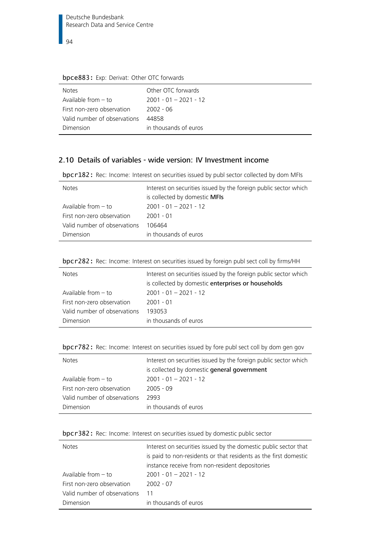| <b>Notes</b>                 | Other OTC forwards      |
|------------------------------|-------------------------|
| Available from - to          | $2001 - 01 - 2021 - 12$ |
| First non-zero observation   | $2002 - 06$             |
| Valid number of observations | 44858                   |
| Dimension                    | in thousands of euros   |

## bpce883: Exp: Derivat: Other OTC forwards

# 2.10 Details of variables - wide version: IV Investment income

bpcr182: Rec: Income: Interest on securities issued by publ sector collected by dom MFIs

| <b>Notes</b>                 | Interest on securities issued by the foreign public sector which<br>is collected by domestic <b>MFIs</b> |
|------------------------------|----------------------------------------------------------------------------------------------------------|
| Available from $-$ to        | $2001 - 01 - 2021 - 12$                                                                                  |
| First non-zero observation   | $2001 - 01$                                                                                              |
| Valid number of observations | 106464                                                                                                   |
| Dimension                    | in thousands of euros                                                                                    |

|  |  | bpcr282: Rec: Income: Interest on securities issued by foreign publ sect coll by firms/HH |
|--|--|-------------------------------------------------------------------------------------------|
|  |  |                                                                                           |

| <b>Notes</b>                 | Interest on securities issued by the foreign public sector which<br>is collected by domestic enterprises or households |
|------------------------------|------------------------------------------------------------------------------------------------------------------------|
| Available from - to          | $2001 - 01 - 2021 - 12$                                                                                                |
| First non-zero observation   | $2001 - 01$                                                                                                            |
| Valid number of observations | 193053                                                                                                                 |
| Dimension                    | in thousands of euros                                                                                                  |

|  |  |  | bpcr782: Rec: Income: Interest on securities issued by fore publ sect coll by dom gen gov |
|--|--|--|-------------------------------------------------------------------------------------------|
|--|--|--|-------------------------------------------------------------------------------------------|

| <b>Notes</b>                 | Interest on securities issued by the foreign public sector which<br>is collected by domestic general government |
|------------------------------|-----------------------------------------------------------------------------------------------------------------|
| Available from $-$ to        | $2001 - 01 - 2021 - 12$                                                                                         |
| First non-zero observation   | $2005 - 09$                                                                                                     |
| Valid number of observations | 2993                                                                                                            |
| Dimension                    | in thousands of euros                                                                                           |

|  |  |  |  |  |  |  | bpcr382: Rec: Income: Interest on securities issued by domestic public sector |
|--|--|--|--|--|--|--|-------------------------------------------------------------------------------|
|--|--|--|--|--|--|--|-------------------------------------------------------------------------------|

| <b>Notes</b>                 | Interest on securities issued by the domestic public sector that<br>is paid to non-residents or that residents as the first domestic<br>instance receive from non-resident depositories |
|------------------------------|-----------------------------------------------------------------------------------------------------------------------------------------------------------------------------------------|
| Available from $-$ to        | $2001 - 01 - 2021 - 12$                                                                                                                                                                 |
| First non-zero observation   | $2002 - 07$                                                                                                                                                                             |
| Valid number of observations | 11                                                                                                                                                                                      |
| Dimension                    | in thousands of euros                                                                                                                                                                   |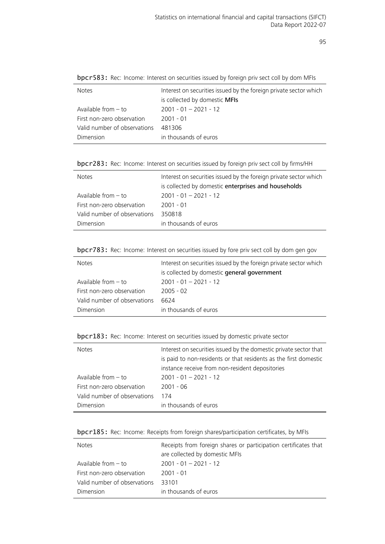| Interest on securities issued by the foreign private sector which |
|-------------------------------------------------------------------|
| is collected by domestic MFIs                                     |
| $2001 - 01 - 2021 - 12$                                           |
| $2001 - 01$                                                       |
| 481306                                                            |
| in thousands of euros                                             |
|                                                                   |

bpcr583: Rec: Income: Interest on securities issued by foreign priv sect coll by dom MFIs

bpcr283: Rec: Income: Interest on securities issued by foreign priv sect coll by firms/HH

| <b>Notes</b>                 | Interest on securities issued by the foreign private sector which |
|------------------------------|-------------------------------------------------------------------|
|                              | is collected by domestic enterprises and households               |
| Available from $-$ to        | $2001 - 01 - 2021 - 12$                                           |
| First non-zero observation   | $2001 - 01$                                                       |
| Valid number of observations | 350818                                                            |
| Dimension                    | in thousands of euros                                             |
|                              |                                                                   |

| bpcr783: Rec: Income: Interest on securities issued by fore priv sect coll by dom gen gov |  |
|-------------------------------------------------------------------------------------------|--|
|-------------------------------------------------------------------------------------------|--|

| <b>Notes</b>                 | Interest on securities issued by the foreign private sector which<br>is collected by domestic general government |
|------------------------------|------------------------------------------------------------------------------------------------------------------|
| Available from $-$ to        | $2001 - 01 - 2021 - 12$                                                                                          |
| First non-zero observation   | $2005 - 02$                                                                                                      |
| Valid number of observations | 6624                                                                                                             |
| Dimension                    | in thousands of euros                                                                                            |

| bpcr183: Rec: Income: Interest on securities issued by domestic private sector |  |  |  |  |
|--------------------------------------------------------------------------------|--|--|--|--|
|--------------------------------------------------------------------------------|--|--|--|--|

| <b>Notes</b>                 | Interest on securities issued by the domestic private sector that |
|------------------------------|-------------------------------------------------------------------|
|                              | is paid to non-residents or that residents as the first domestic  |
|                              | instance receive from non-resident depositories                   |
| Available from $-$ to        | $2001 - 01 - 2021 - 12$                                           |
| First non-zero observation   | $2001 - 06$                                                       |
| Valid number of observations | 174                                                               |
| Dimension                    | in thousands of euros                                             |

| bpcr185: Rec: Income: Receipts from foreign shares/participation certificates, by MFIs |  |  |  |
|----------------------------------------------------------------------------------------|--|--|--|
|                                                                                        |  |  |  |

| <b>Notes</b>                 | Receipts from foreign shares or participation certificates that |
|------------------------------|-----------------------------------------------------------------|
|                              | are collected by domestic MFIs                                  |
| Available from $-$ to        | $2001 - 01 - 2021 - 12$                                         |
| First non-zero observation   | $2001 - 01$                                                     |
| Valid number of observations | 33101                                                           |
| Dimension                    | in thousands of euros                                           |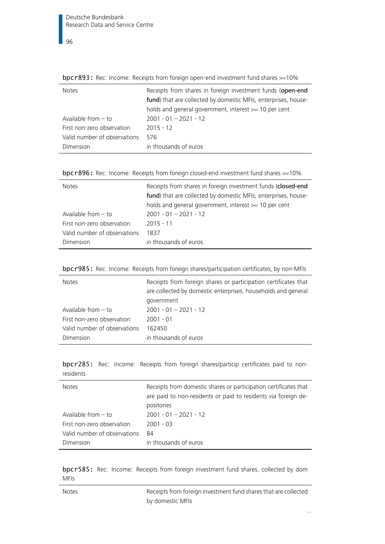| <b>Notes</b>                 | Receipts from shares in foreign investment funds (open-end     |
|------------------------------|----------------------------------------------------------------|
|                              | fund) that are collected by domestic MFIs, enterprises, house- |
|                              | holds and general government, interest >= 10 per cent          |
| Available from $-$ to        | $2001 - 01 - 2021 - 12$                                        |
| First non-zero observation   | $2015 - 12$                                                    |
| Valid number of observations | 576                                                            |
| Dimension                    | in thousands of euros                                          |
|                              |                                                                |

bpcr893: Rec: Income: Receipts from foreign open-end investment fund shares >=10%

| <b>Notes</b>                 | Receipts from shares in foreign investment funds (closed-end<br>fund) that are collected by domestic MFIs, enterprises, house-<br>holds and general government, interest $\geq$ 10 per cent |
|------------------------------|---------------------------------------------------------------------------------------------------------------------------------------------------------------------------------------------|
| Available from $-$ to        | $2001 - 01 - 2021 - 12$                                                                                                                                                                     |
| First non-zero observation   | $2015 - 11$                                                                                                                                                                                 |
| Valid number of observations | 1837                                                                                                                                                                                        |
| Dimension                    | in thousands of euros                                                                                                                                                                       |

| bpcr985: Rec: Income: Receipts from foreign shares/participation certificates, by non-MFIs |  |  |  |  |  |  |  |  |  |  |  |
|--------------------------------------------------------------------------------------------|--|--|--|--|--|--|--|--|--|--|--|
|--------------------------------------------------------------------------------------------|--|--|--|--|--|--|--|--|--|--|--|

| <b>Notes</b>                 | Receipts from foreign shares or participation certificates that<br>are collected by domestic enterprises, households and general |
|------------------------------|----------------------------------------------------------------------------------------------------------------------------------|
|                              | government                                                                                                                       |
| Available from $-$ to        | $2001 - 01 - 2021 - 12$                                                                                                          |
| First non-zero observation   | $2001 - 01$                                                                                                                      |
| Valid number of observations | 162450                                                                                                                           |
| Dimension                    | in thousands of euros                                                                                                            |

bpcr285: Rec: Income: Receipts from foreign shares/particip certificates paid to nonresidents

| <b>Notes</b>                 | Receipts from domestic shares or participation certificates that<br>are paid to non-residents or paid to residents via foreign de-<br>positories |
|------------------------------|--------------------------------------------------------------------------------------------------------------------------------------------------|
| Available from $-$ to        | $2001 - 01 - 2021 - 12$                                                                                                                          |
| First non-zero observation   | $2001 - 03$                                                                                                                                      |
| Valid number of observations | 84                                                                                                                                               |
| Dimension                    | in thousands of euros                                                                                                                            |

bpcr585: Rec: Income: Receipts from foreign investment fund shares, collected by dom MFIs

Notes Receipts from foreign investment fund shares that are collected by domestic MFIs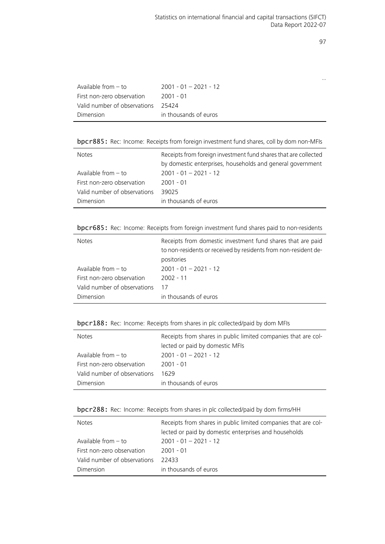…

| Available from $-$ to        | $2001 - 01 - 2021 - 12$ |
|------------------------------|-------------------------|
| First non-zero observation   | 2001 - 01               |
| Valid number of observations | - 25424                 |
| Dimension                    | in thousands of euros   |

bpcr885: Rec: Income: Receipts from foreign investment fund shares, coll by dom non-MFIs

| <b>Notes</b>                 | Receipts from foreign investment fund shares that are collected |  |  |
|------------------------------|-----------------------------------------------------------------|--|--|
|                              | by domestic enterprises, households and general government      |  |  |
| Available from $-$ to        | $2001 - 01 - 2021 - 12$                                         |  |  |
| First non-zero observation   | $2001 - 01$                                                     |  |  |
| Valid number of observations | 39025                                                           |  |  |
| Dimension                    | in thousands of euros                                           |  |  |

bpcr685: Rec: Income: Receipts from foreign investment fund shares paid to non-residents

Ĭ.

| <b>Notes</b>                 | Receipts from domestic investment fund shares that are paid<br>to non-residents or received by residents from non-resident de- |
|------------------------------|--------------------------------------------------------------------------------------------------------------------------------|
|                              | positories                                                                                                                     |
| Available from $-$ to        | $2001 - 01 - 2021 - 12$                                                                                                        |
| First non-zero observation   | 2002 - 11                                                                                                                      |
| Valid number of observations | 17                                                                                                                             |
| Dimension                    | in thousands of euros                                                                                                          |

bpcr188: Rec: Income: Receipts from shares in plc collected/paid by dom MFIs

| <b>Notes</b>                 | Receipts from shares in public limited companies that are col- |
|------------------------------|----------------------------------------------------------------|
|                              | lected or paid by domestic MFIs                                |
| Available from $-$ to        | $2001 - 01 - 2021 - 12$                                        |
| First non-zero observation   | $2001 - 01$                                                    |
| Valid number of observations | 1629                                                           |
| Dimension                    | in thousands of euros                                          |

bpcr288: Rec: Income: Receipts from shares in plc collected/paid by dom firms/HH

| <b>Notes</b>                 | Receipts from shares in public limited companies that are col- |
|------------------------------|----------------------------------------------------------------|
|                              | lected or paid by domestic enterprises and households          |
| Available from $-$ to        | $2001 - 01 - 2021 - 12$                                        |
| First non-zero observation   | 2001 - 01                                                      |
| Valid number of observations | 22433                                                          |
| Dimension                    | in thousands of euros                                          |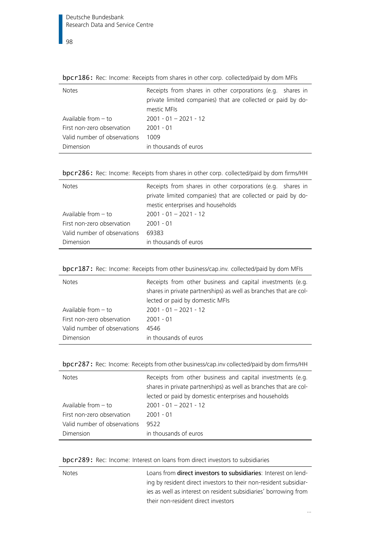| <b>Notes</b>                 | Receipts from shares in other corporations (e.g. shares in<br>private limited companies) that are collected or paid by do-<br>mestic MFIs |
|------------------------------|-------------------------------------------------------------------------------------------------------------------------------------------|
| Available from $-$ to        | $2001 - 01 - 2021 - 12$                                                                                                                   |
| First non-zero observation   | $2001 - 01$                                                                                                                               |
| Valid number of observations | 1009                                                                                                                                      |
| Dimension                    | in thousands of euros                                                                                                                     |

bpcr186: Rec: Income: Receipts from shares in other corp. collected/paid by dom MFIs

| bpcr286: Rec: Income: Receipts from shares in other corp. collected/paid by dom firms/HH |  |  |  |  |
|------------------------------------------------------------------------------------------|--|--|--|--|
|------------------------------------------------------------------------------------------|--|--|--|--|

| <b>Notes</b>                 | Receipts from shares in other corporations (e.g. shares in<br>private limited companies) that are collected or paid by do-<br>mestic enterprises and households |
|------------------------------|-----------------------------------------------------------------------------------------------------------------------------------------------------------------|
| Available from $-$ to        | $2001 - 01 - 2021 - 12$                                                                                                                                         |
| First non-zero observation   | $2001 - 01$                                                                                                                                                     |
| Valid number of observations | 69383                                                                                                                                                           |
| Dimension                    | in thousands of euros                                                                                                                                           |

|  |  | bpcr187: Rec: Income: Receipts from other business/cap.inv. collected/paid by dom MFIs |
|--|--|----------------------------------------------------------------------------------------|
|--|--|----------------------------------------------------------------------------------------|

| <b>Notes</b>                 | Receipts from other business and capital investments (e.g.<br>shares in private partnerships) as well as branches that are col-<br>lected or paid by domestic MFIs |
|------------------------------|--------------------------------------------------------------------------------------------------------------------------------------------------------------------|
| Available from $-$ to        | $2001 - 01 - 2021 - 12$                                                                                                                                            |
| First non-zero observation   | $2001 - 01$                                                                                                                                                        |
| Valid number of observations | 4546                                                                                                                                                               |
| Dimension                    | in thousands of euros                                                                                                                                              |

|  | bpcr287: Rec: Income: Receipts from other business/cap.inv collected/paid by dom firms/HH |  |  |
|--|-------------------------------------------------------------------------------------------|--|--|
|--|-------------------------------------------------------------------------------------------|--|--|

| <b>Notes</b>                                        | Receipts from other business and capital investments (e.g.<br>shares in private partnerships) as well as branches that are col-<br>lected or paid by domestic enterprises and households |
|-----------------------------------------------------|------------------------------------------------------------------------------------------------------------------------------------------------------------------------------------------|
| Available from $-$ to<br>First non-zero observation | $2001 - 01 - 2021 - 12$<br>$2001 - 01$                                                                                                                                                   |
| Valid number of observations                        | 9522                                                                                                                                                                                     |
| Dimension                                           | in thousands of euros                                                                                                                                                                    |

#### bpcr289: Rec: Income: Interest on loans from direct investors to subsidiaries

Loans from direct investors to subsidiaries: Interest on lending by resident direct investors to their non-resident subsidiaries as well as interest on resident subsidiaries' borrowing from their non-resident direct investors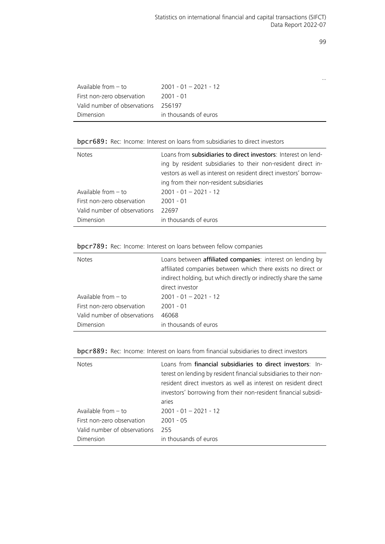…

| Available from $-$ to        | $2001 - 01 - 2021 - 12$ |
|------------------------------|-------------------------|
| First non-zero observation   | 2001 - 01               |
| Valid number of observations | 256197                  |
| Dimension                    | in thousands of euros   |

bpcr689: Rec: Income: Interest on loans from subsidiaries to direct investors

| <b>Notes</b>                 | Loans from subsidiaries to direct investors: Interest on lend-<br>ing by resident subsidiaries to their non-resident direct in-<br>vestors as well as interest on resident direct investors' borrow-<br>ing from their non-resident subsidiaries |
|------------------------------|--------------------------------------------------------------------------------------------------------------------------------------------------------------------------------------------------------------------------------------------------|
| Available from $-$ to        | $2001 - 01 - 2021 - 12$                                                                                                                                                                                                                          |
| First non-zero observation   | $2001 - 01$                                                                                                                                                                                                                                      |
| Valid number of observations | 22697                                                                                                                                                                                                                                            |
| Dimension                    | in thousands of euros                                                                                                                                                                                                                            |

bpcr789: Rec: Income: Interest on loans between fellow companies

| <b>Notes</b>                 | Loans between affiliated companies: interest on lending by<br>affiliated companies between which there exists no direct or<br>indirect holding, but which directly or indirectly share the same<br>direct investor |
|------------------------------|--------------------------------------------------------------------------------------------------------------------------------------------------------------------------------------------------------------------|
| Available from $-$ to        | $2001 - 01 - 2021 - 12$                                                                                                                                                                                            |
| First non-zero observation   | $2001 - 01$                                                                                                                                                                                                        |
| Valid number of observations | 46068                                                                                                                                                                                                              |
| Dimension                    | in thousands of euros                                                                                                                                                                                              |

bpcr889: Rec: Income: Interest on loans from financial subsidiaries to direct investors

| <b>Notes</b>                 | Loans from financial subsidiaries to direct investors: In-<br>terest on lending by resident financial subsidiaries to their non-<br>resident direct investors as well as interest on resident direct<br>investors' borrowing from their non-resident financial subsidi-<br>aries |
|------------------------------|----------------------------------------------------------------------------------------------------------------------------------------------------------------------------------------------------------------------------------------------------------------------------------|
| Available from $-$ to        | $2001 - 01 - 2021 - 12$                                                                                                                                                                                                                                                          |
| First non-zero observation   | $2001 - 05$                                                                                                                                                                                                                                                                      |
| Valid number of observations | 255                                                                                                                                                                                                                                                                              |
| Dimension                    | in thousands of euros                                                                                                                                                                                                                                                            |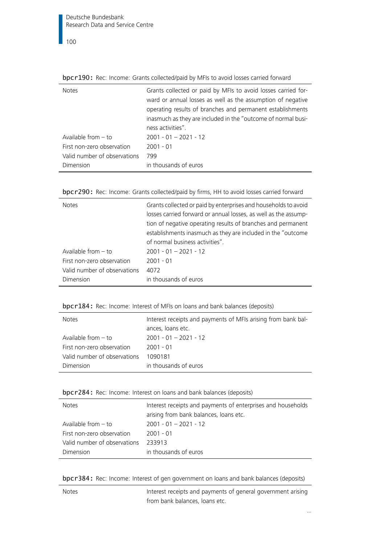| <b>Notes</b>                 | Grants collected or paid by MFIs to avoid losses carried for- |
|------------------------------|---------------------------------------------------------------|
|                              | ward or annual losses as well as the assumption of negative   |
|                              | operating results of branches and permanent establishments    |
|                              | inasmuch as they are included in the "outcome of normal busi- |
|                              | ness activities".                                             |
| Available from $-$ to        | $2001 - 01 - 2021 - 12$                                       |
| First non-zero observation   | $2001 - 01$                                                   |
| Valid number of observations | 799                                                           |
| Dimension                    | in thousands of euros                                         |
|                              |                                                               |

bpcr190: Rec: Income: Grants collected/paid by MFIs to avoid losses carried forward

|  | bpcr290: Rec: Income: Grants collected/paid by firms, HH to avoid losses carried forward |
|--|------------------------------------------------------------------------------------------|
|  |                                                                                          |

| <b>Notes</b>                 | Grants collected or paid by enterprises and households to avoid<br>losses carried forward or annual losses, as well as the assump-<br>tion of negative operating results of branches and permanent<br>establishments inasmuch as they are included in the "outcome<br>of normal business activities". |
|------------------------------|-------------------------------------------------------------------------------------------------------------------------------------------------------------------------------------------------------------------------------------------------------------------------------------------------------|
| Available from $-$ to        | $2001 - 01 - 2021 - 12$                                                                                                                                                                                                                                                                               |
| First non-zero observation   | $2001 - 01$                                                                                                                                                                                                                                                                                           |
| Valid number of observations | 4072                                                                                                                                                                                                                                                                                                  |
| Dimension                    | in thousands of euros                                                                                                                                                                                                                                                                                 |

| bpcr184: Rec: Income: Interest of MFIs on loans and bank balances (deposits) |  |  |  |  |  |
|------------------------------------------------------------------------------|--|--|--|--|--|
|------------------------------------------------------------------------------|--|--|--|--|--|

| <b>Notes</b>                 | Interest receipts and payments of MFIs arising from bank bal-<br>ances, loans etc. |
|------------------------------|------------------------------------------------------------------------------------|
| Available from $-$ to        | $2001 - 01 - 2021 - 12$                                                            |
| First non-zero observation   | $2001 - 01$                                                                        |
| Valid number of observations | 1090181                                                                            |
| Dimension                    | in thousands of euros                                                              |

bpcr284: Rec: Income: Interest on loans and bank balances (deposits)

| <b>Notes</b>                 | Interest receipts and payments of enterprises and households<br>arising from bank balances, loans etc. |
|------------------------------|--------------------------------------------------------------------------------------------------------|
| Available from $-$ to        | $2001 - 01 - 2021 - 12$                                                                                |
| First non-zero observation   | $2001 - 01$                                                                                            |
| Valid number of observations | 233913                                                                                                 |
| Dimension                    | in thousands of euros                                                                                  |

bpcr384: Rec: Income: Interest of gen government on loans and bank balances (deposits)

Notes **Interest receipts and payments of general government arising** from bank balances, loans etc.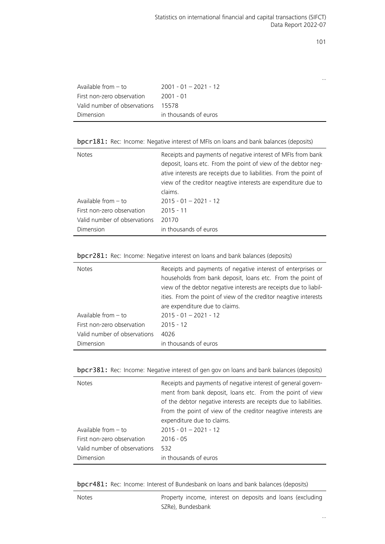|                              |                         | $\cdots$ |
|------------------------------|-------------------------|----------|
| Available from $-$ to        | $2001 - 01 - 2021 - 12$ |          |
| First non-zero observation   | 2001 - 01               |          |
| Valid number of observations | 15578                   |          |
| Dimension                    | in thousands of euros   |          |
|                              |                         |          |

bpcr181: Rec: Income: Negative interest of MFIs on loans and bank balances (deposits)

| <b>Notes</b>                 | Receipts and payments of negative interest of MFIs from bank<br>deposit, loans etc. From the point of view of the debtor neq-<br>ative interests are receipts due to liabilities. From the point of<br>view of the creditor neagtive interests are expenditure due to<br>claims. |
|------------------------------|----------------------------------------------------------------------------------------------------------------------------------------------------------------------------------------------------------------------------------------------------------------------------------|
| Available from $-$ to        | $2015 - 01 - 2021 - 12$                                                                                                                                                                                                                                                          |
| First non-zero observation   | $2015 - 11$                                                                                                                                                                                                                                                                      |
| Valid number of observations | 20170                                                                                                                                                                                                                                                                            |
| Dimension                    | in thousands of euros                                                                                                                                                                                                                                                            |

| bpcr281: Rec: Income: Negative interest on loans and bank balances (deposits) |  |  |  |
|-------------------------------------------------------------------------------|--|--|--|
|-------------------------------------------------------------------------------|--|--|--|

| <b>Notes</b>                 | Receipts and payments of negative interest of enterprises or<br>households from bank deposit, loans etc. From the point of<br>view of the debtor negative interests are receipts due to liabil-<br>ities. From the point of view of the creditor neagtive interests<br>are expenditure due to claims. |
|------------------------------|-------------------------------------------------------------------------------------------------------------------------------------------------------------------------------------------------------------------------------------------------------------------------------------------------------|
| Available from $-$ to        | $2015 - 01 - 2021 - 12$                                                                                                                                                                                                                                                                               |
| First non-zero observation   | $2015 - 12$                                                                                                                                                                                                                                                                                           |
| Valid number of observations | 4026                                                                                                                                                                                                                                                                                                  |
| Dimension                    | in thousands of euros                                                                                                                                                                                                                                                                                 |

| bpcr381: Rec: Income: Negative interest of gen gov on loans and bank balances (deposits) |  |  |  |  |  |
|------------------------------------------------------------------------------------------|--|--|--|--|--|
|                                                                                          |  |  |  |  |  |

| <b>Notes</b>                 | Receipts and payments of negative interest of general govern-<br>ment from bank deposit, loans etc. From the point of view<br>of the debtor negative interests are receipts due to liabilities.<br>From the point of view of the creditor neagtive interests are<br>expenditure due to claims. |
|------------------------------|------------------------------------------------------------------------------------------------------------------------------------------------------------------------------------------------------------------------------------------------------------------------------------------------|
| Available from $-$ to        | $2015 - 01 - 2021 - 12$                                                                                                                                                                                                                                                                        |
| First non-zero observation   | $2016 - 05$                                                                                                                                                                                                                                                                                    |
| Valid number of observations | 532                                                                                                                                                                                                                                                                                            |
| Dimension                    | in thousands of euros                                                                                                                                                                                                                                                                          |

bpcr481: Rec: Income: Interest of Bundesbank on loans and bank balances (deposits)

| <b>Notes</b> | Property income, interest on deposits and loans (excluding |  |  |  |
|--------------|------------------------------------------------------------|--|--|--|
|              | SZRe), Bundesbank                                          |  |  |  |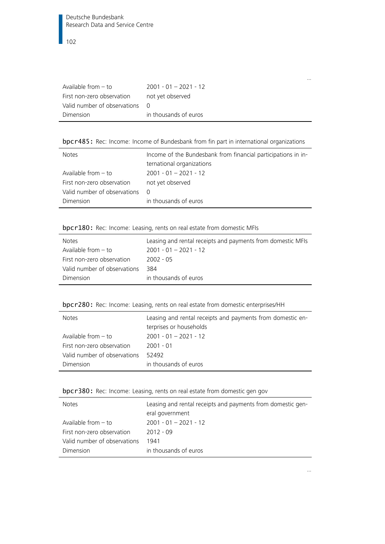| $2001 - 01 - 2021 - 12$        |
|--------------------------------|
| not yet observed               |
| Valid number of observations 0 |
| in thousands of euros          |
|                                |

bpcr485: Rec: Income: Income of Bundesbank from fin part in international organizations

| <b>Notes</b>                 | Income of the Bundesbank from financial participations in in-<br>ternational organizations |
|------------------------------|--------------------------------------------------------------------------------------------|
| Available from $-$ to        | $2001 - 01 - 2021 - 12$                                                                    |
| First non-zero observation   | not yet observed                                                                           |
| Valid number of observations | $\Omega$                                                                                   |
| Dimension                    | in thousands of euros                                                                      |

## bpcr180: Rec: Income: Leasing, rents on real estate from domestic MFIs

| <b>Notes</b>                 | Leasing and rental receipts and payments from domestic MFIs |
|------------------------------|-------------------------------------------------------------|
| Available from $-$ to        | $2001 - 01 - 2021 - 12$                                     |
| First non-zero observation   | 2002 - 05                                                   |
| Valid number of observations | 384                                                         |
| Dimension                    | in thousands of euros                                       |

## bpcr280: Rec: Income: Leasing, rents on real estate from domestic enterprises/HH

| <b>Notes</b>                 | Leasing and rental receipts and payments from domestic en-<br>terprises or households |
|------------------------------|---------------------------------------------------------------------------------------|
| Available from $-$ to        | $2001 - 01 - 2021 - 12$                                                               |
| First non-zero observation   | 2001 - 01                                                                             |
| Valid number of observations | 52492                                                                                 |
| Dimension                    | in thousands of euros                                                                 |

bpcr380: Rec: Income: Leasing, rents on real estate from domestic gen gov

| <b>Notes</b>                 | Leasing and rental receipts and payments from domestic gen- |
|------------------------------|-------------------------------------------------------------|
|                              | eral government                                             |
| Available from $-$ to        | $2001 - 01 - 2021 - 12$                                     |
| First non-zero observation   | $2012 - 09$                                                 |
| Valid number of observations | 1941                                                        |
| Dimension                    | in thousands of euros                                       |

…

…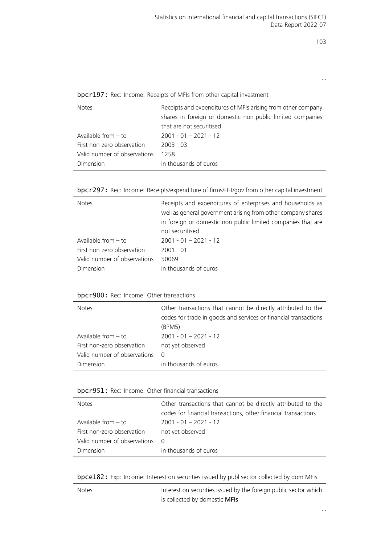…

bpcr197: Rec: Income: Receipts of MFIs from other capital investment

| <b>Notes</b>                 | Receipts and expenditures of MFIs arising from other company<br>shares in foreign or domestic non-public limited companies<br>that are not securitised |
|------------------------------|--------------------------------------------------------------------------------------------------------------------------------------------------------|
| Available from $-$ to        | $2001 - 01 - 2021 - 12$                                                                                                                                |
| First non-zero observation   | $2003 - 03$                                                                                                                                            |
| Valid number of observations | 1258                                                                                                                                                   |
| Dimension                    | in thousands of euros                                                                                                                                  |

bpcr297: Rec: Income: Receipts/expenditure of firms/HH/gov from other capital investment

| <b>Notes</b>                 | Receipts and expenditures of enterprises and households as<br>well as general government arising from other company shares<br>in foreign or domestic non-public limited companies that are<br>not securitised |
|------------------------------|---------------------------------------------------------------------------------------------------------------------------------------------------------------------------------------------------------------|
| Available from $-$ to        | $2001 - 01 - 2021 - 12$                                                                                                                                                                                       |
| First non-zero observation   | $2001 - 01$                                                                                                                                                                                                   |
| Valid number of observations | 50069                                                                                                                                                                                                         |
| Dimension                    | in thousands of euros                                                                                                                                                                                         |

## bpcr900: Rec: Income: Other transactions

| <b>Notes</b>                 | Other transactions that cannot be directly attributed to the<br>codes for trade in goods and services or financial transactions<br>(BPM5) |
|------------------------------|-------------------------------------------------------------------------------------------------------------------------------------------|
| Available from $-$ to        | $2001 - 01 - 2021 - 12$                                                                                                                   |
| First non-zero observation   | not yet observed                                                                                                                          |
| Valid number of observations | $\Omega$                                                                                                                                  |
| Dimension                    | in thousands of euros                                                                                                                     |

## bpcr951: Rec: Income: Other financial transactions

| <b>Notes</b>                 | Other transactions that cannot be directly attributed to the   |
|------------------------------|----------------------------------------------------------------|
|                              | codes for financial transactions, other financial transactions |
| Available from $-$ to        | $2001 - 01 - 2021 - 12$                                        |
| First non-zero observation   | not yet observed                                               |
| Valid number of observations | - റ                                                            |
| Dimension                    | in thousands of euros                                          |

bpce182: Exp: Income: Interest on securities issued by publ sector collected by dom MFIs

| <b>Notes</b> | Interest on securities issued by the foreign public sector which |
|--------------|------------------------------------------------------------------|
|              | is collected by domestic MFIs                                    |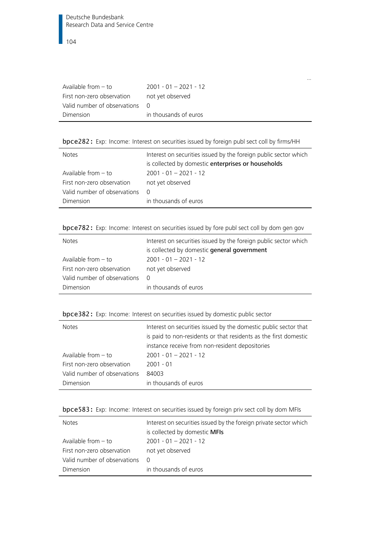| Available from $-$ to          | $2001 - 01 - 2021 - 12$ |
|--------------------------------|-------------------------|
| First non-zero observation     | not vet observed        |
| Valid number of observations 0 |                         |
| Dimension                      | in thousands of euros   |

…

bpce282: Exp: Income: Interest on securities issued by foreign publ sect coll by firms/HH

| <b>Notes</b>                 | Interest on securities issued by the foreign public sector which<br>is collected by domestic enterprises or households |
|------------------------------|------------------------------------------------------------------------------------------------------------------------|
| Available from $-$ to        | $2001 - 01 - 2021 - 12$                                                                                                |
| First non-zero observation   | not yet observed                                                                                                       |
| Valid number of observations | $\Omega$                                                                                                               |
| Dimension                    | in thousands of euros                                                                                                  |

bpce782: Exp: Income: Interest on securities issued by fore publ sect coll by dom gen gov

| <b>Notes</b>                 | Interest on securities issued by the foreign public sector which<br>is collected by domestic general government |
|------------------------------|-----------------------------------------------------------------------------------------------------------------|
| Available from $-$ to        | $2001 - 01 - 2021 - 12$                                                                                         |
| First non-zero observation   | not yet observed                                                                                                |
| Valid number of observations | $\Omega$                                                                                                        |
| Dimension                    | in thousands of euros                                                                                           |

|  |  | bpce382: Exp: Income: Interest on securities issued by domestic public sector |  |
|--|--|-------------------------------------------------------------------------------|--|
|--|--|-------------------------------------------------------------------------------|--|

| <b>Notes</b>                 | Interest on securities issued by the domestic public sector that |
|------------------------------|------------------------------------------------------------------|
|                              | is paid to non-residents or that residents as the first domestic |
|                              | instance receive from non-resident depositories                  |
| Available from $-$ to        | $2001 - 01 - 2021 - 12$                                          |
| First non-zero observation   | $2001 - 01$                                                      |
| Valid number of observations | 84003                                                            |
| Dimension                    | in thousands of euros                                            |

| bpce583: Exp: Income: Interest on securities issued by foreign priv sect coll by dom MFIs |  |  |  |  |  |  |  |  |  |
|-------------------------------------------------------------------------------------------|--|--|--|--|--|--|--|--|--|
|-------------------------------------------------------------------------------------------|--|--|--|--|--|--|--|--|--|

| <b>Notes</b>                 | Interest on securities issued by the foreign private sector which<br>is collected by domestic MFIs |
|------------------------------|----------------------------------------------------------------------------------------------------|
| Available from $-$ to        | $2001 - 01 - 2021 - 12$                                                                            |
| First non-zero observation   | not yet observed                                                                                   |
| Valid number of observations | $\Omega$                                                                                           |
| Dimension                    | in thousands of euros                                                                              |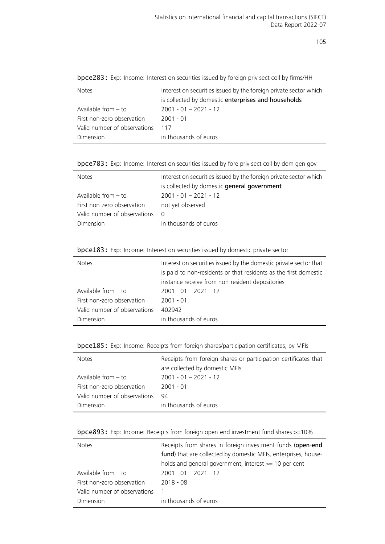| <b>Notes</b>                 | Interest on securities issued by the foreign private sector which |
|------------------------------|-------------------------------------------------------------------|
|                              | is collected by domestic enterprises and households               |
| Available from $-$ to        | $2001 - 01 - 2021 - 12$                                           |
| First non-zero observation   | $2001 - 01$                                                       |
| Valid number of observations | 117                                                               |
| Dimension                    | in thousands of euros                                             |
|                              |                                                                   |

bpce283: Exp: Income: Interest on securities issued by foreign priv sect coll by firms/HH

bpce783: Exp: Income: Interest on securities issued by fore priv sect coll by dom gen gov

| <b>Notes</b>                 | Interest on securities issued by the foreign private sector which |
|------------------------------|-------------------------------------------------------------------|
|                              | is collected by domestic general government                       |
| Available from $-$ to        | $2001 - 01 - 2021 - 12$                                           |
| First non-zero observation   | not yet observed                                                  |
| Valid number of observations | - 0                                                               |
| Dimension                    | in thousands of euros                                             |
|                              |                                                                   |

| bpce183: Exp: Income: Interest on securities issued by domestic private sector |  |  |  |  |  |  |  |
|--------------------------------------------------------------------------------|--|--|--|--|--|--|--|
|--------------------------------------------------------------------------------|--|--|--|--|--|--|--|

| <b>Notes</b>                 | Interest on securities issued by the domestic private sector that<br>is paid to non-residents or that residents as the first domestic |
|------------------------------|---------------------------------------------------------------------------------------------------------------------------------------|
|                              | instance receive from non-resident depositories                                                                                       |
| Available from $-$ to        | $2001 - 01 - 2021 - 12$                                                                                                               |
| First non-zero observation   | $2001 - 01$                                                                                                                           |
| Valid number of observations | 402942                                                                                                                                |
| Dimension                    | in thousands of euros                                                                                                                 |

| bpce185: Exp: Income: Receipts from foreign shares/participation certificates, by MFIs |  |  |  |  |
|----------------------------------------------------------------------------------------|--|--|--|--|
|                                                                                        |  |  |  |  |

| <b>Notes</b>                 | Receipts from foreign shares or participation certificates that<br>are collected by domestic MFIs |
|------------------------------|---------------------------------------------------------------------------------------------------|
| Available from $-$ to        | $2001 - 01 - 2021 - 12$                                                                           |
|                              |                                                                                                   |
| First non-zero observation   | $2001 - 01$                                                                                       |
| Valid number of observations | 94                                                                                                |
| Dimension                    | in thousands of euros                                                                             |

|  |  | bpce893: Exp: Income: Receipts from foreign open-end investment fund shares >=10% |  |
|--|--|-----------------------------------------------------------------------------------|--|
|  |  |                                                                                   |  |

Ĭ.

| <b>Notes</b>                 | Receipts from shares in foreign investment funds (open-end     |
|------------------------------|----------------------------------------------------------------|
|                              | fund) that are collected by domestic MFIs, enterprises, house- |
|                              | holds and general government, interest $\geq$ 10 per cent      |
| Available from $-$ to        | $2001 - 01 - 2021 - 12$                                        |
| First non-zero observation   | $2018 - 08$                                                    |
| Valid number of observations | 1                                                              |
| Dimension                    | in thousands of euros                                          |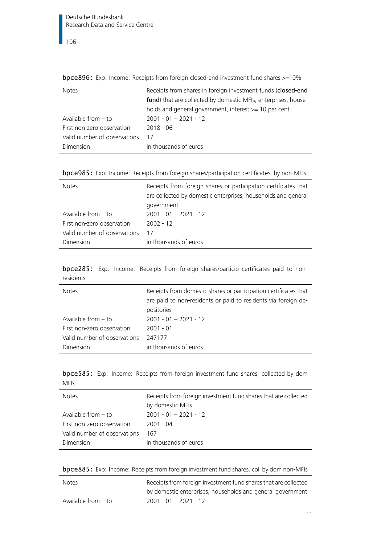|                              | who we want to the integration in a conference in our changes to the computation in the street of the context of the |
|------------------------------|----------------------------------------------------------------------------------------------------------------------|
| <b>Notes</b>                 | Receipts from shares in foreign investment funds (closed-end                                                         |
|                              | fund) that are collected by domestic MFIs, enterprises, house-                                                       |
|                              | holds and general government, interest $\geq$ 10 per cent                                                            |
| Available from $-$ to        | $2001 - 01 - 2021 - 12$                                                                                              |
| First non-zero observation   | $2018 - 06$                                                                                                          |
| Valid number of observations | 17                                                                                                                   |
| Dimension                    | in thousands of euros                                                                                                |
|                              |                                                                                                                      |

bpce896: Exp: Income: Receipts from foreign closed-end investment fund shares >=10%

|  |  | bpce985: Exp: Income: Receipts from foreign shares/participation certificates, by non-MFIs |  |  |
|--|--|--------------------------------------------------------------------------------------------|--|--|
|  |  |                                                                                            |  |  |

| <b>Notes</b>                 | Receipts from foreign shares or participation certificates that<br>are collected by domestic enterprises, households and general<br>government |
|------------------------------|------------------------------------------------------------------------------------------------------------------------------------------------|
| Available from $-$ to        | $2001 - 01 - 2021 - 12$                                                                                                                        |
| First non-zero observation   | $2002 - 12$                                                                                                                                    |
| Valid number of observations | 17                                                                                                                                             |
| Dimension                    | in thousands of euros                                                                                                                          |

bpce285: Exp: Income: Receipts from foreign shares/particip certificates paid to nonresidents

| <b>Notes</b>                 | Receipts from domestic shares or participation certificates that<br>are paid to non-residents or paid to residents via foreign de-<br>positories |
|------------------------------|--------------------------------------------------------------------------------------------------------------------------------------------------|
| Available from $-$ to        | $2001 - 01 - 2021 - 12$                                                                                                                          |
| First non-zero observation   | $2001 - 01$                                                                                                                                      |
| Valid number of observations | 247177                                                                                                                                           |
| Dimension                    | in thousands of euros                                                                                                                            |

bpce585: Exp: Income: Receipts from foreign investment fund shares, collected by dom MFIs

| <b>Notes</b>                 | Receipts from foreign investment fund shares that are collected |
|------------------------------|-----------------------------------------------------------------|
|                              | by domestic MFIs                                                |
| Available from $-$ to        | $2001 - 01 - 2021 - 12$                                         |
| First non-zero observation   | 2001 - 04                                                       |
| Valid number of observations | 167                                                             |
| <b>Dimension</b>             | in thousands of euros                                           |
|                              |                                                                 |

|  |  | <b>bpce885:</b> Exp: Income: Receipts from foreign investment fund shares, coll by dom non-MFIs |  |
|--|--|-------------------------------------------------------------------------------------------------|--|
|  |  |                                                                                                 |  |

| <b>Notes</b>        | Receipts from foreign investment fund shares that are collected |
|---------------------|-----------------------------------------------------------------|
|                     | by domestic enterprises, households and general government      |
| Available from – to | $2001 - 01 - 2021 - 12$                                         |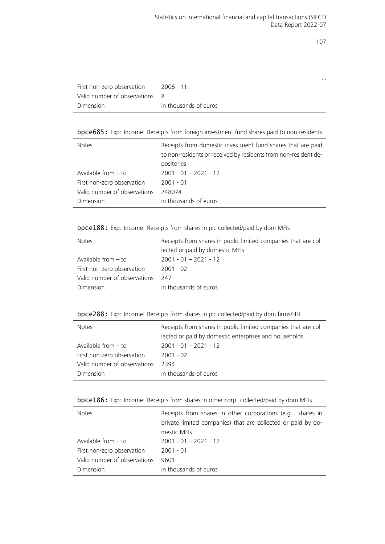…

| First non-zero observation     | 2006 - 11             |
|--------------------------------|-----------------------|
| Valid number of observations 8 |                       |
| Dimension                      | in thousands of euros |

bpce685: Exp: Income: Receipts from foreign investment fund shares paid to non-residents

| <b>Notes</b>                 | Receipts from domestic investment fund shares that are paid     |
|------------------------------|-----------------------------------------------------------------|
|                              | to non-residents or received by residents from non-resident de- |
|                              | positories                                                      |
| Available from $-$ to        | $2001 - 01 - 2021 - 12$                                         |
| First non-zero observation   | $2001 - 01$                                                     |
| Valid number of observations | 248074                                                          |
| Dimension                    | in thousands of euros                                           |

bpce188: Exp: Income: Receipts from shares in plc collected/paid by dom MFIs

| <b>Notes</b>                 | Receipts from shares in public limited companies that are col-<br>lected or paid by domestic MFIs |
|------------------------------|---------------------------------------------------------------------------------------------------|
| Available from – to          | $2001 - 01 - 2021 - 12$                                                                           |
|                              |                                                                                                   |
| First non-zero observation   | $2001 - 02$                                                                                       |
| Valid number of observations | -247                                                                                              |
| Dimension                    | in thousands of euros                                                                             |

|  |  |  |  | bpce288: Exp: Income: Receipts from shares in plc collected/paid by dom firms/HH |  |
|--|--|--|--|----------------------------------------------------------------------------------|--|
|--|--|--|--|----------------------------------------------------------------------------------|--|

| <b>Notes</b>                 | Receipts from shares in public limited companies that are col- |
|------------------------------|----------------------------------------------------------------|
|                              | lected or paid by domestic enterprises and households          |
| Available from $-$ to        | $2001 - 01 - 2021 - 12$                                        |
| First non-zero observation   | $2001 - 02$                                                    |
| Valid number of observations | 2394                                                           |
| Dimension                    | in thousands of euros                                          |

|  | bpce186: Exp: Income: Receipts from shares in other corp. collected/paid by dom MFIs |  |
|--|--------------------------------------------------------------------------------------|--|
|--|--------------------------------------------------------------------------------------|--|

| <b>Notes</b>                 | Receipts from shares in other corporations (e.g. shares in<br>private limited companies) that are collected or paid by do-<br>mestic MFIs |
|------------------------------|-------------------------------------------------------------------------------------------------------------------------------------------|
| Available from $-$ to        | $2001 - 01 - 2021 - 12$                                                                                                                   |
| First non-zero observation   | $2001 - 01$                                                                                                                               |
| Valid number of observations | 9601                                                                                                                                      |
| Dimension                    | in thousands of euros                                                                                                                     |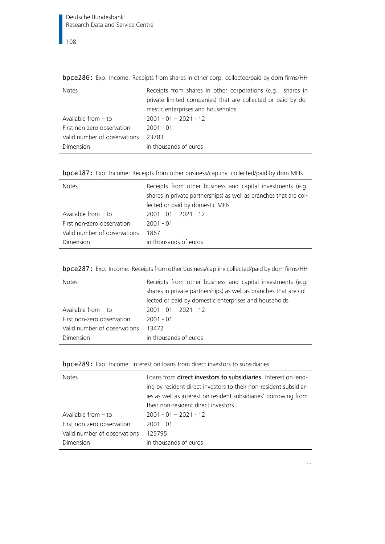Notes Receipts from shares in other corporations (e.g. shares in private limited companies) that are collected or paid by domestic enterprises and households Available from – to 2001 - 01 – 2021 - 12 First non-zero observation 2001 - 01 Valid number of observations 23783 Dimension in thousands of euros

bpce286: Exp: Income: Receipts from shares in other corp. collected/paid by dom firms/HH

|  |  |  |  |  |  | bpce187: Exp: Income: Receipts from other business/cap.inv. collected/paid by dom MFIs |  |
|--|--|--|--|--|--|----------------------------------------------------------------------------------------|--|
|--|--|--|--|--|--|----------------------------------------------------------------------------------------|--|

| <b>Notes</b>                 | Receipts from other business and capital investments (e.g.<br>shares in private partnerships) as well as branches that are col-<br>lected or paid by domestic MFIs |
|------------------------------|--------------------------------------------------------------------------------------------------------------------------------------------------------------------|
| Available from $-$ to        | $2001 - 01 - 2021 - 12$                                                                                                                                            |
| First non-zero observation   | $2001 - 01$                                                                                                                                                        |
| Valid number of observations | 1867                                                                                                                                                               |
| Dimension                    | in thousands of euros                                                                                                                                              |

| bpce287: Exp: Income: Receipts from other business/cap.inv collected/paid by dom firms/HH |  |  |  |  |
|-------------------------------------------------------------------------------------------|--|--|--|--|
|-------------------------------------------------------------------------------------------|--|--|--|--|

| <b>Notes</b>                 | Receipts from other business and capital investments (e.g.<br>shares in private partnerships) as well as branches that are col-<br>lected or paid by domestic enterprises and households |
|------------------------------|------------------------------------------------------------------------------------------------------------------------------------------------------------------------------------------|
| Available from $-$ to        | $2001 - 01 - 2021 - 12$                                                                                                                                                                  |
| First non-zero observation   | $2001 - 01$                                                                                                                                                                              |
| Valid number of observations | 13472                                                                                                                                                                                    |
| Dimension                    | in thousands of euros                                                                                                                                                                    |

| bpce289: Exp: Income: Interest on loans from direct investors to subsidiaries |  |  |  |  |  |  |  |  |  |
|-------------------------------------------------------------------------------|--|--|--|--|--|--|--|--|--|
|-------------------------------------------------------------------------------|--|--|--|--|--|--|--|--|--|

| <b>Notes</b>                              | Loans from <b>direct investors to subsidiaries</b> : Interest on lend-<br>ing by resident direct investors to their non-resident subsidiar-<br>ies as well as interest on resident subsidiaries' borrowing from<br>their non-resident direct investors |
|-------------------------------------------|--------------------------------------------------------------------------------------------------------------------------------------------------------------------------------------------------------------------------------------------------------|
| Available from $-$ to                     | $2001 - 01 - 2021 - 12$                                                                                                                                                                                                                                |
| First non-zero observation                | $2001 - 01$                                                                                                                                                                                                                                            |
| Valid number of observations<br>Dimension | 125795<br>in thousands of euros                                                                                                                                                                                                                        |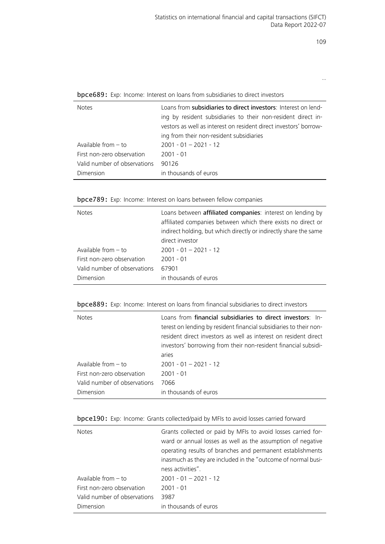…

bpce689: Exp: Income: Interest on loans from subsidiaries to direct investors

| <b>Notes</b>                 | Loans from subsidiaries to direct investors: Interest on lend-<br>ing by resident subsidiaries to their non-resident direct in-<br>vestors as well as interest on resident direct investors' borrow-<br>ing from their non-resident subsidiaries |
|------------------------------|--------------------------------------------------------------------------------------------------------------------------------------------------------------------------------------------------------------------------------------------------|
| Available from $-$ to        | $2001 - 01 - 2021 - 12$                                                                                                                                                                                                                          |
| First non-zero observation   | $2001 - 01$                                                                                                                                                                                                                                      |
| Valid number of observations | 90126                                                                                                                                                                                                                                            |
| Dimension                    | in thousands of euros                                                                                                                                                                                                                            |

bpce789: Exp: Income: Interest on loans between fellow companies

| <b>Notes</b>                 | Loans between affiliated companies: interest on lending by<br>affiliated companies between which there exists no direct or<br>indirect holding, but which directly or indirectly share the same<br>direct investor |
|------------------------------|--------------------------------------------------------------------------------------------------------------------------------------------------------------------------------------------------------------------|
| Available from $-$ to        | $2001 - 01 - 2021 - 12$                                                                                                                                                                                            |
| First non-zero observation   | $2001 - 01$                                                                                                                                                                                                        |
| Valid number of observations | 67901                                                                                                                                                                                                              |
| Dimension                    | in thousands of euros                                                                                                                                                                                              |

| <b>bpce889:</b> Exp: Income: Interest on loans from financial subsidiaries to direct investors |  |  |  |  |  |  |  |  |
|------------------------------------------------------------------------------------------------|--|--|--|--|--|--|--|--|
|------------------------------------------------------------------------------------------------|--|--|--|--|--|--|--|--|

| <b>Notes</b>                 | Loans from <b>financial subsidiaries to direct investors</b> : In-<br>terest on lending by resident financial subsidiaries to their non-<br>resident direct investors as well as interest on resident direct<br>investors' borrowing from their non-resident financial subsidi-<br>aries |
|------------------------------|------------------------------------------------------------------------------------------------------------------------------------------------------------------------------------------------------------------------------------------------------------------------------------------|
| Available from $-$ to        | $2001 - 01 - 2021 - 12$                                                                                                                                                                                                                                                                  |
| First non-zero observation   | $2001 - 01$                                                                                                                                                                                                                                                                              |
| Valid number of observations | 7066                                                                                                                                                                                                                                                                                     |
| Dimension                    | in thousands of euros                                                                                                                                                                                                                                                                    |

#### bpce190: Exp: Income: Grants collected/paid by MFIs to avoid losses carried forward

| <b>Notes</b>                 | Grants collected or paid by MFIs to avoid losses carried for-<br>ward or annual losses as well as the assumption of negative<br>operating results of branches and permanent establishments<br>inasmuch as they are included in the "outcome of normal busi-<br>ness activities". |
|------------------------------|----------------------------------------------------------------------------------------------------------------------------------------------------------------------------------------------------------------------------------------------------------------------------------|
| Available from $-$ to        | $2001 - 01 - 2021 - 12$                                                                                                                                                                                                                                                          |
| First non-zero observation   | $2001 - 01$                                                                                                                                                                                                                                                                      |
| Valid number of observations | 3987                                                                                                                                                                                                                                                                             |
| Dimension                    | in thousands of euros                                                                                                                                                                                                                                                            |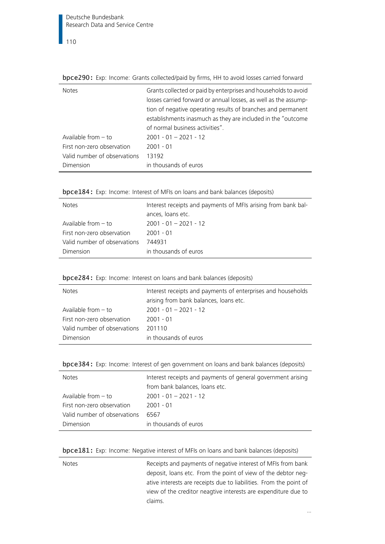|  | bpce290: Exp: Income: Grants collected/paid by firms, HH to avoid losses carried forward |  |  |  |
|--|------------------------------------------------------------------------------------------|--|--|--|
|--|------------------------------------------------------------------------------------------|--|--|--|

| <b>Notes</b>                 | Grants collected or paid by enterprises and households to avoid<br>losses carried forward or annual losses, as well as the assump-<br>tion of negative operating results of branches and permanent<br>establishments inasmuch as they are included in the "outcome"<br>of normal business activities". |
|------------------------------|--------------------------------------------------------------------------------------------------------------------------------------------------------------------------------------------------------------------------------------------------------------------------------------------------------|
| Available from $-$ to        | $2001 - 01 - 2021 - 12$                                                                                                                                                                                                                                                                                |
| First non-zero observation   | $2001 - 01$                                                                                                                                                                                                                                                                                            |
| Valid number of observations | 13192                                                                                                                                                                                                                                                                                                  |
| Dimension                    | in thousands of euros                                                                                                                                                                                                                                                                                  |

| bpce184: Exp: Income: Interest of MFIs on loans and bank balances (deposits) |  |
|------------------------------------------------------------------------------|--|
|------------------------------------------------------------------------------|--|

| <b>Notes</b>                 | Interest receipts and payments of MFIs arising from bank bal- |
|------------------------------|---------------------------------------------------------------|
|                              | ances, loans etc.                                             |
| Available from $-$ to        | $2001 - 01 - 2021 - 12$                                       |
| First non-zero observation   | 2001 - 01                                                     |
| Valid number of observations | 744931                                                        |
| Dimension                    | in thousands of euros                                         |

| bpce284: Exp: Income: Interest on loans and bank balances (deposits) |  |  |  |  |
|----------------------------------------------------------------------|--|--|--|--|
|                                                                      |  |  |  |  |

| <b>Notes</b>                 | Interest receipts and payments of enterprises and households<br>arising from bank balances, loans etc. |
|------------------------------|--------------------------------------------------------------------------------------------------------|
| Available from $-$ to        | $2001 - 01 - 2021 - 12$                                                                                |
| First non-zero observation   | $2001 - 01$                                                                                            |
| Valid number of observations | 201110                                                                                                 |
| Dimension                    | in thousands of euros                                                                                  |

| bpce384: Exp: Income: Interest of gen government on loans and bank balances (deposits) |  |  |  |  |  |  |  |
|----------------------------------------------------------------------------------------|--|--|--|--|--|--|--|
|----------------------------------------------------------------------------------------|--|--|--|--|--|--|--|

| Interest receipts and payments of general government arising |
|--------------------------------------------------------------|
| from bank balances, loans etc.                               |
| $2001 - 01 - 2021 - 12$                                      |
| 2001 - 01                                                    |
| 6567                                                         |
| in thousands of euros                                        |
|                                                              |

### bpce181: Exp: Income: Negative interest of MFIs on loans and bank balances (deposits)

| <b>Notes</b> | Receipts and payments of negative interest of MFIs from bank       |
|--------------|--------------------------------------------------------------------|
|              | deposit, loans etc. From the point of view of the debtor neg-      |
|              | ative interests are receipts due to liabilities. From the point of |
|              | view of the creditor neagtive interests are expenditure due to     |
|              | claims.                                                            |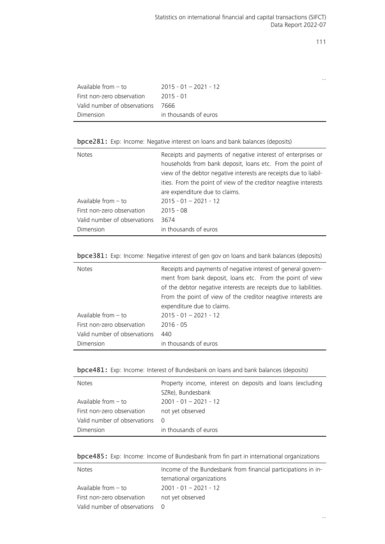|                              |                         | $\cdots$ |
|------------------------------|-------------------------|----------|
| Available from $-$ to        | $2015 - 01 - 2021 - 12$ |          |
| First non-zero observation   | $2015 - 01$             |          |
| Valid number of observations | 7666                    |          |
| Dimension                    | in thousands of euros   |          |
|                              |                         |          |

bpce281: Exp: Income: Negative interest on loans and bank balances (deposits)

| <b>Notes</b>                 | Receipts and payments of negative interest of enterprises or<br>households from bank deposit, loans etc. From the point of<br>view of the debtor negative interests are receipts due to liabil-<br>ities. From the point of view of the creditor neagtive interests<br>are expenditure due to claims. |
|------------------------------|-------------------------------------------------------------------------------------------------------------------------------------------------------------------------------------------------------------------------------------------------------------------------------------------------------|
| Available from $-$ to        | $2015 - 01 - 2021 - 12$                                                                                                                                                                                                                                                                               |
| First non-zero observation   | $2015 - 08$                                                                                                                                                                                                                                                                                           |
| Valid number of observations | 3674                                                                                                                                                                                                                                                                                                  |
| Dimension                    | in thousands of euros                                                                                                                                                                                                                                                                                 |

| bpce381: Exp: Income: Negative interest of gen gov on loans and bank balances (deposits) |  |  |  |  |  |  |  |  |  |  |  |  |
|------------------------------------------------------------------------------------------|--|--|--|--|--|--|--|--|--|--|--|--|
|------------------------------------------------------------------------------------------|--|--|--|--|--|--|--|--|--|--|--|--|

| <b>Notes</b>                 | Receipts and payments of negative interest of general govern-<br>ment from bank deposit, loans etc. From the point of view<br>of the debtor negative interests are receipts due to liabilities.<br>From the point of view of the creditor neagtive interests are<br>expenditure due to claims. |
|------------------------------|------------------------------------------------------------------------------------------------------------------------------------------------------------------------------------------------------------------------------------------------------------------------------------------------|
| Available from $-$ to        | $2015 - 01 - 2021 - 12$                                                                                                                                                                                                                                                                        |
| First non-zero observation   | $2016 - 05$                                                                                                                                                                                                                                                                                    |
| Valid number of observations | 440                                                                                                                                                                                                                                                                                            |
| Dimension                    | in thousands of euros                                                                                                                                                                                                                                                                          |

| bpce481: Exp: Income: Interest of Bundesbank on loans and bank balances (deposits) |  |  |  |  |  |
|------------------------------------------------------------------------------------|--|--|--|--|--|
|------------------------------------------------------------------------------------|--|--|--|--|--|

| <b>Notes</b>                 | Property income, interest on deposits and loans (excluding<br>SZRe), Bundesbank |
|------------------------------|---------------------------------------------------------------------------------|
| Available from - to          | $2001 - 01 - 2021 - 12$                                                         |
| First non-zero observation   | not yet observed                                                                |
| Valid number of observations | - 0                                                                             |
| Dimension                    | in thousands of euros                                                           |

bpce485: Exp: Income: Income of Bundesbank from fin part in international organizations

| Notes                        | Income of the Bundesbank from financial participations in in- |
|------------------------------|---------------------------------------------------------------|
|                              | ternational organizations                                     |
| Available from $-$ to        | $2001 - 01 - 2021 - 12$                                       |
| First non-zero observation   | not yet observed                                              |
| Valid number of observations |                                                               |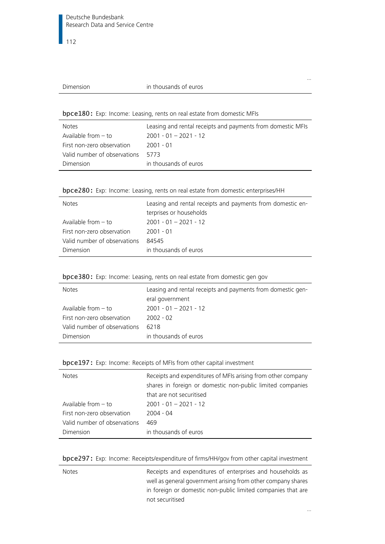|  | Dimension |  |
|--|-----------|--|
|--|-----------|--|

#### in thousands of euros

bpce180: Exp: Income: Leasing, rents on real estate from domestic MFIs

| <b>Notes</b>                 | Leasing and rental receipts and payments from domestic MFIs |
|------------------------------|-------------------------------------------------------------|
| Available from $-$ to        | $2001 - 01 - 2021 - 12$                                     |
| First non-zero observation   | 2001 - 01                                                   |
| Valid number of observations | 5773                                                        |
| Dimension                    | in thousands of euros                                       |

| bpce280: Exp: Income: Leasing, rents on real estate from domestic enterprises/HH |  |  |  |  |  |  |
|----------------------------------------------------------------------------------|--|--|--|--|--|--|
|                                                                                  |  |  |  |  |  |  |

| <b>Notes</b>                 | Leasing and rental receipts and payments from domestic en- |
|------------------------------|------------------------------------------------------------|
|                              | terprises or households                                    |
| Available from - to          | $2001 - 01 - 2021 - 12$                                    |
| First non-zero observation   | $2001 - 01$                                                |
| Valid number of observations | 84545                                                      |
| Dimension                    | in thousands of euros                                      |

| bpce380: Exp: Income: Leasing, rents on real estate from domestic gen gov |  |  |  |  |  |  |  |  |  |  |
|---------------------------------------------------------------------------|--|--|--|--|--|--|--|--|--|--|
|---------------------------------------------------------------------------|--|--|--|--|--|--|--|--|--|--|

| <b>Notes</b>                 | Leasing and rental receipts and payments from domestic gen- |
|------------------------------|-------------------------------------------------------------|
|                              | eral government                                             |
| Available from $-$ to        | $2001 - 01 - 2021 - 12$                                     |
| First non-zero observation   | $2002 - 02$                                                 |
| Valid number of observations | 6218                                                        |
| Dimension                    | in thousands of euros                                       |

|  |  |  |  | bpce197: Exp: Income: Receipts of MFIs from other capital investment |
|--|--|--|--|----------------------------------------------------------------------|
|--|--|--|--|----------------------------------------------------------------------|

| <b>Notes</b>                 | Receipts and expenditures of MFIs arising from other company |
|------------------------------|--------------------------------------------------------------|
|                              | shares in foreign or domestic non-public limited companies   |
|                              | that are not securitised                                     |
| Available from $-$ to        | $2001 - 01 - 2021 - 12$                                      |
| First non-zero observation   | 2004 - 04                                                    |
| Valid number of observations | 469                                                          |
| Dimension                    | in thousands of euros                                        |

bpce297: Exp: Income: Receipts/expenditure of firms/HH/gov from other capital investment

| Receipts and expenditures of enterprises and households as   |
|--------------------------------------------------------------|
| well as general government arising from other company shares |
| in foreign or domestic non-public limited companies that are |
|                                                              |
|                                                              |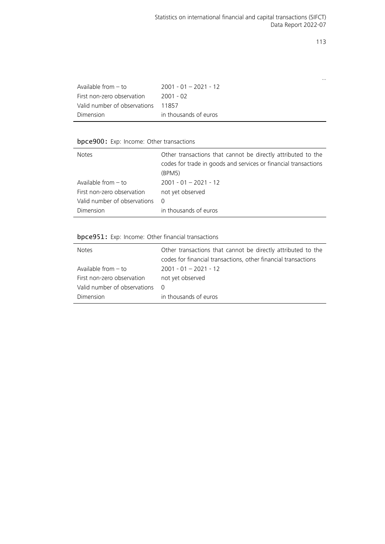…

| Available from $-$ to        | $2001 - 01 - 2021 - 12$ |
|------------------------------|-------------------------|
| First non-zero observation   | 2001 - 02               |
| Valid number of observations | 11857                   |
| Dimension                    | in thousands of euros   |

#### bpce900: Exp: Income: Other transactions

| Notes                        | Other transactions that cannot be directly attributed to the<br>codes for trade in goods and services or financial transactions<br>(BPM5) |
|------------------------------|-------------------------------------------------------------------------------------------------------------------------------------------|
| Available from $-$ to        | $2001 - 01 - 2021 - 12$                                                                                                                   |
| First non-zero observation   | not yet observed                                                                                                                          |
| Valid number of observations | $\Omega$                                                                                                                                  |
| Dimension                    | in thousands of euros                                                                                                                     |

### bpce951: Exp: Income: Other financial transactions

| <b>Notes</b>                 | Other transactions that cannot be directly attributed to the<br>codes for financial transactions, other financial transactions |
|------------------------------|--------------------------------------------------------------------------------------------------------------------------------|
| Available from $-$ to        | $2001 - 01 - 2021 - 12$                                                                                                        |
| First non-zero observation   | not yet observed                                                                                                               |
| Valid number of observations | $\Omega$                                                                                                                       |
| Dimension                    | in thousands of euros                                                                                                          |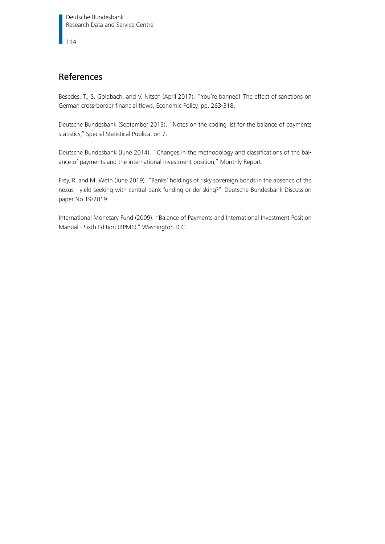# References

Besedes, T., S. Goldbach, and V. Nitsch (April 2017). "You're banned! The effect of sanctions on German cross-border financial flows, Economic Policy, pp. 263-318.

Deutsche Bundesbank (September 2013). "Notes on the coding list for the balance of payments statistics," Special Statistical Publication 7.

Deutsche Bundesbank (June 2014). "Changes in the methodology and classifications of the balance of payments and the international investment position," Monthly Report.

Frey, R. and M. Weth (June 2019). "Banks' holdings of risky sovereign bonds in the absence of the nexus - yield seeking with central bank funding or derisking?" Deutsche Bundesbank Discussion paper No 19/2019.

International Monetary Fund (2009). "Balance of Payments and International Investment Position Manual - Sixth Edition (BPM6)," Washington D.C.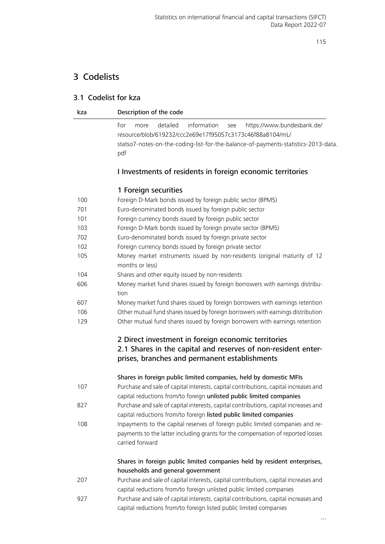# 3 Codelists

## 3.1 Codelist for kza

| Description of the code<br>kza |  |
|--------------------------------|--|
|--------------------------------|--|

For more detailed information see [https://www.bundesbank.de/](https://www.bundesbank.de/resource/blob/619232/ccc2e69e17f95057c3173c46f88a8104/mL/statso7-notes-on-the-coding-list-for-the-balance-of-payments-statistics-2013-data.pdf) [resource/blob/619232/ccc2e69e17f95057c3173c46f88a8104/mL/](https://www.bundesbank.de/resource/blob/619232/ccc2e69e17f95057c3173c46f88a8104/mL/statso7-notes-on-the-coding-list-for-the-balance-of-payments-statistics-2013-data.pdf) [statso7-notes-on-the-coding-list-for-the-balance-of-payments-statistics-2013-](https://www.bundesbank.de/resource/blob/619232/ccc2e69e17f95057c3173c46f88a8104/mL/statso7-notes-on-the-coding-list-for-the-balance-of-payments-statistics-2013-data.pdf)data. [pdf](https://www.bundesbank.de/resource/blob/619232/ccc2e69e17f95057c3173c46f88a8104/mL/statso7-notes-on-the-coding-list-for-the-balance-of-payments-statistics-2013-data.pdf)

## I Investments of residents in foreign economic territories

## 1 Foreign securities

| 100 | Foreign D-Mark bonds issued by foreign public sector (BPM5)                                                                                                                          |
|-----|--------------------------------------------------------------------------------------------------------------------------------------------------------------------------------------|
| 701 | Euro-denominated bonds issued by foreign public sector                                                                                                                               |
| 101 | Foreign currency bonds issued by foreign public sector                                                                                                                               |
| 103 | Foreign D-Mark bonds issued by foreign private sector (BPM5)                                                                                                                         |
| 702 | Euro-denominated bonds issued by foreign private sector                                                                                                                              |
| 102 | Foreign currency bonds issued by foreign private sector                                                                                                                              |
| 105 | Money market instruments issued by non-residents (original maturity of 12<br>months or less)                                                                                         |
| 104 | Shares and other equity issued by non-residents                                                                                                                                      |
| 606 | Money market fund shares issued by foreign borrowers with earnings distribu-<br>tion                                                                                                 |
| 607 | Money market fund shares issued by foreign borrowers with earnings retention                                                                                                         |
| 106 | Other mutual fund shares issued by foreign borrowers with earnings distribution                                                                                                      |
| 129 | Other mutual fund shares issued by foreign borrowers with earnings retention                                                                                                         |
|     | 2 Direct investment in foreign economic territories<br>2.1 Shares in the capital and reserves of non-resident enter-<br>prises, branches and permanent establishments                |
|     | Shares in foreign public limited companies, held by domestic MFIs                                                                                                                    |
| 107 | Purchase and sale of capital interests, capital contributions, capital increases and<br>capital reductions from/to foreign unlisted public limited companies                         |
| 827 | Purchase and sale of capital interests, capital contributions, capital increases and<br>capital reductions from/to foreign listed public limited companies                           |
| 108 | Inpayments to the capital reserves of foreign public limited companies and re-<br>payments to the latter including grants for the compensation of reported losses<br>carried forward |
|     | Shares in foreign public limited companies held by resident enterprises,                                                                                                             |
|     | households and general government                                                                                                                                                    |
| 207 | Purchase and sale of capital interests, capital contributions, capital increases and                                                                                                 |
|     | capital reductions from/to foreign unlisted public limited companies                                                                                                                 |
| 927 | Purchase and sale of capital interests, capital contributions, capital increases and<br>capital reductions from/to foreign listed public limited companies                           |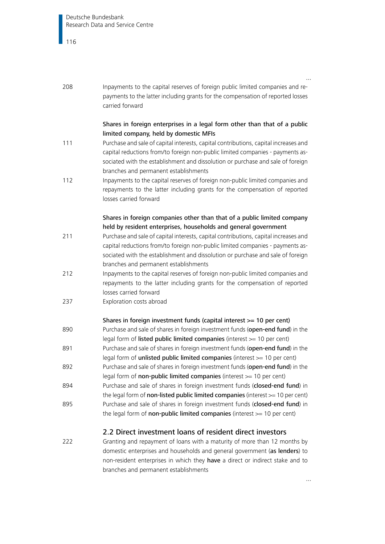| 208 | Inpayments to the capital reserves of foreign public limited companies and re-<br>payments to the latter including grants for the compensation of reported losses<br>carried forward                                                                                                               |  |
|-----|----------------------------------------------------------------------------------------------------------------------------------------------------------------------------------------------------------------------------------------------------------------------------------------------------|--|
|     | Shares in foreign enterprises in a legal form other than that of a public<br>limited company, held by domestic MFIs                                                                                                                                                                                |  |
| 111 | Purchase and sale of capital interests, capital contributions, capital increases and<br>capital reductions from/to foreign non-public limited companies - payments as-<br>sociated with the establishment and dissolution or purchase and sale of foreign<br>branches and permanent establishments |  |
| 112 | Inpayments to the capital reserves of foreign non-public limited companies and<br>repayments to the latter including grants for the compensation of reported<br>losses carried forward                                                                                                             |  |
|     | Shares in foreign companies other than that of a public limited company<br>held by resident enterprises, households and general government                                                                                                                                                         |  |
| 211 | Purchase and sale of capital interests, capital contributions, capital increases and<br>capital reductions from/to foreign non-public limited companies - payments as-<br>sociated with the establishment and dissolution or purchase and sale of foreign<br>branches and permanent establishments |  |
| 212 | Inpayments to the capital reserves of foreign non-public limited companies and<br>repayments to the latter including grants for the compensation of reported<br>losses carried forward                                                                                                             |  |
| 237 | Exploration costs abroad                                                                                                                                                                                                                                                                           |  |
|     | Shares in foreign investment funds (capital interest >= 10 per cent)                                                                                                                                                                                                                               |  |
| 890 | Purchase and sale of shares in foreign investment funds (open-end fund) in the<br>legal form of listed public limited companies (interest >= 10 per cent)                                                                                                                                          |  |
| 891 | Purchase and sale of shares in foreign investment funds (open-end fund) in the<br>legal form of unlisted public limited companies (interest >= 10 per cent)                                                                                                                                        |  |
| 892 | Purchase and sale of shares in foreign investment funds (open-end fund) in the<br>legal form of non-public limited companies (interest $>= 10$ per cent)                                                                                                                                           |  |
| 894 | Purchase and sale of shares in foreign investment funds (closed-end fund) in<br>the legal form of non-listed public limited companies (interest $>= 10$ per cent)                                                                                                                                  |  |
| 895 | Purchase and sale of shares in foreign investment funds (closed-end fund) in<br>the legal form of non-public limited companies (interest $>= 10$ per cent)                                                                                                                                         |  |
|     | 2.2 Direct investment loans of resident direct investors                                                                                                                                                                                                                                           |  |
| 222 | Granting and repayment of loans with a maturity of more than 12 months by<br>domestic enterprises and households and general government (as lenders) to<br>non-resident enterprises in which they have a direct or indirect stake and to<br>branches and permanent establishments                  |  |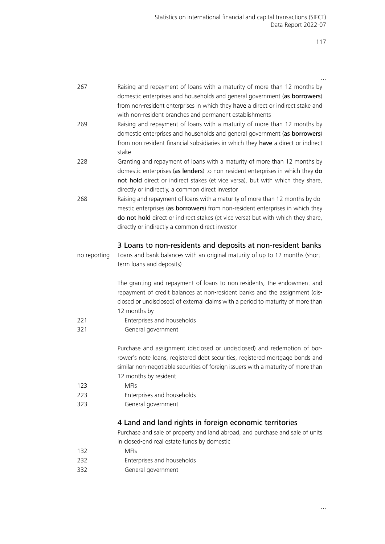| 267                                                                                          | Raising and repayment of loans with a maturity of more than 12 months by          |
|----------------------------------------------------------------------------------------------|-----------------------------------------------------------------------------------|
|                                                                                              | domestic enterprises and households and general government (as borrowers)         |
|                                                                                              | from non-resident enterprises in which they have a direct or indirect stake and   |
|                                                                                              | with non-resident branches and permanent establishments                           |
|                                                                                              |                                                                                   |
| 269                                                                                          | Raising and repayment of loans with a maturity of more than 12 months by          |
|                                                                                              | domestic enterprises and households and general government (as borrowers)         |
|                                                                                              | from non-resident financial subsidiaries in which they have a direct or indirect  |
|                                                                                              | stake                                                                             |
| 228                                                                                          | Granting and repayment of loans with a maturity of more than 12 months by         |
|                                                                                              | domestic enterprises (as lenders) to non-resident enterprises in which they do    |
|                                                                                              | not hold direct or indirect stakes (et vice versa), but with which they share,    |
|                                                                                              |                                                                                   |
|                                                                                              | directly or indirectly, a common direct investor                                  |
| 268                                                                                          | Raising and repayment of loans with a maturity of more than 12 months by do-      |
|                                                                                              | mestic enterprises (as borrowers) from non-resident enterprises in which they     |
|                                                                                              | do not hold direct or indirect stakes (et vice versa) but with which they share,  |
|                                                                                              | directly or indirectly a common direct investor                                   |
|                                                                                              |                                                                                   |
|                                                                                              | 3 Loans to non-residents and deposits at non-resident banks                       |
| Loans and bank balances with an original maturity of up to 12 months (short-<br>no reporting |                                                                                   |
|                                                                                              | term loans and deposits)                                                          |
|                                                                                              |                                                                                   |
|                                                                                              | The granting and repayment of loans to non-residents, the endowment and           |
|                                                                                              | repayment of credit balances at non-resident banks and the assignment (dis-       |
|                                                                                              | closed or undisclosed) of external claims with a period to maturity of more than  |
|                                                                                              | 12 months by                                                                      |
| 221                                                                                          | Enterprises and households                                                        |
|                                                                                              |                                                                                   |
| 321                                                                                          | General government                                                                |
|                                                                                              | Purchase and assignment (disclosed or undisclosed) and redemption of bor-         |
|                                                                                              | rower's note loans, registered debt securities, registered mortgage bonds and     |
|                                                                                              | similar non-negotiable securities of foreign issuers with a maturity of more than |
|                                                                                              |                                                                                   |
|                                                                                              | 12 months by resident                                                             |
| 123                                                                                          | <b>MFIs</b>                                                                       |
| 223                                                                                          | Enterprises and households                                                        |
| 323                                                                                          | General government                                                                |
|                                                                                              | 4 Land and land rights in foreign economic territories                            |
|                                                                                              |                                                                                   |
|                                                                                              | Purchase and sale of property and land abroad, and purchase and sale of units     |
|                                                                                              | in closed-end real estate funds by domestic                                       |
| 132                                                                                          | <b>MFIs</b>                                                                       |
| 232                                                                                          | Enterprises and households                                                        |
| 332                                                                                          | General government                                                                |
|                                                                                              |                                                                                   |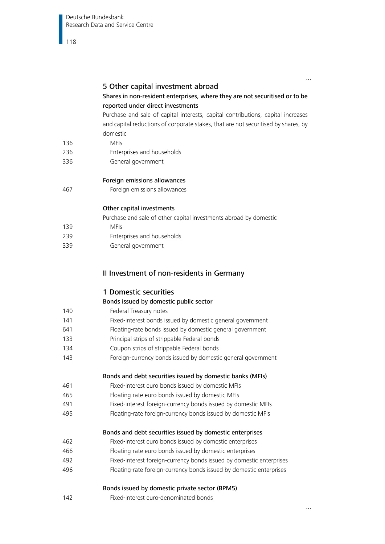## 5 Other capital investment abroad

### Shares in non-resident enterprises, where they are not securitised or to be reported under direct investments

Purchase and sale of capital interests, capital contributions, capital increases and capital reductions of corporate stakes, that are not securitised by shares, by domestic

- 136 MFIs
- 236 Enterprises and households
- 336 General government

Foreign emissions allowances

467 Foreign emissions allowances

#### Other capital investments

Purchase and sale of other capital investments abroad by domestic

- 139 MFIs
- 239 Enterprises and households
- 339 General government

### II Investment of non-residents in Germany

#### 1 Domestic securities

#### Bonds issued by domestic public sector

- 140 Federal Treasury notes 141 Fixed-interest bonds issued by domestic general government 641 Floating-rate bonds issued by domestic general government 133 Principal strips of strippable Federal bonds
- 134 Coupon strips of strippable Federal bonds
- 143 Foreign-currency bonds issued by domestic general government

#### Bonds and debt securities issued by domestic banks (MFIs)

- 461 Fixed-interest euro bonds issued by domestic MFIs
- 465 Floating-rate euro bonds issued by domestic MFIs
- 491 Fixed-interest foreign-currency bonds issued by domestic MFIs
- 495 Floating-rate foreign-currency bonds issued by domestic MFIs

#### Bonds and debt securities issued by domestic enterprises

- 462 Fixed-interest euro bonds issued by domestic enterprises
- 466 Floating-rate euro bonds issued by domestic enterprises
- 492 Fixed-interest foreign-currency bonds issued by domestic enterprises
- 496 Floating-rate foreign-currency bonds issued by domestic enterprises

#### Bonds issued by domestic private sector (BPM5)

142 Fixed-interest euro-denominated bonds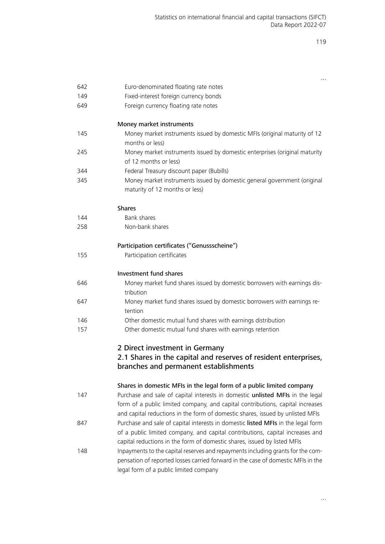|     | $\cdots$                                                                                                                                                                                                      |  |
|-----|---------------------------------------------------------------------------------------------------------------------------------------------------------------------------------------------------------------|--|
| 642 | Euro-denominated floating rate notes                                                                                                                                                                          |  |
| 149 | Fixed-interest foreign currency bonds                                                                                                                                                                         |  |
| 649 | Foreign currency floating rate notes                                                                                                                                                                          |  |
|     |                                                                                                                                                                                                               |  |
|     | Money market instruments                                                                                                                                                                                      |  |
| 145 | Money market instruments issued by domestic MFIs (original maturity of 12<br>months or less)                                                                                                                  |  |
| 245 | Money market instruments issued by domestic enterprises (original maturity<br>of 12 months or less)                                                                                                           |  |
| 344 | Federal Treasury discount paper (Bubills)                                                                                                                                                                     |  |
| 345 | Money market instruments issued by domestic general government (original                                                                                                                                      |  |
|     | maturity of 12 months or less)                                                                                                                                                                                |  |
|     | <b>Shares</b>                                                                                                                                                                                                 |  |
| 144 | Bank shares                                                                                                                                                                                                   |  |
| 258 | Non-bank shares                                                                                                                                                                                               |  |
|     | Participation certificates ("Genussscheine")                                                                                                                                                                  |  |
| 155 | Participation certificates                                                                                                                                                                                    |  |
|     |                                                                                                                                                                                                               |  |
|     | Investment fund shares                                                                                                                                                                                        |  |
| 646 | Money market fund shares issued by domestic borrowers with earnings dis-<br>tribution                                                                                                                         |  |
| 647 | Money market fund shares issued by domestic borrowers with earnings re-<br>tention                                                                                                                            |  |
| 146 | Other domestic mutual fund shares with earnings distribution                                                                                                                                                  |  |
| 157 | Other domestic mutual fund shares with earnings retention                                                                                                                                                     |  |
|     | 2 Direct investment in Germany                                                                                                                                                                                |  |
|     | 2.1 Shares in the capital and reserves of resident enterprises,                                                                                                                                               |  |
|     | branches and permanent establishments                                                                                                                                                                         |  |
|     |                                                                                                                                                                                                               |  |
|     | Shares in domestic MFIs in the legal form of a public limited company                                                                                                                                         |  |
| 147 | Purchase and sale of capital interests in domestic unlisted MFIs in the legal                                                                                                                                 |  |
|     | form of a public limited company, and capital contributions, capital increases                                                                                                                                |  |
|     | and capital reductions in the form of domestic shares, issued by unlisted MFIs                                                                                                                                |  |
| 847 | Purchase and sale of capital interests in domestic listed MFIs in the legal form                                                                                                                              |  |
|     | of a public limited company, and capital contributions, capital increases and<br>capital reductions in the form of domestic shares, issued by listed MFIs                                                     |  |
|     |                                                                                                                                                                                                               |  |
| 148 | Inpayments to the capital reserves and repayments including grants for the com-<br>pensation of reported losses carried forward in the case of domestic MFIs in the<br>legal form of a public limited company |  |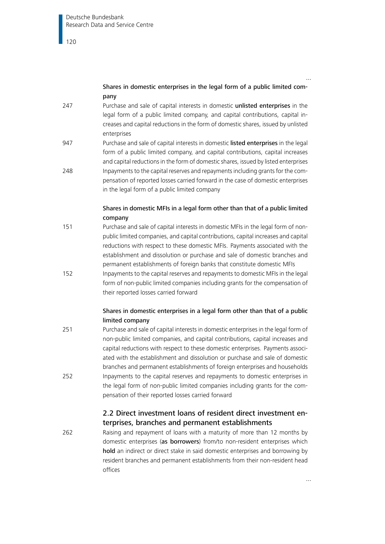## Shares in domestic enterprises in the legal form of a public limited company

- 247 Purchase and sale of capital interests in domestic unlisted enterprises in the legal form of a public limited company, and capital contributions, capital increases and capital reductions in the form of domestic shares, issued by unlisted enterprises
- 947 Purchase and sale of capital interests in domestic listed enterprises in the legal form of a public limited company, and capital contributions, capital increases and capital reductions in the form of domestic shares, issued by listed enterprises 248 Inpayments to the capital reserves and repayments including grants for the com-
- pensation of reported losses carried forward in the case of domestic enterprises in the legal form of a public limited company

## Shares in domestic MFIs in a legal form other than that of a public limited company

- 151 Purchase and sale of capital interests in domestic MFIs in the legal form of nonpublic limited companies, and capital contributions, capital increases and capital reductions with respect to these domestic MFIs. Payments associated with the establishment and dissolution or purchase and sale of domestic branches and permanent establishments of foreign banks that constitute domestic MFIs
- 152 Inpayments to the capital reserves and repayments to domestic MFIs in the legal form of non-public limited companies including grants for the compensation of their reported losses carried forward

## Shares in domestic enterprises in a legal form other than that of a public limited company

251 Purchase and sale of capital interests in domestic enterprises in the legal form of non-public limited companies, and capital contributions, capital increases and capital reductions with respect to these domestic enterprises. Payments associated with the establishment and dissolution or purchase and sale of domestic branches and permanent establishments of foreign enterprises and households 252 Inpayments to the capital reserves and repayments to domestic enterprises in the legal form of non-public limited companies including grants for the compensation of their reported losses carried forward

## 2.2 Direct investment loans of resident direct investment enterprises, branches and permanent establishments

262 Raising and repayment of loans with a maturity of more than 12 months by domestic enterprises (as borrowers) from/to non-resident enterprises which hold an indirect or direct stake in said domestic enterprises and borrowing by resident branches and permanent establishments from their non-resident head offices

…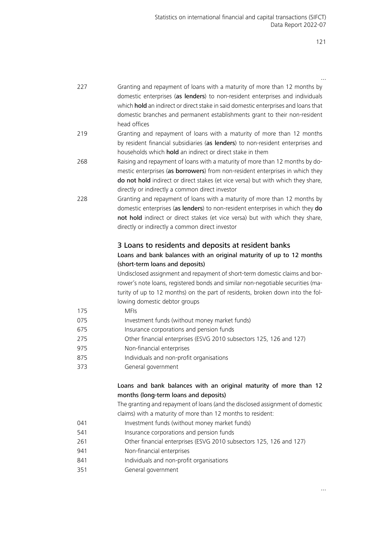| 227                                                                                                                         | Granting and repayment of loans with a maturity of more than 12 months by<br>domestic enterprises (as lenders) to non-resident enterprises and individuals<br>which hold an indirect or direct stake in said domestic enterprises and loans that<br>domestic branches and permanent establishments grant to their non-resident<br>head offices |  |
|-----------------------------------------------------------------------------------------------------------------------------|------------------------------------------------------------------------------------------------------------------------------------------------------------------------------------------------------------------------------------------------------------------------------------------------------------------------------------------------|--|
| 219                                                                                                                         | Granting and repayment of loans with a maturity of more than 12 months<br>by resident financial subsidiaries (as lenders) to non-resident enterprises and<br>households which hold an indirect or direct stake in them                                                                                                                         |  |
| 268                                                                                                                         | Raising and repayment of loans with a maturity of more than 12 months by do-<br>mestic enterprises (as borrowers) from non-resident enterprises in which they<br>do not hold indirect or direct stakes (et vice versa) but with which they share,<br>directly or indirectly a common direct investor                                           |  |
| 228                                                                                                                         | Granting and repayment of loans with a maturity of more than 12 months by<br>domestic enterprises (as lenders) to non-resident enterprises in which they do<br>not hold indirect or direct stakes (et vice versa) but with which they share,<br>directly or indirectly a common direct investor                                                |  |
| 3 Loans to residents and deposits at resident banks<br>Loans and bank balances with an original maturity of up to 12 months |                                                                                                                                                                                                                                                                                                                                                |  |
|                                                                                                                             | (short-term loans and deposits)<br>Undisclosed assignment and repayment of short-term domestic claims and bor-<br>rower's note loans, registered bonds and similar non-negotiable securities (ma-<br>turity of up to 12 months) on the part of residents, broken down into the fol-<br>lowing domestic debtor groups                           |  |
| 175                                                                                                                         | <b>MFIs</b>                                                                                                                                                                                                                                                                                                                                    |  |
| 075                                                                                                                         | Investment funds (without money market funds)                                                                                                                                                                                                                                                                                                  |  |
| 675                                                                                                                         | Insurance corporations and pension funds                                                                                                                                                                                                                                                                                                       |  |
| 275                                                                                                                         | Other financial enterprises (ESVG 2010 subsectors 125, 126 and 127)                                                                                                                                                                                                                                                                            |  |
| 975                                                                                                                         | Non-financial enterprises                                                                                                                                                                                                                                                                                                                      |  |
| 875                                                                                                                         | Individuals and non-profit organisations                                                                                                                                                                                                                                                                                                       |  |
| 373                                                                                                                         | General government                                                                                                                                                                                                                                                                                                                             |  |
|                                                                                                                             | Loans and bank balances with an original maturity of more than 12<br>months (long-term loans and deposits)                                                                                                                                                                                                                                     |  |
|                                                                                                                             | The granting and repayment of loans (and the disclosed assignment of domestic                                                                                                                                                                                                                                                                  |  |
|                                                                                                                             | claims) with a maturity of more than 12 months to resident:                                                                                                                                                                                                                                                                                    |  |
| 041                                                                                                                         | Investment funds (without money market funds)                                                                                                                                                                                                                                                                                                  |  |
| 541                                                                                                                         | Insurance corporations and pension funds                                                                                                                                                                                                                                                                                                       |  |
| 261                                                                                                                         | Other financial enterprises (ESVG 2010 subsectors 125, 126 and 127)                                                                                                                                                                                                                                                                            |  |
| 941                                                                                                                         | Non-financial enterprises                                                                                                                                                                                                                                                                                                                      |  |
| 841                                                                                                                         | Individuals and non-profit organisations                                                                                                                                                                                                                                                                                                       |  |
| 351                                                                                                                         | General government                                                                                                                                                                                                                                                                                                                             |  |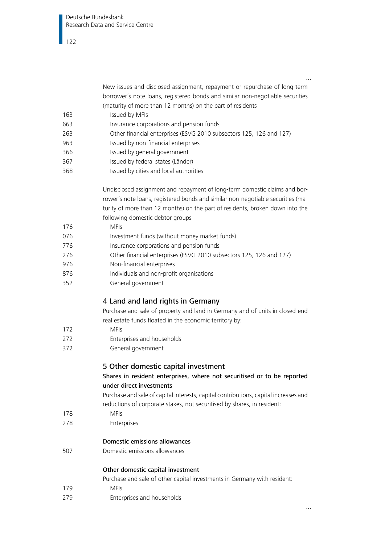New issues and disclosed assignment, repayment or repurchase of long-term borrower's note loans, registered bonds and similar non-negotiable securities (maturity of more than 12 months) on the part of residents

- 163 Issued by MFIs
- 663 Insurance corporations and pension funds
- 263 Other financial enterprises (ESVG 2010 subsectors 125, 126 and 127)
- 963 Issued by non-financial enterprises
- 366 Issued by general government
- 367 Issued by federal states (Länder)
- 368 Issued by cities and local authorities

Undisclosed assignment and repayment of long-term domestic claims and borrower's note loans, registered bonds and similar non-negotiable securities (maturity of more than 12 months) on the part of residents, broken down into the following domestic debtor groups

## 176 MFIs

- 076 Investment funds (without money market funds)
- 776 Insurance corporations and pension funds
- 276 Other financial enterprises (ESVG 2010 subsectors 125, 126 and 127)
- 976 Non-financial enterprises
- 876 Individuals and non-profit organisations
- 352 General government

## 4 Land and land rights in Germany

Purchase and sale of property and land in Germany and of units in closed-end real estate funds floated in the economic territory by:

- 172 MFIs
- 272 Enterprises and households
- 372 General government

## 5 Other domestic capital investment

## Shares in resident enterprises, where not securitised or to be reported under direct investments

Purchase and sale of capital interests, capital contributions, capital increases and reductions of corporate stakes, not securitised by shares, in resident:

- 178 MFIs
- 278 Enterprises

## Domestic emissions allowances

507 Domestic emissions allowances

## Other domestic capital investment

Purchase and sale of other capital investments in Germany with resident:

- 179 MFIs
- 279 Enterprises and households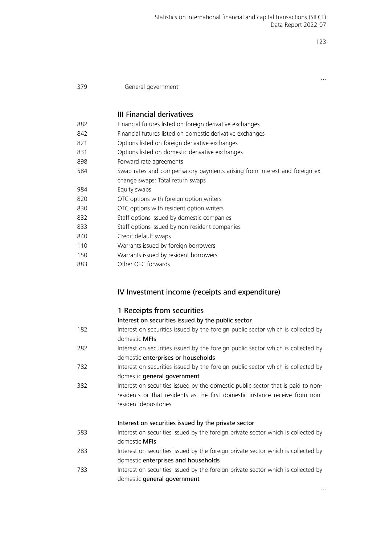…

#### 379 General government

#### III Financial derivatives

| 882 | Financial futures listed on foreign derivative exchanges                   |  |  |
|-----|----------------------------------------------------------------------------|--|--|
| 842 | Financial futures listed on domestic derivative exchanges                  |  |  |
| 821 | Options listed on foreign derivative exchanges                             |  |  |
| 831 | Options listed on domestic derivative exchanges                            |  |  |
| 898 | Forward rate agreements                                                    |  |  |
| 584 | Swap rates and compensatory payments arising from interest and foreign ex- |  |  |
|     | change swaps; Total return swaps                                           |  |  |
| 984 | Equity swaps                                                               |  |  |
| 820 | OTC options with foreign option writers                                    |  |  |
| 830 | OTC options with resident option writers                                   |  |  |
| 832 | Staff options issued by domestic companies                                 |  |  |
| 833 | Staff options issued by non-resident companies                             |  |  |
| 840 | Credit default swaps                                                       |  |  |
| 110 | Warrants issued by foreign borrowers                                       |  |  |
| 150 | Warrants issued by resident borrowers                                      |  |  |
| 883 | Other OTC forwards                                                         |  |  |
|     |                                                                            |  |  |

## IV Investment income (receipts and expenditure)

#### 1 Receipts from securities

#### Interest on securities issued by the public sector

| 182 | Interest on securities issued by the foreign public sector which is collected by |
|-----|----------------------------------------------------------------------------------|
|     | domestic <b>MFIs</b>                                                             |
| 282 | Interest on securities issued by the foreign public sector which is collected by |
|     | domestic enterprises or households                                               |
|     |                                                                                  |

- 782 Interest on securities issued by the foreign public sector which is collected by domestic general government
- 382 Interest on securities issued by the domestic public sector that is paid to nonresidents or that residents as the first domestic instance receive from nonresident depositories

### Interest on securities issued by the private sector

- 583 Interest on securities issued by the foreign private sector which is collected by domestic MFIs
- 283 Interest on securities issued by the foreign private sector which is collected by domestic enterprises and households
- 783 Interest on securities issued by the foreign private sector which is collected by domestic general government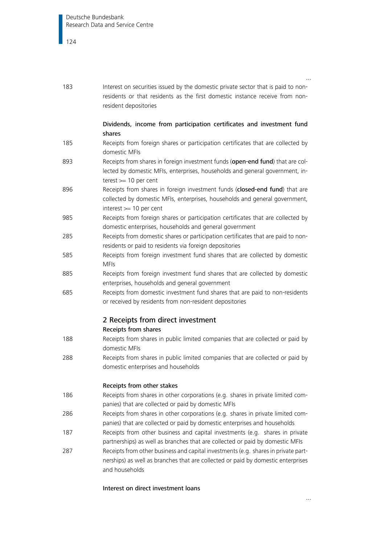| 183 | Interest on securities issued by the domestic private sector that is paid to non-<br>residents or that residents as the first domestic instance receive from non-<br>resident depositories |  |
|-----|--------------------------------------------------------------------------------------------------------------------------------------------------------------------------------------------|--|
|     | Dividends, income from participation certificates and investment fund<br>shares                                                                                                            |  |
| 185 | Receipts from foreign shares or participation certificates that are collected by<br>domestic MFIs                                                                                          |  |
| 893 | Receipts from shares in foreign investment funds (open-end fund) that are col-<br>lected by domestic MFIs, enterprises, households and general government, in-<br>terest $>= 10$ per cent  |  |
| 896 | Receipts from shares in foreign investment funds (closed-end fund) that are<br>collected by domestic MFIs, enterprises, households and general government,<br>interest >= 10 per cent      |  |
| 985 | Receipts from foreign shares or participation certificates that are collected by<br>domestic enterprises, households and general government                                                |  |
| 285 | Receipts from domestic shares or participation certificates that are paid to non-<br>residents or paid to residents via foreign depositories                                               |  |
| 585 | Receipts from foreign investment fund shares that are collected by domestic<br><b>MFIs</b>                                                                                                 |  |
| 885 | Receipts from foreign investment fund shares that are collected by domestic<br>enterprises, households and general government                                                              |  |
| 685 | Receipts from domestic investment fund shares that are paid to non-residents<br>or received by residents from non-resident depositories                                                    |  |
|     | 2 Receipts from direct investment<br>Receipts from shares                                                                                                                                  |  |
| 188 | Receipts from shares in public limited companies that are collected or paid by<br>domestic MFIs                                                                                            |  |
| 288 | Receipts from shares in public limited companies that are collected or paid by<br>domestic enterprises and households                                                                      |  |
|     | Receipts from other stakes                                                                                                                                                                 |  |
| 186 | Receipts from shares in other corporations (e.g. shares in private limited com-<br>panies) that are collected or paid by domestic MFIs                                                     |  |
| 286 | Receipts from shares in other corporations (e.g. shares in private limited com-<br>panies) that are collected or paid by domestic enterprises and households                               |  |
| 187 | Receipts from other business and capital investments (e.g. shares in private<br>partnerships) as well as branches that are collected or paid by domestic MFIs                              |  |
| 287 | Receipts from other business and capital investments (e.g. shares in private part-<br>nerships) as well as branches that are collected or paid by domestic enterprises<br>and households   |  |

#### Interest on direct investment loans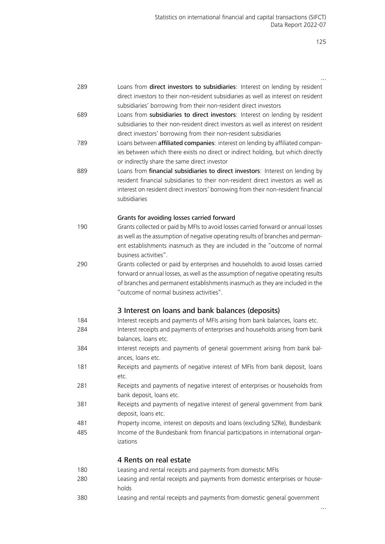| 289 | Loans from direct investors to subsidiaries: Interest on lending by resident                                                                                                                                      |
|-----|-------------------------------------------------------------------------------------------------------------------------------------------------------------------------------------------------------------------|
|     | direct investors to their non-resident subsidiaries as well as interest on resident<br>subsidiaries' borrowing from their non-resident direct investors                                                           |
| 689 | Loans from subsidiaries to direct investors: Interest on lending by resident                                                                                                                                      |
|     | subsidiaries to their non-resident direct investors as well as interest on resident                                                                                                                               |
|     | direct investors' borrowing from their non-resident subsidiaries                                                                                                                                                  |
| 789 | Loans between affiliated companies: interest on lending by affiliated compan-<br>ies between which there exists no direct or indirect holding, but which directly<br>or indirectly share the same direct investor |
| 889 | Loans from financial subsidiaries to direct investors: Interest on lending by                                                                                                                                     |
|     | resident financial subsidiaries to their non-resident direct investors as well as                                                                                                                                 |
|     | interest on resident direct investors' borrowing from their non-resident financial                                                                                                                                |
|     | subsidiaries                                                                                                                                                                                                      |
|     | Grants for avoiding losses carried forward                                                                                                                                                                        |
| 190 | Grants collected or paid by MFIs to avoid losses carried forward or annual losses                                                                                                                                 |
|     | as well as the assumption of negative operating results of branches and perman-                                                                                                                                   |
|     | ent establishments inasmuch as they are included in the "outcome of normal<br>business activities".                                                                                                               |
| 290 | Grants collected or paid by enterprises and households to avoid losses carried                                                                                                                                    |
|     | forward or annual losses, as well as the assumption of negative operating results                                                                                                                                 |
|     | of branches and permanent establishments inasmuch as they are included in the                                                                                                                                     |
|     | "outcome of normal business activities".                                                                                                                                                                          |
|     | 3 Interest on loans and bank balances (deposits)                                                                                                                                                                  |
| 184 | Interest receipts and payments of MFIs arising from bank balances, loans etc.                                                                                                                                     |
| 284 | Interest receipts and payments of enterprises and households arising from bank<br>balances, loans etc.                                                                                                            |
| 384 | Interest receipts and payments of general government arising from bank bal-                                                                                                                                       |
|     | ances, loans etc.                                                                                                                                                                                                 |
| 181 | Receipts and payments of negative interest of MFIs from bank deposit, loans                                                                                                                                       |
| 281 | etc.<br>Receipts and payments of negative interest of enterprises or households from                                                                                                                              |
|     | bank deposit, loans etc.                                                                                                                                                                                          |
| 381 | Receipts and payments of negative interest of general government from bank                                                                                                                                        |
|     | deposit, loans etc.                                                                                                                                                                                               |
| 481 | Property income, interest on deposits and loans (excluding SZRe), Bundesbank                                                                                                                                      |
| 485 | Income of the Bundesbank from financial participations in international organ-                                                                                                                                    |
|     | izations                                                                                                                                                                                                          |
|     | 4 Rents on real estate                                                                                                                                                                                            |
| 180 | Leasing and rental receipts and payments from domestic MFIs                                                                                                                                                       |
| 280 | Leasing and rental receipts and payments from domestic enterprises or house-<br>holds                                                                                                                             |
| 380 | Leasing and rental receipts and payments from domestic general government                                                                                                                                         |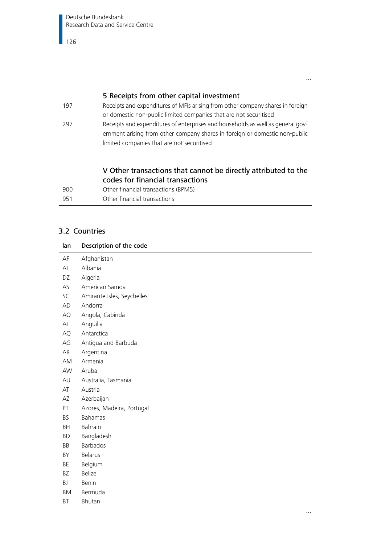## 5 Receipts from other capital investment

197 Receipts and expenditures of MFIs arising from other company shares in foreign or domestic non-public limited companies that are not securitised 297 Receipts and expenditures of enterprises and households as well as general government arising from other company shares in foreign or domestic non-public limited companies that are not securitised

## V Other transactions that cannot be directly attributed to the codes for financial transactions

| 900 | Other financial transactions (BPM5) |
|-----|-------------------------------------|
| 951 | Other financial transactions        |

## 3.2 Countries

| lan       | Description of the code    |
|-----------|----------------------------|
| AF        | Afghanistan                |
| AL        | Albania                    |
| DZ        | Algeria                    |
| AS        | American Samoa             |
| SC        | Amirante Isles, Seychelles |
| AD        | Andorra                    |
| AO        | Angola, Cabinda            |
| Al        | Anguilla                   |
| AQ        | Antarctica                 |
| AG        | Antigua and Barbuda        |
| AR        | Argentina                  |
| AM        | Armenia                    |
| AW        | Aruba                      |
| AU        | Australia, Tasmania        |
| AT        | Austria                    |
| AZ        | Azerbaijan                 |
| PT        | Azores, Madeira, Portugal  |
| <b>BS</b> | <b>Bahamas</b>             |
| BH        | Bahrain                    |
| BD        | Bangladesh                 |
| BB        | Barbados                   |
| BY        | <b>Belarus</b>             |
| BE        | Belgium                    |
| ΒZ        | Belize                     |
| BJ        | Benin                      |
| BM        | Bermuda                    |
| ВT        | Bhutan                     |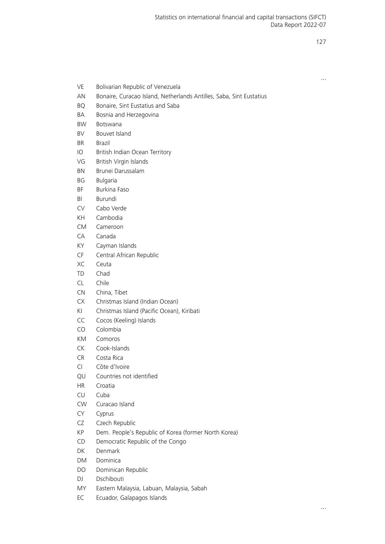- VE Bolivarian Republic of Venezuela
- AN Bonaire, Curacao Island, Netherlands Antilles, Saba, Sint Eustatius
- BQ Bonaire, Sint Eustatius and Saba
- BA Bosnia and Herzegovina
- BW Botswana
- BV Bouvet Island
- BR Brazil
- IO British Indian Ocean Territory
- VG British Virgin Islands
- BN Brunei Darussalam
- BG Bulgaria
- BF Burkina Faso
- BI Burundi
- CV Cabo Verde
- KH Cambodia
- CM Cameroon
- CA Canada
- KY Cayman Islands
- CF Central African Republic
- XC Ceuta
- TD Chad
- CL Chile
- CN China, Tibet
- CX Christmas Island (Indian Ocean)
- KI Christmas Island (Pacific Ocean), Kiribati
- CC Cocos (Keeling) Islands
- CO Colombia
- KM Comoros
- CK Cook-Islands
- CR Costa Rica
- CI Côte d'Ivoire
- QU Countries not identified
- HR Croatia
- CU Cuba
- CW Curacao Island
- CY Cyprus
- CZ Czech Republic
- KP Dem. People's Republic of Korea (former North Korea)
- CD Democratic Republic of the Congo
- DK Denmark
- DM Dominica
- DO Dominican Republic
- DJ Dschibouti
- MY Eastern Malaysia, Labuan, Malaysia, Sabah
- EC Ecuador, Galapagos Islands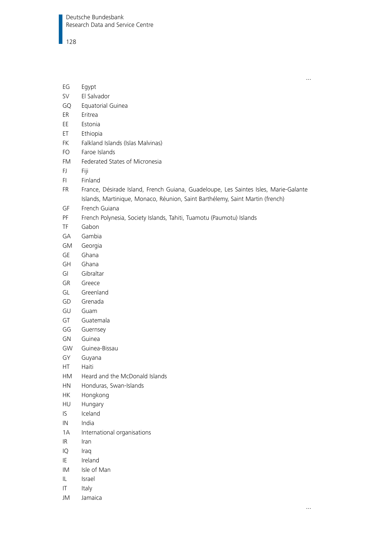- EG Egypt
- SV El Salvador
- GQ Equatorial Guinea
- ER Eritrea
- EE Estonia
- ET Ethiopia
- FK Falkland Islands (Islas Malvinas)
- FO Faroe Islands
- FM Federated States of Micronesia
- FJ Fiji
- FI Finland
- FR France, Désirade Island, French Guiana, Guadeloupe, Les Saintes Isles, Marie-Galante Islands, Martinique, Monaco, Réunion, Saint Barthélemy, Saint Martin (french)
- GF French Guiana
- PF French Polynesia, Society Islands, Tahiti, Tuamotu (Paumotu) Islands
- TF Gabon
- GA Gambia
- GM Georgia
- GE Ghana
- GH Ghana
- GI Gibraltar
- GR Greece
- GL Greenland
- GD Grenada
- GU Guam
- GT Guatemala
- GG Guernsey
- GN Guinea
- GW Guinea-Bissau
- GY Guyana
- HT Haiti
- HM Heard and the McDonald Islands
- HN Honduras, Swan-Islands
- HK Hongkong
- HU Hungary
- IS Iceland
- IN India
- 1A International organisations
- IR Iran
- IQ Iraq
- IE Ireland
- IM Isle of Man
- IL Israel
- IT Italy
- JM Jamaica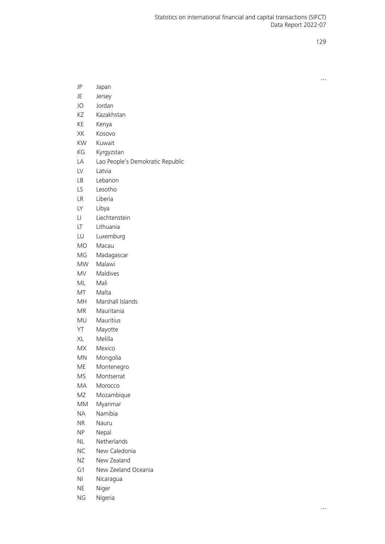| JP        | Japan                            |  |  |
|-----------|----------------------------------|--|--|
| JE        | Jersey                           |  |  |
| JO        | Jordan                           |  |  |
| ΚZ        | Kazakhstan                       |  |  |
| КE        | Kenya                            |  |  |
| XK        | Kosovo                           |  |  |
| KW        | Kuwait                           |  |  |
| КG        | Kyrgyzstan                       |  |  |
| LА        | Lao People's Demokratic Republic |  |  |
| LV        | Latvia                           |  |  |
| LB        | Lebanon                          |  |  |
| LS.       | Lesotho                          |  |  |
| LR        | Liberia                          |  |  |
| LY        | Libya                            |  |  |
| LI        | Liechtenstein                    |  |  |
| LT.       | Lithuania                        |  |  |
| LU        | Luxemburg                        |  |  |
| MO        | Macau                            |  |  |
| MG        | Madagascar                       |  |  |
| <b>MW</b> | Malawi                           |  |  |
| MV.       | Maldives                         |  |  |
| ML        | Mali                             |  |  |
| МT        | Malta                            |  |  |
| MH        | Marshall Islands                 |  |  |
| МR        | Mauritania                       |  |  |
| MU        | Mauritius                        |  |  |
| ΥT        | Mayotte                          |  |  |
| ХL        | Melilla                          |  |  |
| МX        | Mexico                           |  |  |
| MN        | Mongolia                         |  |  |
| ME        | Montenegro                       |  |  |
| <b>MS</b> | Montserrat                       |  |  |
| MA        | Morocco                          |  |  |
| ΜZ        | Mozambique                       |  |  |
| MМ        | Myanmar                          |  |  |
| <b>NA</b> | Namibia                          |  |  |
| ΝR        | Nauru                            |  |  |
| ΝP        | Nepal                            |  |  |
| NL        | Netherlands                      |  |  |
| ΝC        | New Caledonia                    |  |  |
| ΝZ        | New Zealand                      |  |  |
| G1        | New Zeeland Oceania              |  |  |
| NI        | Nicaragua                        |  |  |

- NE Niger
- NG Nigeria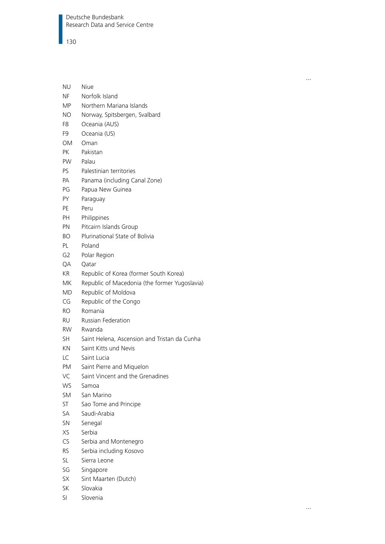## $\blacksquare$  130

| NU        | Niue                                          |  |  |
|-----------|-----------------------------------------------|--|--|
| ΝF        | Norfolk Island                                |  |  |
| ΜP        | Northern Mariana Islands                      |  |  |
| ΝO        | Norway, Spitsbergen, Svalbard                 |  |  |
| F8        | Oceania (AUS)                                 |  |  |
| F9        | Oceania (US)                                  |  |  |
| OM        | Oman                                          |  |  |
| РK        | Pakistan                                      |  |  |
| PW.       | Palau                                         |  |  |
| PS.       | Palestinian territories                       |  |  |
| PA        | Panama (including Canal Zone)                 |  |  |
| РG        | Papua New Guinea                              |  |  |
| PΥ        | Paraguay                                      |  |  |
| РE        | Peru                                          |  |  |
| PН        | Philippines                                   |  |  |
| ΡN        | Pitcairn Islands Group                        |  |  |
| BΟ        | Plurinational State of Bolivia                |  |  |
| PL        | Poland                                        |  |  |
| G2        | Polar Region                                  |  |  |
| QA        | Oatar                                         |  |  |
| KR        | Republic of Korea (former South Korea)        |  |  |
| МK        | Republic of Macedonia (the former Yugoslavia) |  |  |
| MD        | Republic of Moldova                           |  |  |
| CG        | Republic of the Congo                         |  |  |
| <b>RO</b> | Romania                                       |  |  |
| RU        | Russian Federation                            |  |  |
| <b>RW</b> | Rwanda                                        |  |  |
| <b>SH</b> | Saint Helena, Ascension and Tristan da Cunha  |  |  |
| KN        | Saint Kitts und Nevis                         |  |  |
| LC        | Saint Lucia                                   |  |  |
| PM        | Saint Pierre and Miquelon                     |  |  |
| VC        | Saint Vincent and the Grenadines              |  |  |
| <b>WS</b> | Samoa                                         |  |  |
| <b>SM</b> | San Marino                                    |  |  |
| ST.       | Sao Tome and Principe                         |  |  |
| SA        | Saudi-Arabia                                  |  |  |
| SN        | Senegal                                       |  |  |
| XS        | Serbia                                        |  |  |
| CS        | Serbia and Montenegro                         |  |  |
| RS.       | Serbia including Kosovo                       |  |  |
| SL        | Sierra Leone                                  |  |  |
| SG        | Singapore                                     |  |  |
| SХ        | Sint Maarten (Dutch)                          |  |  |
| SK        | Slovakia                                      |  |  |
| SI        | Slovenia                                      |  |  |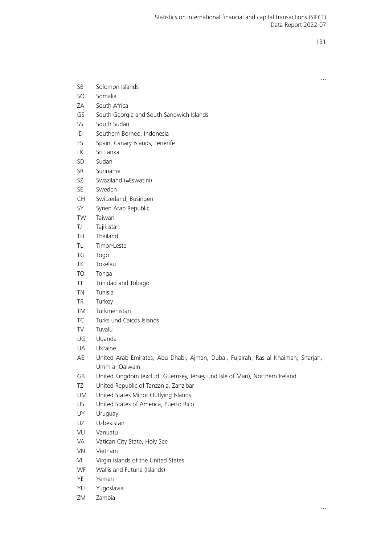| SΒ | Solomon Islands |  |
|----|-----------------|--|
|    |                 |  |

- SO Somalia
- ZA South Africa
- GS South Georgia and South Sandwich Islands
- SS South Sudan
- ID Southern Borneo, Indonesia
- ES Spain, Canary Islands, Tenerife
- LK Sri Lanka
- SD Sudan
- SR Suriname
- SZ Swaziland (=Eswatini)
- SE Sweden
- CH Switzerland, Busingen
- SY Syrien Arab Republic
- TW Taiwan
- TJ Tajikistan
- TH Thailand
- TL Timor-Leste
- TG Togo
- TK Tokelau
- TO Tonga
- TT Trinidad and Tobago
- TN Tunisia
- TR Turkey
- TM Turkmenistan
- TC Turks und Caicos Islands
- TV Tuvalu
- UG Uganda
- UA Ukraine
- AE United Arab Emirates, Abu Dhabi, Ajman, Dubai, Fujairah, Ras al Khaimah, Sharjah, Umm al-Qaiwain
- GB United Kingdom (exclud. Guernsey, Jersey und Isle of Man), Northern Ireland
- TZ United Republic of Tanzania, Zanzibar
- UM United States Minor Outlying Islands
- US United States of America, Puerto Rico
- UY Uruguay
- UZ Uzbekistan
- VU Vanuatu
- VA Vatican City State, Holy See
- VN Vietnam
- VI Virgin Islands of the United States
- WF Wallis and Futuna (Islands)
- YE Yemen
- YU Yugoslavia
- ZM Zambia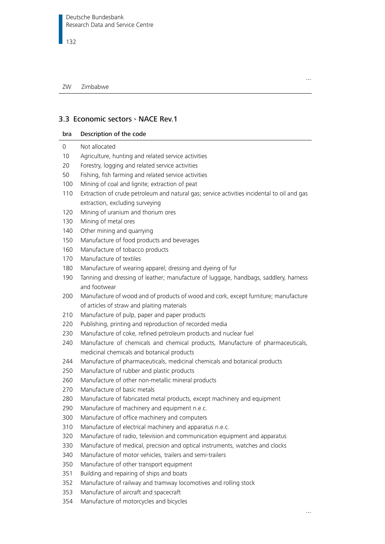## 3.3 Economic sectors - NACE Rev.1

| Description of the code<br>bra |
|--------------------------------|
|--------------------------------|

- 0 Not allocated
- 10 Agriculture, hunting and related service activities
- 20 Forestry, logging and related service activities
- 50 Fishing, fish farming and related service activities
- 100 Mining of coal and lignite; extraction of peat
- 110 Extraction of crude petroleum and natural gas; service activities incidental to oil and gas extraction, excluding surveying
- 120 Mining of uranium and thorium ores
- 130 Mining of metal ores
- 140 Other mining and quarrying
- 150 Manufacture of food products and beverages
- 160 Manufacture of tobacco products
- 170 Manufacture of textiles
- 180 Manufacture of wearing apparel; dressing and dyeing of fur
- 190 Tanning and dressing of leather; manufacture of luggage, handbags, saddlery, harness and footwear
- 200 Manufacture of wood and of products of wood and cork, except furniture; manufacture of articles of straw and plaiting materials
- 210 Manufacture of pulp, paper and paper products
- 220 Publishing, printing and reproduction of recorded media
- 230 Manufacture of coke, refined petroleum products and nuclear fuel
- 240 Manufacture of chemicals and chemical products, Manufacture of pharmaceuticals, medicinal chemicals and botanical products
- 244 Manufacture of pharmaceuticals, medicinal chemicals and botanical products
- 250 Manufacture of rubber and plastic products
- 260 Manufacture of other non-metallic mineral products
- 270 Manufacture of basic metals
- 280 Manufacture of fabricated metal products, except machinery and equipment
- 290 Manufacture of machinery and equipment n.e.c.
- 300 Manufacture of office machinery and computers
- 310 Manufacture of electrical machinery and apparatus n.e.c.
- 320 Manufacture of radio, television and communication equipment and apparatus
- 330 Manufacture of medical, precision and optical instruments, watches and clocks
- 340 Manufacture of motor vehicles, trailers and semi-trailers
- 350 Manufacture of other transport equipment
- 351 Building and repairing of ships and boats
- 352 Manufacture of railway and tramway locomotives and rolling stock
- 353 Manufacture of aircraft and spacecraft
- 354 Manufacture of motorcycles and bicycles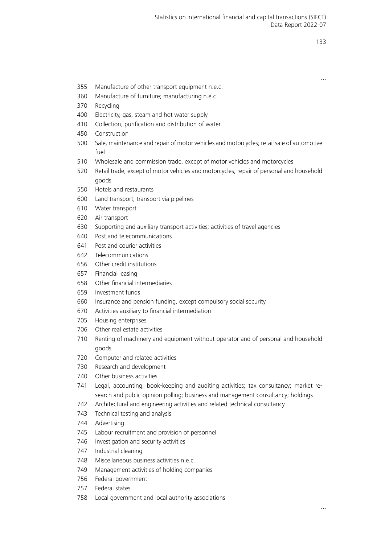- 355 Manufacture of other transport equipment n.e.c.
- 360 Manufacture of furniture; manufacturing n.e.c.
- 370 Recycling
- 400 Electricity, gas, steam and hot water supply
- 410 Collection, purification and distribution of water
- 450 Construction
- 500 Sale, maintenance and repair of motor vehicles and motorcycles; retail sale of automotive fuel
- 510 Wholesale and commission trade, except of motor vehicles and motorcycles
- 520 Retail trade, except of motor vehicles and motorcycles; repair of personal and household goods
- 550 Hotels and restaurants
- 600 Land transport; transport via pipelines
- 610 Water transport
- 620 Air transport
- 630 Supporting and auxiliary transport activities; activities of travel agencies
- 640 Post and telecommunications
- 641 Post and courier activities
- 642 Telecommunications
- 656 Other credit institutions
- 657 Financial leasing
- 658 Other financial intermediaries
- 659 Investment funds
- 660 Insurance and pension funding, except compulsory social security
- 670 Activities auxiliary to financial intermediation
- 705 Housing enterprises
- 706 Other real estate activities
- 710 Renting of machinery and equipment without operator and of personal and household goods
- 720 Computer and related activities
- 730 Research and development
- 740 Other business activities
- 741 Legal, accounting, book-keeping and auditing activities; tax consultancy; market research and public opinion polling; business and management consultancy; holdings
- 742 Architectural and engineering activities and related technical consultancy
- 743 Technical testing and analysis
- 744 Advertising
- 745 Labour recruitment and provision of personnel
- 746 Investigation and security activities
- 747 Industrial cleaning
- 748 Miscellaneous business activities n.e.c.
- 749 Management activities of holding companies
- 756 Federal government
- 757 Federal states
- 758 Local government and local authority associations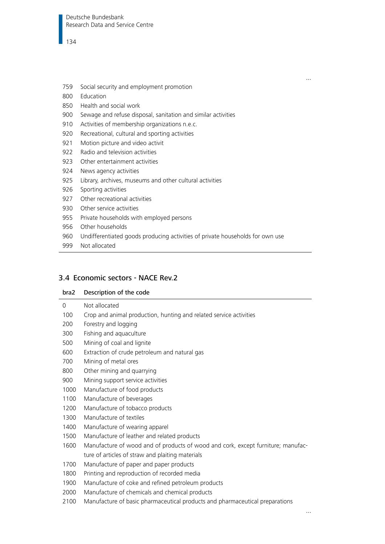- 759 Social security and employment promotion
- 800 Education
- 850 Health and social work
- 900 Sewage and refuse disposal, sanitation and similar activities
- 910 Activities of membership organizations n.e.c.
- 920 Recreational, cultural and sporting activities
- 921 Motion picture and video activit
- 922 Radio and television activities
- 923 Other entertainment activities
- 924 News agency activities
- 925 Library, archives, museums and other cultural activities
- 926 Sporting activities
- 927 Other recreational activities
- 930 Other service activities
- 955 Private households with employed persons
- 956 Other households
- 960 Undifferentiated goods producing activities of private households for own use
- 999 Not allocated

#### 3.4 Economic sectors - NACE Rev.2

## bra2 Description of the code 0 Not allocated 100 Crop and animal production, hunting and related service activities 200 Forestry and logging 300 Fishing and aquaculture 500 Mining of coal and lignite 600 Extraction of crude petroleum and natural gas 700 Mining of metal ores 800 Other mining and quarrying 900 Mining support service activities 1000 Manufacture of food products 1100 Manufacture of beverages 1200 Manufacture of tobacco products 1300 Manufacture of textiles 1400 Manufacture of wearing apparel 1500 Manufacture of leather and related products 1600 Manufacture of wood and of products of wood and cork, except furniture; manufacture of articles of straw and plaiting materials 1700 Manufacture of paper and paper products 1800 Printing and reproduction of recorded media 1900 Manufacture of coke and refined petroleum products 2000 Manufacture of chemicals and chemical products 2100 Manufacture of basic pharmaceutical products and pharmaceutical preparations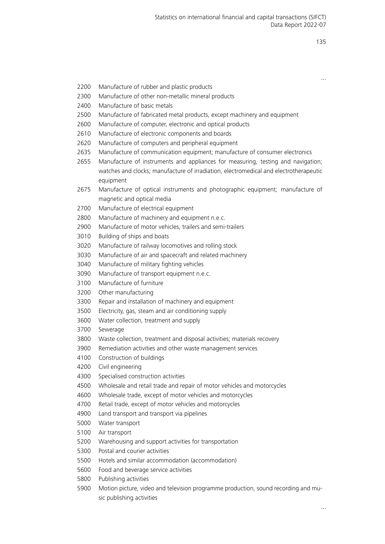- 2200 Manufacture of rubber and plastic products
- 2300 Manufacture of other non-metallic mineral products
- 2400 Manufacture of basic metals
- 2500 Manufacture of fabricated metal products, except machinery and equipment
- 2600 Manufacture of computer, electronic and optical products
- 2610 Manufacture of electronic components and boards
- 2620 Manufacture of computers and peripheral equipment
- 2635 Manufacture of communication equipment; manufacture of consumer electronics
- 2655 Manufacture of instruments and appliances for measuring, testing and navigation; watches and clocks; manufacture of irradiation, electromedical and electrotherapeutic equipment
- 2675 Manufacture of optical instruments and photographic equipment; manufacture of magnetic and optical media
- 2700 Manufacture of electrical equipment
- 2800 Manufacture of machinery and equipment n.e.c.
- 2900 Manufacture of motor vehicles, trailers and semi-trailers
- 3010 Building of ships and boats
- 3020 Manufacture of railway locomotives and rolling stock
- 3030 Manufacture of air and spacecraft and related machinery
- 3040 Manufacture of military fighting vehicles
- 3090 Manufacture of transport equipment n.e.c.
- 3100 Manufacture of furniture
- 3200 Other manufacturing
- 3300 Repair and installation of machinery and equipment
- 3500 Electricity, gas, steam and air conditioning supply
- 3600 Water collection, treatment and supply
- 3700 Sewerage
- 3800 Waste collection, treatment and disposal activities; materials recovery
- 3900 Remediation activities and other waste management services
- 4100 Construction of buildings
- 4200 Civil engineering
- 4300 Specialised construction activities
- 4500 Wholesale and retail trade and repair of motor vehicles and motorcycles
- 4600 Wholesale trade, except of motor vehicles and motorcycles
- 4700 Retail trade, except of motor vehicles and motorcycles
- 4900 Land transport and transport via pipelines
- 5000 Water transport
- 5100 Air transport
- 5200 Warehousing and support activities for transportation
- 5300 Postal and courier activities
- 5500 Hotels and similar accommodation (accommodation)
- 5600 Food and beverage service activities
- 5800 Publishing activities
- 5900 Motion picture, video and television programme production, sound recording and music publishing activities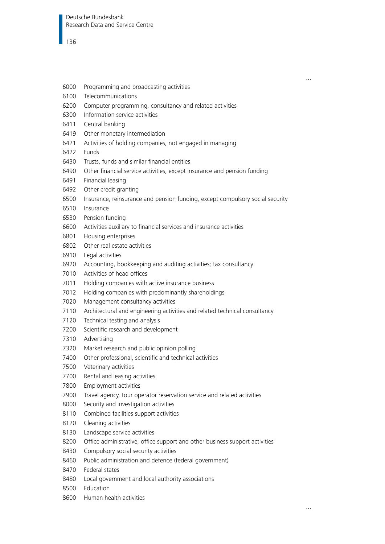- 6000 Programming and broadcasting activities
- 6100 Telecommunications
- 6200 Computer programming, consultancy and related activities
- 6300 Information service activities
- 6411 Central banking
- 6419 Other monetary intermediation
- 6421 Activities of holding companies, not engaged in managing
- 6422 Funds
- 6430 Trusts, funds and similar financial entities
- 6490 Other financial service activities, except insurance and pension funding
- 6491 Financial leasing
- 6492 Other credit granting
- 6500 Insurance, reinsurance and pension funding, except compulsory social security
- 6510 Insurance
- 6530 Pension funding
- 6600 Activities auxiliary to financial services and insurance activities
- 6801 Housing enterprises
- 6802 Other real estate activities
- 6910 Legal activities
- 6920 Accounting, bookkeeping and auditing activities; tax consultancy
- 7010 Activities of head offices
- 7011 Holding companies with active insurance business
- 7012 Holding companies with predominantly shareholdings
- 7020 Management consultancy activities
- 7110 Architectural and engineering activities and related technical consultancy
- 7120 Technical testing and analysis
- 7200 Scientific research and development
- 7310 Advertising
- 7320 Market research and public opinion polling
- 7400 Other professional, scientific and technical activities
- 7500 Veterinary activities
- 7700 Rental and leasing activities
- 7800 Employment activities
- 7900 Travel agency, tour operator reservation service and related activities
- 8000 Security and investigation activities
- 8110 Combined facilities support activities
- 8120 Cleaning activities
- 8130 Landscape service activities
- 8200 Office administrative, office support and other business support activities
- 8430 Compulsory social security activities
- 8460 Public administration and defence (federal government)
- 8470 Federal states
- 8480 Local government and local authority associations
- 8500 Education
- 8600 Human health activities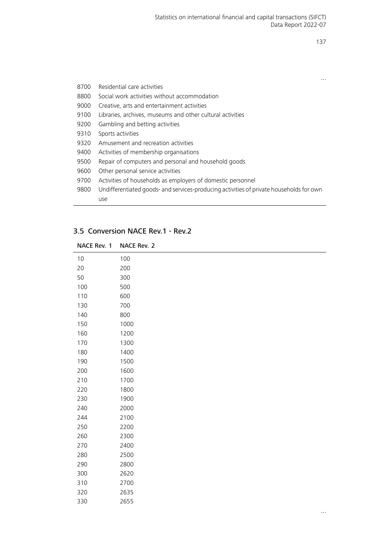|      |                                                                                         | . |
|------|-----------------------------------------------------------------------------------------|---|
| 8700 | Residential care activities                                                             |   |
| 8800 | Social work activities without accommodation                                            |   |
| 9000 | Creative, arts and entertainment activities                                             |   |
| 9100 | Libraries, archives, museums and other cultural activities                              |   |
| 9200 | Gambling and betting activities                                                         |   |
| 9310 | Sports activities                                                                       |   |
| 9320 | Amusement and recreation activities                                                     |   |
| 9400 | Activities of membership organisations                                                  |   |
| 9500 | Repair of computers and personal and household goods                                    |   |
| 9600 | Other personal service activities                                                       |   |
| 9700 | Activities of households as employers of domestic personnel                             |   |
| 9800 | Undifferentiated goods- and services-producing activities of private households for own |   |
|      | use                                                                                     |   |

# 3.5 Conversion NACE Rev.1 - Rev.2

| NACE Rev. 1 | NACE Rev. 2 |
|-------------|-------------|
| 10          | 100         |
| 20          | 200         |
| 50          | 300         |
| 100         | 500         |
| 110         | 600         |
| 130         | 700         |
| 140         | 800         |
| 150         | 1000        |
| 160         | 1200        |
| 170         | 1300        |
| 180         | 1400        |
| 190         | 1500        |
| 200         | 1600        |
| 210         | 1700        |
| 220         | 1800        |
| 230         | 1900        |
| 240         | 2000        |
| 244         | 2100        |
| 250         | 2200        |
| 260         | 2300        |
| 270         | 2400        |
| 280         | 2500        |
| 290         | 2800        |
| 300         | 2620        |
| 310         | 2700        |
| 320         | 2635        |
| 330         | 2655        |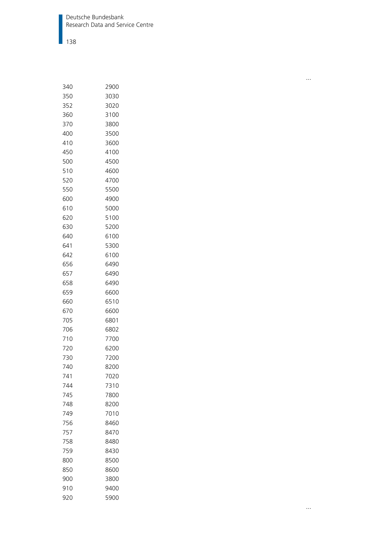Deutsche Bundesbank Research Data and Service Centre

 $|$  138

| 350<br>3030<br>352<br>3020<br>360<br>3100<br>370<br>3800<br>400<br>3500<br>410<br>3600<br>450<br>4100<br>500<br>4500<br>510<br>4600<br>520<br>4700<br>550<br>5500<br>600<br>4900<br>610<br>5000<br>620<br>5100<br>630<br>5200<br>640<br>6100<br>641<br>5300<br>642<br>6100<br>656<br>6490<br>657<br>6490<br>658<br>6490<br>659<br>6600<br>660<br>6510<br>670<br>6600<br>705<br>6801<br>706<br>6802<br>710<br>7700<br>720<br>6200<br>730<br>7200<br>740<br>8200<br>741<br>7020<br>7310<br>744<br>745<br>7800<br>748<br>8200<br>749<br>7010<br>756<br>8460<br>757<br>8470<br>758<br>8480<br>759<br>8430<br>800<br>8500<br>850<br>8600<br>900<br>3800<br>910<br>9400<br>920<br>5900 | 340 | 2900 |
|----------------------------------------------------------------------------------------------------------------------------------------------------------------------------------------------------------------------------------------------------------------------------------------------------------------------------------------------------------------------------------------------------------------------------------------------------------------------------------------------------------------------------------------------------------------------------------------------------------------------------------------------------------------------------------|-----|------|
|                                                                                                                                                                                                                                                                                                                                                                                                                                                                                                                                                                                                                                                                                  |     |      |
|                                                                                                                                                                                                                                                                                                                                                                                                                                                                                                                                                                                                                                                                                  |     |      |
|                                                                                                                                                                                                                                                                                                                                                                                                                                                                                                                                                                                                                                                                                  |     |      |
|                                                                                                                                                                                                                                                                                                                                                                                                                                                                                                                                                                                                                                                                                  |     |      |
|                                                                                                                                                                                                                                                                                                                                                                                                                                                                                                                                                                                                                                                                                  |     |      |
|                                                                                                                                                                                                                                                                                                                                                                                                                                                                                                                                                                                                                                                                                  |     |      |
|                                                                                                                                                                                                                                                                                                                                                                                                                                                                                                                                                                                                                                                                                  |     |      |
|                                                                                                                                                                                                                                                                                                                                                                                                                                                                                                                                                                                                                                                                                  |     |      |
|                                                                                                                                                                                                                                                                                                                                                                                                                                                                                                                                                                                                                                                                                  |     |      |
|                                                                                                                                                                                                                                                                                                                                                                                                                                                                                                                                                                                                                                                                                  |     |      |
|                                                                                                                                                                                                                                                                                                                                                                                                                                                                                                                                                                                                                                                                                  |     |      |
|                                                                                                                                                                                                                                                                                                                                                                                                                                                                                                                                                                                                                                                                                  |     |      |
|                                                                                                                                                                                                                                                                                                                                                                                                                                                                                                                                                                                                                                                                                  |     |      |
|                                                                                                                                                                                                                                                                                                                                                                                                                                                                                                                                                                                                                                                                                  |     |      |
|                                                                                                                                                                                                                                                                                                                                                                                                                                                                                                                                                                                                                                                                                  |     |      |
|                                                                                                                                                                                                                                                                                                                                                                                                                                                                                                                                                                                                                                                                                  |     |      |
|                                                                                                                                                                                                                                                                                                                                                                                                                                                                                                                                                                                                                                                                                  |     |      |
|                                                                                                                                                                                                                                                                                                                                                                                                                                                                                                                                                                                                                                                                                  |     |      |
|                                                                                                                                                                                                                                                                                                                                                                                                                                                                                                                                                                                                                                                                                  |     |      |
|                                                                                                                                                                                                                                                                                                                                                                                                                                                                                                                                                                                                                                                                                  |     |      |
|                                                                                                                                                                                                                                                                                                                                                                                                                                                                                                                                                                                                                                                                                  |     |      |
|                                                                                                                                                                                                                                                                                                                                                                                                                                                                                                                                                                                                                                                                                  |     |      |
|                                                                                                                                                                                                                                                                                                                                                                                                                                                                                                                                                                                                                                                                                  |     |      |
|                                                                                                                                                                                                                                                                                                                                                                                                                                                                                                                                                                                                                                                                                  |     |      |
|                                                                                                                                                                                                                                                                                                                                                                                                                                                                                                                                                                                                                                                                                  |     |      |
|                                                                                                                                                                                                                                                                                                                                                                                                                                                                                                                                                                                                                                                                                  |     |      |
|                                                                                                                                                                                                                                                                                                                                                                                                                                                                                                                                                                                                                                                                                  |     |      |
|                                                                                                                                                                                                                                                                                                                                                                                                                                                                                                                                                                                                                                                                                  |     |      |
|                                                                                                                                                                                                                                                                                                                                                                                                                                                                                                                                                                                                                                                                                  |     |      |
|                                                                                                                                                                                                                                                                                                                                                                                                                                                                                                                                                                                                                                                                                  |     |      |
|                                                                                                                                                                                                                                                                                                                                                                                                                                                                                                                                                                                                                                                                                  |     |      |
|                                                                                                                                                                                                                                                                                                                                                                                                                                                                                                                                                                                                                                                                                  |     |      |
|                                                                                                                                                                                                                                                                                                                                                                                                                                                                                                                                                                                                                                                                                  |     |      |
|                                                                                                                                                                                                                                                                                                                                                                                                                                                                                                                                                                                                                                                                                  |     |      |
|                                                                                                                                                                                                                                                                                                                                                                                                                                                                                                                                                                                                                                                                                  |     |      |
|                                                                                                                                                                                                                                                                                                                                                                                                                                                                                                                                                                                                                                                                                  |     |      |
|                                                                                                                                                                                                                                                                                                                                                                                                                                                                                                                                                                                                                                                                                  |     |      |
|                                                                                                                                                                                                                                                                                                                                                                                                                                                                                                                                                                                                                                                                                  |     |      |
|                                                                                                                                                                                                                                                                                                                                                                                                                                                                                                                                                                                                                                                                                  |     |      |
|                                                                                                                                                                                                                                                                                                                                                                                                                                                                                                                                                                                                                                                                                  |     |      |
|                                                                                                                                                                                                                                                                                                                                                                                                                                                                                                                                                                                                                                                                                  |     |      |
|                                                                                                                                                                                                                                                                                                                                                                                                                                                                                                                                                                                                                                                                                  |     |      |
|                                                                                                                                                                                                                                                                                                                                                                                                                                                                                                                                                                                                                                                                                  |     |      |
|                                                                                                                                                                                                                                                                                                                                                                                                                                                                                                                                                                                                                                                                                  |     |      |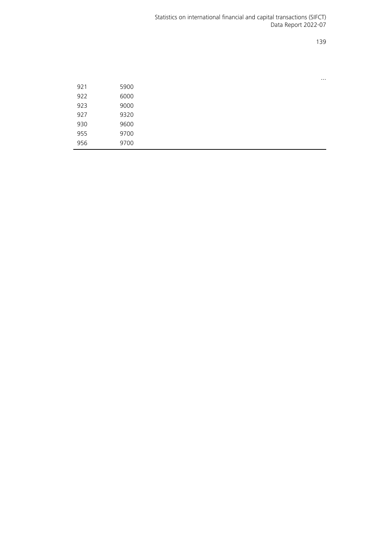|     |      | $\cdots$ |
|-----|------|----------|
| 921 | 5900 |          |
| 922 | 6000 |          |
| 923 | 9000 |          |
| 927 | 9320 |          |
| 930 | 9600 |          |
| 955 | 9700 |          |
| 956 | 9700 |          |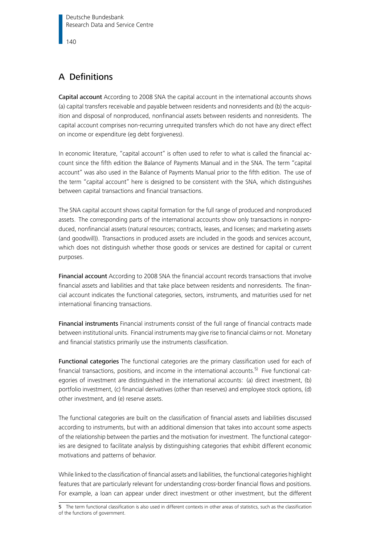# A Definitions

Capital account According to 2008 SNA the capital account in the international accounts shows (a) capital transfers receivable and payable between residents and nonresidents and (b) the acquisition and disposal of nonproduced, nonfinancial assets between residents and nonresidents. The capital account comprises non-recurring unrequited transfers which do not have any direct effect on income or expenditure (eg debt forgiveness).

In economic literature, "capital account" is often used to refer to what is called the financial account since the fifth edition the Balance of Payments Manual and in the SNA. The term "capital account" was also used in the Balance of Payments Manual prior to the fifth edition. The use of the term "capital account" here is designed to be consistent with the SNA, which distinguishes between capital transactions and financial transactions.

The SNA capital account shows capital formation for the full range of produced and nonproduced assets. The corresponding parts of the international accounts show only transactions in nonproduced, nonfinancial assets (natural resources; contracts, leases, and licenses; and marketing assets (and goodwill)). Transactions in produced assets are included in the goods and services account, which does not distinguish whether those goods or services are destined for capital or current purposes.

Financial account According to 2008 SNA the financial account records transactions that involve financial assets and liabilities and that take place between residents and nonresidents. The financial account indicates the functional categories, sectors, instruments, and maturities used for net international financing transactions.

Financial instruments Financial instruments consist of the full range of financial contracts made between institutional units. Financial instruments may give rise to financial claims or not. Monetary and financial statistics primarily use the instruments classification.

Functional categories The functional categories are the primary classification used for each of financial transactions, positions, and income in the international accounts.<sup>[5\)](#page-139-0)</sup> Five functional categories of investment are distinguished in the international accounts: (a) direct investment, (b) portfolio investment, (c) financial derivatives (other than reserves) and employee stock options, (d) other investment, and (e) reserve assets.

The functional categories are built on the classification of financial assets and liabilities discussed according to instruments, but with an additional dimension that takes into account some aspects of the relationship between the parties and the motivation for investment. The functional categories are designed to facilitate analysis by distinguishing categories that exhibit different economic motivations and patterns of behavior.

While linked to the classification of financial assets and liabilities, the functional categories highlight features that are particularly relevant for understanding cross-border financial flows and positions. For example, a loan can appear under direct investment or other investment, but the different

<span id="page-139-0"></span>5 The term functional classification is also used in different contexts in other areas of statistics, such as the classification of the functions of government.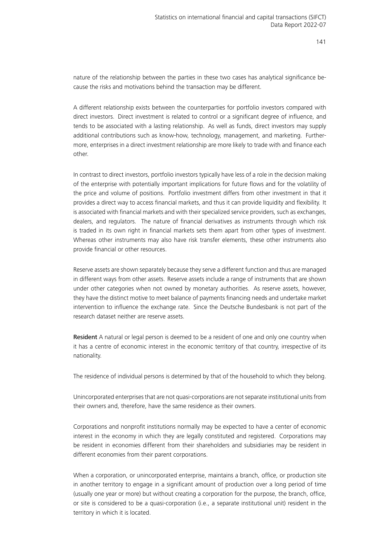nature of the relationship between the parties in these two cases has analytical significance because the risks and motivations behind the transaction may be different.

A different relationship exists between the counterparties for portfolio investors compared with direct investors. Direct investment is related to control or a significant degree of influence, and tends to be associated with a lasting relationship. As well as funds, direct investors may supply additional contributions such as know-how, technology, management, and marketing. Furthermore, enterprises in a direct investment relationship are more likely to trade with and finance each other.

In contrast to direct investors, portfolio investors typically have less of a role in the decision making of the enterprise with potentially important implications for future flows and for the volatility of the price and volume of positions. Portfolio investment differs from other investment in that it provides a direct way to access financial markets, and thus it can provide liquidity and flexibility. It is associated with financial markets and with their specialized service providers, such as exchanges, dealers, and regulators. The nature of financial derivatives as instruments through which risk is traded in its own right in financial markets sets them apart from other types of investment. Whereas other instruments may also have risk transfer elements, these other instruments also provide financial or other resources.

Reserve assets are shown separately because they serve a different function and thus are managed in different ways from other assets. Reserve assets include a range of instruments that are shown under other categories when not owned by monetary authorities. As reserve assets, however, they have the distinct motive to meet balance of payments financing needs and undertake market intervention to influence the exchange rate. Since the Deutsche Bundesbank is not part of the research dataset neither are reserve assets.

Resident A natural or legal person is deemed to be a resident of one and only one country when it has a centre of economic interest in the economic territory of that country, irrespective of its nationality.

The residence of individual persons is determined by that of the household to which they belong.

Unincorporated enterprises that are not quasi-corporations are not separate institutional units from their owners and, therefore, have the same residence as their owners.

Corporations and nonprofit institutions normally may be expected to have a center of economic interest in the economy in which they are legally constituted and registered. Corporations may be resident in economies different from their shareholders and subsidiaries may be resident in different economies from their parent corporations.

When a corporation, or unincorporated enterprise, maintains a branch, office, or production site in another territory to engage in a significant amount of production over a long period of time (usually one year or more) but without creating a corporation for the purpose, the branch, office, or site is considered to be a quasi-corporation (i.e., a separate institutional unit) resident in the territory in which it is located.